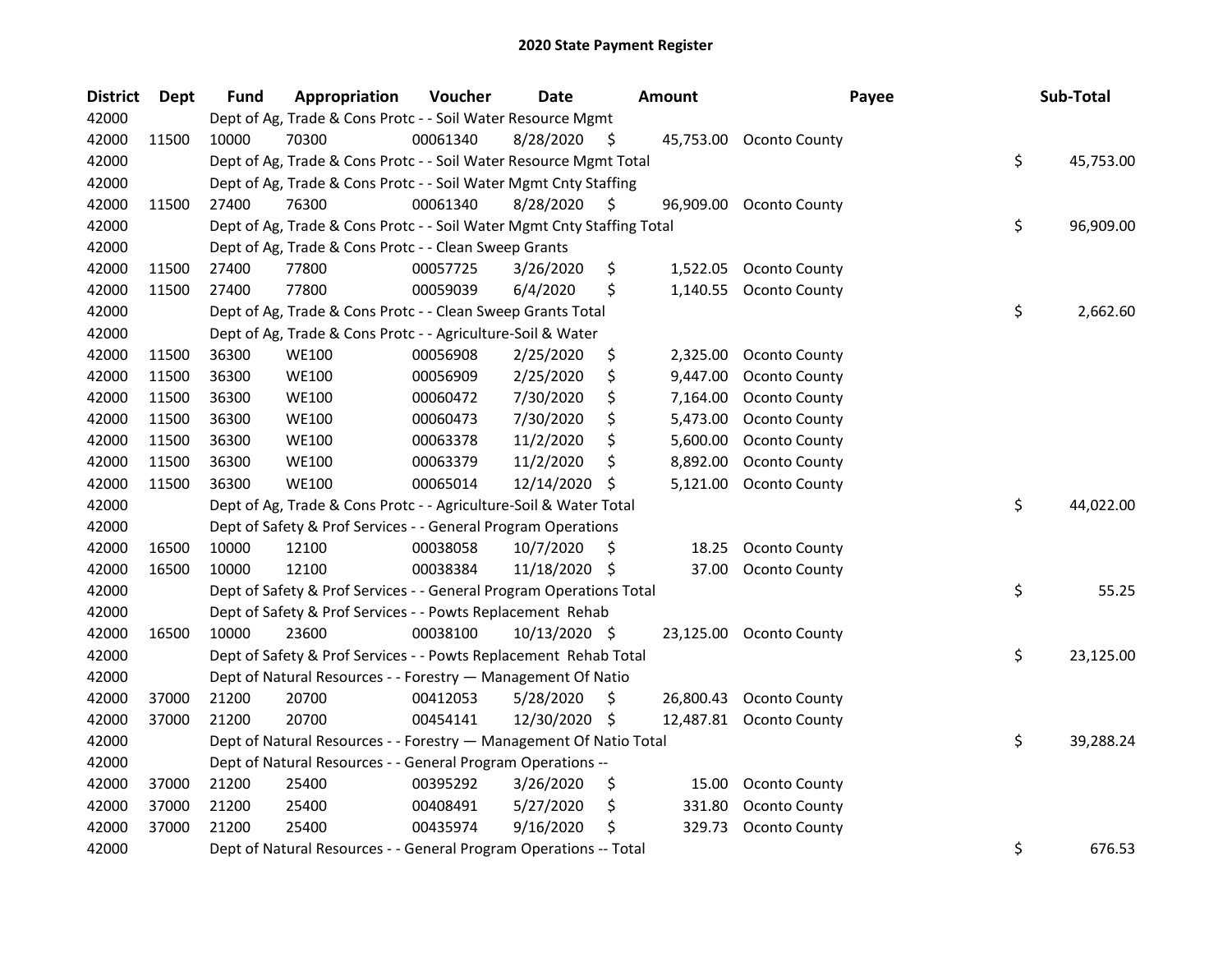| <b>District</b> | Dept  | <b>Fund</b> | Appropriation                                                          | Voucher  | <b>Date</b>   |    | <b>Amount</b> | Payee                   | Sub-Total       |
|-----------------|-------|-------------|------------------------------------------------------------------------|----------|---------------|----|---------------|-------------------------|-----------------|
| 42000           |       |             | Dept of Ag, Trade & Cons Protc - - Soil Water Resource Mgmt            |          |               |    |               |                         |                 |
| 42000           | 11500 | 10000       | 70300                                                                  | 00061340 | 8/28/2020     | S  | 45,753.00     | <b>Oconto County</b>    |                 |
| 42000           |       |             | Dept of Ag, Trade & Cons Protc - - Soil Water Resource Mgmt Total      |          |               |    |               |                         | \$<br>45,753.00 |
| 42000           |       |             | Dept of Ag, Trade & Cons Protc - - Soil Water Mgmt Cnty Staffing       |          |               |    |               |                         |                 |
| 42000           | 11500 | 27400       | 76300                                                                  | 00061340 | 8/28/2020     | S  | 96,909.00     | Oconto County           |                 |
| 42000           |       |             | Dept of Ag, Trade & Cons Protc - - Soil Water Mgmt Cnty Staffing Total |          |               |    |               |                         | \$<br>96,909.00 |
| 42000           |       |             | Dept of Ag, Trade & Cons Protc - - Clean Sweep Grants                  |          |               |    |               |                         |                 |
| 42000           | 11500 | 27400       | 77800                                                                  | 00057725 | 3/26/2020     | \$ | 1,522.05      | Oconto County           |                 |
| 42000           | 11500 | 27400       | 77800                                                                  | 00059039 | 6/4/2020      | \$ | 1,140.55      | Oconto County           |                 |
| 42000           |       |             | Dept of Ag, Trade & Cons Protc - - Clean Sweep Grants Total            |          |               |    |               |                         | \$<br>2,662.60  |
| 42000           |       |             | Dept of Ag, Trade & Cons Protc - - Agriculture-Soil & Water            |          |               |    |               |                         |                 |
| 42000           | 11500 | 36300       | <b>WE100</b>                                                           | 00056908 | 2/25/2020     | \$ | 2,325.00      | Oconto County           |                 |
| 42000           | 11500 | 36300       | <b>WE100</b>                                                           | 00056909 | 2/25/2020     | \$ | 9,447.00      | Oconto County           |                 |
| 42000           | 11500 | 36300       | <b>WE100</b>                                                           | 00060472 | 7/30/2020     | \$ | 7,164.00      | Oconto County           |                 |
| 42000           | 11500 | 36300       | <b>WE100</b>                                                           | 00060473 | 7/30/2020     | \$ | 5,473.00      | Oconto County           |                 |
| 42000           | 11500 | 36300       | <b>WE100</b>                                                           | 00063378 | 11/2/2020     | \$ | 5,600.00      | Oconto County           |                 |
| 42000           | 11500 | 36300       | <b>WE100</b>                                                           | 00063379 | 11/2/2020     | S  | 8,892.00      | Oconto County           |                 |
| 42000           | 11500 | 36300       | <b>WE100</b>                                                           | 00065014 | 12/14/2020    | S  | 5,121.00      | Oconto County           |                 |
| 42000           |       |             | Dept of Ag, Trade & Cons Protc - - Agriculture-Soil & Water Total      |          |               |    |               |                         | \$<br>44,022.00 |
| 42000           |       |             | Dept of Safety & Prof Services - - General Program Operations          |          |               |    |               |                         |                 |
| 42000           | 16500 | 10000       | 12100                                                                  | 00038058 | 10/7/2020     | \$ | 18.25         | <b>Oconto County</b>    |                 |
| 42000           | 16500 | 10000       | 12100                                                                  | 00038384 | 11/18/2020 \$ |    | 37.00         | <b>Oconto County</b>    |                 |
| 42000           |       |             | Dept of Safety & Prof Services - - General Program Operations Total    |          |               |    |               |                         | \$<br>55.25     |
| 42000           |       |             | Dept of Safety & Prof Services - - Powts Replacement Rehab             |          |               |    |               |                         |                 |
| 42000           | 16500 | 10000       | 23600                                                                  | 00038100 | 10/13/2020 \$ |    |               | 23,125.00 Oconto County |                 |
| 42000           |       |             | Dept of Safety & Prof Services - - Powts Replacement Rehab Total       |          |               |    |               |                         | \$<br>23,125.00 |
| 42000           |       |             | Dept of Natural Resources - - Forestry - Management Of Natio           |          |               |    |               |                         |                 |
| 42000           | 37000 | 21200       | 20700                                                                  | 00412053 | 5/28/2020     | \$ | 26,800.43     | <b>Oconto County</b>    |                 |
| 42000           | 37000 | 21200       | 20700                                                                  | 00454141 | 12/30/2020    | \$ | 12,487.81     | Oconto County           |                 |
| 42000           |       |             | Dept of Natural Resources - - Forestry - Management Of Natio Total     |          |               |    |               |                         | \$<br>39,288.24 |
| 42000           |       |             | Dept of Natural Resources - - General Program Operations --            |          |               |    |               |                         |                 |
| 42000           | 37000 | 21200       | 25400                                                                  | 00395292 | 3/26/2020     | \$ | 15.00         | <b>Oconto County</b>    |                 |
| 42000           | 37000 | 21200       | 25400                                                                  | 00408491 | 5/27/2020     | \$ | 331.80        | <b>Oconto County</b>    |                 |
| 42000           | 37000 | 21200       | 25400                                                                  | 00435974 | 9/16/2020     | \$ | 329.73        | Oconto County           |                 |
| 42000           |       |             | Dept of Natural Resources - - General Program Operations -- Total      |          |               |    |               |                         | \$<br>676.53    |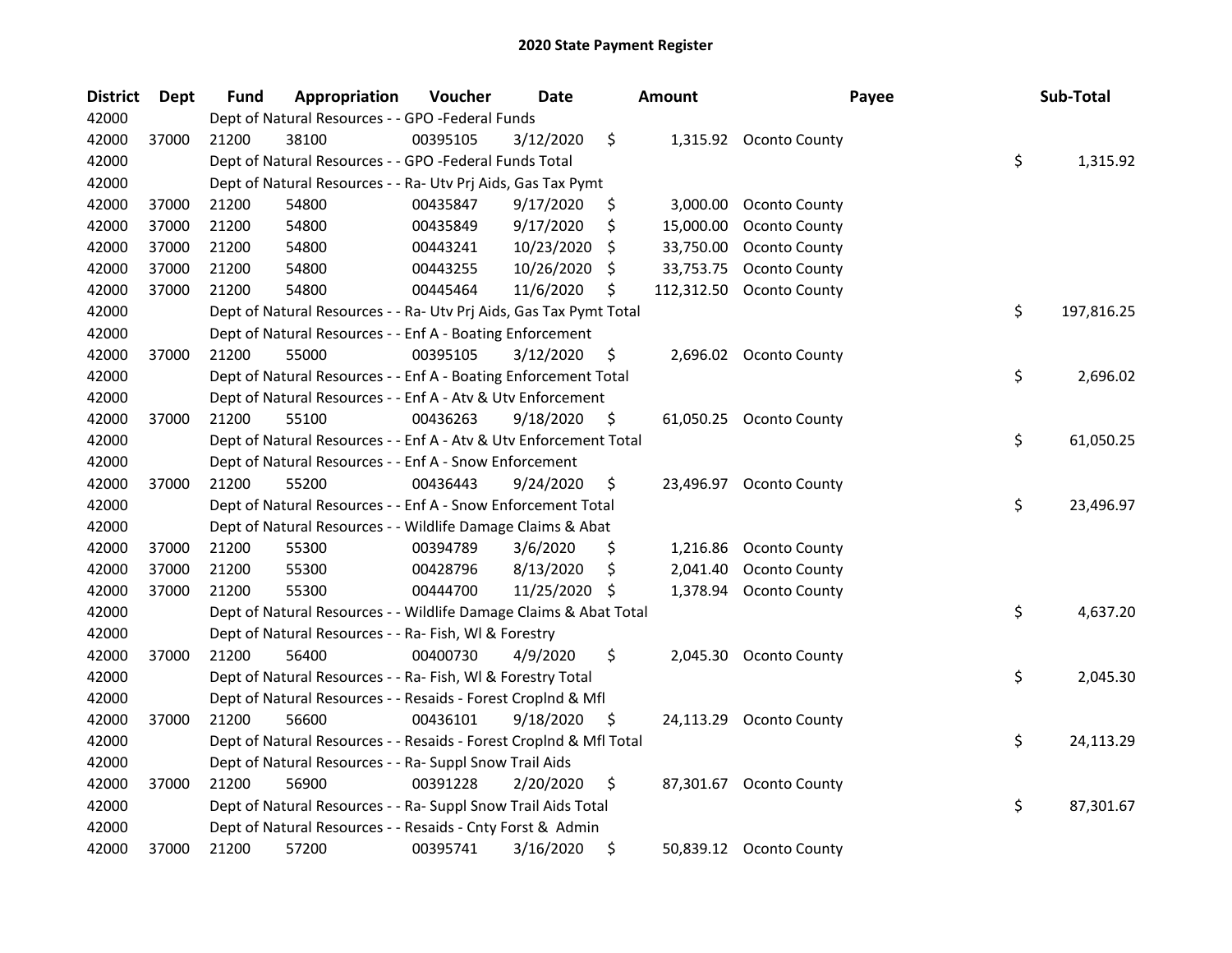| <b>District</b> | Dept  | <b>Fund</b> | Appropriation                                                      | Voucher  | <b>Date</b> |     | <b>Amount</b> | Payee                   | Sub-Total        |  |
|-----------------|-------|-------------|--------------------------------------------------------------------|----------|-------------|-----|---------------|-------------------------|------------------|--|
| 42000           |       |             | Dept of Natural Resources - - GPO -Federal Funds                   |          |             |     |               |                         |                  |  |
| 42000           | 37000 | 21200       | 38100                                                              | 00395105 | 3/12/2020   | \$  |               | 1,315.92 Oconto County  |                  |  |
| 42000           |       |             | Dept of Natural Resources - - GPO -Federal Funds Total             |          |             |     |               |                         | \$<br>1,315.92   |  |
| 42000           |       |             | Dept of Natural Resources - - Ra- Utv Prj Aids, Gas Tax Pymt       |          |             |     |               |                         |                  |  |
| 42000           | 37000 | 21200       | 54800                                                              | 00435847 | 9/17/2020   | \$  | 3,000.00      | <b>Oconto County</b>    |                  |  |
| 42000           | 37000 | 21200       | 54800                                                              | 00435849 | 9/17/2020   | \$  | 15,000.00     | Oconto County           |                  |  |
| 42000           | 37000 | 21200       | 54800                                                              | 00443241 | 10/23/2020  | \$  | 33,750.00     | Oconto County           |                  |  |
| 42000           | 37000 | 21200       | 54800                                                              | 00443255 | 10/26/2020  | \$  | 33,753.75     | Oconto County           |                  |  |
| 42000           | 37000 | 21200       | 54800                                                              | 00445464 | 11/6/2020   | \$  | 112,312.50    | Oconto County           |                  |  |
| 42000           |       |             | Dept of Natural Resources - - Ra- Utv Prj Aids, Gas Tax Pymt Total |          |             |     |               |                         | \$<br>197,816.25 |  |
| 42000           |       |             | Dept of Natural Resources - - Enf A - Boating Enforcement          |          |             |     |               |                         |                  |  |
| 42000           | 37000 | 21200       | 55000                                                              | 00395105 | 3/12/2020   | \$  |               | 2,696.02 Oconto County  |                  |  |
| 42000           |       |             | Dept of Natural Resources - - Enf A - Boating Enforcement Total    |          |             |     |               |                         | \$<br>2,696.02   |  |
| 42000           |       |             | Dept of Natural Resources - - Enf A - Atv & Utv Enforcement        |          |             |     |               |                         |                  |  |
| 42000           | 37000 | 21200       | 55100                                                              | 00436263 | 9/18/2020   | \$  | 61,050.25     | <b>Oconto County</b>    |                  |  |
| 42000           |       |             | Dept of Natural Resources - - Enf A - Atv & Utv Enforcement Total  |          |             |     |               |                         | \$<br>61,050.25  |  |
| 42000           |       |             | Dept of Natural Resources - - Enf A - Snow Enforcement             |          |             |     |               |                         |                  |  |
| 42000           | 37000 | 21200       | 55200                                                              | 00436443 | 9/24/2020   | \$  | 23,496.97     | <b>Oconto County</b>    |                  |  |
| 42000           |       |             | Dept of Natural Resources - - Enf A - Snow Enforcement Total       |          |             |     |               |                         | \$<br>23,496.97  |  |
| 42000           |       |             | Dept of Natural Resources - - Wildlife Damage Claims & Abat        |          |             |     |               |                         |                  |  |
| 42000           | 37000 | 21200       | 55300                                                              | 00394789 | 3/6/2020    | \$  | 1,216.86      | Oconto County           |                  |  |
| 42000           | 37000 | 21200       | 55300                                                              | 00428796 | 8/13/2020   | \$  | 2,041.40      | Oconto County           |                  |  |
| 42000           | 37000 | 21200       | 55300                                                              | 00444700 | 11/25/2020  | -S  | 1,378.94      | <b>Oconto County</b>    |                  |  |
| 42000           |       |             | Dept of Natural Resources - - Wildlife Damage Claims & Abat Total  |          |             |     |               |                         | \$<br>4,637.20   |  |
| 42000           |       |             | Dept of Natural Resources - - Ra- Fish, WI & Forestry              |          |             |     |               |                         |                  |  |
| 42000           | 37000 | 21200       | 56400                                                              | 00400730 | 4/9/2020    | \$  | 2,045.30      | <b>Oconto County</b>    |                  |  |
| 42000           |       |             | Dept of Natural Resources - - Ra- Fish, WI & Forestry Total        |          |             |     |               |                         | \$<br>2,045.30   |  |
| 42000           |       |             | Dept of Natural Resources - - Resaids - Forest Croplnd & Mfl       |          |             |     |               |                         |                  |  |
| 42000           | 37000 | 21200       | 56600                                                              | 00436101 | 9/18/2020   | \$, | 24,113.29     | <b>Oconto County</b>    |                  |  |
| 42000           |       |             | Dept of Natural Resources - - Resaids - Forest CropInd & Mfl Total |          |             |     |               |                         | \$<br>24,113.29  |  |
| 42000           |       |             | Dept of Natural Resources - - Ra- Suppl Snow Trail Aids            |          |             |     |               |                         |                  |  |
| 42000           | 37000 | 21200       | 56900                                                              | 00391228 | 2/20/2020   | \$  |               | 87,301.67 Oconto County |                  |  |
| 42000           |       |             | Dept of Natural Resources - - Ra- Suppl Snow Trail Aids Total      |          |             |     |               |                         | \$<br>87,301.67  |  |
| 42000           |       |             | Dept of Natural Resources - - Resaids - Cnty Forst & Admin         |          |             |     |               |                         |                  |  |
| 42000           | 37000 | 21200       | 57200                                                              | 00395741 | 3/16/2020   | \$  |               | 50,839.12 Oconto County |                  |  |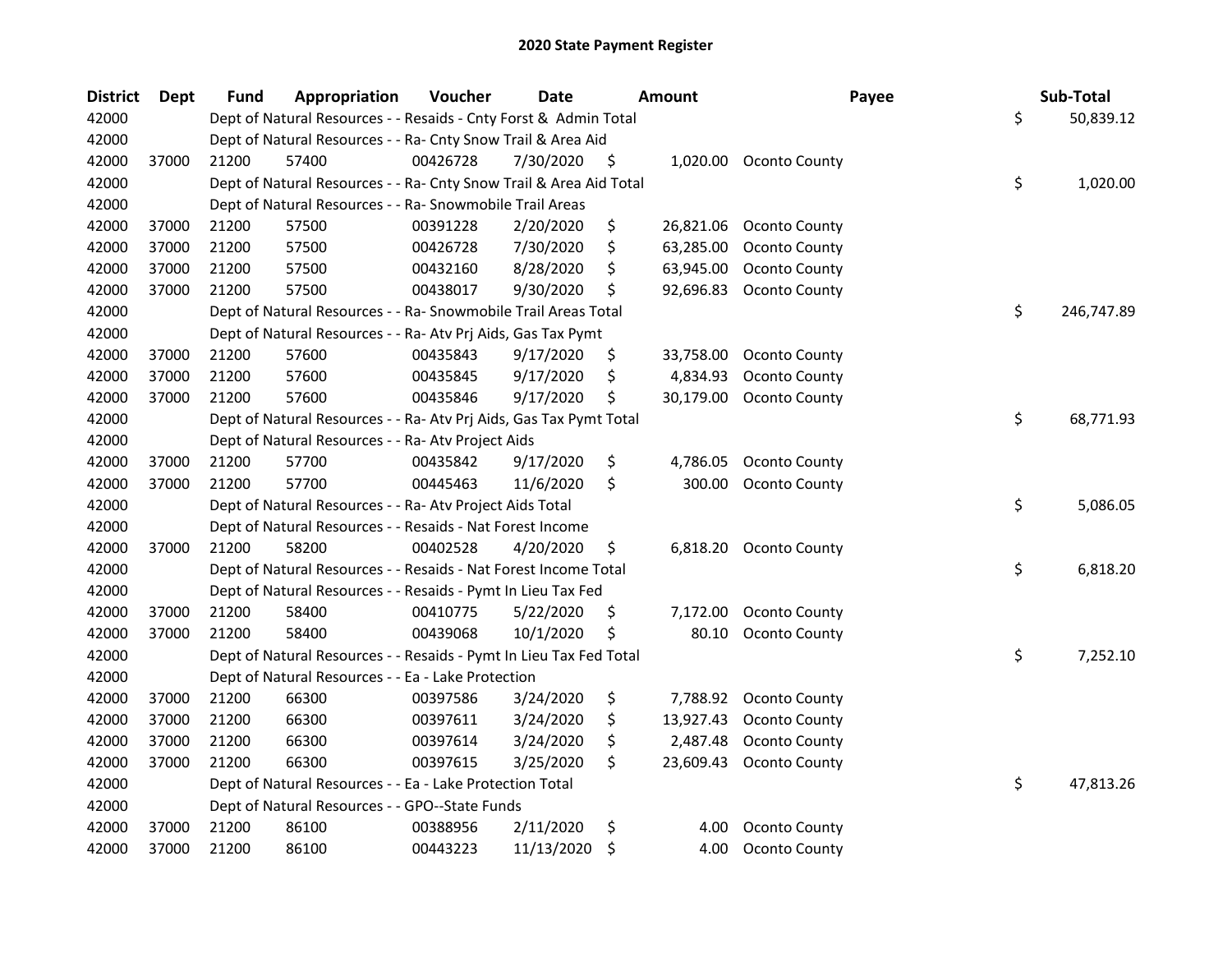| <b>District</b> | <b>Dept</b> | <b>Fund</b> | Appropriation                                                      | Voucher  | <b>Date</b> | Amount          | Payee                  | Sub-Total        |
|-----------------|-------------|-------------|--------------------------------------------------------------------|----------|-------------|-----------------|------------------------|------------------|
| 42000           |             |             | Dept of Natural Resources - - Resaids - Cnty Forst & Admin Total   |          |             |                 |                        | \$<br>50,839.12  |
| 42000           |             |             | Dept of Natural Resources - - Ra- Cnty Snow Trail & Area Aid       |          |             |                 |                        |                  |
| 42000           | 37000       | 21200       | 57400                                                              | 00426728 | 7/30/2020   | \$              | 1,020.00 Oconto County |                  |
| 42000           |             |             | Dept of Natural Resources - - Ra- Cnty Snow Trail & Area Aid Total |          |             |                 |                        | \$<br>1,020.00   |
| 42000           |             |             | Dept of Natural Resources - - Ra- Snowmobile Trail Areas           |          |             |                 |                        |                  |
| 42000           | 37000       | 21200       | 57500                                                              | 00391228 | 2/20/2020   | \$<br>26,821.06 | <b>Oconto County</b>   |                  |
| 42000           | 37000       | 21200       | 57500                                                              | 00426728 | 7/30/2020   | \$<br>63,285.00 | Oconto County          |                  |
| 42000           | 37000       | 21200       | 57500                                                              | 00432160 | 8/28/2020   | \$<br>63,945.00 | Oconto County          |                  |
| 42000           | 37000       | 21200       | 57500                                                              | 00438017 | 9/30/2020   | \$<br>92,696.83 | Oconto County          |                  |
| 42000           |             |             | Dept of Natural Resources - - Ra- Snowmobile Trail Areas Total     |          |             |                 |                        | \$<br>246,747.89 |
| 42000           |             |             | Dept of Natural Resources - - Ra- Atv Prj Aids, Gas Tax Pymt       |          |             |                 |                        |                  |
| 42000           | 37000       | 21200       | 57600                                                              | 00435843 | 9/17/2020   | \$<br>33,758.00 | <b>Oconto County</b>   |                  |
| 42000           | 37000       | 21200       | 57600                                                              | 00435845 | 9/17/2020   | \$<br>4,834.93  | Oconto County          |                  |
| 42000           | 37000       | 21200       | 57600                                                              | 00435846 | 9/17/2020   | \$<br>30,179.00 | Oconto County          |                  |
| 42000           |             |             | Dept of Natural Resources - - Ra- Atv Prj Aids, Gas Tax Pymt Total |          |             |                 |                        | \$<br>68,771.93  |
| 42000           |             |             | Dept of Natural Resources - - Ra- Atv Project Aids                 |          |             |                 |                        |                  |
| 42000           | 37000       | 21200       | 57700                                                              | 00435842 | 9/17/2020   | \$<br>4,786.05  | Oconto County          |                  |
| 42000           | 37000       | 21200       | 57700                                                              | 00445463 | 11/6/2020   | \$<br>300.00    | <b>Oconto County</b>   |                  |
| 42000           |             |             | Dept of Natural Resources - - Ra- Atv Project Aids Total           |          |             |                 |                        | \$<br>5,086.05   |
| 42000           |             |             | Dept of Natural Resources - - Resaids - Nat Forest Income          |          |             |                 |                        |                  |
| 42000           | 37000       | 21200       | 58200                                                              | 00402528 | 4/20/2020   | \$<br>6,818.20  | Oconto County          |                  |
| 42000           |             |             | Dept of Natural Resources - - Resaids - Nat Forest Income Total    |          |             |                 |                        | \$<br>6,818.20   |
| 42000           |             |             | Dept of Natural Resources - - Resaids - Pymt In Lieu Tax Fed       |          |             |                 |                        |                  |
| 42000           | 37000       | 21200       | 58400                                                              | 00410775 | 5/22/2020   | \$<br>7,172.00  | Oconto County          |                  |
| 42000           | 37000       | 21200       | 58400                                                              | 00439068 | 10/1/2020   | \$<br>80.10     | Oconto County          |                  |
| 42000           |             |             | Dept of Natural Resources - - Resaids - Pymt In Lieu Tax Fed Total |          |             |                 |                        | \$<br>7,252.10   |
| 42000           |             |             | Dept of Natural Resources - - Ea - Lake Protection                 |          |             |                 |                        |                  |
| 42000           | 37000       | 21200       | 66300                                                              | 00397586 | 3/24/2020   | \$<br>7,788.92  | <b>Oconto County</b>   |                  |
| 42000           | 37000       | 21200       | 66300                                                              | 00397611 | 3/24/2020   | \$<br>13,927.43 | Oconto County          |                  |
| 42000           | 37000       | 21200       | 66300                                                              | 00397614 | 3/24/2020   | \$<br>2,487.48  | Oconto County          |                  |
| 42000           | 37000       | 21200       | 66300                                                              | 00397615 | 3/25/2020   | \$<br>23,609.43 | Oconto County          |                  |
| 42000           |             |             | Dept of Natural Resources - - Ea - Lake Protection Total           |          |             |                 |                        | \$<br>47,813.26  |
| 42000           |             |             | Dept of Natural Resources - - GPO--State Funds                     |          |             |                 |                        |                  |
| 42000           | 37000       | 21200       | 86100                                                              | 00388956 | 2/11/2020   | \$<br>4.00      | <b>Oconto County</b>   |                  |
| 42000           | 37000       | 21200       | 86100                                                              | 00443223 | 11/13/2020  | \$<br>4.00      | <b>Oconto County</b>   |                  |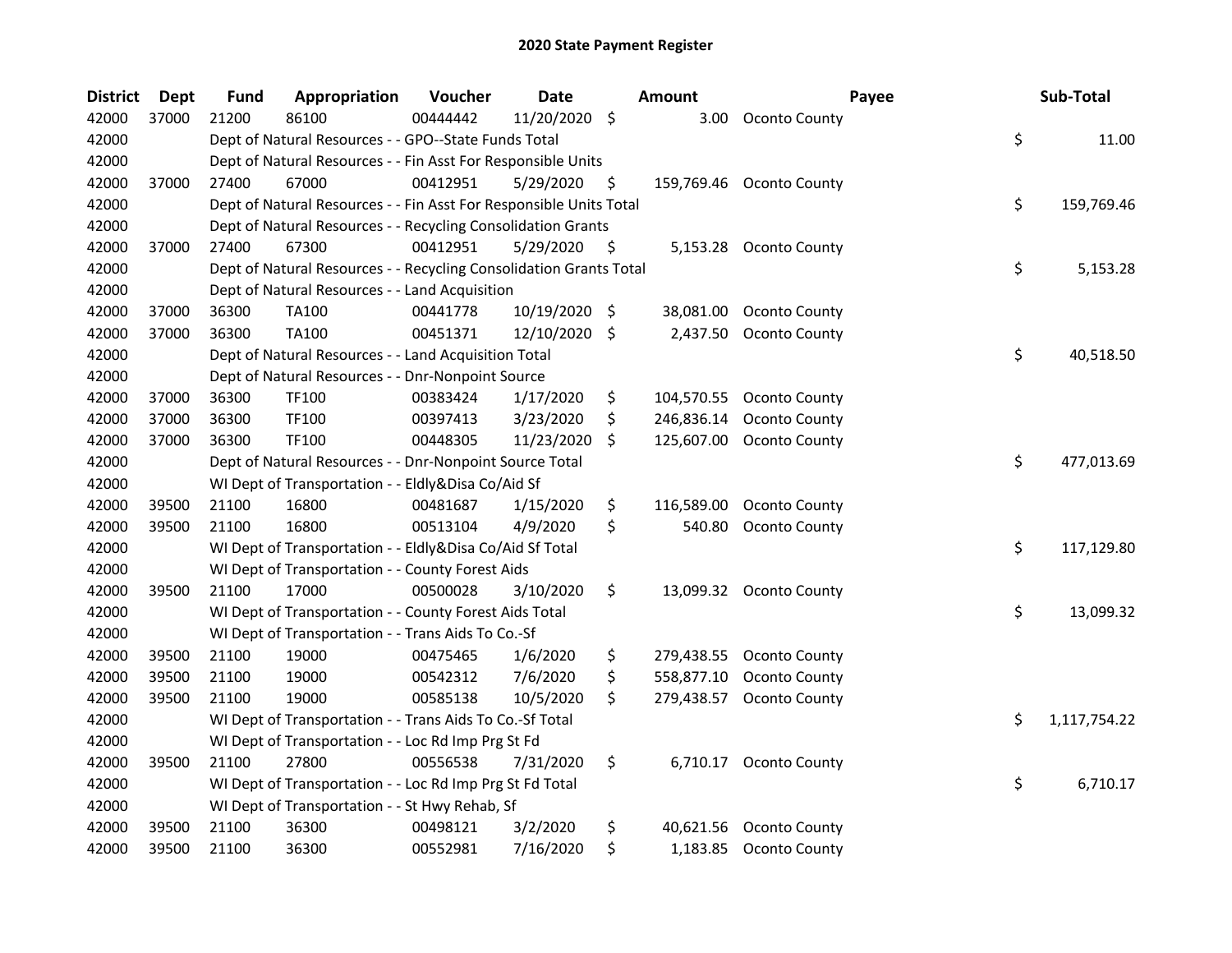| <b>District</b> | <b>Dept</b> | <b>Fund</b> | Appropriation                                                      | Voucher  | <b>Date</b> |                     | <b>Amount</b> |                        | Payee | Sub-Total    |
|-----------------|-------------|-------------|--------------------------------------------------------------------|----------|-------------|---------------------|---------------|------------------------|-------|--------------|
| 42000           | 37000       | 21200       | 86100                                                              | 00444442 | 11/20/2020  | $\ddot{\mathsf{S}}$ | 3.00          | Oconto County          |       |              |
| 42000           |             |             | Dept of Natural Resources - - GPO--State Funds Total               |          |             |                     |               |                        | \$    | 11.00        |
| 42000           |             |             | Dept of Natural Resources - - Fin Asst For Responsible Units       |          |             |                     |               |                        |       |              |
| 42000           | 37000       | 27400       | 67000                                                              | 00412951 | 5/29/2020   | \$                  | 159,769.46    | Oconto County          |       |              |
| 42000           |             |             | Dept of Natural Resources - - Fin Asst For Responsible Units Total |          |             |                     |               |                        | \$    | 159,769.46   |
| 42000           |             |             | Dept of Natural Resources - - Recycling Consolidation Grants       |          |             |                     |               |                        |       |              |
| 42000           | 37000       | 27400       | 67300                                                              | 00412951 | 5/29/2020   | \$                  |               | 5,153.28 Oconto County |       |              |
| 42000           |             |             | Dept of Natural Resources - - Recycling Consolidation Grants Total |          |             |                     |               |                        | \$    | 5,153.28     |
| 42000           |             |             | Dept of Natural Resources - - Land Acquisition                     |          |             |                     |               |                        |       |              |
| 42000           | 37000       | 36300       | <b>TA100</b>                                                       | 00441778 | 10/19/2020  | $\ddot{\varsigma}$  | 38,081.00     | Oconto County          |       |              |
| 42000           | 37000       | 36300       | <b>TA100</b>                                                       | 00451371 | 12/10/2020  | \$                  | 2,437.50      | Oconto County          |       |              |
| 42000           |             |             | Dept of Natural Resources - - Land Acquisition Total               |          |             |                     |               |                        | \$    | 40,518.50    |
| 42000           |             |             | Dept of Natural Resources - - Dnr-Nonpoint Source                  |          |             |                     |               |                        |       |              |
| 42000           | 37000       | 36300       | <b>TF100</b>                                                       | 00383424 | 1/17/2020   | \$                  | 104,570.55    | <b>Oconto County</b>   |       |              |
| 42000           | 37000       | 36300       | TF100                                                              | 00397413 | 3/23/2020   | S.                  | 246,836.14    | Oconto County          |       |              |
| 42000           | 37000       | 36300       | TF100                                                              | 00448305 | 11/23/2020  | \$                  | 125,607.00    | <b>Oconto County</b>   |       |              |
| 42000           |             |             | Dept of Natural Resources - - Dnr-Nonpoint Source Total            |          |             |                     |               |                        | \$    | 477,013.69   |
| 42000           |             |             | WI Dept of Transportation - - Eldly&Disa Co/Aid Sf                 |          |             |                     |               |                        |       |              |
| 42000           | 39500       | 21100       | 16800                                                              | 00481687 | 1/15/2020   | \$                  | 116,589.00    | <b>Oconto County</b>   |       |              |
| 42000           | 39500       | 21100       | 16800                                                              | 00513104 | 4/9/2020    | \$                  | 540.80        | <b>Oconto County</b>   |       |              |
| 42000           |             |             | WI Dept of Transportation - - Eldly&Disa Co/Aid Sf Total           |          |             |                     |               |                        | \$    | 117,129.80   |
| 42000           |             |             | WI Dept of Transportation - - County Forest Aids                   |          |             |                     |               |                        |       |              |
| 42000           | 39500       | 21100       | 17000                                                              | 00500028 | 3/10/2020   | \$                  | 13,099.32     | Oconto County          |       |              |
| 42000           |             |             | WI Dept of Transportation - - County Forest Aids Total             |          |             |                     |               |                        | \$    | 13,099.32    |
| 42000           |             |             | WI Dept of Transportation - - Trans Aids To Co.-Sf                 |          |             |                     |               |                        |       |              |
| 42000           | 39500       | 21100       | 19000                                                              | 00475465 | 1/6/2020    | \$                  | 279,438.55    | <b>Oconto County</b>   |       |              |
| 42000           | 39500       | 21100       | 19000                                                              | 00542312 | 7/6/2020    | \$                  | 558,877.10    | <b>Oconto County</b>   |       |              |
| 42000           | 39500       | 21100       | 19000                                                              | 00585138 | 10/5/2020   | \$                  | 279,438.57    | Oconto County          |       |              |
| 42000           |             |             | WI Dept of Transportation - - Trans Aids To Co.-Sf Total           |          |             |                     |               |                        | \$    | 1,117,754.22 |
| 42000           |             |             | WI Dept of Transportation - - Loc Rd Imp Prg St Fd                 |          |             |                     |               |                        |       |              |
| 42000           | 39500       | 21100       | 27800                                                              | 00556538 | 7/31/2020   | \$                  | 6,710.17      | Oconto County          |       |              |
| 42000           |             |             | WI Dept of Transportation - - Loc Rd Imp Prg St Fd Total           |          |             |                     |               |                        | \$    | 6,710.17     |
| 42000           |             |             | WI Dept of Transportation - - St Hwy Rehab, Sf                     |          |             |                     |               |                        |       |              |
| 42000           | 39500       | 21100       | 36300                                                              | 00498121 | 3/2/2020    | \$                  | 40,621.56     | <b>Oconto County</b>   |       |              |
| 42000           | 39500       | 21100       | 36300                                                              | 00552981 | 7/16/2020   | \$                  |               | 1,183.85 Oconto County |       |              |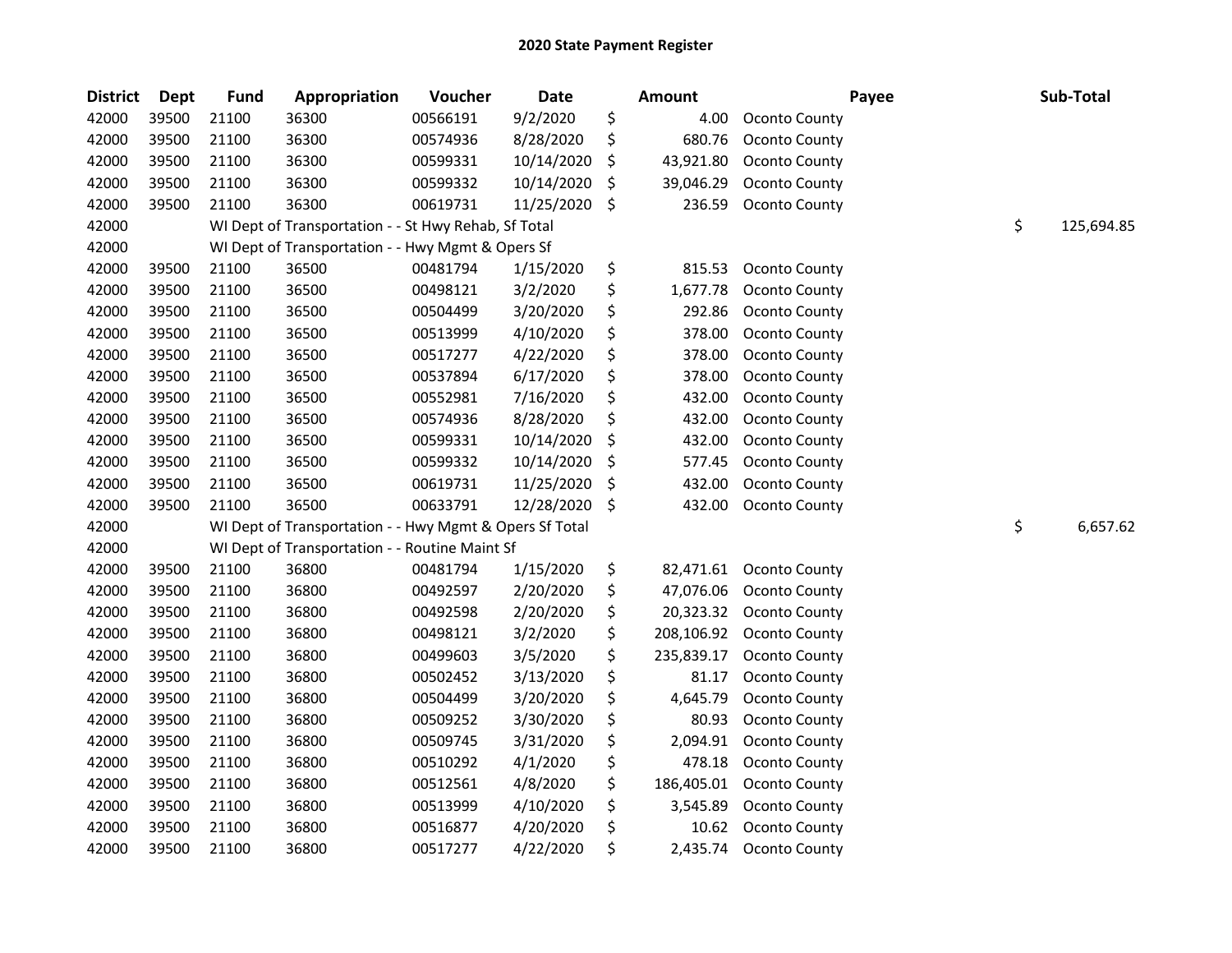| <b>District</b> | <b>Dept</b> | <b>Fund</b> | Appropriation                                           | Voucher  | Date       |                     | <b>Amount</b> | Payee                | Sub-Total        |
|-----------------|-------------|-------------|---------------------------------------------------------|----------|------------|---------------------|---------------|----------------------|------------------|
| 42000           | 39500       | 21100       | 36300                                                   | 00566191 | 9/2/2020   | \$                  | 4.00          | Oconto County        |                  |
| 42000           | 39500       | 21100       | 36300                                                   | 00574936 | 8/28/2020  | \$                  | 680.76        | Oconto County        |                  |
| 42000           | 39500       | 21100       | 36300                                                   | 00599331 | 10/14/2020 | \$                  | 43,921.80     | Oconto County        |                  |
| 42000           | 39500       | 21100       | 36300                                                   | 00599332 | 10/14/2020 | \$                  | 39,046.29     | Oconto County        |                  |
| 42000           | 39500       | 21100       | 36300                                                   | 00619731 | 11/25/2020 | $\ddot{\mathsf{s}}$ | 236.59        | Oconto County        |                  |
| 42000           |             |             | WI Dept of Transportation - - St Hwy Rehab, Sf Total    |          |            |                     |               |                      | \$<br>125,694.85 |
| 42000           |             |             | WI Dept of Transportation - - Hwy Mgmt & Opers Sf       |          |            |                     |               |                      |                  |
| 42000           | 39500       | 21100       | 36500                                                   | 00481794 | 1/15/2020  | \$                  | 815.53        | Oconto County        |                  |
| 42000           | 39500       | 21100       | 36500                                                   | 00498121 | 3/2/2020   | \$                  | 1,677.78      | Oconto County        |                  |
| 42000           | 39500       | 21100       | 36500                                                   | 00504499 | 3/20/2020  | \$                  | 292.86        | Oconto County        |                  |
| 42000           | 39500       | 21100       | 36500                                                   | 00513999 | 4/10/2020  | \$                  | 378.00        | Oconto County        |                  |
| 42000           | 39500       | 21100       | 36500                                                   | 00517277 | 4/22/2020  | \$                  | 378.00        | Oconto County        |                  |
| 42000           | 39500       | 21100       | 36500                                                   | 00537894 | 6/17/2020  | \$                  | 378.00        | Oconto County        |                  |
| 42000           | 39500       | 21100       | 36500                                                   | 00552981 | 7/16/2020  | \$                  | 432.00        | Oconto County        |                  |
| 42000           | 39500       | 21100       | 36500                                                   | 00574936 | 8/28/2020  | \$                  | 432.00        | Oconto County        |                  |
| 42000           | 39500       | 21100       | 36500                                                   | 00599331 | 10/14/2020 | \$                  | 432.00        | <b>Oconto County</b> |                  |
| 42000           | 39500       | 21100       | 36500                                                   | 00599332 | 10/14/2020 | \$                  | 577.45        | Oconto County        |                  |
| 42000           | 39500       | 21100       | 36500                                                   | 00619731 | 11/25/2020 | \$                  | 432.00        | Oconto County        |                  |
| 42000           | 39500       | 21100       | 36500                                                   | 00633791 | 12/28/2020 | -\$                 | 432.00        | Oconto County        |                  |
| 42000           |             |             | WI Dept of Transportation - - Hwy Mgmt & Opers Sf Total |          |            |                     |               |                      | \$<br>6,657.62   |
| 42000           |             |             | WI Dept of Transportation - - Routine Maint Sf          |          |            |                     |               |                      |                  |
| 42000           | 39500       | 21100       | 36800                                                   | 00481794 | 1/15/2020  | \$                  | 82,471.61     | Oconto County        |                  |
| 42000           | 39500       | 21100       | 36800                                                   | 00492597 | 2/20/2020  | \$                  | 47,076.06     | Oconto County        |                  |
| 42000           | 39500       | 21100       | 36800                                                   | 00492598 | 2/20/2020  | \$                  | 20,323.32     | <b>Oconto County</b> |                  |
| 42000           | 39500       | 21100       | 36800                                                   | 00498121 | 3/2/2020   | \$                  | 208,106.92    | Oconto County        |                  |
| 42000           | 39500       | 21100       | 36800                                                   | 00499603 | 3/5/2020   | \$                  | 235,839.17    | <b>Oconto County</b> |                  |
| 42000           | 39500       | 21100       | 36800                                                   | 00502452 | 3/13/2020  | \$                  | 81.17         | <b>Oconto County</b> |                  |
| 42000           | 39500       | 21100       | 36800                                                   | 00504499 | 3/20/2020  | \$                  | 4,645.79      | Oconto County        |                  |
| 42000           | 39500       | 21100       | 36800                                                   | 00509252 | 3/30/2020  | \$                  | 80.93         | Oconto County        |                  |
| 42000           | 39500       | 21100       | 36800                                                   | 00509745 | 3/31/2020  | \$                  | 2,094.91      | Oconto County        |                  |
| 42000           | 39500       | 21100       | 36800                                                   | 00510292 | 4/1/2020   | \$                  | 478.18        | Oconto County        |                  |
| 42000           | 39500       | 21100       | 36800                                                   | 00512561 | 4/8/2020   | \$                  | 186,405.01    | Oconto County        |                  |
| 42000           | 39500       | 21100       | 36800                                                   | 00513999 | 4/10/2020  | \$                  | 3,545.89      | Oconto County        |                  |
| 42000           | 39500       | 21100       | 36800                                                   | 00516877 | 4/20/2020  | \$                  | 10.62         | Oconto County        |                  |
| 42000           | 39500       | 21100       | 36800                                                   | 00517277 | 4/22/2020  | \$                  | 2,435.74      | Oconto County        |                  |
|                 |             |             |                                                         |          |            |                     |               |                      |                  |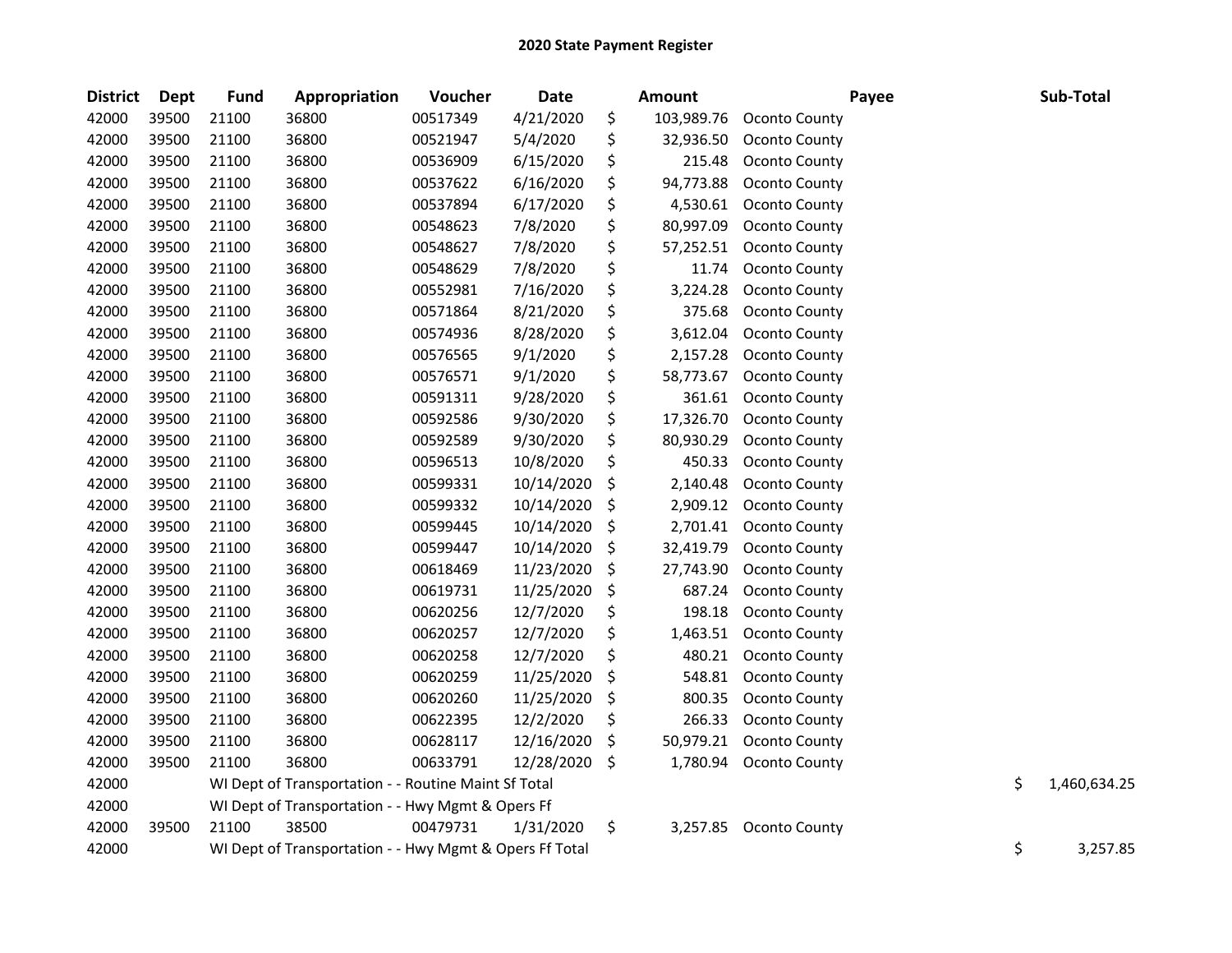| <b>District</b> | Dept  | <b>Fund</b> | Appropriation                                           | Voucher  | <b>Date</b> | Amount           |                      | Payee | Sub-Total          |
|-----------------|-------|-------------|---------------------------------------------------------|----------|-------------|------------------|----------------------|-------|--------------------|
| 42000           | 39500 | 21100       | 36800                                                   | 00517349 | 4/21/2020   | \$<br>103,989.76 | Oconto County        |       |                    |
| 42000           | 39500 | 21100       | 36800                                                   | 00521947 | 5/4/2020    | \$<br>32,936.50  | Oconto County        |       |                    |
| 42000           | 39500 | 21100       | 36800                                                   | 00536909 | 6/15/2020   | \$<br>215.48     | Oconto County        |       |                    |
| 42000           | 39500 | 21100       | 36800                                                   | 00537622 | 6/16/2020   | \$<br>94,773.88  | Oconto County        |       |                    |
| 42000           | 39500 | 21100       | 36800                                                   | 00537894 | 6/17/2020   | \$<br>4,530.61   | Oconto County        |       |                    |
| 42000           | 39500 | 21100       | 36800                                                   | 00548623 | 7/8/2020    | \$<br>80,997.09  | Oconto County        |       |                    |
| 42000           | 39500 | 21100       | 36800                                                   | 00548627 | 7/8/2020    | \$<br>57,252.51  | Oconto County        |       |                    |
| 42000           | 39500 | 21100       | 36800                                                   | 00548629 | 7/8/2020    | \$<br>11.74      | Oconto County        |       |                    |
| 42000           | 39500 | 21100       | 36800                                                   | 00552981 | 7/16/2020   | \$<br>3,224.28   | Oconto County        |       |                    |
| 42000           | 39500 | 21100       | 36800                                                   | 00571864 | 8/21/2020   | \$<br>375.68     | Oconto County        |       |                    |
| 42000           | 39500 | 21100       | 36800                                                   | 00574936 | 8/28/2020   | \$<br>3,612.04   | Oconto County        |       |                    |
| 42000           | 39500 | 21100       | 36800                                                   | 00576565 | 9/1/2020    | \$<br>2,157.28   | Oconto County        |       |                    |
| 42000           | 39500 | 21100       | 36800                                                   | 00576571 | 9/1/2020    | \$<br>58,773.67  | Oconto County        |       |                    |
| 42000           | 39500 | 21100       | 36800                                                   | 00591311 | 9/28/2020   | \$<br>361.61     | Oconto County        |       |                    |
| 42000           | 39500 | 21100       | 36800                                                   | 00592586 | 9/30/2020   | \$<br>17,326.70  | <b>Oconto County</b> |       |                    |
| 42000           | 39500 | 21100       | 36800                                                   | 00592589 | 9/30/2020   | \$<br>80,930.29  | Oconto County        |       |                    |
| 42000           | 39500 | 21100       | 36800                                                   | 00596513 | 10/8/2020   | \$<br>450.33     | Oconto County        |       |                    |
| 42000           | 39500 | 21100       | 36800                                                   | 00599331 | 10/14/2020  | \$<br>2,140.48   | Oconto County        |       |                    |
| 42000           | 39500 | 21100       | 36800                                                   | 00599332 | 10/14/2020  | \$<br>2,909.12   | Oconto County        |       |                    |
| 42000           | 39500 | 21100       | 36800                                                   | 00599445 | 10/14/2020  | \$<br>2,701.41   | Oconto County        |       |                    |
| 42000           | 39500 | 21100       | 36800                                                   | 00599447 | 10/14/2020  | \$<br>32,419.79  | Oconto County        |       |                    |
| 42000           | 39500 | 21100       | 36800                                                   | 00618469 | 11/23/2020  | \$<br>27,743.90  | Oconto County        |       |                    |
| 42000           | 39500 | 21100       | 36800                                                   | 00619731 | 11/25/2020  | \$<br>687.24     | Oconto County        |       |                    |
| 42000           | 39500 | 21100       | 36800                                                   | 00620256 | 12/7/2020   | \$<br>198.18     | Oconto County        |       |                    |
| 42000           | 39500 | 21100       | 36800                                                   | 00620257 | 12/7/2020   | \$<br>1,463.51   | <b>Oconto County</b> |       |                    |
| 42000           | 39500 | 21100       | 36800                                                   | 00620258 | 12/7/2020   | \$<br>480.21     | Oconto County        |       |                    |
| 42000           | 39500 | 21100       | 36800                                                   | 00620259 | 11/25/2020  | \$<br>548.81     | Oconto County        |       |                    |
| 42000           | 39500 | 21100       | 36800                                                   | 00620260 | 11/25/2020  | \$<br>800.35     | Oconto County        |       |                    |
| 42000           | 39500 | 21100       | 36800                                                   | 00622395 | 12/2/2020   | \$<br>266.33     | Oconto County        |       |                    |
| 42000           | 39500 | 21100       | 36800                                                   | 00628117 | 12/16/2020  | \$<br>50,979.21  | Oconto County        |       |                    |
| 42000           | 39500 | 21100       | 36800                                                   | 00633791 | 12/28/2020  | \$<br>1,780.94   | Oconto County        |       |                    |
| 42000           |       |             | WI Dept of Transportation - - Routine Maint Sf Total    |          |             |                  |                      |       | \$<br>1,460,634.25 |
| 42000           |       |             | WI Dept of Transportation - - Hwy Mgmt & Opers Ff       |          |             |                  |                      |       |                    |
| 42000           | 39500 | 21100       | 38500                                                   | 00479731 | 1/31/2020   | \$<br>3,257.85   | Oconto County        |       |                    |
| 42000           |       |             | WI Dept of Transportation - - Hwy Mgmt & Opers Ff Total |          |             |                  |                      |       | \$<br>3,257.85     |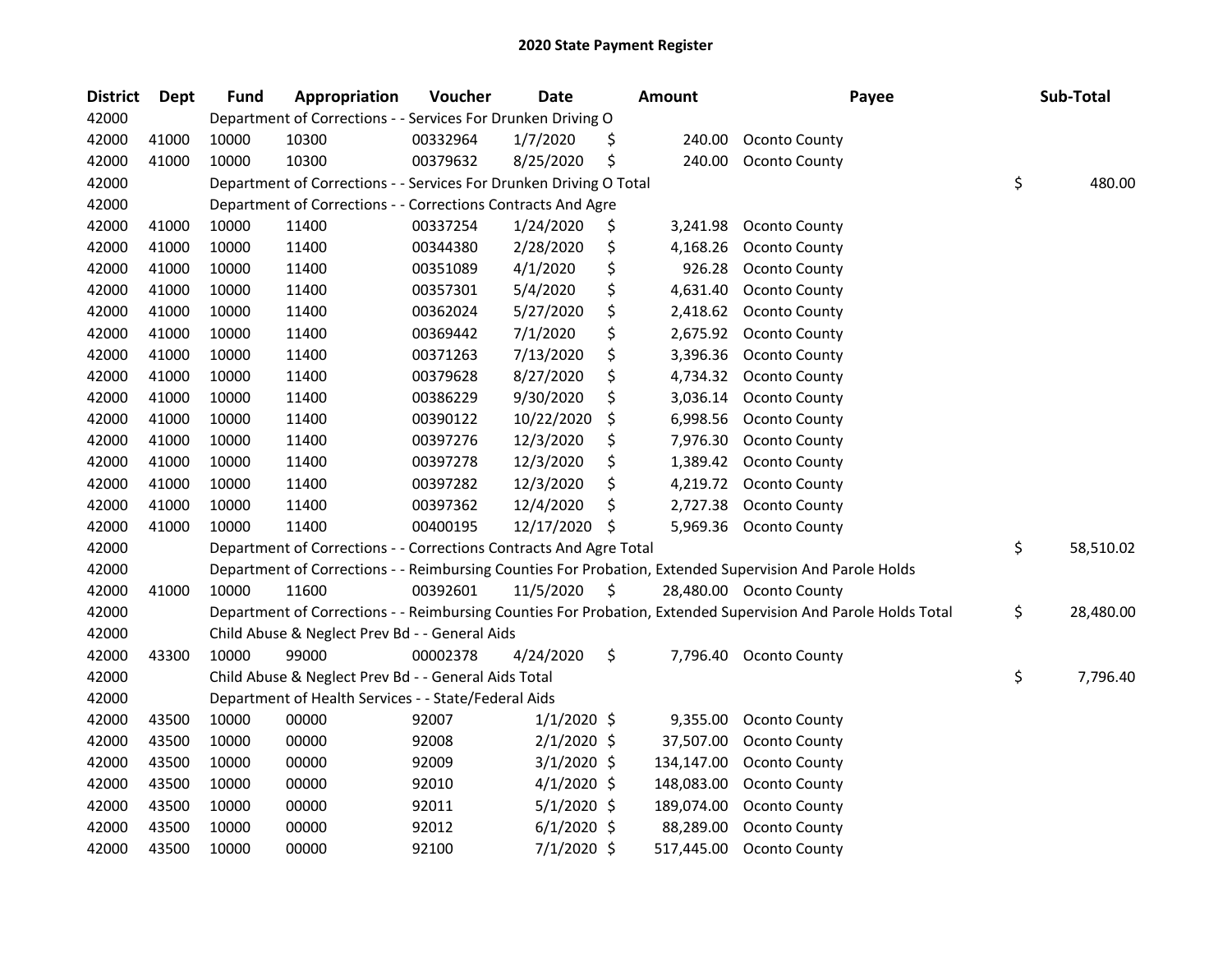| <b>District</b> | <b>Dept</b> | <b>Fund</b> | Appropriation                                                      | Voucher  | <b>Date</b>   |    | <b>Amount</b> | Payee                                                                                                         | Sub-Total       |
|-----------------|-------------|-------------|--------------------------------------------------------------------|----------|---------------|----|---------------|---------------------------------------------------------------------------------------------------------------|-----------------|
| 42000           |             |             | Department of Corrections - - Services For Drunken Driving O       |          |               |    |               |                                                                                                               |                 |
| 42000           | 41000       | 10000       | 10300                                                              | 00332964 | 1/7/2020      | Ş  | 240.00        | Oconto County                                                                                                 |                 |
| 42000           | 41000       | 10000       | 10300                                                              | 00379632 | 8/25/2020     | \$ | 240.00        | Oconto County                                                                                                 |                 |
| 42000           |             |             | Department of Corrections - - Services For Drunken Driving O Total |          |               |    |               |                                                                                                               | \$<br>480.00    |
| 42000           |             |             | Department of Corrections - - Corrections Contracts And Agre       |          |               |    |               |                                                                                                               |                 |
| 42000           | 41000       | 10000       | 11400                                                              | 00337254 | 1/24/2020     | \$ | 3,241.98      | Oconto County                                                                                                 |                 |
| 42000           | 41000       | 10000       | 11400                                                              | 00344380 | 2/28/2020     | \$ | 4,168.26      | Oconto County                                                                                                 |                 |
| 42000           | 41000       | 10000       | 11400                                                              | 00351089 | 4/1/2020      | \$ | 926.28        | Oconto County                                                                                                 |                 |
| 42000           | 41000       | 10000       | 11400                                                              | 00357301 | 5/4/2020      | \$ | 4,631.40      | Oconto County                                                                                                 |                 |
| 42000           | 41000       | 10000       | 11400                                                              | 00362024 | 5/27/2020     | \$ | 2,418.62      | <b>Oconto County</b>                                                                                          |                 |
| 42000           | 41000       | 10000       | 11400                                                              | 00369442 | 7/1/2020      | \$ | 2,675.92      | Oconto County                                                                                                 |                 |
| 42000           | 41000       | 10000       | 11400                                                              | 00371263 | 7/13/2020     | \$ | 3,396.36      | Oconto County                                                                                                 |                 |
| 42000           | 41000       | 10000       | 11400                                                              | 00379628 | 8/27/2020     | \$ | 4,734.32      | Oconto County                                                                                                 |                 |
| 42000           | 41000       | 10000       | 11400                                                              | 00386229 | 9/30/2020     | \$ | 3,036.14      | Oconto County                                                                                                 |                 |
| 42000           | 41000       | 10000       | 11400                                                              | 00390122 | 10/22/2020    | \$ | 6,998.56      | Oconto County                                                                                                 |                 |
| 42000           | 41000       | 10000       | 11400                                                              | 00397276 | 12/3/2020     | \$ | 7,976.30      | Oconto County                                                                                                 |                 |
| 42000           | 41000       | 10000       | 11400                                                              | 00397278 | 12/3/2020     | \$ | 1,389.42      | Oconto County                                                                                                 |                 |
| 42000           | 41000       | 10000       | 11400                                                              | 00397282 | 12/3/2020     | \$ | 4,219.72      | Oconto County                                                                                                 |                 |
| 42000           | 41000       | 10000       | 11400                                                              | 00397362 | 12/4/2020     | \$ | 2,727.38      | Oconto County                                                                                                 |                 |
| 42000           | 41000       | 10000       | 11400                                                              | 00400195 | 12/17/2020    | \$ | 5,969.36      | Oconto County                                                                                                 |                 |
| 42000           |             |             | Department of Corrections - - Corrections Contracts And Agre Total |          |               |    |               |                                                                                                               | \$<br>58,510.02 |
| 42000           |             |             |                                                                    |          |               |    |               | Department of Corrections - - Reimbursing Counties For Probation, Extended Supervision And Parole Holds       |                 |
| 42000           | 41000       | 10000       | 11600                                                              | 00392601 | 11/5/2020     | \$ |               | 28,480.00 Oconto County                                                                                       |                 |
| 42000           |             |             |                                                                    |          |               |    |               | Department of Corrections - - Reimbursing Counties For Probation, Extended Supervision And Parole Holds Total | \$<br>28,480.00 |
| 42000           |             |             | Child Abuse & Neglect Prev Bd - - General Aids                     |          |               |    |               |                                                                                                               |                 |
| 42000           | 43300       | 10000       | 99000                                                              | 00002378 | 4/24/2020     | \$ |               | 7,796.40 Oconto County                                                                                        |                 |
| 42000           |             |             | Child Abuse & Neglect Prev Bd - - General Aids Total               |          |               |    |               |                                                                                                               | \$<br>7,796.40  |
| 42000           |             |             | Department of Health Services - - State/Federal Aids               |          |               |    |               |                                                                                                               |                 |
| 42000           | 43500       | 10000       | 00000                                                              | 92007    | $1/1/2020$ \$ |    | 9,355.00      | Oconto County                                                                                                 |                 |
| 42000           | 43500       | 10000       | 00000                                                              | 92008    | $2/1/2020$ \$ |    | 37,507.00     | Oconto County                                                                                                 |                 |
| 42000           | 43500       | 10000       | 00000                                                              | 92009    | $3/1/2020$ \$ |    | 134,147.00    | Oconto County                                                                                                 |                 |
| 42000           | 43500       | 10000       | 00000                                                              | 92010    | $4/1/2020$ \$ |    | 148,083.00    | <b>Oconto County</b>                                                                                          |                 |
| 42000           | 43500       | 10000       | 00000                                                              | 92011    | $5/1/2020$ \$ |    | 189,074.00    | Oconto County                                                                                                 |                 |
| 42000           | 43500       | 10000       | 00000                                                              | 92012    | $6/1/2020$ \$ |    | 88,289.00     | Oconto County                                                                                                 |                 |
| 42000           | 43500       | 10000       | 00000                                                              | 92100    | $7/1/2020$ \$ |    | 517,445.00    | Oconto County                                                                                                 |                 |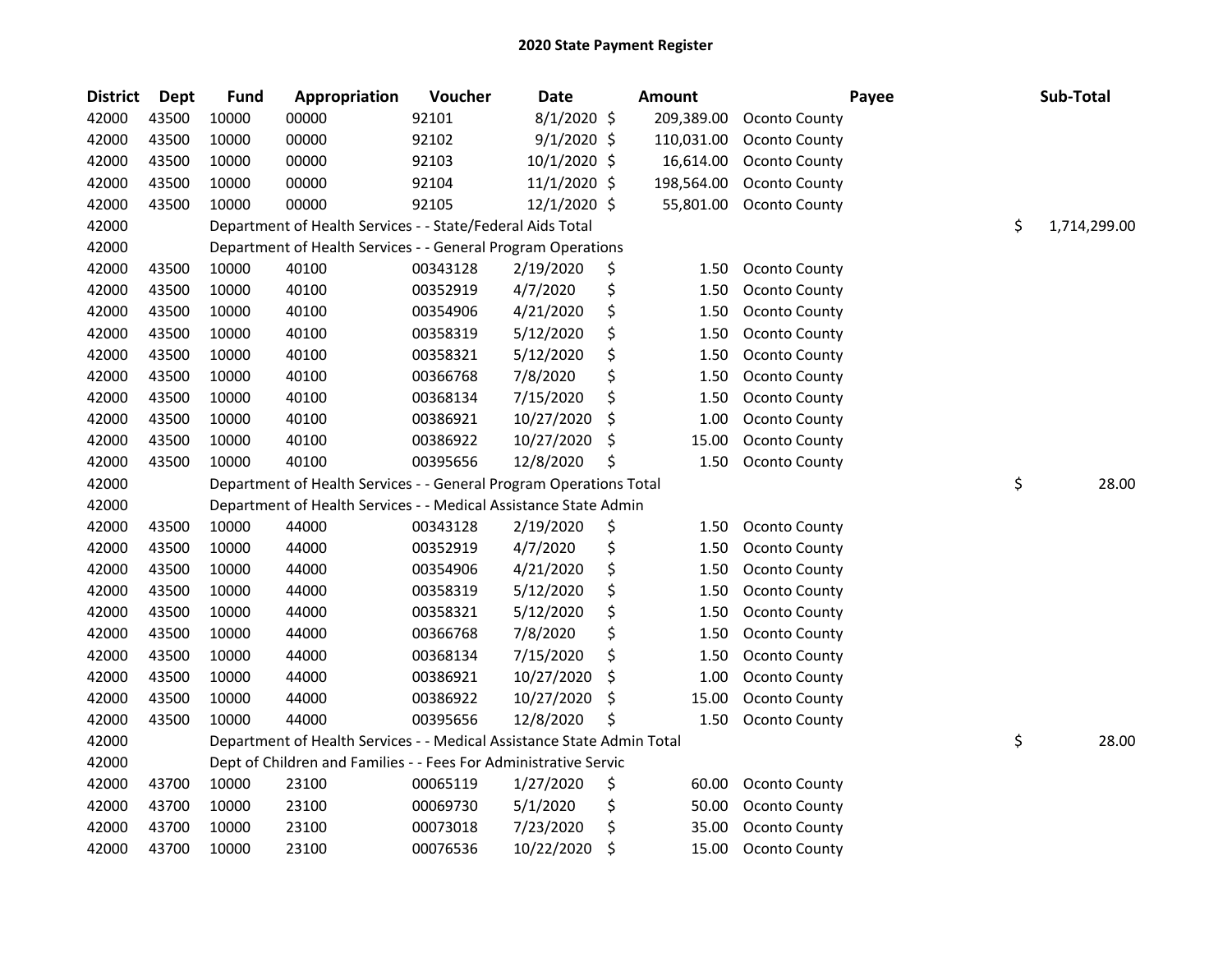| <b>District</b> | <b>Dept</b> | <b>Fund</b> | Appropriation                                                          | Voucher  | <b>Date</b>   | <b>Amount</b> |            |                      | Payee | Sub-Total    |
|-----------------|-------------|-------------|------------------------------------------------------------------------|----------|---------------|---------------|------------|----------------------|-------|--------------|
| 42000           | 43500       | 10000       | 00000                                                                  | 92101    | 8/1/2020 \$   |               | 209,389.00 | Oconto County        |       |              |
| 42000           | 43500       | 10000       | 00000                                                                  | 92102    | $9/1/2020$ \$ |               | 110,031.00 | Oconto County        |       |              |
| 42000           | 43500       | 10000       | 00000                                                                  | 92103    | 10/1/2020 \$  |               | 16,614.00  | Oconto County        |       |              |
| 42000           | 43500       | 10000       | 00000                                                                  | 92104    | 11/1/2020 \$  |               | 198,564.00 | Oconto County        |       |              |
| 42000           | 43500       | 10000       | 00000                                                                  | 92105    | 12/1/2020 \$  |               | 55,801.00  | Oconto County        |       |              |
| 42000           |             |             | Department of Health Services - - State/Federal Aids Total             |          |               |               |            |                      | \$    | 1,714,299.00 |
| 42000           |             |             | Department of Health Services - - General Program Operations           |          |               |               |            |                      |       |              |
| 42000           | 43500       | 10000       | 40100                                                                  | 00343128 | 2/19/2020     | \$            | 1.50       | Oconto County        |       |              |
| 42000           | 43500       | 10000       | 40100                                                                  | 00352919 | 4/7/2020      | \$            | 1.50       | Oconto County        |       |              |
| 42000           | 43500       | 10000       | 40100                                                                  | 00354906 | 4/21/2020     | \$            | 1.50       | Oconto County        |       |              |
| 42000           | 43500       | 10000       | 40100                                                                  | 00358319 | 5/12/2020     | \$            | 1.50       | Oconto County        |       |              |
| 42000           | 43500       | 10000       | 40100                                                                  | 00358321 | 5/12/2020     | \$            | 1.50       | Oconto County        |       |              |
| 42000           | 43500       | 10000       | 40100                                                                  | 00366768 | 7/8/2020      | \$            | 1.50       | Oconto County        |       |              |
| 42000           | 43500       | 10000       | 40100                                                                  | 00368134 | 7/15/2020     | \$            | 1.50       | Oconto County        |       |              |
| 42000           | 43500       | 10000       | 40100                                                                  | 00386921 | 10/27/2020    | \$            | 1.00       | Oconto County        |       |              |
| 42000           | 43500       | 10000       | 40100                                                                  | 00386922 | 10/27/2020    | \$            | 15.00      | Oconto County        |       |              |
| 42000           | 43500       | 10000       | 40100                                                                  | 00395656 | 12/8/2020     | \$            | 1.50       | Oconto County        |       |              |
| 42000           |             |             | Department of Health Services - - General Program Operations Total     |          |               |               |            |                      | \$    | 28.00        |
| 42000           |             |             | Department of Health Services - - Medical Assistance State Admin       |          |               |               |            |                      |       |              |
| 42000           | 43500       | 10000       | 44000                                                                  | 00343128 | 2/19/2020     | \$            | 1.50       | Oconto County        |       |              |
| 42000           | 43500       | 10000       | 44000                                                                  | 00352919 | 4/7/2020      | \$            | 1.50       | Oconto County        |       |              |
| 42000           | 43500       | 10000       | 44000                                                                  | 00354906 | 4/21/2020     | \$            | 1.50       | Oconto County        |       |              |
| 42000           | 43500       | 10000       | 44000                                                                  | 00358319 | 5/12/2020     | \$            | 1.50       | Oconto County        |       |              |
| 42000           | 43500       | 10000       | 44000                                                                  | 00358321 | 5/12/2020     | \$            | 1.50       | Oconto County        |       |              |
| 42000           | 43500       | 10000       | 44000                                                                  | 00366768 | 7/8/2020      | \$            | 1.50       | Oconto County        |       |              |
| 42000           | 43500       | 10000       | 44000                                                                  | 00368134 | 7/15/2020     | \$            | 1.50       | Oconto County        |       |              |
| 42000           | 43500       | 10000       | 44000                                                                  | 00386921 | 10/27/2020    | \$            | 1.00       | Oconto County        |       |              |
| 42000           | 43500       | 10000       | 44000                                                                  | 00386922 | 10/27/2020    | \$            | 15.00      | Oconto County        |       |              |
| 42000           | 43500       | 10000       | 44000                                                                  | 00395656 | 12/8/2020     | \$            | 1.50       | Oconto County        |       |              |
| 42000           |             |             | Department of Health Services - - Medical Assistance State Admin Total |          |               |               |            |                      | \$    | 28.00        |
| 42000           |             |             | Dept of Children and Families - - Fees For Administrative Servic       |          |               |               |            |                      |       |              |
| 42000           | 43700       | 10000       | 23100                                                                  | 00065119 | 1/27/2020     | \$            | 60.00      | Oconto County        |       |              |
| 42000           | 43700       | 10000       | 23100                                                                  | 00069730 | 5/1/2020      | \$            | 50.00      | <b>Oconto County</b> |       |              |
| 42000           | 43700       | 10000       | 23100                                                                  | 00073018 | 7/23/2020     | \$            | 35.00      | Oconto County        |       |              |
| 42000           | 43700       | 10000       | 23100                                                                  | 00076536 | 10/22/2020    | \$            | 15.00      | Oconto County        |       |              |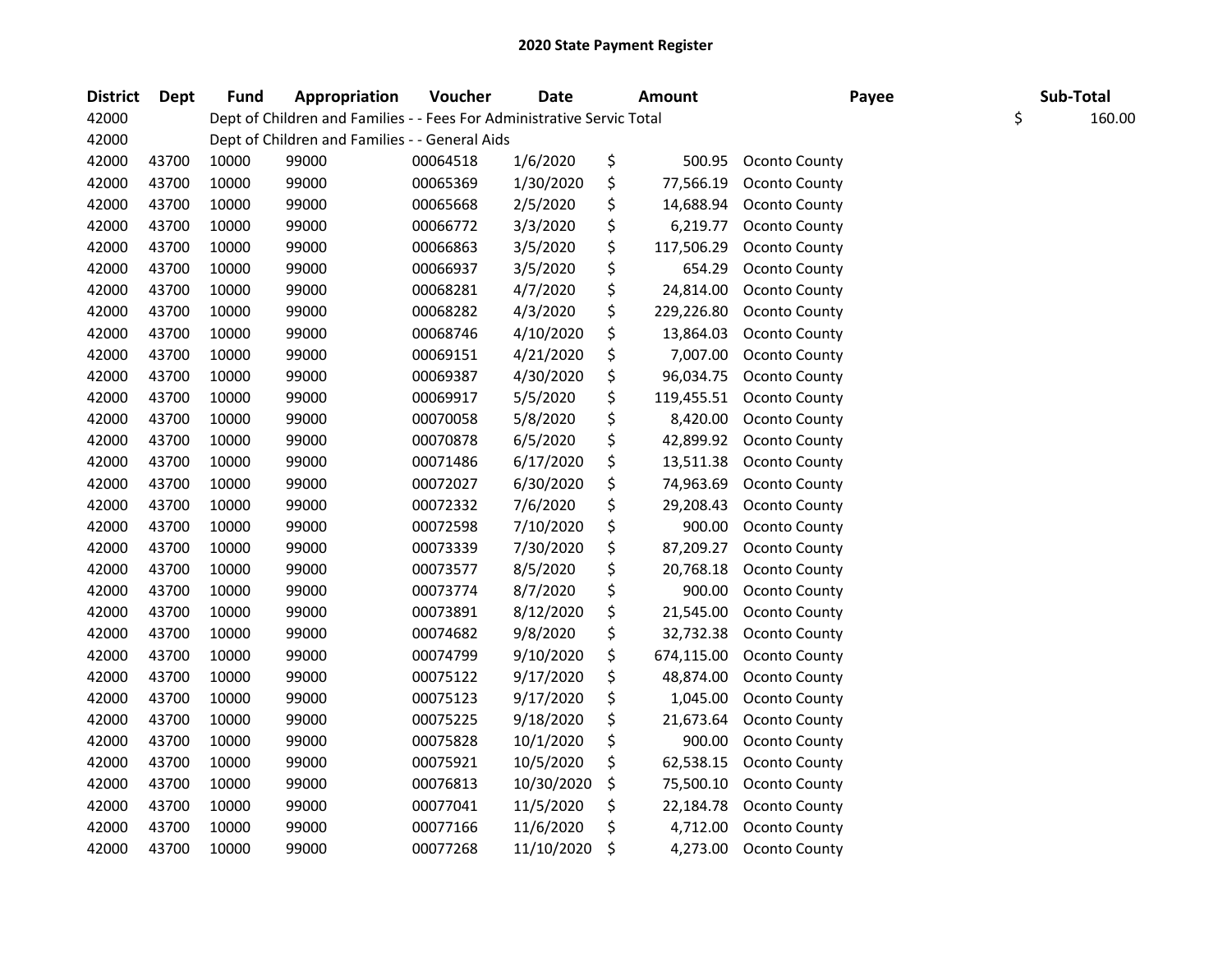| <b>District</b> | Dept  | Fund  | Appropriation                                                          | Voucher  | <b>Date</b> | <b>Amount</b>    | Payee                | Sub-Total    |
|-----------------|-------|-------|------------------------------------------------------------------------|----------|-------------|------------------|----------------------|--------------|
| 42000           |       |       | Dept of Children and Families - - Fees For Administrative Servic Total |          |             |                  |                      | \$<br>160.00 |
| 42000           |       |       | Dept of Children and Families - - General Aids                         |          |             |                  |                      |              |
| 42000           | 43700 | 10000 | 99000                                                                  | 00064518 | 1/6/2020    | \$<br>500.95     | Oconto County        |              |
| 42000           | 43700 | 10000 | 99000                                                                  | 00065369 | 1/30/2020   | \$<br>77,566.19  | Oconto County        |              |
| 42000           | 43700 | 10000 | 99000                                                                  | 00065668 | 2/5/2020    | \$<br>14,688.94  | Oconto County        |              |
| 42000           | 43700 | 10000 | 99000                                                                  | 00066772 | 3/3/2020    | \$<br>6,219.77   | Oconto County        |              |
| 42000           | 43700 | 10000 | 99000                                                                  | 00066863 | 3/5/2020    | \$<br>117,506.29 | Oconto County        |              |
| 42000           | 43700 | 10000 | 99000                                                                  | 00066937 | 3/5/2020    | \$<br>654.29     | Oconto County        |              |
| 42000           | 43700 | 10000 | 99000                                                                  | 00068281 | 4/7/2020    | \$<br>24,814.00  | <b>Oconto County</b> |              |
| 42000           | 43700 | 10000 | 99000                                                                  | 00068282 | 4/3/2020    | \$<br>229,226.80 | <b>Oconto County</b> |              |
| 42000           | 43700 | 10000 | 99000                                                                  | 00068746 | 4/10/2020   | \$<br>13,864.03  | Oconto County        |              |
| 42000           | 43700 | 10000 | 99000                                                                  | 00069151 | 4/21/2020   | \$<br>7,007.00   | Oconto County        |              |
| 42000           | 43700 | 10000 | 99000                                                                  | 00069387 | 4/30/2020   | \$<br>96,034.75  | Oconto County        |              |
| 42000           | 43700 | 10000 | 99000                                                                  | 00069917 | 5/5/2020    | \$<br>119,455.51 | Oconto County        |              |
| 42000           | 43700 | 10000 | 99000                                                                  | 00070058 | 5/8/2020    | \$<br>8,420.00   | Oconto County        |              |
| 42000           | 43700 | 10000 | 99000                                                                  | 00070878 | 6/5/2020    | \$<br>42,899.92  | Oconto County        |              |
| 42000           | 43700 | 10000 | 99000                                                                  | 00071486 | 6/17/2020   | \$<br>13,511.38  | Oconto County        |              |
| 42000           | 43700 | 10000 | 99000                                                                  | 00072027 | 6/30/2020   | \$<br>74,963.69  | Oconto County        |              |
| 42000           | 43700 | 10000 | 99000                                                                  | 00072332 | 7/6/2020    | \$<br>29,208.43  | Oconto County        |              |
| 42000           | 43700 | 10000 | 99000                                                                  | 00072598 | 7/10/2020   | \$<br>900.00     | Oconto County        |              |
| 42000           | 43700 | 10000 | 99000                                                                  | 00073339 | 7/30/2020   | \$<br>87,209.27  | Oconto County        |              |
| 42000           | 43700 | 10000 | 99000                                                                  | 00073577 | 8/5/2020    | \$<br>20,768.18  | <b>Oconto County</b> |              |
| 42000           | 43700 | 10000 | 99000                                                                  | 00073774 | 8/7/2020    | \$<br>900.00     | Oconto County        |              |
| 42000           | 43700 | 10000 | 99000                                                                  | 00073891 | 8/12/2020   | \$<br>21,545.00  | Oconto County        |              |
| 42000           | 43700 | 10000 | 99000                                                                  | 00074682 | 9/8/2020    | \$<br>32,732.38  | Oconto County        |              |
| 42000           | 43700 | 10000 | 99000                                                                  | 00074799 | 9/10/2020   | \$<br>674,115.00 | <b>Oconto County</b> |              |
| 42000           | 43700 | 10000 | 99000                                                                  | 00075122 | 9/17/2020   | \$<br>48,874.00  | Oconto County        |              |
| 42000           | 43700 | 10000 | 99000                                                                  | 00075123 | 9/17/2020   | \$<br>1,045.00   | Oconto County        |              |
| 42000           | 43700 | 10000 | 99000                                                                  | 00075225 | 9/18/2020   | \$<br>21,673.64  | Oconto County        |              |
| 42000           | 43700 | 10000 | 99000                                                                  | 00075828 | 10/1/2020   | \$<br>900.00     | Oconto County        |              |
| 42000           | 43700 | 10000 | 99000                                                                  | 00075921 | 10/5/2020   | \$<br>62,538.15  | Oconto County        |              |
| 42000           | 43700 | 10000 | 99000                                                                  | 00076813 | 10/30/2020  | \$<br>75,500.10  | Oconto County        |              |
| 42000           | 43700 | 10000 | 99000                                                                  | 00077041 | 11/5/2020   | \$<br>22,184.78  | Oconto County        |              |
| 42000           | 43700 | 10000 | 99000                                                                  | 00077166 | 11/6/2020   | \$<br>4,712.00   | Oconto County        |              |
| 42000           | 43700 | 10000 | 99000                                                                  | 00077268 | 11/10/2020  | \$<br>4,273.00   | Oconto County        |              |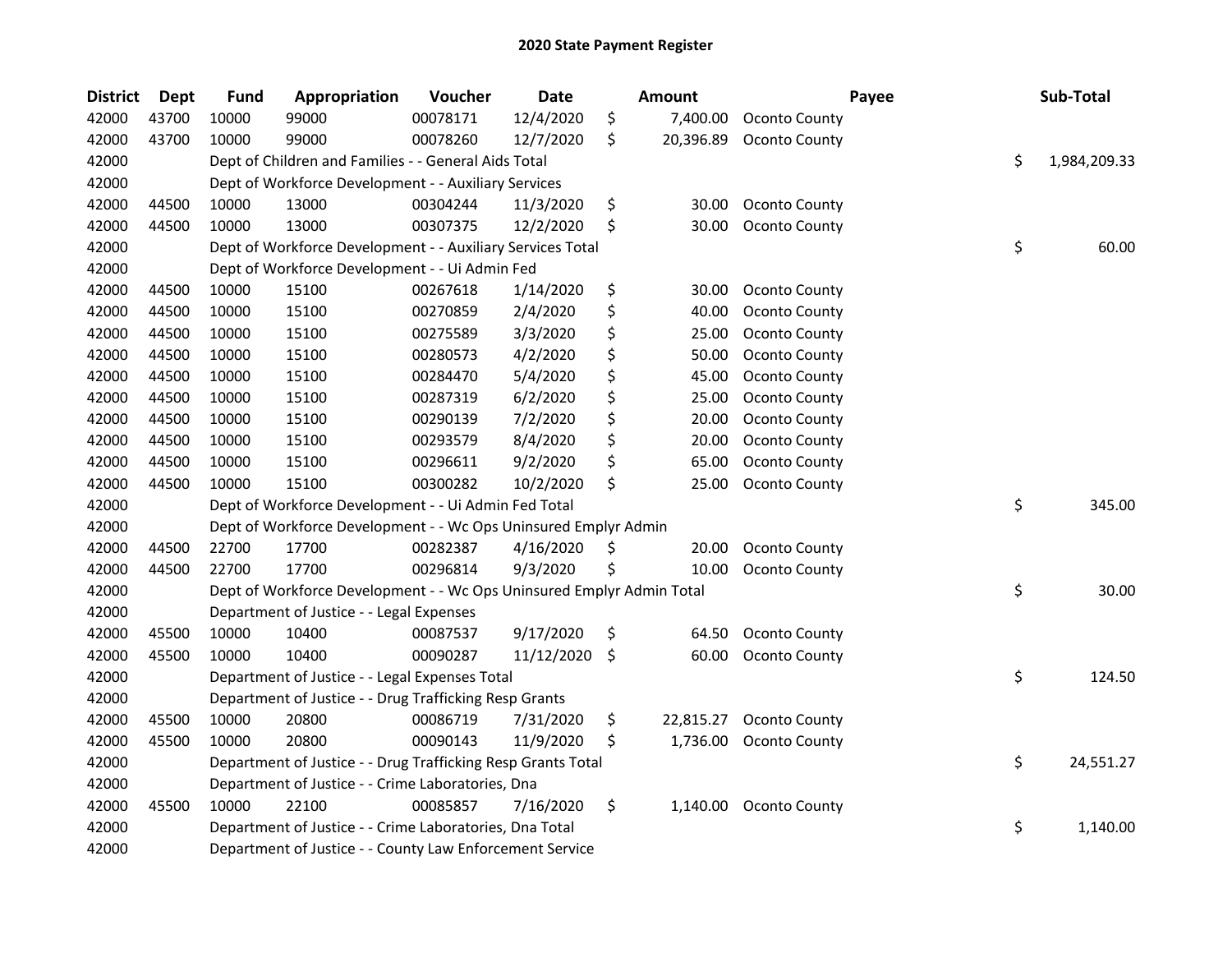| <b>District</b> | <b>Dept</b> | <b>Fund</b> | Appropriation                                                         | Voucher  | <b>Date</b> | Amount          |                      | Payee | Sub-Total          |
|-----------------|-------------|-------------|-----------------------------------------------------------------------|----------|-------------|-----------------|----------------------|-------|--------------------|
| 42000           | 43700       | 10000       | 99000                                                                 | 00078171 | 12/4/2020   | \$<br>7,400.00  | Oconto County        |       |                    |
| 42000           | 43700       | 10000       | 99000                                                                 | 00078260 | 12/7/2020   | \$<br>20,396.89 | Oconto County        |       |                    |
| 42000           |             |             | Dept of Children and Families - - General Aids Total                  |          |             |                 |                      |       | \$<br>1,984,209.33 |
| 42000           |             |             | Dept of Workforce Development - - Auxiliary Services                  |          |             |                 |                      |       |                    |
| 42000           | 44500       | 10000       | 13000                                                                 | 00304244 | 11/3/2020   | \$<br>30.00     | Oconto County        |       |                    |
| 42000           | 44500       | 10000       | 13000                                                                 | 00307375 | 12/2/2020   | \$<br>30.00     | Oconto County        |       |                    |
| 42000           |             |             | Dept of Workforce Development - - Auxiliary Services Total            |          |             |                 |                      |       | \$<br>60.00        |
| 42000           |             |             | Dept of Workforce Development - - Ui Admin Fed                        |          |             |                 |                      |       |                    |
| 42000           | 44500       | 10000       | 15100                                                                 | 00267618 | 1/14/2020   | \$<br>30.00     | <b>Oconto County</b> |       |                    |
| 42000           | 44500       | 10000       | 15100                                                                 | 00270859 | 2/4/2020    | \$<br>40.00     | Oconto County        |       |                    |
| 42000           | 44500       | 10000       | 15100                                                                 | 00275589 | 3/3/2020    | \$<br>25.00     | Oconto County        |       |                    |
| 42000           | 44500       | 10000       | 15100                                                                 | 00280573 | 4/2/2020    | \$<br>50.00     | Oconto County        |       |                    |
| 42000           | 44500       | 10000       | 15100                                                                 | 00284470 | 5/4/2020    | \$<br>45.00     | Oconto County        |       |                    |
| 42000           | 44500       | 10000       | 15100                                                                 | 00287319 | 6/2/2020    | \$<br>25.00     | Oconto County        |       |                    |
| 42000           | 44500       | 10000       | 15100                                                                 | 00290139 | 7/2/2020    | \$<br>20.00     | Oconto County        |       |                    |
| 42000           | 44500       | 10000       | 15100                                                                 | 00293579 | 8/4/2020    | \$<br>20.00     | Oconto County        |       |                    |
| 42000           | 44500       | 10000       | 15100                                                                 | 00296611 | 9/2/2020    | \$<br>65.00     | Oconto County        |       |                    |
| 42000           | 44500       | 10000       | 15100                                                                 | 00300282 | 10/2/2020   | \$<br>25.00     | Oconto County        |       |                    |
| 42000           |             |             | Dept of Workforce Development - - Ui Admin Fed Total                  |          |             |                 |                      |       | \$<br>345.00       |
| 42000           |             |             | Dept of Workforce Development - - Wc Ops Uninsured Emplyr Admin       |          |             |                 |                      |       |                    |
| 42000           | 44500       | 22700       | 17700                                                                 | 00282387 | 4/16/2020   | \$<br>20.00     | Oconto County        |       |                    |
| 42000           | 44500       | 22700       | 17700                                                                 | 00296814 | 9/3/2020    | \$<br>10.00     | Oconto County        |       |                    |
| 42000           |             |             | Dept of Workforce Development - - Wc Ops Uninsured Emplyr Admin Total |          |             |                 |                      | \$    | 30.00              |
| 42000           |             |             | Department of Justice - - Legal Expenses                              |          |             |                 |                      |       |                    |
| 42000           | 45500       | 10000       | 10400                                                                 | 00087537 | 9/17/2020   | \$<br>64.50     | Oconto County        |       |                    |
| 42000           | 45500       | 10000       | 10400                                                                 | 00090287 | 11/12/2020  | \$<br>60.00     | Oconto County        |       |                    |
| 42000           |             |             | Department of Justice - - Legal Expenses Total                        |          |             |                 |                      |       | \$<br>124.50       |
| 42000           |             |             | Department of Justice - - Drug Trafficking Resp Grants                |          |             |                 |                      |       |                    |
| 42000           | 45500       | 10000       | 20800                                                                 | 00086719 | 7/31/2020   | \$<br>22,815.27 | Oconto County        |       |                    |
| 42000           | 45500       | 10000       | 20800                                                                 | 00090143 | 11/9/2020   | \$<br>1,736.00  | Oconto County        |       |                    |
| 42000           |             |             | Department of Justice - - Drug Trafficking Resp Grants Total          |          |             |                 |                      |       | \$<br>24,551.27    |
| 42000           |             |             | Department of Justice - - Crime Laboratories, Dna                     |          |             |                 |                      |       |                    |
| 42000           | 45500       | 10000       | 22100                                                                 | 00085857 | 7/16/2020   | \$<br>1,140.00  | <b>Oconto County</b> |       |                    |
| 42000           |             |             | Department of Justice - - Crime Laboratories, Dna Total               |          |             |                 |                      |       | \$<br>1,140.00     |
| 42000           |             |             | Department of Justice - - County Law Enforcement Service              |          |             |                 |                      |       |                    |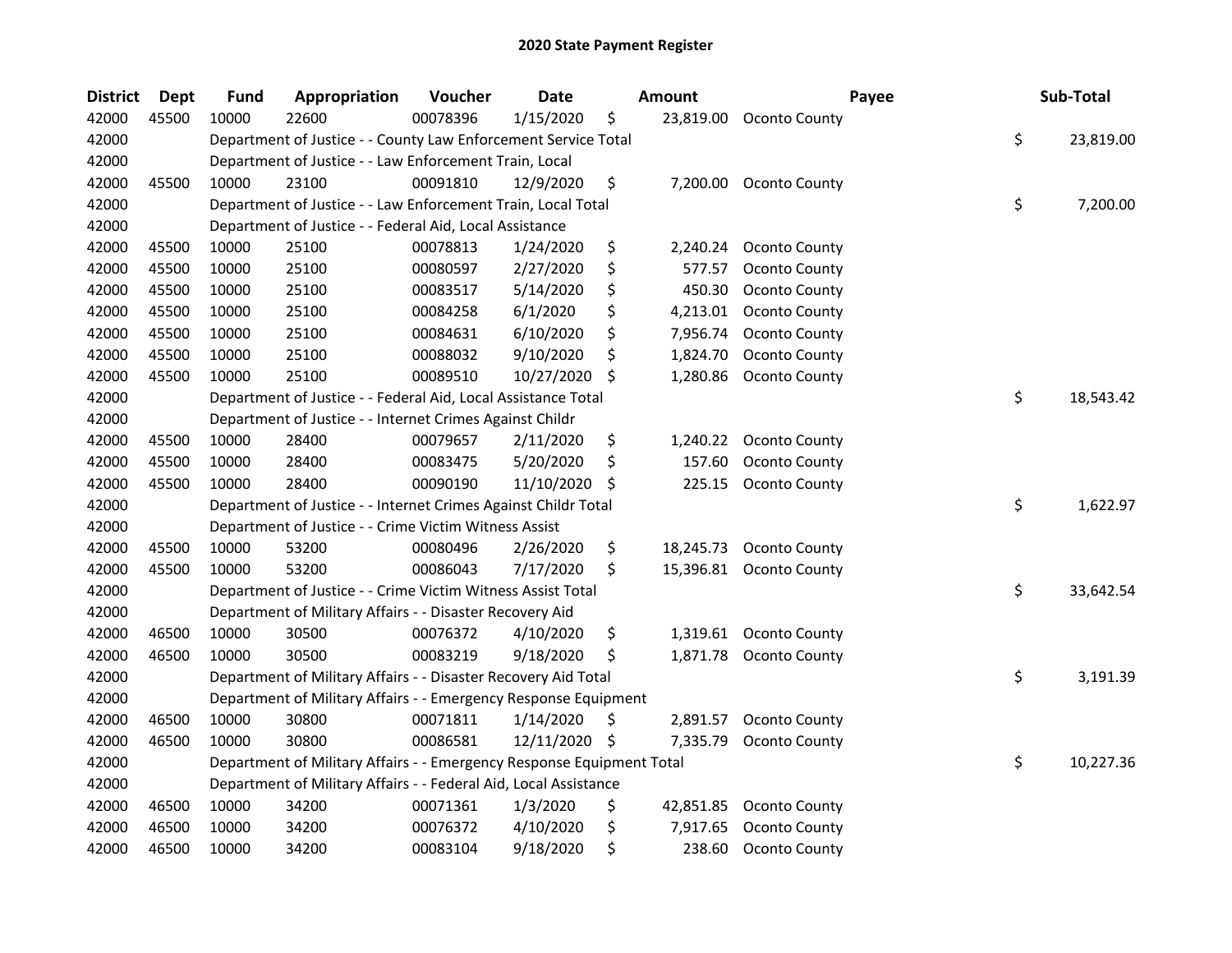| <b>District</b> | <b>Dept</b> | <b>Fund</b> | Appropriation                                                         | Voucher  | <b>Date</b>   |     | <b>Amount</b> | Payee                   | Sub-Total       |
|-----------------|-------------|-------------|-----------------------------------------------------------------------|----------|---------------|-----|---------------|-------------------------|-----------------|
| 42000           | 45500       | 10000       | 22600                                                                 | 00078396 | 1/15/2020     | \$  | 23,819.00     | Oconto County           |                 |
| 42000           |             |             | Department of Justice - - County Law Enforcement Service Total        |          |               |     |               |                         | \$<br>23,819.00 |
| 42000           |             |             | Department of Justice - - Law Enforcement Train, Local                |          |               |     |               |                         |                 |
| 42000           | 45500       | 10000       | 23100                                                                 | 00091810 | 12/9/2020     | \$  | 7,200.00      | <b>Oconto County</b>    |                 |
| 42000           |             |             | Department of Justice - - Law Enforcement Train, Local Total          |          |               |     |               |                         | \$<br>7,200.00  |
| 42000           |             |             | Department of Justice - - Federal Aid, Local Assistance               |          |               |     |               |                         |                 |
| 42000           | 45500       | 10000       | 25100                                                                 | 00078813 | 1/24/2020     | \$  | 2,240.24      | Oconto County           |                 |
| 42000           | 45500       | 10000       | 25100                                                                 | 00080597 | 2/27/2020     | \$  | 577.57        | Oconto County           |                 |
| 42000           | 45500       | 10000       | 25100                                                                 | 00083517 | 5/14/2020     | \$  | 450.30        | Oconto County           |                 |
| 42000           | 45500       | 10000       | 25100                                                                 | 00084258 | 6/1/2020      | \$  | 4,213.01      | Oconto County           |                 |
| 42000           | 45500       | 10000       | 25100                                                                 | 00084631 | 6/10/2020     | \$  | 7,956.74      | Oconto County           |                 |
| 42000           | 45500       | 10000       | 25100                                                                 | 00088032 | 9/10/2020     | \$  | 1,824.70      | Oconto County           |                 |
| 42000           | 45500       | 10000       | 25100                                                                 | 00089510 | 10/27/2020    | \$  | 1,280.86      | Oconto County           |                 |
| 42000           |             |             | Department of Justice - - Federal Aid, Local Assistance Total         |          |               |     |               |                         | \$<br>18,543.42 |
| 42000           |             |             | Department of Justice - - Internet Crimes Against Childr              |          |               |     |               |                         |                 |
| 42000           | 45500       | 10000       | 28400                                                                 | 00079657 | 2/11/2020     | \$  | 1,240.22      | Oconto County           |                 |
| 42000           | 45500       | 10000       | 28400                                                                 | 00083475 | 5/20/2020     | \$  | 157.60        | Oconto County           |                 |
| 42000           | 45500       | 10000       | 28400                                                                 | 00090190 | 11/10/2020    | \$, | 225.15        | Oconto County           |                 |
| 42000           |             |             | Department of Justice - - Internet Crimes Against Childr Total        |          |               |     |               |                         | \$<br>1,622.97  |
| 42000           |             |             | Department of Justice - - Crime Victim Witness Assist                 |          |               |     |               |                         |                 |
| 42000           | 45500       | 10000       | 53200                                                                 | 00080496 | 2/26/2020     | \$  | 18,245.73     | Oconto County           |                 |
| 42000           | 45500       | 10000       | 53200                                                                 | 00086043 | 7/17/2020     | \$  |               | 15,396.81 Oconto County |                 |
| 42000           |             |             | Department of Justice - - Crime Victim Witness Assist Total           |          |               |     |               |                         | \$<br>33,642.54 |
| 42000           |             |             | Department of Military Affairs - - Disaster Recovery Aid              |          |               |     |               |                         |                 |
| 42000           | 46500       | 10000       | 30500                                                                 | 00076372 | 4/10/2020     | \$  | 1,319.61      | <b>Oconto County</b>    |                 |
| 42000           | 46500       | 10000       | 30500                                                                 | 00083219 | 9/18/2020     | \$  | 1,871.78      | Oconto County           |                 |
| 42000           |             |             | Department of Military Affairs - - Disaster Recovery Aid Total        |          |               |     |               |                         | \$<br>3,191.39  |
| 42000           |             |             | Department of Military Affairs - - Emergency Response Equipment       |          |               |     |               |                         |                 |
| 42000           | 46500       | 10000       | 30800                                                                 | 00071811 | 1/14/2020     | \$. | 2,891.57      | Oconto County           |                 |
| 42000           | 46500       | 10000       | 30800                                                                 | 00086581 | 12/11/2020 \$ |     | 7,335.79      | Oconto County           |                 |
| 42000           |             |             | Department of Military Affairs - - Emergency Response Equipment Total |          |               |     |               |                         | \$<br>10,227.36 |
| 42000           |             |             | Department of Military Affairs - - Federal Aid, Local Assistance      |          |               |     |               |                         |                 |
| 42000           | 46500       | 10000       | 34200                                                                 | 00071361 | 1/3/2020      | \$  | 42,851.85     | Oconto County           |                 |
| 42000           | 46500       | 10000       | 34200                                                                 | 00076372 | 4/10/2020     | \$  | 7,917.65      | Oconto County           |                 |
| 42000           | 46500       | 10000       | 34200                                                                 | 00083104 | 9/18/2020     | \$  | 238.60        | Oconto County           |                 |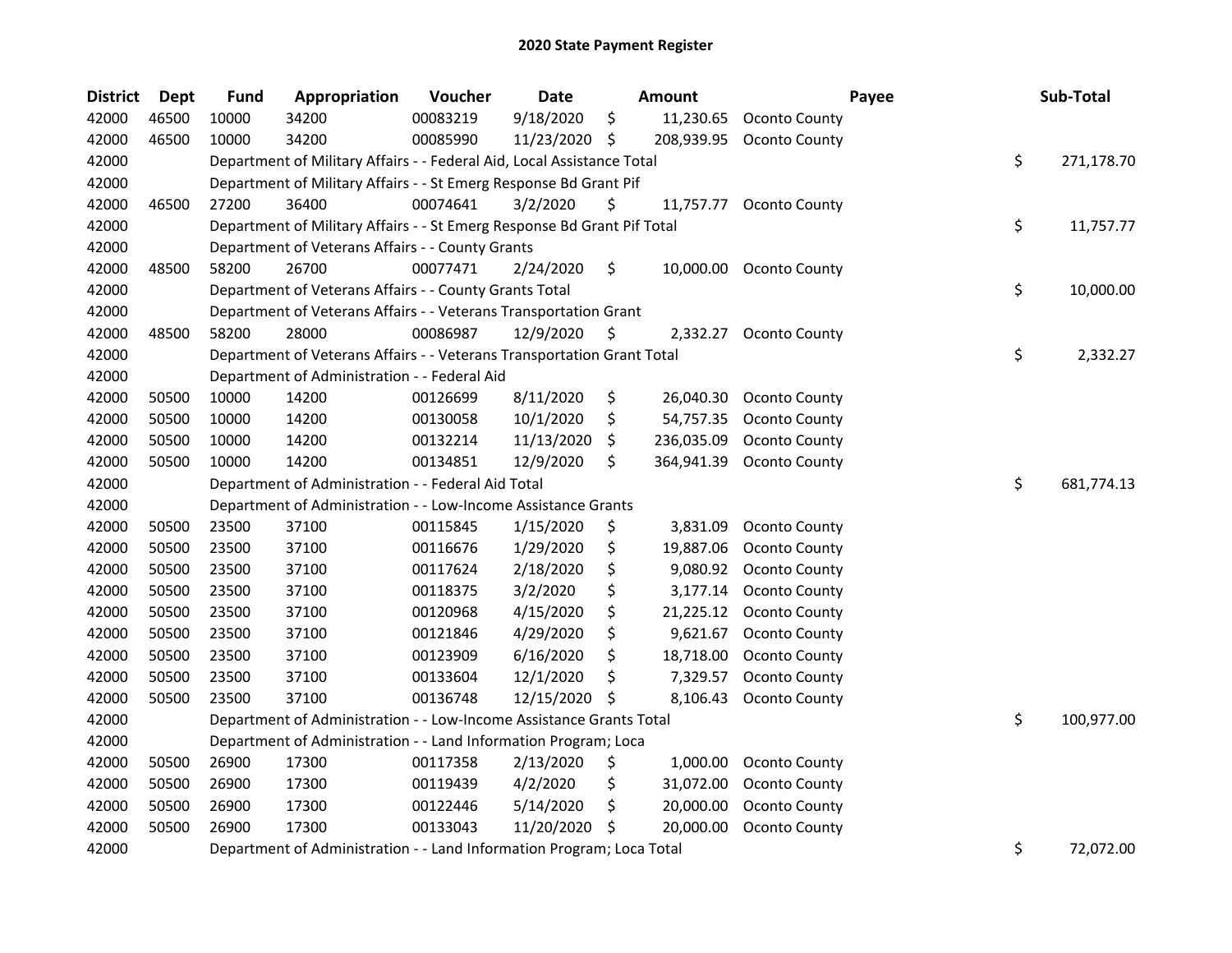| <b>District</b> | <b>Dept</b> | <b>Fund</b> | Appropriation                                                           | Voucher  | Date       |     | Amount     |                         | Payee | Sub-Total        |
|-----------------|-------------|-------------|-------------------------------------------------------------------------|----------|------------|-----|------------|-------------------------|-------|------------------|
| 42000           | 46500       | 10000       | 34200                                                                   | 00083219 | 9/18/2020  | \$  | 11,230.65  | Oconto County           |       |                  |
| 42000           | 46500       | 10000       | 34200                                                                   | 00085990 | 11/23/2020 | -\$ | 208,939.95 | Oconto County           |       |                  |
| 42000           |             |             | Department of Military Affairs - - Federal Aid, Local Assistance Total  |          |            |     |            |                         |       | \$<br>271,178.70 |
| 42000           |             |             | Department of Military Affairs - - St Emerg Response Bd Grant Pif       |          |            |     |            |                         |       |                  |
| 42000           | 46500       | 27200       | 36400                                                                   | 00074641 | 3/2/2020   | \$  | 11,757.77  | Oconto County           |       |                  |
| 42000           |             |             | Department of Military Affairs - - St Emerg Response Bd Grant Pif Total |          |            |     |            |                         |       | \$<br>11,757.77  |
| 42000           |             |             | Department of Veterans Affairs - - County Grants                        |          |            |     |            |                         |       |                  |
| 42000           | 48500       | 58200       | 26700                                                                   | 00077471 | 2/24/2020  | \$  |            | 10,000.00 Oconto County |       |                  |
| 42000           |             |             | Department of Veterans Affairs - - County Grants Total                  |          |            |     |            |                         |       | \$<br>10,000.00  |
| 42000           |             |             | Department of Veterans Affairs - - Veterans Transportation Grant        |          |            |     |            |                         |       |                  |
| 42000           | 48500       | 58200       | 28000                                                                   | 00086987 | 12/9/2020  | \$  | 2,332.27   | Oconto County           |       |                  |
| 42000           |             |             | Department of Veterans Affairs - - Veterans Transportation Grant Total  |          |            |     |            |                         |       | \$<br>2,332.27   |
| 42000           |             |             | Department of Administration - - Federal Aid                            |          |            |     |            |                         |       |                  |
| 42000           | 50500       | 10000       | 14200                                                                   | 00126699 | 8/11/2020  | \$  | 26,040.30  | Oconto County           |       |                  |
| 42000           | 50500       | 10000       | 14200                                                                   | 00130058 | 10/1/2020  | \$  | 54,757.35  | Oconto County           |       |                  |
| 42000           | 50500       | 10000       | 14200                                                                   | 00132214 | 11/13/2020 | \$  | 236,035.09 | Oconto County           |       |                  |
| 42000           | 50500       | 10000       | 14200                                                                   | 00134851 | 12/9/2020  | \$  | 364,941.39 | Oconto County           |       |                  |
| 42000           |             |             | Department of Administration - - Federal Aid Total                      |          |            |     |            |                         |       | \$<br>681,774.13 |
| 42000           |             |             | Department of Administration - - Low-Income Assistance Grants           |          |            |     |            |                         |       |                  |
| 42000           | 50500       | 23500       | 37100                                                                   | 00115845 | 1/15/2020  | \$  | 3,831.09   | Oconto County           |       |                  |
| 42000           | 50500       | 23500       | 37100                                                                   | 00116676 | 1/29/2020  | \$  | 19,887.06  | Oconto County           |       |                  |
| 42000           | 50500       | 23500       | 37100                                                                   | 00117624 | 2/18/2020  | \$  | 9,080.92   | Oconto County           |       |                  |
| 42000           | 50500       | 23500       | 37100                                                                   | 00118375 | 3/2/2020   | \$  | 3,177.14   | Oconto County           |       |                  |
| 42000           | 50500       | 23500       | 37100                                                                   | 00120968 | 4/15/2020  | \$  | 21,225.12  | Oconto County           |       |                  |
| 42000           | 50500       | 23500       | 37100                                                                   | 00121846 | 4/29/2020  | \$  | 9,621.67   | Oconto County           |       |                  |
| 42000           | 50500       | 23500       | 37100                                                                   | 00123909 | 6/16/2020  | \$  | 18,718.00  | Oconto County           |       |                  |
| 42000           | 50500       | 23500       | 37100                                                                   | 00133604 | 12/1/2020  | \$  | 7,329.57   | Oconto County           |       |                  |
| 42000           | 50500       | 23500       | 37100                                                                   | 00136748 | 12/15/2020 | \$  | 8,106.43   | Oconto County           |       |                  |
| 42000           |             |             | Department of Administration - - Low-Income Assistance Grants Total     |          |            |     |            |                         |       | \$<br>100,977.00 |
| 42000           |             |             | Department of Administration - - Land Information Program; Loca         |          |            |     |            |                         |       |                  |
| 42000           | 50500       | 26900       | 17300                                                                   | 00117358 | 2/13/2020  | \$  | 1,000.00   | Oconto County           |       |                  |
| 42000           | 50500       | 26900       | 17300                                                                   | 00119439 | 4/2/2020   | \$  | 31,072.00  | Oconto County           |       |                  |
| 42000           | 50500       | 26900       | 17300                                                                   | 00122446 | 5/14/2020  | \$  | 20,000.00  | Oconto County           |       |                  |
| 42000           | 50500       | 26900       | 17300                                                                   | 00133043 | 11/20/2020 | Ŝ.  | 20,000.00  | Oconto County           |       |                  |
| 42000           |             |             | Department of Administration - - Land Information Program; Loca Total   |          |            |     |            |                         |       | \$<br>72,072.00  |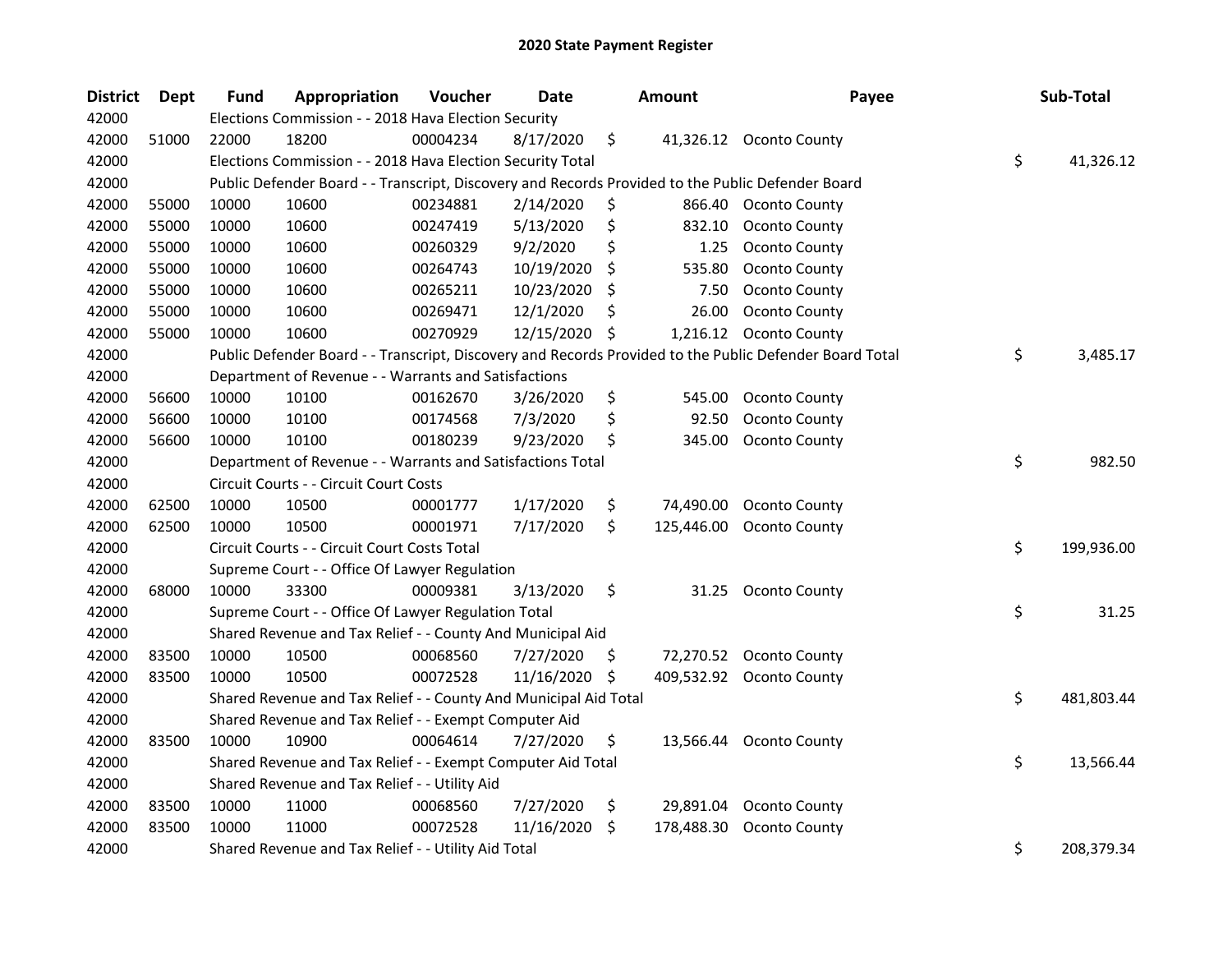| <b>District</b> | <b>Dept</b> | <b>Fund</b> | Appropriation                                                                                     | Voucher  | Date       |     | <b>Amount</b> | Payee                                                                                                   | Sub-Total        |
|-----------------|-------------|-------------|---------------------------------------------------------------------------------------------------|----------|------------|-----|---------------|---------------------------------------------------------------------------------------------------------|------------------|
| 42000           |             |             | Elections Commission - - 2018 Hava Election Security                                              |          |            |     |               |                                                                                                         |                  |
| 42000           | 51000       | 22000       | 18200                                                                                             | 00004234 | 8/17/2020  | \$  |               | 41,326.12 Oconto County                                                                                 |                  |
| 42000           |             |             | Elections Commission - - 2018 Hava Election Security Total                                        |          |            |     |               |                                                                                                         | \$<br>41,326.12  |
| 42000           |             |             | Public Defender Board - - Transcript, Discovery and Records Provided to the Public Defender Board |          |            |     |               |                                                                                                         |                  |
| 42000           | 55000       | 10000       | 10600                                                                                             | 00234881 | 2/14/2020  | \$  |               | 866.40 Oconto County                                                                                    |                  |
| 42000           | 55000       | 10000       | 10600                                                                                             | 00247419 | 5/13/2020  | \$  | 832.10        | Oconto County                                                                                           |                  |
| 42000           | 55000       | 10000       | 10600                                                                                             | 00260329 | 9/2/2020   | \$  | 1.25          | Oconto County                                                                                           |                  |
| 42000           | 55000       | 10000       | 10600                                                                                             | 00264743 | 10/19/2020 | \$  | 535.80        | Oconto County                                                                                           |                  |
| 42000           | 55000       | 10000       | 10600                                                                                             | 00265211 | 10/23/2020 | \$  | 7.50          | Oconto County                                                                                           |                  |
| 42000           | 55000       | 10000       | 10600                                                                                             | 00269471 | 12/1/2020  | \$  | 26.00         | Oconto County                                                                                           |                  |
| 42000           | 55000       | 10000       | 10600                                                                                             | 00270929 | 12/15/2020 | -\$ |               | 1,216.12 Oconto County                                                                                  |                  |
| 42000           |             |             |                                                                                                   |          |            |     |               | Public Defender Board - - Transcript, Discovery and Records Provided to the Public Defender Board Total | \$<br>3,485.17   |
| 42000           |             |             | Department of Revenue - - Warrants and Satisfactions                                              |          |            |     |               |                                                                                                         |                  |
| 42000           | 56600       | 10000       | 10100                                                                                             | 00162670 | 3/26/2020  | \$  | 545.00        | Oconto County                                                                                           |                  |
| 42000           | 56600       | 10000       | 10100                                                                                             | 00174568 | 7/3/2020   | \$  | 92.50         | Oconto County                                                                                           |                  |
| 42000           | 56600       | 10000       | 10100                                                                                             | 00180239 | 9/23/2020  | \$  | 345.00        | Oconto County                                                                                           |                  |
| 42000           |             |             | Department of Revenue - - Warrants and Satisfactions Total                                        |          |            |     |               |                                                                                                         | \$<br>982.50     |
| 42000           |             |             | Circuit Courts - - Circuit Court Costs                                                            |          |            |     |               |                                                                                                         |                  |
| 42000           | 62500       | 10000       | 10500                                                                                             | 00001777 | 1/17/2020  | \$  | 74,490.00     | Oconto County                                                                                           |                  |
| 42000           | 62500       | 10000       | 10500                                                                                             | 00001971 | 7/17/2020  | \$  | 125,446.00    | Oconto County                                                                                           |                  |
| 42000           |             |             | Circuit Courts - - Circuit Court Costs Total                                                      |          |            |     |               |                                                                                                         | \$<br>199,936.00 |
| 42000           |             |             | Supreme Court - - Office Of Lawyer Regulation                                                     |          |            |     |               |                                                                                                         |                  |
| 42000           | 68000       | 10000       | 33300                                                                                             | 00009381 | 3/13/2020  | \$  | 31.25         | <b>Oconto County</b>                                                                                    |                  |
| 42000           |             |             | Supreme Court - - Office Of Lawyer Regulation Total                                               |          |            |     |               |                                                                                                         | \$<br>31.25      |
| 42000           |             |             | Shared Revenue and Tax Relief - - County And Municipal Aid                                        |          |            |     |               |                                                                                                         |                  |
| 42000           | 83500       | 10000       | 10500                                                                                             | 00068560 | 7/27/2020  | \$. | 72,270.52     | Oconto County                                                                                           |                  |
| 42000           | 83500       | 10000       | 10500                                                                                             | 00072528 | 11/16/2020 | \$  | 409,532.92    | Oconto County                                                                                           |                  |
| 42000           |             |             | Shared Revenue and Tax Relief - - County And Municipal Aid Total                                  |          |            |     |               |                                                                                                         | \$<br>481,803.44 |
| 42000           |             |             | Shared Revenue and Tax Relief - - Exempt Computer Aid                                             |          |            |     |               |                                                                                                         |                  |
| 42000           | 83500       | 10000       | 10900                                                                                             | 00064614 | 7/27/2020  | \$  |               | 13,566.44 Oconto County                                                                                 |                  |
| 42000           |             |             | Shared Revenue and Tax Relief - - Exempt Computer Aid Total                                       |          |            |     |               |                                                                                                         | \$<br>13,566.44  |
| 42000           |             |             | Shared Revenue and Tax Relief - - Utility Aid                                                     |          |            |     |               |                                                                                                         |                  |
| 42000           | 83500       | 10000       | 11000                                                                                             | 00068560 | 7/27/2020  | \$  | 29,891.04     | Oconto County                                                                                           |                  |
| 42000           | 83500       | 10000       | 11000                                                                                             | 00072528 | 11/16/2020 | \$  | 178,488.30    | Oconto County                                                                                           |                  |
| 42000           |             |             | Shared Revenue and Tax Relief - - Utility Aid Total                                               |          |            |     |               |                                                                                                         | \$<br>208,379.34 |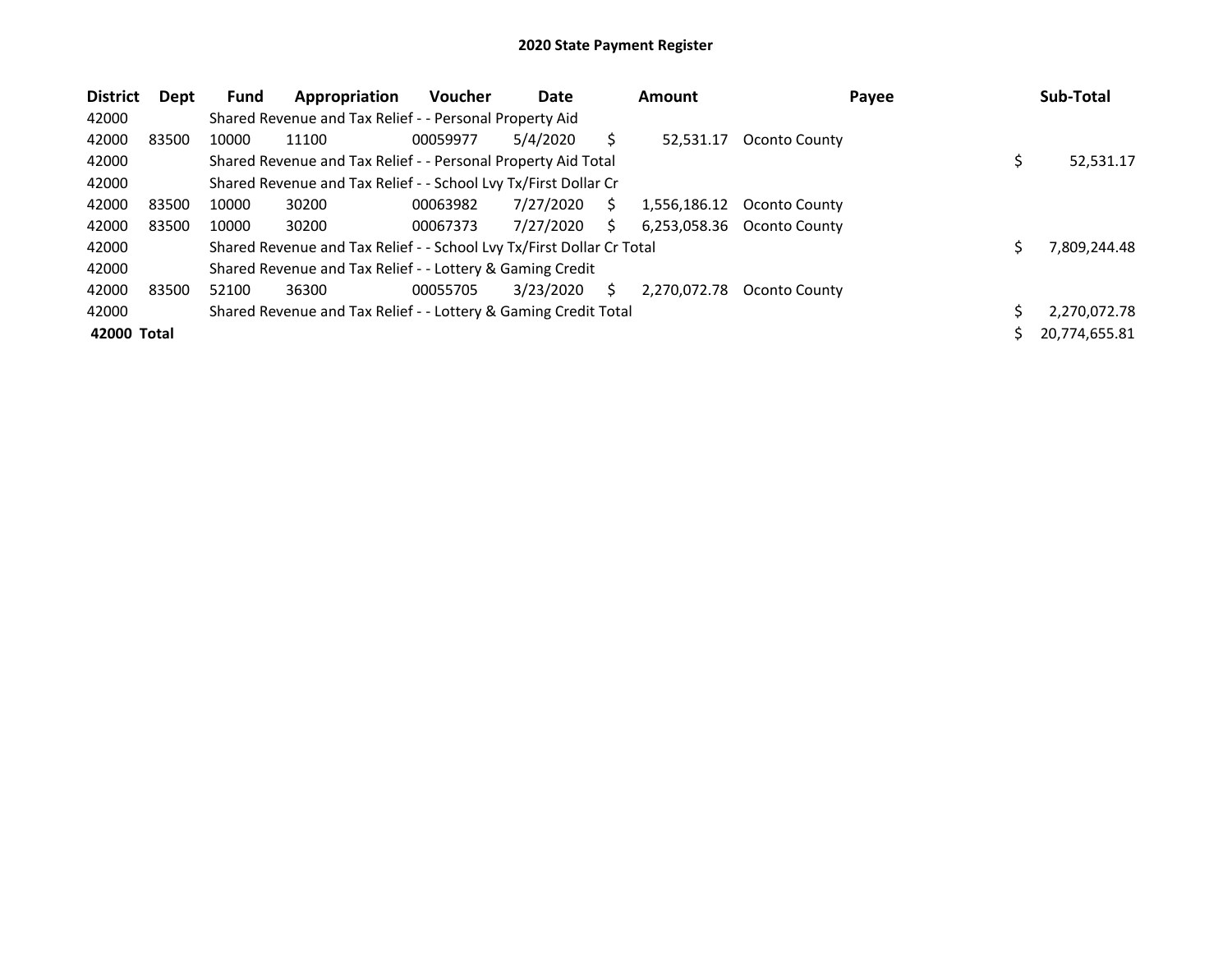| <b>District</b> | Dept  | <b>Fund</b> | Appropriation                                                         | <b>Voucher</b> | Date      |    | <b>Amount</b> | Payee         | Sub-Total     |
|-----------------|-------|-------------|-----------------------------------------------------------------------|----------------|-----------|----|---------------|---------------|---------------|
| 42000           |       |             | Shared Revenue and Tax Relief - - Personal Property Aid               |                |           |    |               |               |               |
| 42000           | 83500 | 10000       | 11100                                                                 | 00059977       | 5/4/2020  |    | 52,531.17     | Oconto County |               |
| 42000           |       |             | Shared Revenue and Tax Relief - - Personal Property Aid Total         |                |           |    |               |               | 52,531.17     |
| 42000           |       |             | Shared Revenue and Tax Relief - - School Lvy Tx/First Dollar Cr       |                |           |    |               |               |               |
| 42000           | 83500 | 10000       | 30200                                                                 | 00063982       | 7/27/2020 | S  | 1,556,186.12  | Oconto County |               |
| 42000           | 83500 | 10000       | 30200                                                                 | 00067373       | 7/27/2020 | S  | 6,253,058.36  | Oconto County |               |
| 42000           |       |             | Shared Revenue and Tax Relief - - School Lvy Tx/First Dollar Cr Total |                |           |    |               |               | 7,809,244.48  |
| 42000           |       |             | Shared Revenue and Tax Relief - - Lottery & Gaming Credit             |                |           |    |               |               |               |
| 42000           | 83500 | 52100       | 36300                                                                 | 00055705       | 3/23/2020 | Ś. | 2,270,072.78  | Oconto County |               |
| 42000           |       |             | Shared Revenue and Tax Relief - - Lottery & Gaming Credit Total       |                |           |    |               |               | 2.270.072.78  |
| 42000 Total     |       |             |                                                                       |                |           |    |               |               | 20.774.655.81 |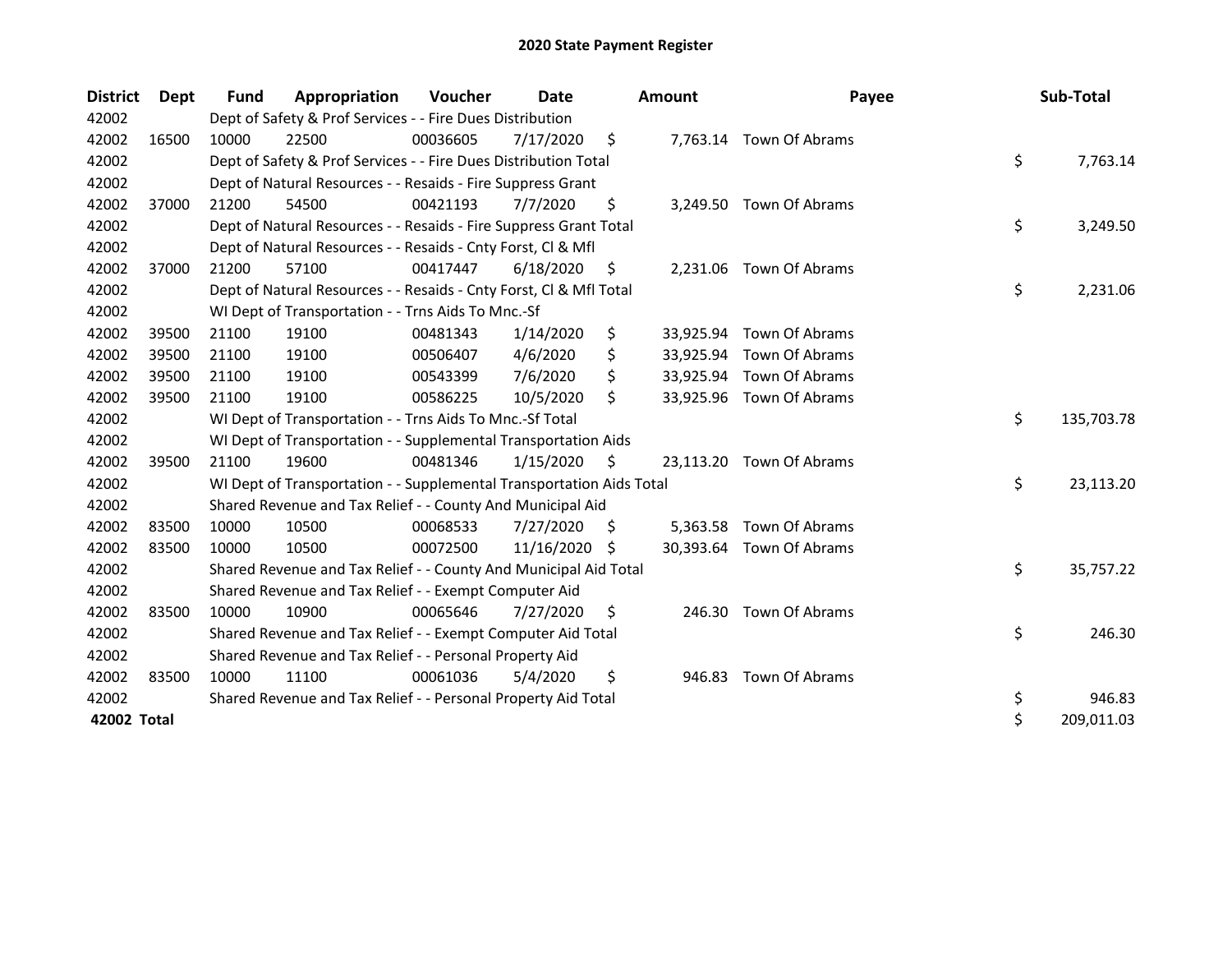| <b>District</b> | <b>Dept</b> | Fund  | Appropriation                                                        | Voucher  | Date       |    | <b>Amount</b> | Payee                    | Sub-Total        |
|-----------------|-------------|-------|----------------------------------------------------------------------|----------|------------|----|---------------|--------------------------|------------------|
| 42002           |             |       | Dept of Safety & Prof Services - - Fire Dues Distribution            |          |            |    |               |                          |                  |
| 42002           | 16500       | 10000 | 22500                                                                | 00036605 | 7/17/2020  | \$ |               | 7,763.14 Town Of Abrams  |                  |
| 42002           |             |       | Dept of Safety & Prof Services - - Fire Dues Distribution Total      |          |            |    |               |                          | \$<br>7,763.14   |
| 42002           |             |       | Dept of Natural Resources - - Resaids - Fire Suppress Grant          |          |            |    |               |                          |                  |
| 42002           | 37000       | 21200 | 54500                                                                | 00421193 | 7/7/2020   | \$ |               | 3,249.50 Town Of Abrams  |                  |
| 42002           |             |       | Dept of Natural Resources - - Resaids - Fire Suppress Grant Total    |          |            |    |               |                          | \$<br>3,249.50   |
| 42002           |             |       | Dept of Natural Resources - - Resaids - Cnty Forst, Cl & Mfl         |          |            |    |               |                          |                  |
| 42002           | 37000       | 21200 | 57100                                                                | 00417447 | 6/18/2020  | \$ | 2,231.06      | Town Of Abrams           |                  |
| 42002           |             |       | Dept of Natural Resources - - Resaids - Cnty Forst, Cl & Mfl Total   |          |            |    |               |                          | \$<br>2,231.06   |
| 42002           |             |       | WI Dept of Transportation - - Trns Aids To Mnc.-Sf                   |          |            |    |               |                          |                  |
| 42002           | 39500       | 21100 | 19100                                                                | 00481343 | 1/14/2020  | \$ |               | 33,925.94 Town Of Abrams |                  |
| 42002           | 39500       | 21100 | 19100                                                                | 00506407 | 4/6/2020   | \$ |               | 33,925.94 Town Of Abrams |                  |
| 42002           | 39500       | 21100 | 19100                                                                | 00543399 | 7/6/2020   | \$ |               | 33,925.94 Town Of Abrams |                  |
| 42002           | 39500       | 21100 | 19100                                                                | 00586225 | 10/5/2020  | \$ |               | 33,925.96 Town Of Abrams |                  |
| 42002           |             |       | WI Dept of Transportation - - Trns Aids To Mnc.-Sf Total             |          |            |    |               |                          | \$<br>135,703.78 |
| 42002           |             |       | WI Dept of Transportation - - Supplemental Transportation Aids       |          |            |    |               |                          |                  |
| 42002           | 39500       | 21100 | 19600                                                                | 00481346 | 1/15/2020  | \$ | 23,113.20     | Town Of Abrams           |                  |
| 42002           |             |       | WI Dept of Transportation - - Supplemental Transportation Aids Total |          |            |    |               |                          | \$<br>23,113.20  |
| 42002           |             |       | Shared Revenue and Tax Relief - - County And Municipal Aid           |          |            |    |               |                          |                  |
| 42002           | 83500       | 10000 | 10500                                                                | 00068533 | 7/27/2020  | S  |               | 5,363.58 Town Of Abrams  |                  |
| 42002           | 83500       | 10000 | 10500                                                                | 00072500 | 11/16/2020 | S  |               | 30,393.64 Town Of Abrams |                  |
| 42002           |             |       | Shared Revenue and Tax Relief - - County And Municipal Aid Total     |          |            |    |               |                          | \$<br>35,757.22  |
| 42002           |             |       | Shared Revenue and Tax Relief - - Exempt Computer Aid                |          |            |    |               |                          |                  |
| 42002           | 83500       | 10000 | 10900                                                                | 00065646 | 7/27/2020  | S  | 246.30        | Town Of Abrams           |                  |
| 42002           |             |       | Shared Revenue and Tax Relief - - Exempt Computer Aid Total          |          |            |    |               |                          | \$<br>246.30     |
| 42002           |             |       | Shared Revenue and Tax Relief - - Personal Property Aid              |          |            |    |               |                          |                  |
| 42002           | 83500       | 10000 | 11100                                                                | 00061036 | 5/4/2020   | \$ | 946.83        | Town Of Abrams           |                  |
| 42002           |             |       | Shared Revenue and Tax Relief - - Personal Property Aid Total        |          |            |    |               |                          | \$<br>946.83     |
| 42002 Total     |             |       |                                                                      |          |            |    |               |                          | \$<br>209,011.03 |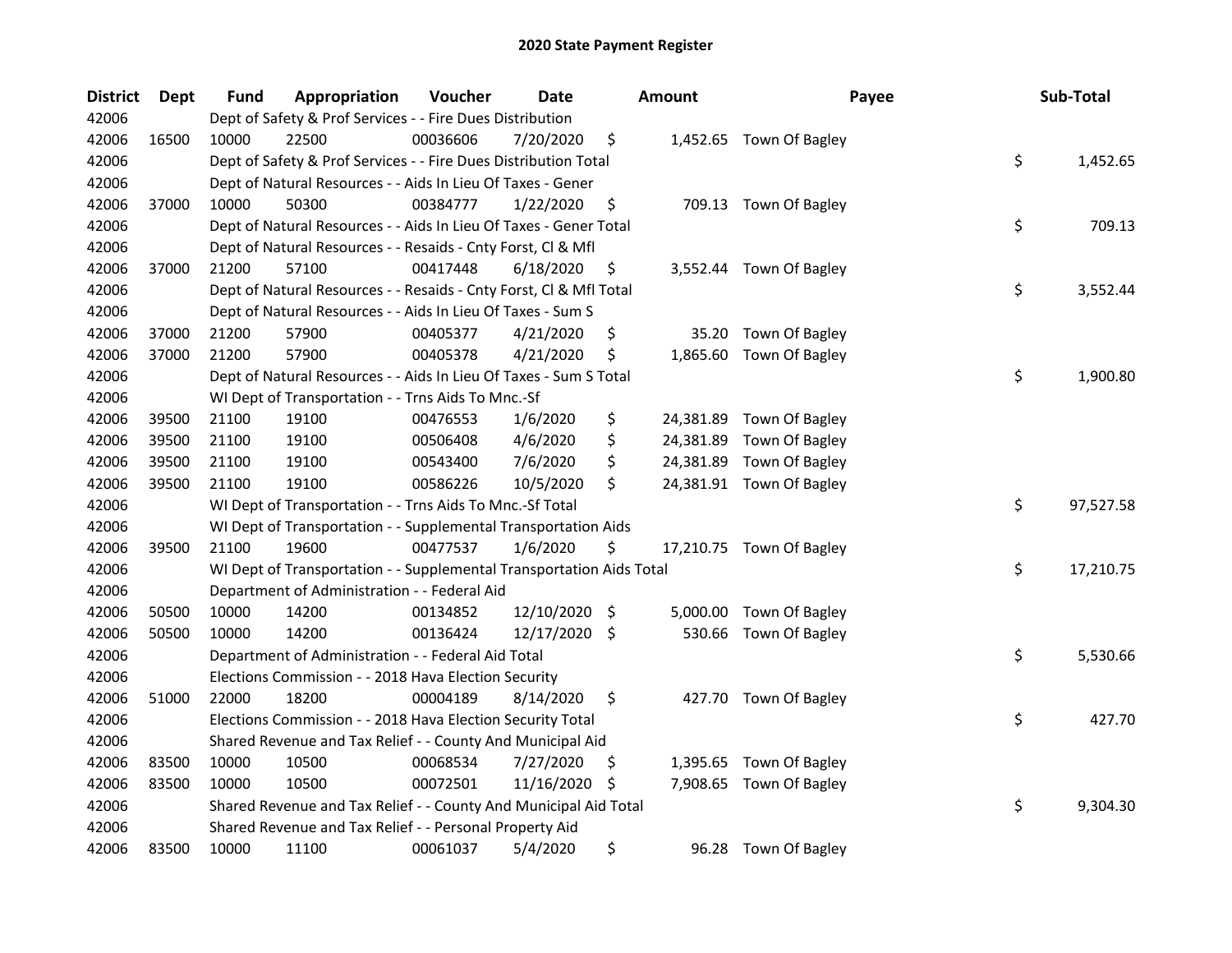| <b>District</b> | Dept  | Fund  | Appropriation                                                        | Voucher  | Date          |     | <b>Amount</b> | Payee                    | Sub-Total       |
|-----------------|-------|-------|----------------------------------------------------------------------|----------|---------------|-----|---------------|--------------------------|-----------------|
| 42006           |       |       | Dept of Safety & Prof Services - - Fire Dues Distribution            |          |               |     |               |                          |                 |
| 42006           | 16500 | 10000 | 22500                                                                | 00036606 | 7/20/2020     | \$  |               | 1,452.65 Town Of Bagley  |                 |
| 42006           |       |       | Dept of Safety & Prof Services - - Fire Dues Distribution Total      |          |               |     |               |                          | \$<br>1,452.65  |
| 42006           |       |       | Dept of Natural Resources - - Aids In Lieu Of Taxes - Gener          |          |               |     |               |                          |                 |
| 42006           | 37000 | 10000 | 50300                                                                | 00384777 | 1/22/2020     | \$  |               | 709.13 Town Of Bagley    |                 |
| 42006           |       |       | Dept of Natural Resources - - Aids In Lieu Of Taxes - Gener Total    |          |               |     |               |                          | \$<br>709.13    |
| 42006           |       |       | Dept of Natural Resources - - Resaids - Cnty Forst, Cl & Mfl         |          |               |     |               |                          |                 |
| 42006           | 37000 | 21200 | 57100                                                                | 00417448 | 6/18/2020     | \$  |               | 3,552.44 Town Of Bagley  |                 |
| 42006           |       |       | Dept of Natural Resources - - Resaids - Cnty Forst, Cl & Mfl Total   |          |               |     |               |                          | \$<br>3,552.44  |
| 42006           |       |       | Dept of Natural Resources - - Aids In Lieu Of Taxes - Sum S          |          |               |     |               |                          |                 |
| 42006           | 37000 | 21200 | 57900                                                                | 00405377 | 4/21/2020     | \$  | 35.20         | Town Of Bagley           |                 |
| 42006           | 37000 | 21200 | 57900                                                                | 00405378 | 4/21/2020     | \$  | 1,865.60      | Town Of Bagley           |                 |
| 42006           |       |       | Dept of Natural Resources - - Aids In Lieu Of Taxes - Sum S Total    |          |               |     |               |                          | \$<br>1,900.80  |
| 42006           |       |       | WI Dept of Transportation - - Trns Aids To Mnc.-Sf                   |          |               |     |               |                          |                 |
| 42006           | 39500 | 21100 | 19100                                                                | 00476553 | 1/6/2020      | \$  | 24,381.89     | Town Of Bagley           |                 |
| 42006           | 39500 | 21100 | 19100                                                                | 00506408 | 4/6/2020      | \$  | 24,381.89     | Town Of Bagley           |                 |
| 42006           | 39500 | 21100 | 19100                                                                | 00543400 | 7/6/2020      | \$  | 24,381.89     | Town Of Bagley           |                 |
| 42006           | 39500 | 21100 | 19100                                                                | 00586226 | 10/5/2020     | \$  |               | 24,381.91 Town Of Bagley |                 |
| 42006           |       |       | WI Dept of Transportation - - Trns Aids To Mnc.-Sf Total             |          |               |     |               |                          | \$<br>97,527.58 |
| 42006           |       |       | WI Dept of Transportation - - Supplemental Transportation Aids       |          |               |     |               |                          |                 |
| 42006           | 39500 | 21100 | 19600                                                                | 00477537 | 1/6/2020      | \$  |               | 17,210.75 Town Of Bagley |                 |
| 42006           |       |       | WI Dept of Transportation - - Supplemental Transportation Aids Total |          |               |     |               |                          | \$<br>17,210.75 |
| 42006           |       |       | Department of Administration - - Federal Aid                         |          |               |     |               |                          |                 |
| 42006           | 50500 | 10000 | 14200                                                                | 00134852 | 12/10/2020    | -\$ | 5,000.00      | Town Of Bagley           |                 |
| 42006           | 50500 | 10000 | 14200                                                                | 00136424 | 12/17/2020 \$ |     |               | 530.66 Town Of Bagley    |                 |
| 42006           |       |       | Department of Administration - - Federal Aid Total                   |          |               |     |               |                          | \$<br>5,530.66  |
| 42006           |       |       | Elections Commission - - 2018 Hava Election Security                 |          |               |     |               |                          |                 |
| 42006           | 51000 | 22000 | 18200                                                                | 00004189 | 8/14/2020     | \$  |               | 427.70 Town Of Bagley    |                 |
| 42006           |       |       | Elections Commission - - 2018 Hava Election Security Total           |          |               |     |               |                          | \$<br>427.70    |
| 42006           |       |       | Shared Revenue and Tax Relief - - County And Municipal Aid           |          |               |     |               |                          |                 |
| 42006           | 83500 | 10000 | 10500                                                                | 00068534 | 7/27/2020     | \$  |               | 1,395.65 Town Of Bagley  |                 |
| 42006           | 83500 | 10000 | 10500                                                                | 00072501 | 11/16/2020    | -S  |               | 7,908.65 Town Of Bagley  |                 |
| 42006           |       |       | Shared Revenue and Tax Relief - - County And Municipal Aid Total     |          |               |     |               |                          | \$<br>9,304.30  |
| 42006           |       |       | Shared Revenue and Tax Relief - - Personal Property Aid              |          |               |     |               |                          |                 |
| 42006           | 83500 | 10000 | 11100                                                                | 00061037 | 5/4/2020      | \$  | 96.28         | Town Of Bagley           |                 |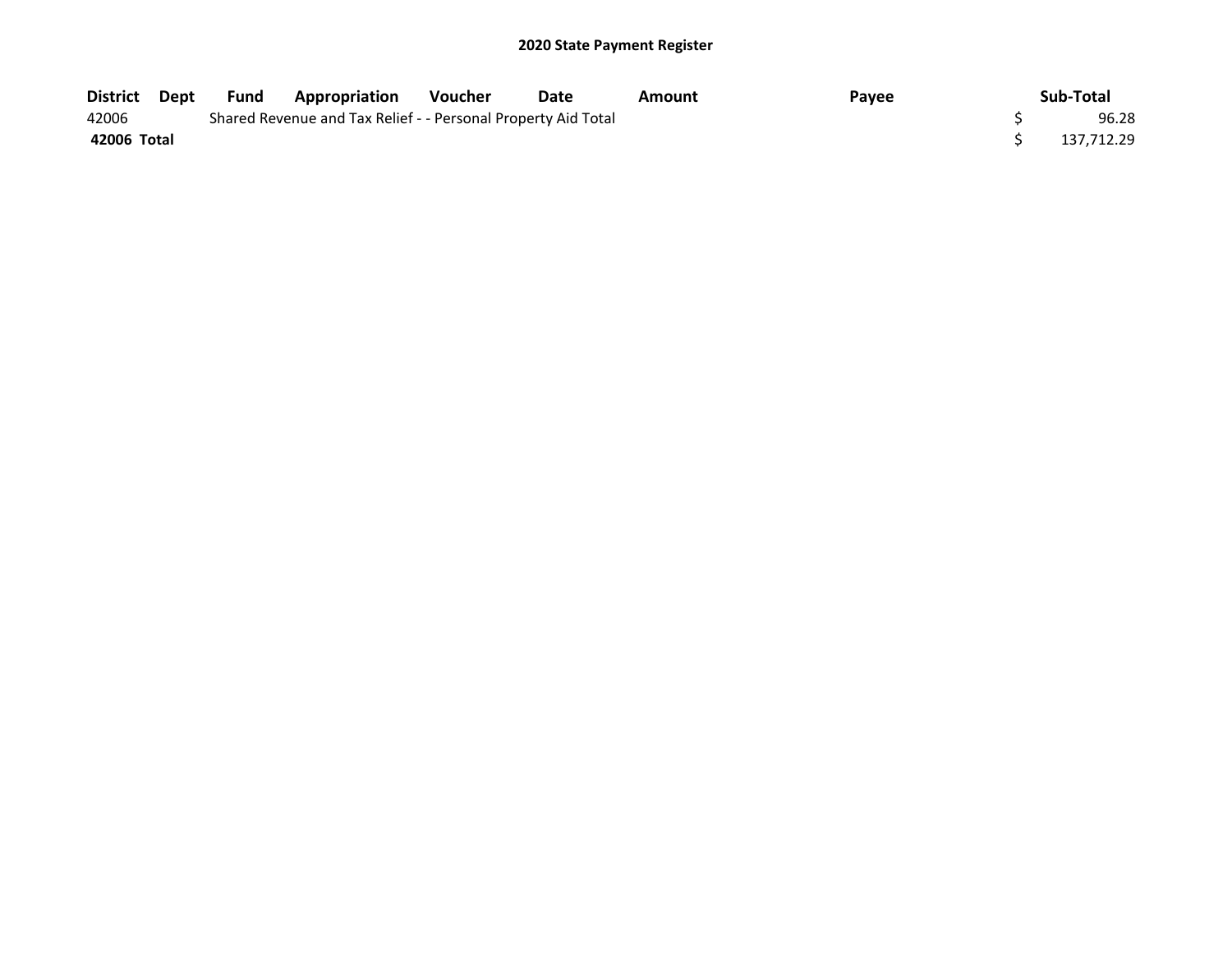| District    | Dept | <b>Fund</b> | <b>Appropriation</b>                                          | Voucher | Date | Amount | Payee | Sub-Total  |
|-------------|------|-------------|---------------------------------------------------------------|---------|------|--------|-------|------------|
| 42006       |      |             | Shared Revenue and Tax Relief - - Personal Property Aid Total |         |      |        |       | 96.28      |
| 42006 Total |      |             |                                                               |         |      |        |       | 137.712.29 |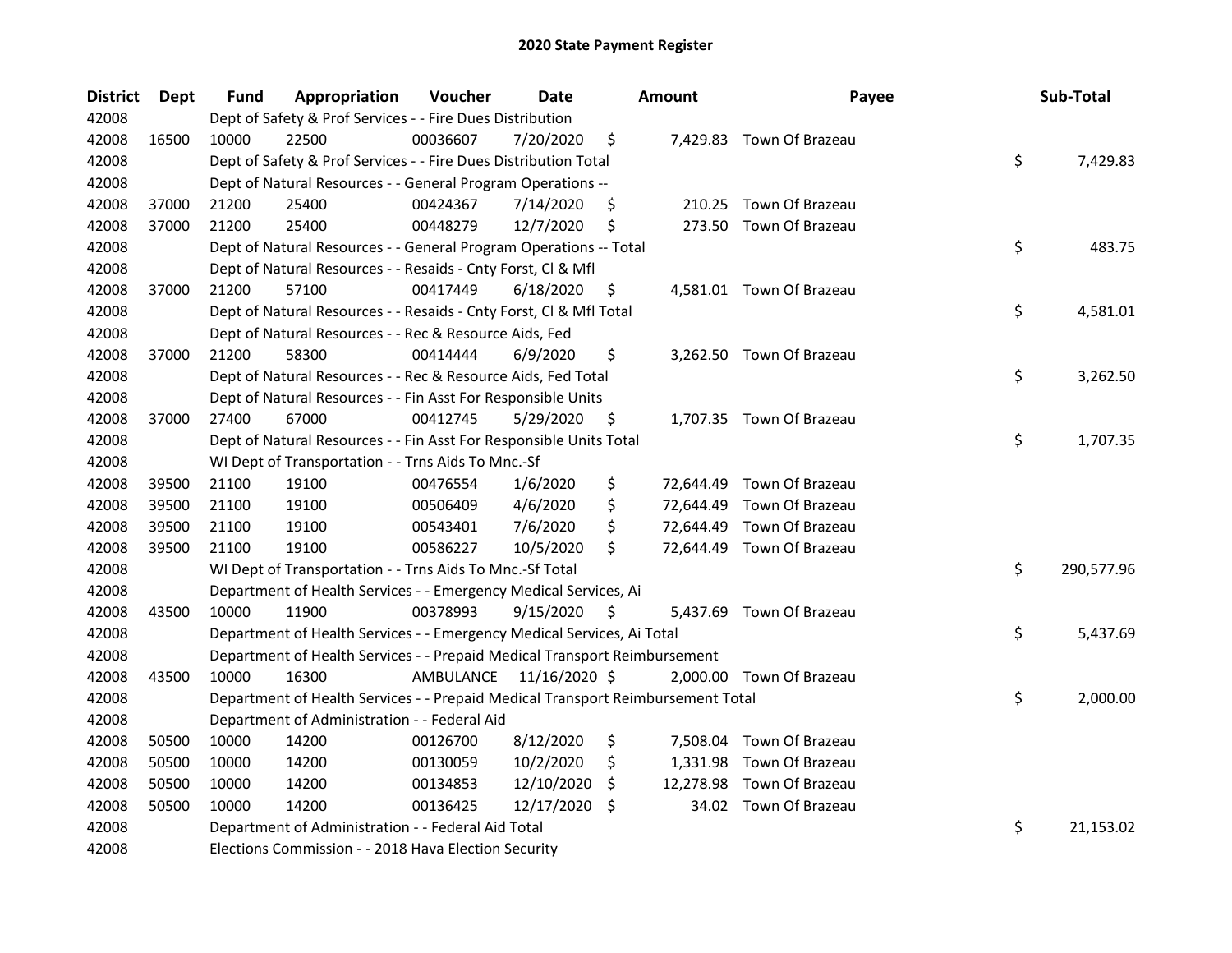| <b>District</b> | Dept  | <b>Fund</b> | Appropriation                                                                   | Voucher   | <b>Date</b>   |     | <b>Amount</b> | Payee                     | Sub-Total        |
|-----------------|-------|-------------|---------------------------------------------------------------------------------|-----------|---------------|-----|---------------|---------------------------|------------------|
| 42008           |       |             | Dept of Safety & Prof Services - - Fire Dues Distribution                       |           |               |     |               |                           |                  |
| 42008           | 16500 | 10000       | 22500                                                                           | 00036607  | 7/20/2020     | \$  |               | 7,429.83 Town Of Brazeau  |                  |
| 42008           |       |             | Dept of Safety & Prof Services - - Fire Dues Distribution Total                 |           |               |     |               |                           | \$<br>7,429.83   |
| 42008           |       |             | Dept of Natural Resources - - General Program Operations --                     |           |               |     |               |                           |                  |
| 42008           | 37000 | 21200       | 25400                                                                           | 00424367  | 7/14/2020     | \$  |               | 210.25 Town Of Brazeau    |                  |
| 42008           | 37000 | 21200       | 25400                                                                           | 00448279  | 12/7/2020     | \$  | 273.50        | Town Of Brazeau           |                  |
| 42008           |       |             | Dept of Natural Resources - - General Program Operations -- Total               |           |               |     |               |                           | \$<br>483.75     |
| 42008           |       |             | Dept of Natural Resources - - Resaids - Cnty Forst, CI & Mfl                    |           |               |     |               |                           |                  |
| 42008           | 37000 | 21200       | 57100                                                                           | 00417449  | 6/18/2020     | \$  |               | 4,581.01 Town Of Brazeau  |                  |
| 42008           |       |             | Dept of Natural Resources - - Resaids - Cnty Forst, Cl & Mfl Total              |           |               |     |               |                           | \$<br>4,581.01   |
| 42008           |       |             | Dept of Natural Resources - - Rec & Resource Aids, Fed                          |           |               |     |               |                           |                  |
| 42008           | 37000 | 21200       | 58300                                                                           | 00414444  | 6/9/2020      | \$  |               | 3,262.50 Town Of Brazeau  |                  |
| 42008           |       |             | Dept of Natural Resources - - Rec & Resource Aids, Fed Total                    |           |               |     |               |                           | \$<br>3,262.50   |
| 42008           |       |             | Dept of Natural Resources - - Fin Asst For Responsible Units                    |           |               |     |               |                           |                  |
| 42008           | 37000 | 27400       | 67000                                                                           | 00412745  | 5/29/2020     | \$  |               | 1,707.35 Town Of Brazeau  |                  |
| 42008           |       |             | Dept of Natural Resources - - Fin Asst For Responsible Units Total              |           |               |     |               |                           | \$<br>1,707.35   |
| 42008           |       |             | WI Dept of Transportation - - Trns Aids To Mnc.-Sf                              |           |               |     |               |                           |                  |
| 42008           | 39500 | 21100       | 19100                                                                           | 00476554  | 1/6/2020      | \$  |               | 72,644.49 Town Of Brazeau |                  |
| 42008           | 39500 | 21100       | 19100                                                                           | 00506409  | 4/6/2020      | \$  |               | 72,644.49 Town Of Brazeau |                  |
| 42008           | 39500 | 21100       | 19100                                                                           | 00543401  | 7/6/2020      | \$  |               | 72,644.49 Town Of Brazeau |                  |
| 42008           | 39500 | 21100       | 19100                                                                           | 00586227  | 10/5/2020     | \$  |               | 72,644.49 Town Of Brazeau |                  |
| 42008           |       |             | WI Dept of Transportation - - Trns Aids To Mnc.-Sf Total                        |           |               |     |               |                           | \$<br>290,577.96 |
| 42008           |       |             | Department of Health Services - - Emergency Medical Services, Ai                |           |               |     |               |                           |                  |
| 42008           | 43500 | 10000       | 11900                                                                           | 00378993  | 9/15/2020     | \$  |               | 5,437.69 Town Of Brazeau  |                  |
| 42008           |       |             | Department of Health Services - - Emergency Medical Services, Ai Total          |           |               |     |               |                           | \$<br>5,437.69   |
| 42008           |       |             | Department of Health Services - - Prepaid Medical Transport Reimbursement       |           |               |     |               |                           |                  |
| 42008           | 43500 | 10000       | 16300                                                                           | AMBULANCE | 11/16/2020 \$ |     |               | 2,000.00 Town Of Brazeau  |                  |
| 42008           |       |             | Department of Health Services - - Prepaid Medical Transport Reimbursement Total |           |               |     |               |                           | \$<br>2,000.00   |
| 42008           |       |             | Department of Administration - - Federal Aid                                    |           |               |     |               |                           |                  |
| 42008           | 50500 | 10000       | 14200                                                                           | 00126700  | 8/12/2020     | \$  |               | 7,508.04 Town Of Brazeau  |                  |
| 42008           | 50500 | 10000       | 14200                                                                           | 00130059  | 10/2/2020     | \$  | 1,331.98      | Town Of Brazeau           |                  |
| 42008           | 50500 | 10000       | 14200                                                                           | 00134853  | 12/10/2020    | \$  |               | 12,278.98 Town Of Brazeau |                  |
| 42008           | 50500 | 10000       | 14200                                                                           | 00136425  | 12/17/2020    | \$. |               | 34.02 Town Of Brazeau     |                  |
| 42008           |       |             | Department of Administration - - Federal Aid Total                              |           |               |     |               |                           | \$<br>21,153.02  |
| 42008           |       |             | Elections Commission - - 2018 Hava Election Security                            |           |               |     |               |                           |                  |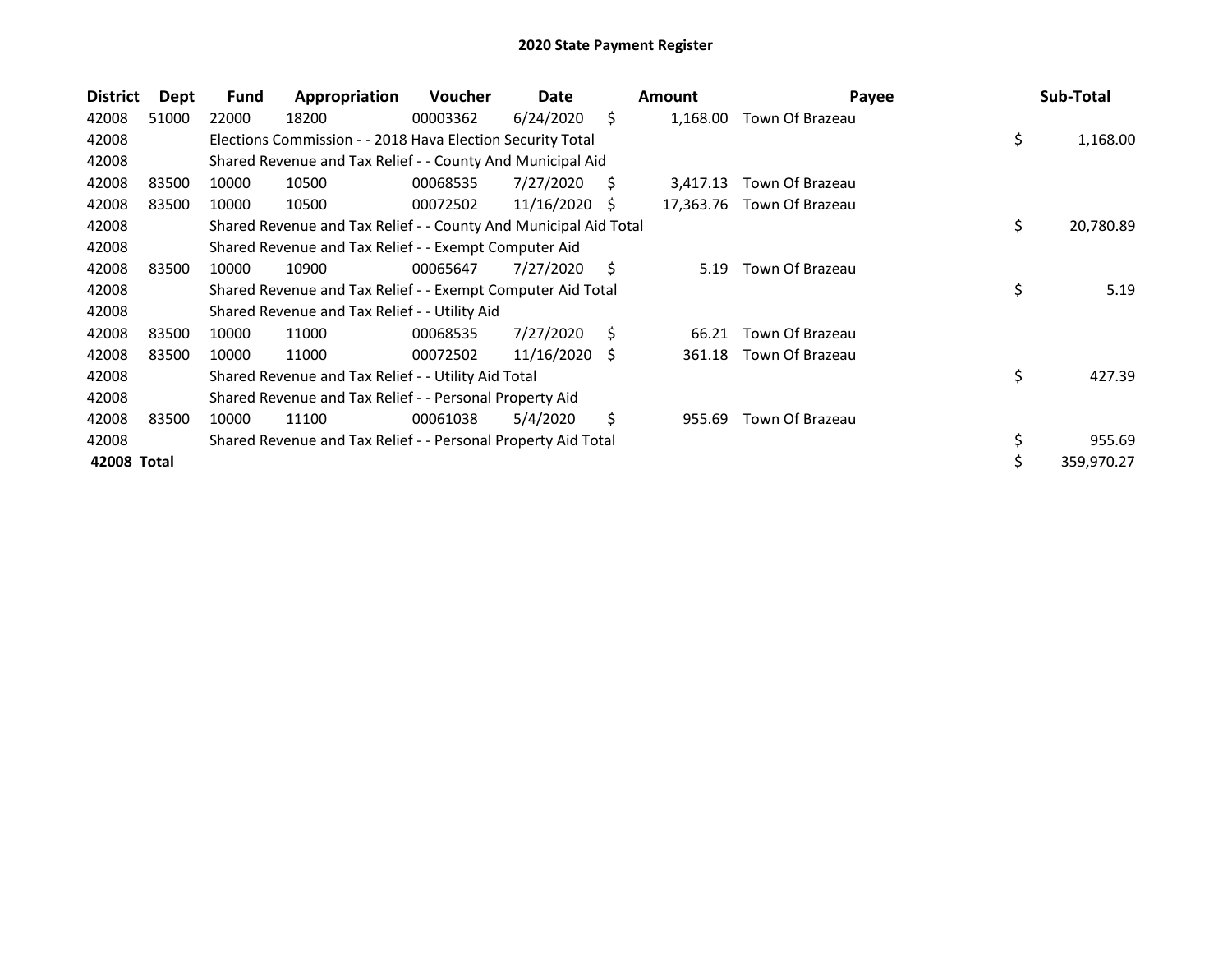| <b>District</b> | Dept  | <b>Fund</b> | Appropriation                                                    | <b>Voucher</b> | Date            |    | <b>Amount</b> | Payee           | Sub-Total       |
|-----------------|-------|-------------|------------------------------------------------------------------|----------------|-----------------|----|---------------|-----------------|-----------------|
| 42008           | 51000 | 22000       | 18200                                                            | 00003362       | 6/24/2020       | Ŝ. | 1,168.00      | Town Of Brazeau |                 |
| 42008           |       |             | Elections Commission - - 2018 Hava Election Security Total       |                |                 |    |               |                 | \$<br>1,168.00  |
| 42008           |       |             | Shared Revenue and Tax Relief - - County And Municipal Aid       |                |                 |    |               |                 |                 |
| 42008           | 83500 | 10000       | 10500                                                            | 00068535       | 7/27/2020       | Ś  | 3,417.13      | Town Of Brazeau |                 |
| 42008           | 83500 | 10000       | 10500                                                            | 00072502       | 11/16/2020      | S  | 17,363.76     | Town Of Brazeau |                 |
| 42008           |       |             | Shared Revenue and Tax Relief - - County And Municipal Aid Total |                |                 |    |               |                 | \$<br>20,780.89 |
| 42008           |       |             | Shared Revenue and Tax Relief - - Exempt Computer Aid            |                |                 |    |               |                 |                 |
| 42008           | 83500 | 10000       | 10900                                                            | 00065647       | 7/27/2020       | S. | 5.19          | Town Of Brazeau |                 |
| 42008           |       |             | Shared Revenue and Tax Relief - - Exempt Computer Aid Total      |                |                 |    |               |                 | \$<br>5.19      |
| 42008           |       |             | Shared Revenue and Tax Relief - - Utility Aid                    |                |                 |    |               |                 |                 |
| 42008           | 83500 | 10000       | 11000                                                            | 00068535       | 7/27/2020       | S  | 66.21         | Town Of Brazeau |                 |
| 42008           | 83500 | 10000       | 11000                                                            | 00072502       | $11/16/2020$ \$ |    | 361.18        | Town Of Brazeau |                 |
| 42008           |       |             | Shared Revenue and Tax Relief - - Utility Aid Total              |                |                 |    |               |                 | \$<br>427.39    |
| 42008           |       |             | Shared Revenue and Tax Relief - - Personal Property Aid          |                |                 |    |               |                 |                 |
| 42008           | 83500 | 10000       | 11100                                                            | 00061038       | 5/4/2020        | \$ | 955.69        | Town Of Brazeau |                 |
| 42008           |       |             | Shared Revenue and Tax Relief - - Personal Property Aid Total    |                |                 |    |               |                 | \$<br>955.69    |
| 42008 Total     |       |             |                                                                  |                |                 |    |               |                 | 359,970.27      |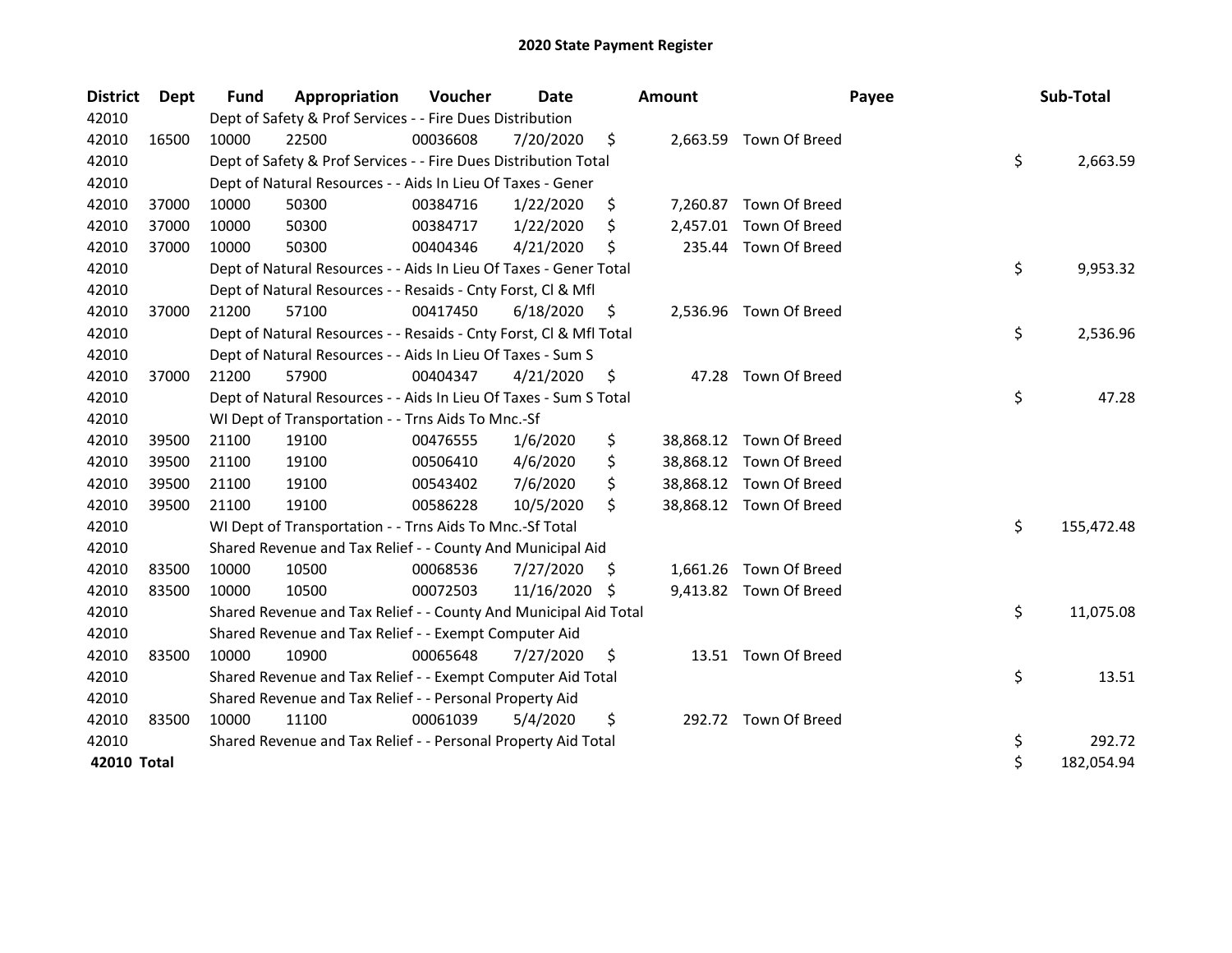| <b>District</b> | Dept  | <b>Fund</b> | Appropriation                                                      | Voucher  | Date          |    | <b>Amount</b> | Payee                   | Sub-Total        |
|-----------------|-------|-------------|--------------------------------------------------------------------|----------|---------------|----|---------------|-------------------------|------------------|
| 42010           |       |             | Dept of Safety & Prof Services - - Fire Dues Distribution          |          |               |    |               |                         |                  |
| 42010           | 16500 | 10000       | 22500                                                              | 00036608 | 7/20/2020     | \$ |               | 2,663.59 Town Of Breed  |                  |
| 42010           |       |             | Dept of Safety & Prof Services - - Fire Dues Distribution Total    |          |               |    |               |                         | \$<br>2,663.59   |
| 42010           |       |             | Dept of Natural Resources - - Aids In Lieu Of Taxes - Gener        |          |               |    |               |                         |                  |
| 42010           | 37000 | 10000       | 50300                                                              | 00384716 | 1/22/2020     | \$ | 7,260.87      | Town Of Breed           |                  |
| 42010           | 37000 | 10000       | 50300                                                              | 00384717 | 1/22/2020     | \$ | 2,457.01      | Town Of Breed           |                  |
| 42010           | 37000 | 10000       | 50300                                                              | 00404346 | 4/21/2020     | Ś  | 235.44        | Town Of Breed           |                  |
| 42010           |       |             | Dept of Natural Resources - - Aids In Lieu Of Taxes - Gener Total  |          |               |    |               |                         | \$<br>9,953.32   |
| 42010           |       |             | Dept of Natural Resources - - Resaids - Cnty Forst, Cl & Mfl       |          |               |    |               |                         |                  |
| 42010           | 37000 | 21200       | 57100                                                              | 00417450 | 6/18/2020     | \$ | 2,536.96      | Town Of Breed           |                  |
| 42010           |       |             | Dept of Natural Resources - - Resaids - Cnty Forst, Cl & Mfl Total |          |               |    |               |                         | \$<br>2,536.96   |
| 42010           |       |             | Dept of Natural Resources - - Aids In Lieu Of Taxes - Sum S        |          |               |    |               |                         |                  |
| 42010           | 37000 | 21200       | 57900                                                              | 00404347 | 4/21/2020     | \$ |               | 47.28 Town Of Breed     |                  |
| 42010           |       |             | Dept of Natural Resources - - Aids In Lieu Of Taxes - Sum S Total  |          |               |    |               |                         | \$<br>47.28      |
| 42010           |       |             | WI Dept of Transportation - - Trns Aids To Mnc.-Sf                 |          |               |    |               |                         |                  |
| 42010           | 39500 | 21100       | 19100                                                              | 00476555 | 1/6/2020      | \$ |               | 38,868.12 Town Of Breed |                  |
| 42010           | 39500 | 21100       | 19100                                                              | 00506410 | 4/6/2020      | \$ |               | 38,868.12 Town Of Breed |                  |
| 42010           | 39500 | 21100       | 19100                                                              | 00543402 | 7/6/2020      | \$ |               | 38,868.12 Town Of Breed |                  |
| 42010           | 39500 | 21100       | 19100                                                              | 00586228 | 10/5/2020     | \$ |               | 38,868.12 Town Of Breed |                  |
| 42010           |       |             | WI Dept of Transportation - - Trns Aids To Mnc.-Sf Total           |          |               |    |               |                         | \$<br>155,472.48 |
| 42010           |       |             | Shared Revenue and Tax Relief - - County And Municipal Aid         |          |               |    |               |                         |                  |
| 42010           | 83500 | 10000       | 10500                                                              | 00068536 | 7/27/2020     | \$ | 1,661.26      | Town Of Breed           |                  |
| 42010           | 83500 | 10000       | 10500                                                              | 00072503 | 11/16/2020 \$ |    |               | 9,413.82 Town Of Breed  |                  |
| 42010           |       |             | Shared Revenue and Tax Relief - - County And Municipal Aid Total   |          |               |    |               |                         | \$<br>11,075.08  |
| 42010           |       |             | Shared Revenue and Tax Relief - - Exempt Computer Aid              |          |               |    |               |                         |                  |
| 42010           | 83500 | 10000       | 10900                                                              | 00065648 | 7/27/2020     | \$ |               | 13.51 Town Of Breed     |                  |
| 42010           |       |             | Shared Revenue and Tax Relief - - Exempt Computer Aid Total        |          |               |    |               |                         | \$<br>13.51      |
| 42010           |       |             | Shared Revenue and Tax Relief - - Personal Property Aid            |          |               |    |               |                         |                  |
| 42010           | 83500 | 10000       | 11100                                                              | 00061039 | 5/4/2020      | \$ |               | 292.72 Town Of Breed    |                  |
| 42010           |       |             | Shared Revenue and Tax Relief - - Personal Property Aid Total      |          |               |    |               |                         | \$<br>292.72     |
| 42010 Total     |       |             |                                                                    |          |               |    |               |                         | \$<br>182,054.94 |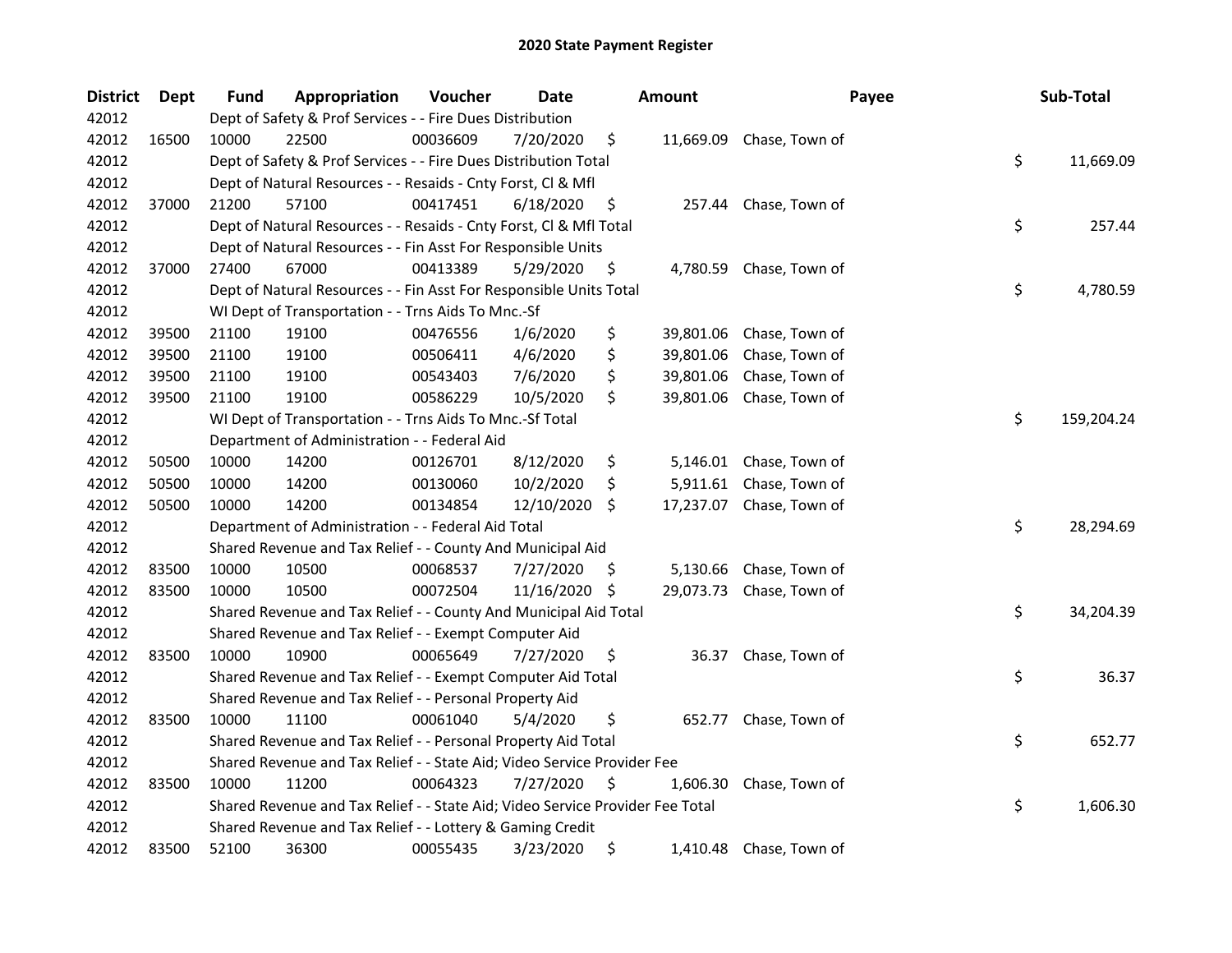| <b>District</b> | Dept  | <b>Fund</b> | <b>Appropriation</b>                                                          | Voucher  | Date       |     | <b>Amount</b> | Payee                    | Sub-Total        |
|-----------------|-------|-------------|-------------------------------------------------------------------------------|----------|------------|-----|---------------|--------------------------|------------------|
| 42012           |       |             | Dept of Safety & Prof Services - - Fire Dues Distribution                     |          |            |     |               |                          |                  |
| 42012           | 16500 | 10000       | 22500                                                                         | 00036609 | 7/20/2020  | \$  |               | 11,669.09 Chase, Town of |                  |
| 42012           |       |             | Dept of Safety & Prof Services - - Fire Dues Distribution Total               |          |            |     |               |                          | \$<br>11,669.09  |
| 42012           |       |             | Dept of Natural Resources - - Resaids - Cnty Forst, Cl & Mfl                  |          |            |     |               |                          |                  |
| 42012           | 37000 | 21200       | 57100                                                                         | 00417451 | 6/18/2020  | \$  |               | 257.44 Chase, Town of    |                  |
| 42012           |       |             | Dept of Natural Resources - - Resaids - Cnty Forst, Cl & Mfl Total            |          |            |     |               |                          | \$<br>257.44     |
| 42012           |       |             | Dept of Natural Resources - - Fin Asst For Responsible Units                  |          |            |     |               |                          |                  |
| 42012           | 37000 | 27400       | 67000                                                                         | 00413389 | 5/29/2020  | \$  |               | 4,780.59 Chase, Town of  |                  |
| 42012           |       |             | Dept of Natural Resources - - Fin Asst For Responsible Units Total            |          |            |     |               |                          | \$<br>4,780.59   |
| 42012           |       |             | WI Dept of Transportation - - Trns Aids To Mnc.-Sf                            |          |            |     |               |                          |                  |
| 42012           | 39500 | 21100       | 19100                                                                         | 00476556 | 1/6/2020   | \$  |               | 39,801.06 Chase, Town of |                  |
| 42012           | 39500 | 21100       | 19100                                                                         | 00506411 | 4/6/2020   | \$  | 39,801.06     | Chase, Town of           |                  |
| 42012           | 39500 | 21100       | 19100                                                                         | 00543403 | 7/6/2020   | \$  | 39,801.06     | Chase, Town of           |                  |
| 42012           | 39500 | 21100       | 19100                                                                         | 00586229 | 10/5/2020  | \$  | 39,801.06     | Chase, Town of           |                  |
| 42012           |       |             | WI Dept of Transportation - - Trns Aids To Mnc.-Sf Total                      |          |            |     |               |                          | \$<br>159,204.24 |
| 42012           |       |             | Department of Administration - - Federal Aid                                  |          |            |     |               |                          |                  |
| 42012           | 50500 | 10000       | 14200                                                                         | 00126701 | 8/12/2020  | \$  | 5,146.01      | Chase, Town of           |                  |
| 42012           | 50500 | 10000       | 14200                                                                         | 00130060 | 10/2/2020  | \$  | 5,911.61      | Chase, Town of           |                  |
| 42012           | 50500 | 10000       | 14200                                                                         | 00134854 | 12/10/2020 | -\$ |               | 17,237.07 Chase, Town of |                  |
| 42012           |       |             | Department of Administration - - Federal Aid Total                            |          |            |     |               |                          | \$<br>28,294.69  |
| 42012           |       |             | Shared Revenue and Tax Relief - - County And Municipal Aid                    |          |            |     |               |                          |                  |
| 42012           | 83500 | 10000       | 10500                                                                         | 00068537 | 7/27/2020  | Ş   | 5,130.66      | Chase, Town of           |                  |
| 42012           | 83500 | 10000       | 10500                                                                         | 00072504 | 11/16/2020 | -\$ |               | 29,073.73 Chase, Town of |                  |
| 42012           |       |             | Shared Revenue and Tax Relief - - County And Municipal Aid Total              |          |            |     |               |                          | \$<br>34,204.39  |
| 42012           |       |             | Shared Revenue and Tax Relief - - Exempt Computer Aid                         |          |            |     |               |                          |                  |
| 42012           | 83500 | 10000       | 10900                                                                         | 00065649 | 7/27/2020  | \$  | 36.37         | Chase, Town of           |                  |
| 42012           |       |             | Shared Revenue and Tax Relief - - Exempt Computer Aid Total                   |          |            |     |               |                          | \$<br>36.37      |
| 42012           |       |             | Shared Revenue and Tax Relief - - Personal Property Aid                       |          |            |     |               |                          |                  |
| 42012           | 83500 | 10000       | 11100                                                                         | 00061040 | 5/4/2020   | \$  | 652.77        | Chase, Town of           |                  |
| 42012           |       |             | Shared Revenue and Tax Relief - - Personal Property Aid Total                 |          |            |     |               |                          | \$<br>652.77     |
| 42012           |       |             | Shared Revenue and Tax Relief - - State Aid; Video Service Provider Fee       |          |            |     |               |                          |                  |
| 42012           | 83500 | 10000       | 11200                                                                         | 00064323 | 7/27/2020  | \$  | 1,606.30      | Chase, Town of           |                  |
| 42012           |       |             | Shared Revenue and Tax Relief - - State Aid; Video Service Provider Fee Total |          |            |     |               |                          | \$<br>1,606.30   |
| 42012           |       |             | Shared Revenue and Tax Relief - - Lottery & Gaming Credit                     |          |            |     |               |                          |                  |
| 42012           | 83500 | 52100       | 36300                                                                         | 00055435 | 3/23/2020  | \$  |               | 1,410.48 Chase, Town of  |                  |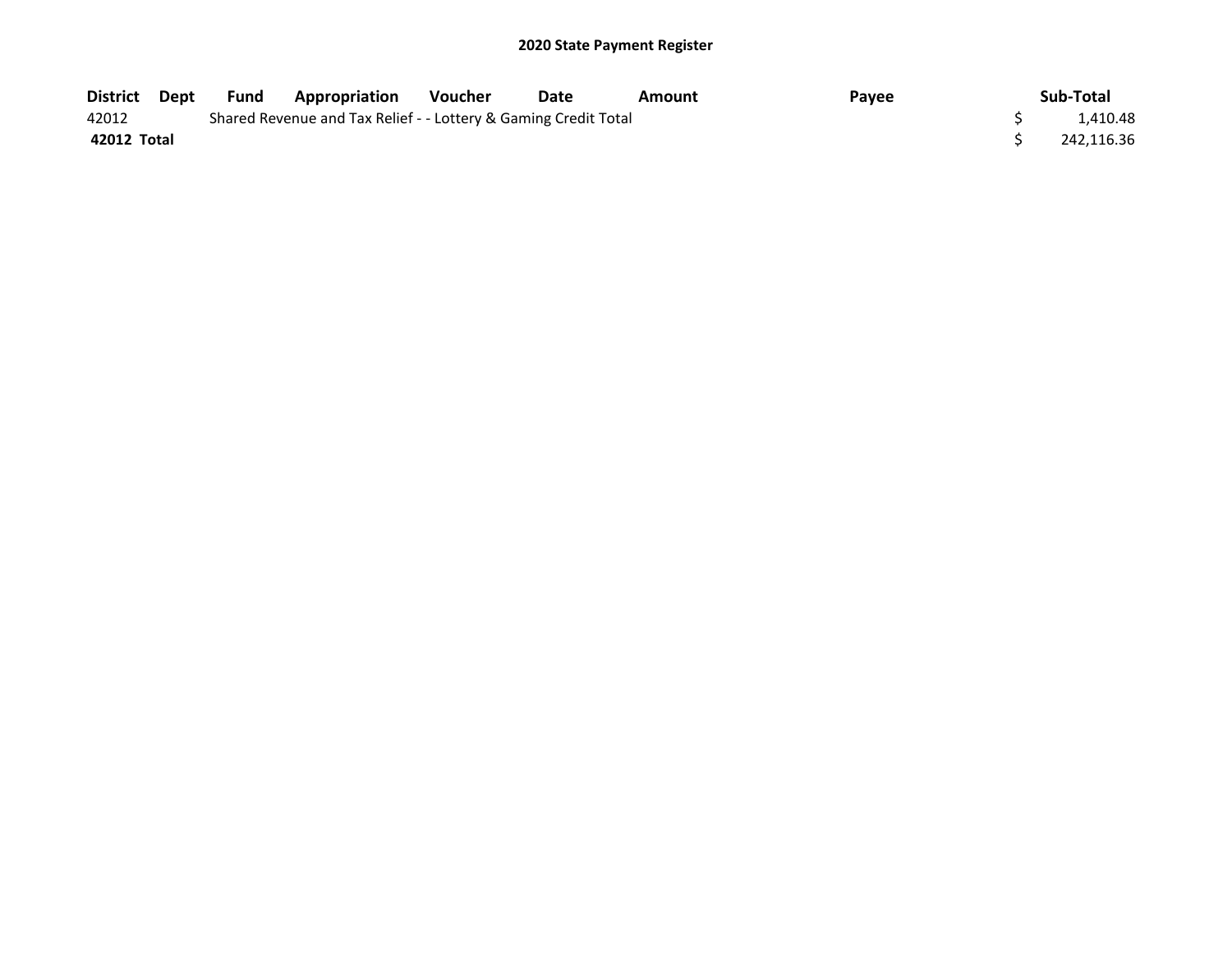| District Dept | Fund | <b>Appropriation</b>                                            | <b>Voucher</b> | Date | Amount | Payee | Sub-Total  |
|---------------|------|-----------------------------------------------------------------|----------------|------|--------|-------|------------|
| 42012         |      | Shared Revenue and Tax Relief - - Lottery & Gaming Credit Total |                |      |        |       | 1.410.48   |
| 42012 Total   |      |                                                                 |                |      |        |       | 242,116.36 |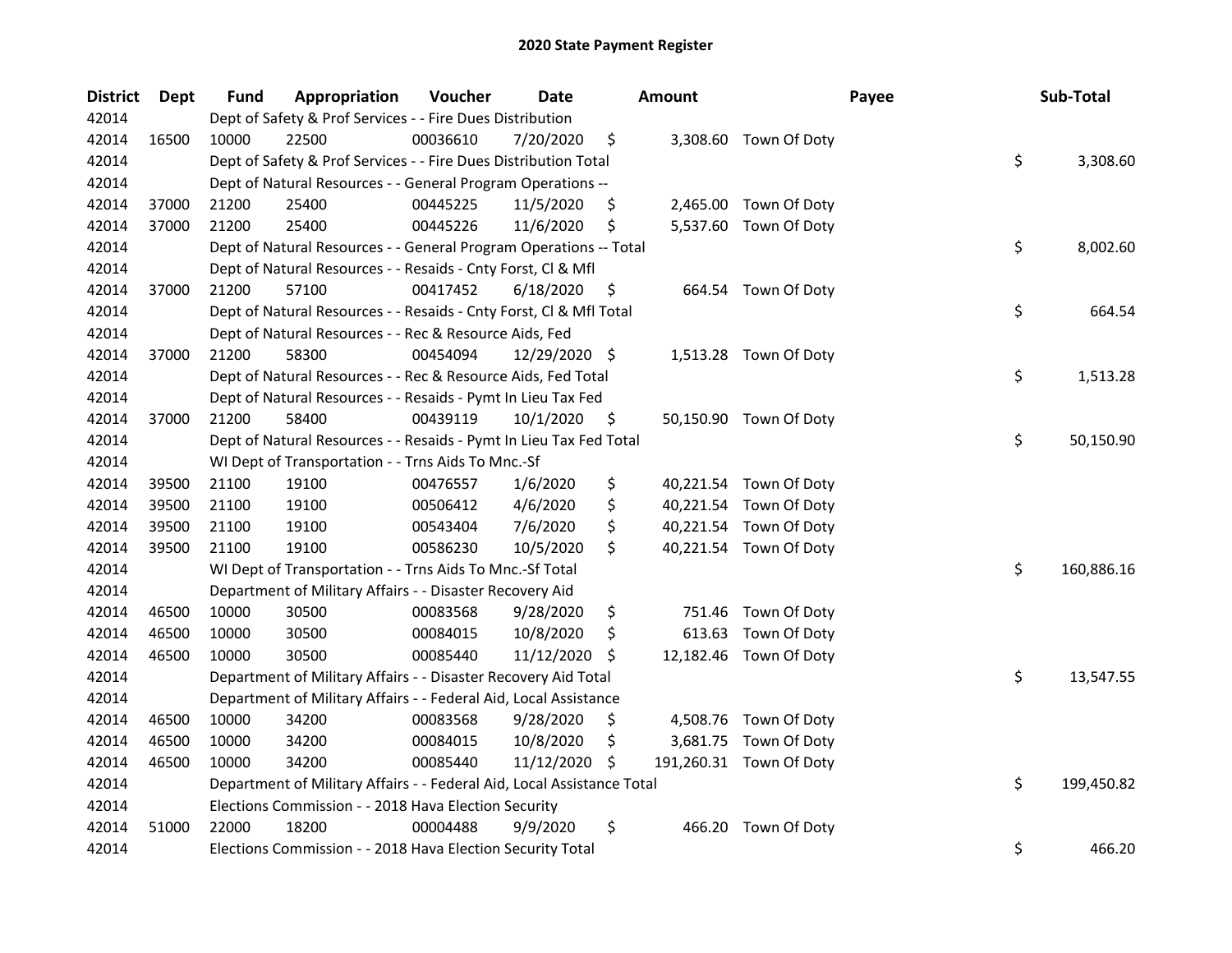| <b>District</b> | Dept  | <b>Fund</b> | Appropriation                                                          | Voucher  | <b>Date</b>   |     | <b>Amount</b> |                         | Payee | Sub-Total        |
|-----------------|-------|-------------|------------------------------------------------------------------------|----------|---------------|-----|---------------|-------------------------|-------|------------------|
| 42014           |       |             | Dept of Safety & Prof Services - - Fire Dues Distribution              |          |               |     |               |                         |       |                  |
| 42014           | 16500 | 10000       | 22500                                                                  | 00036610 | 7/20/2020     | \$  |               | 3,308.60 Town Of Doty   |       |                  |
| 42014           |       |             | Dept of Safety & Prof Services - - Fire Dues Distribution Total        |          |               |     |               |                         |       | \$<br>3,308.60   |
| 42014           |       |             | Dept of Natural Resources - - General Program Operations --            |          |               |     |               |                         |       |                  |
| 42014           | 37000 | 21200       | 25400                                                                  | 00445225 | 11/5/2020     | \$  |               | 2,465.00 Town Of Doty   |       |                  |
| 42014           | 37000 | 21200       | 25400                                                                  | 00445226 | 11/6/2020     | \$  |               | 5,537.60 Town Of Doty   |       |                  |
| 42014           |       |             | Dept of Natural Resources - - General Program Operations -- Total      |          |               |     |               |                         |       | \$<br>8,002.60   |
| 42014           |       |             | Dept of Natural Resources - - Resaids - Cnty Forst, Cl & Mfl           |          |               |     |               |                         |       |                  |
| 42014           | 37000 | 21200       | 57100                                                                  | 00417452 | 6/18/2020     | \$  |               | 664.54 Town Of Doty     |       |                  |
| 42014           |       |             | Dept of Natural Resources - - Resaids - Cnty Forst, Cl & Mfl Total     |          |               |     |               |                         |       | \$<br>664.54     |
| 42014           |       |             | Dept of Natural Resources - - Rec & Resource Aids, Fed                 |          |               |     |               |                         |       |                  |
| 42014           | 37000 | 21200       | 58300                                                                  | 00454094 | 12/29/2020 \$ |     |               | 1,513.28 Town Of Doty   |       |                  |
| 42014           |       |             | Dept of Natural Resources - - Rec & Resource Aids, Fed Total           |          |               |     |               |                         |       | \$<br>1,513.28   |
| 42014           |       |             | Dept of Natural Resources - - Resaids - Pymt In Lieu Tax Fed           |          |               |     |               |                         |       |                  |
| 42014           | 37000 | 21200       | 58400                                                                  | 00439119 | 10/1/2020     | \$, |               | 50,150.90 Town Of Doty  |       |                  |
| 42014           |       |             | Dept of Natural Resources - - Resaids - Pymt In Lieu Tax Fed Total     |          |               |     |               |                         |       | \$<br>50,150.90  |
| 42014           |       |             | WI Dept of Transportation - - Trns Aids To Mnc.-Sf                     |          |               |     |               |                         |       |                  |
| 42014           | 39500 | 21100       | 19100                                                                  | 00476557 | 1/6/2020      | \$  |               | 40,221.54 Town Of Doty  |       |                  |
| 42014           | 39500 | 21100       | 19100                                                                  | 00506412 | 4/6/2020      | \$  |               | 40,221.54 Town Of Doty  |       |                  |
| 42014           | 39500 | 21100       | 19100                                                                  | 00543404 | 7/6/2020      | \$  |               | 40,221.54 Town Of Doty  |       |                  |
| 42014           | 39500 | 21100       | 19100                                                                  | 00586230 | 10/5/2020     | \$  |               | 40,221.54 Town Of Doty  |       |                  |
| 42014           |       |             | WI Dept of Transportation - - Trns Aids To Mnc.-Sf Total               |          |               |     |               |                         |       | \$<br>160,886.16 |
| 42014           |       |             | Department of Military Affairs - - Disaster Recovery Aid               |          |               |     |               |                         |       |                  |
| 42014           | 46500 | 10000       | 30500                                                                  | 00083568 | 9/28/2020     | \$  | 751.46        | Town Of Doty            |       |                  |
| 42014           | 46500 | 10000       | 30500                                                                  | 00084015 | 10/8/2020     | \$  | 613.63        | Town Of Doty            |       |                  |
| 42014           | 46500 | 10000       | 30500                                                                  | 00085440 | 11/12/2020    | S   |               | 12,182.46 Town Of Doty  |       |                  |
| 42014           |       |             | Department of Military Affairs - - Disaster Recovery Aid Total         |          |               |     |               |                         |       | \$<br>13,547.55  |
| 42014           |       |             | Department of Military Affairs - - Federal Aid, Local Assistance       |          |               |     |               |                         |       |                  |
| 42014           | 46500 | 10000       | 34200                                                                  | 00083568 | 9/28/2020     | \$, |               | 4,508.76 Town Of Doty   |       |                  |
| 42014           | 46500 | 10000       | 34200                                                                  | 00084015 | 10/8/2020     | \$  | 3,681.75      | Town Of Doty            |       |                  |
| 42014           | 46500 | 10000       | 34200                                                                  | 00085440 | 11/12/2020    | \$, |               | 191,260.31 Town Of Doty |       |                  |
| 42014           |       |             | Department of Military Affairs - - Federal Aid, Local Assistance Total |          |               |     |               |                         |       | \$<br>199,450.82 |
| 42014           |       |             | Elections Commission - - 2018 Hava Election Security                   |          |               |     |               |                         |       |                  |
| 42014           | 51000 | 22000       | 18200                                                                  | 00004488 | 9/9/2020      | \$  | 466.20        | Town Of Doty            |       |                  |
| 42014           |       |             | Elections Commission - - 2018 Hava Election Security Total             |          |               |     |               |                         |       | \$<br>466.20     |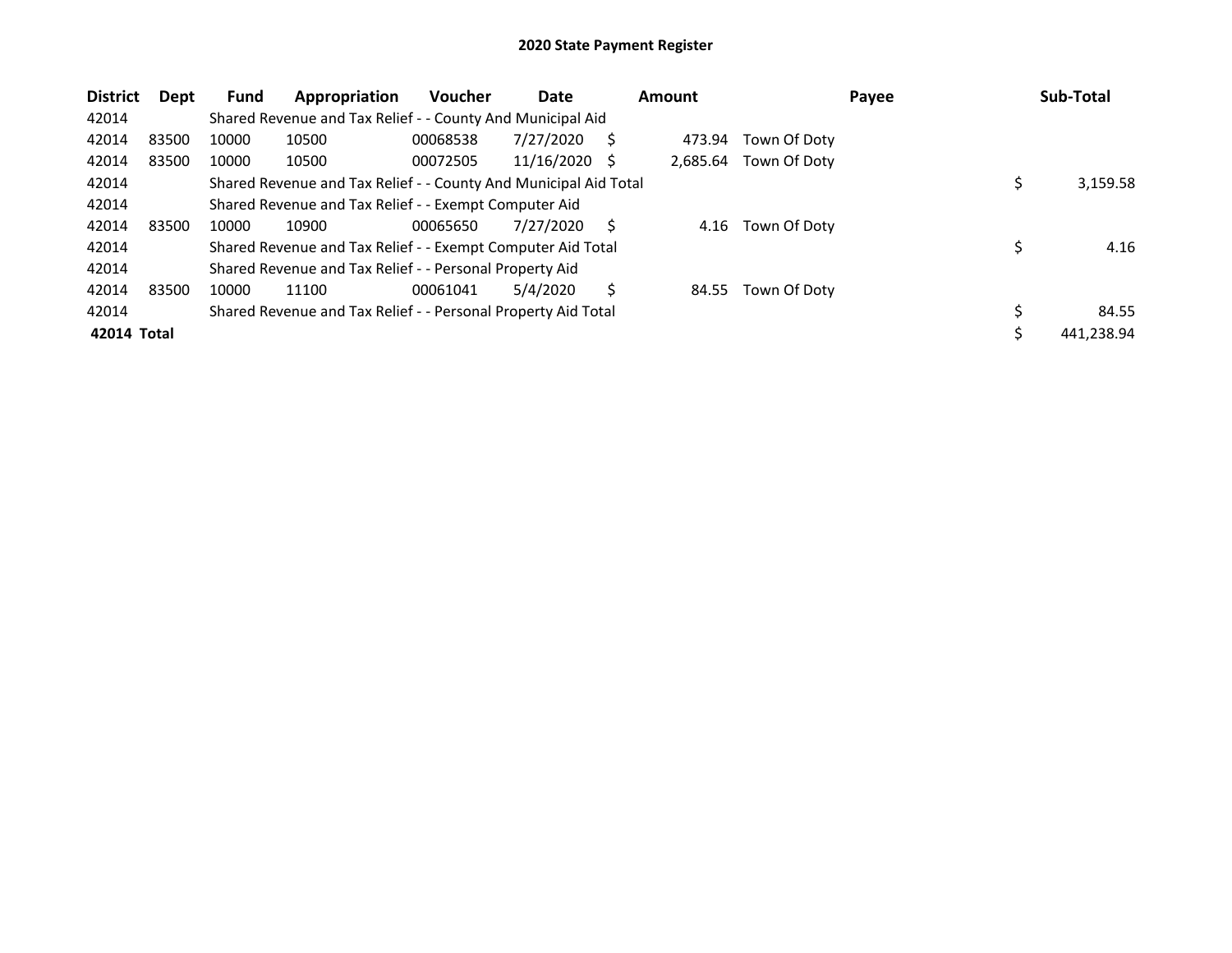| <b>District</b> | Dept  | <b>Fund</b> | Appropriation                                                    | Voucher  | Date            |   | <b>Amount</b> |              | Payee | Sub-Total  |
|-----------------|-------|-------------|------------------------------------------------------------------|----------|-----------------|---|---------------|--------------|-------|------------|
| 42014           |       |             | Shared Revenue and Tax Relief - - County And Municipal Aid       |          |                 |   |               |              |       |            |
| 42014           | 83500 | 10000       | 10500                                                            | 00068538 | 7/27/2020       | S | 473.94        | Town Of Doty |       |            |
| 42014           | 83500 | 10000       | 10500                                                            | 00072505 | $11/16/2020$ \$ |   | 2.685.64      | Town Of Doty |       |            |
| 42014           |       |             | Shared Revenue and Tax Relief - - County And Municipal Aid Total |          |                 |   |               |              |       | 3,159.58   |
| 42014           |       |             | Shared Revenue and Tax Relief - - Exempt Computer Aid            |          |                 |   |               |              |       |            |
| 42014           | 83500 | 10000       | 10900                                                            | 00065650 | 7/27/2020       | S | 4.16          | Town Of Doty |       |            |
| 42014           |       |             | Shared Revenue and Tax Relief - - Exempt Computer Aid Total      |          |                 |   |               |              |       | 4.16       |
| 42014           |       |             | Shared Revenue and Tax Relief - - Personal Property Aid          |          |                 |   |               |              |       |            |
| 42014           | 83500 | 10000       | 11100                                                            | 00061041 | 5/4/2020        | S | 84.55         | Town Of Doty |       |            |
| 42014           |       |             | Shared Revenue and Tax Relief - - Personal Property Aid Total    |          |                 |   |               |              |       | 84.55      |
| 42014 Total     |       |             |                                                                  |          |                 |   |               |              |       | 441,238.94 |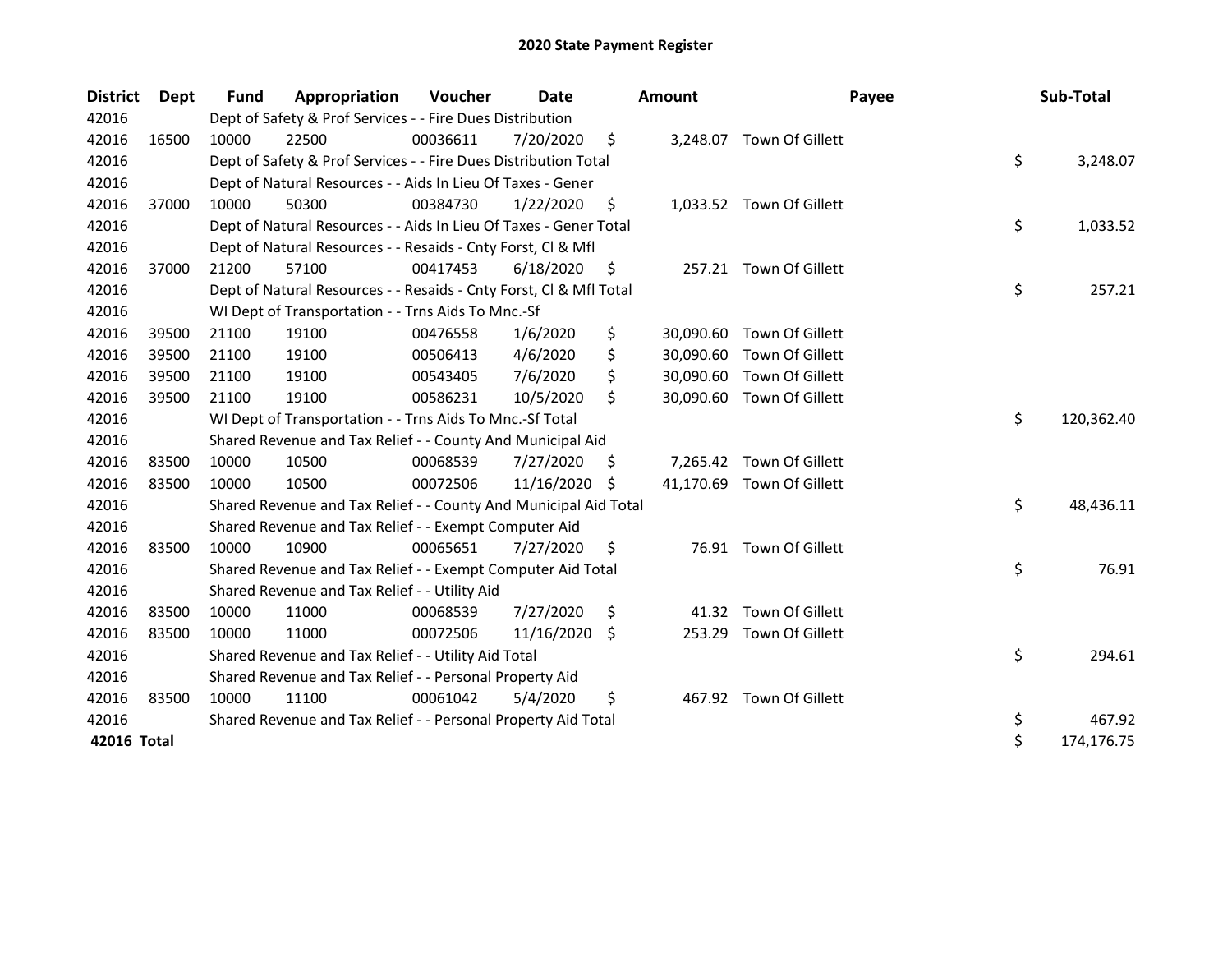| <b>District</b> | <b>Dept</b> | <b>Fund</b> | Appropriation                                                      | Voucher  | Date       |     | Amount    | Payee                     | Sub-Total        |
|-----------------|-------------|-------------|--------------------------------------------------------------------|----------|------------|-----|-----------|---------------------------|------------------|
| 42016           |             |             | Dept of Safety & Prof Services - - Fire Dues Distribution          |          |            |     |           |                           |                  |
| 42016           | 16500       | 10000       | 22500                                                              | 00036611 | 7/20/2020  | \$  |           | 3,248.07 Town Of Gillett  |                  |
| 42016           |             |             | Dept of Safety & Prof Services - - Fire Dues Distribution Total    |          |            |     |           |                           | \$<br>3,248.07   |
| 42016           |             |             | Dept of Natural Resources - - Aids In Lieu Of Taxes - Gener        |          |            |     |           |                           |                  |
| 42016           | 37000       | 10000       | 50300                                                              | 00384730 | 1/22/2020  | \$  |           | 1,033.52 Town Of Gillett  |                  |
| 42016           |             |             | Dept of Natural Resources - - Aids In Lieu Of Taxes - Gener Total  |          |            |     |           |                           | \$<br>1,033.52   |
| 42016           |             |             | Dept of Natural Resources - - Resaids - Cnty Forst, Cl & Mfl       |          |            |     |           |                           |                  |
| 42016           | 37000       | 21200       | 57100                                                              | 00417453 | 6/18/2020  | \$, |           | 257.21 Town Of Gillett    |                  |
| 42016           |             |             | Dept of Natural Resources - - Resaids - Cnty Forst, Cl & Mfl Total |          |            |     |           |                           | \$<br>257.21     |
| 42016           |             |             | WI Dept of Transportation - - Trns Aids To Mnc.-Sf                 |          |            |     |           |                           |                  |
| 42016           | 39500       | 21100       | 19100                                                              | 00476558 | 1/6/2020   | \$  | 30,090.60 | Town Of Gillett           |                  |
| 42016           | 39500       | 21100       | 19100                                                              | 00506413 | 4/6/2020   | \$  | 30,090.60 | Town Of Gillett           |                  |
| 42016           | 39500       | 21100       | 19100                                                              | 00543405 | 7/6/2020   |     | 30,090.60 | Town Of Gillett           |                  |
| 42016           | 39500       | 21100       | 19100                                                              | 00586231 | 10/5/2020  | \$  |           | 30,090.60 Town Of Gillett |                  |
| 42016           |             |             | WI Dept of Transportation - - Trns Aids To Mnc.-Sf Total           |          |            |     |           |                           | \$<br>120,362.40 |
| 42016           |             |             | Shared Revenue and Tax Relief - - County And Municipal Aid         |          |            |     |           |                           |                  |
| 42016           | 83500       | 10000       | 10500                                                              | 00068539 | 7/27/2020  | \$. | 7,265.42  | Town Of Gillett           |                  |
| 42016           | 83500       | 10000       | 10500                                                              | 00072506 | 11/16/2020 | S   |           | 41,170.69 Town Of Gillett |                  |
| 42016           |             |             | Shared Revenue and Tax Relief - - County And Municipal Aid Total   |          |            |     |           |                           | \$<br>48,436.11  |
| 42016           |             |             | Shared Revenue and Tax Relief - - Exempt Computer Aid              |          |            |     |           |                           |                  |
| 42016           | 83500       | 10000       | 10900                                                              | 00065651 | 7/27/2020  | \$. |           | 76.91 Town Of Gillett     |                  |
| 42016           |             |             | Shared Revenue and Tax Relief - - Exempt Computer Aid Total        |          |            |     |           |                           | \$<br>76.91      |
| 42016           |             |             | Shared Revenue and Tax Relief - - Utility Aid                      |          |            |     |           |                           |                  |
| 42016           | 83500       | 10000       | 11000                                                              | 00068539 | 7/27/2020  | \$  | 41.32     | Town Of Gillett           |                  |
| 42016           | 83500       | 10000       | 11000                                                              | 00072506 | 11/16/2020 | Ŝ.  | 253.29    | Town Of Gillett           |                  |
| 42016           |             |             | Shared Revenue and Tax Relief - - Utility Aid Total                |          |            |     |           |                           | \$<br>294.61     |
| 42016           |             |             | Shared Revenue and Tax Relief - - Personal Property Aid            |          |            |     |           |                           |                  |
| 42016           | 83500       | 10000       | 11100                                                              | 00061042 | 5/4/2020   | \$  |           | 467.92 Town Of Gillett    |                  |
| 42016           |             |             | Shared Revenue and Tax Relief - - Personal Property Aid Total      |          |            |     |           |                           | \$<br>467.92     |
| 42016 Total     |             |             |                                                                    |          |            |     |           |                           | \$<br>174,176.75 |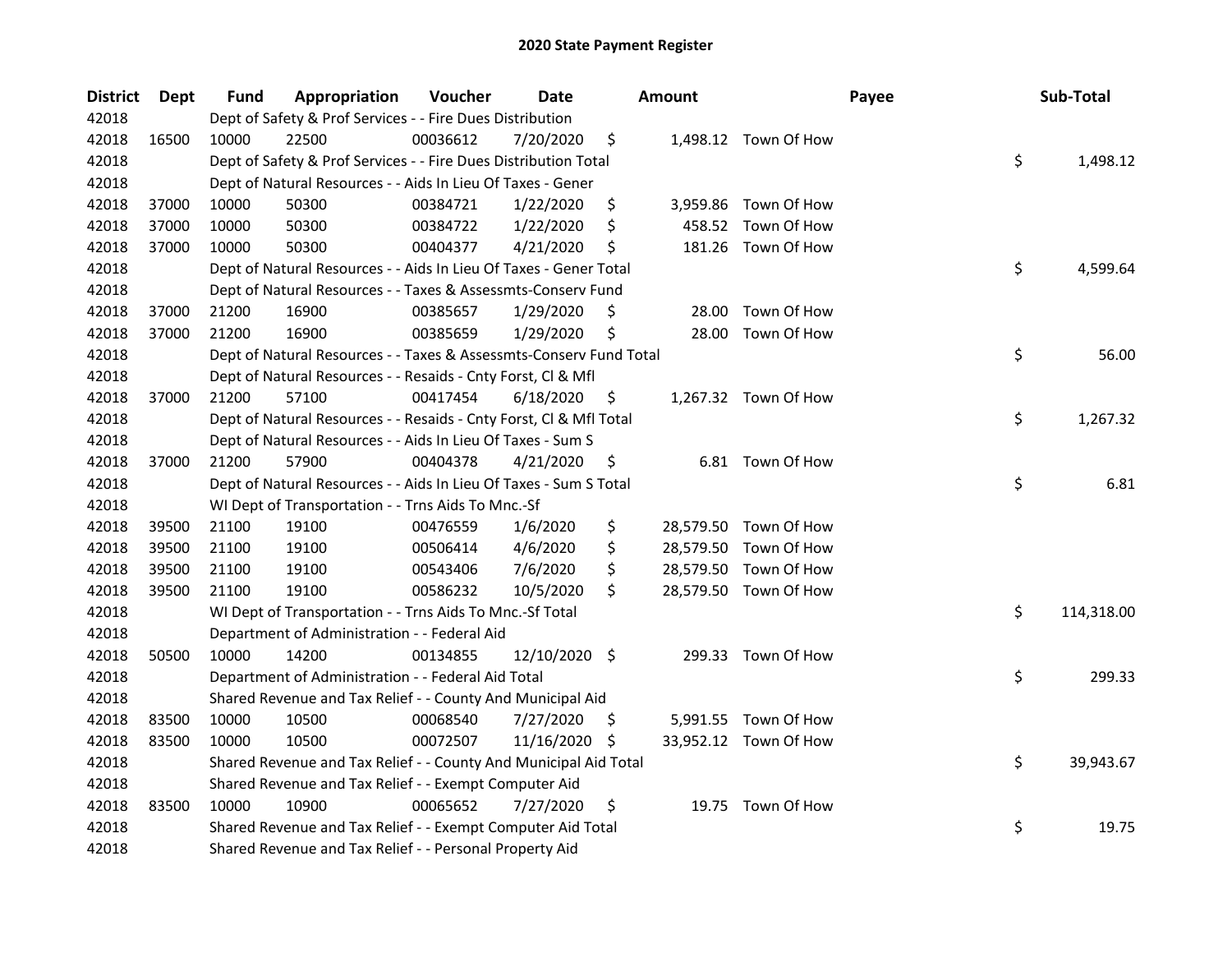| <b>District</b> | Dept  | Fund  | Appropriation                                                      | Voucher  | <b>Date</b>   |     | <b>Amount</b> |                       | Payee | Sub-Total        |
|-----------------|-------|-------|--------------------------------------------------------------------|----------|---------------|-----|---------------|-----------------------|-------|------------------|
| 42018           |       |       | Dept of Safety & Prof Services - - Fire Dues Distribution          |          |               |     |               |                       |       |                  |
| 42018           | 16500 | 10000 | 22500                                                              | 00036612 | 7/20/2020     | \$  |               | 1,498.12 Town Of How  |       |                  |
| 42018           |       |       | Dept of Safety & Prof Services - - Fire Dues Distribution Total    |          |               |     |               |                       |       | \$<br>1,498.12   |
| 42018           |       |       | Dept of Natural Resources - - Aids In Lieu Of Taxes - Gener        |          |               |     |               |                       |       |                  |
| 42018           | 37000 | 10000 | 50300                                                              | 00384721 | 1/22/2020     | \$  |               | 3,959.86 Town Of How  |       |                  |
| 42018           | 37000 | 10000 | 50300                                                              | 00384722 | 1/22/2020     | \$  | 458.52        | Town Of How           |       |                  |
| 42018           | 37000 | 10000 | 50300                                                              | 00404377 | 4/21/2020     | \$, |               | 181.26 Town Of How    |       |                  |
| 42018           |       |       | Dept of Natural Resources - - Aids In Lieu Of Taxes - Gener Total  |          |               |     |               |                       |       | \$<br>4,599.64   |
| 42018           |       |       | Dept of Natural Resources - - Taxes & Assessmts-Conserv Fund       |          |               |     |               |                       |       |                  |
| 42018           | 37000 | 21200 | 16900                                                              | 00385657 | 1/29/2020     | \$  | 28.00         | Town Of How           |       |                  |
| 42018           | 37000 | 21200 | 16900                                                              | 00385659 | 1/29/2020     | \$  | 28.00         | Town Of How           |       |                  |
| 42018           |       |       | Dept of Natural Resources - - Taxes & Assessmts-Conserv Fund Total |          |               |     |               |                       |       | \$<br>56.00      |
| 42018           |       |       | Dept of Natural Resources - - Resaids - Cnty Forst, Cl & Mfl       |          |               |     |               |                       |       |                  |
| 42018           | 37000 | 21200 | 57100                                                              | 00417454 | 6/18/2020     | \$, |               | 1,267.32 Town Of How  |       |                  |
| 42018           |       |       | Dept of Natural Resources - - Resaids - Cnty Forst, Cl & Mfl Total |          |               |     |               |                       |       | \$<br>1,267.32   |
| 42018           |       |       | Dept of Natural Resources - - Aids In Lieu Of Taxes - Sum S        |          |               |     |               |                       |       |                  |
| 42018           | 37000 | 21200 | 57900                                                              | 00404378 | 4/21/2020     | \$  |               | 6.81 Town Of How      |       |                  |
| 42018           |       |       | Dept of Natural Resources - - Aids In Lieu Of Taxes - Sum S Total  |          |               |     |               |                       |       | \$<br>6.81       |
| 42018           |       |       | WI Dept of Transportation - - Trns Aids To Mnc.-Sf                 |          |               |     |               |                       |       |                  |
| 42018           | 39500 | 21100 | 19100                                                              | 00476559 | 1/6/2020      | \$  |               | 28,579.50 Town Of How |       |                  |
| 42018           | 39500 | 21100 | 19100                                                              | 00506414 | 4/6/2020      | \$  |               | 28,579.50 Town Of How |       |                  |
| 42018           | 39500 | 21100 | 19100                                                              | 00543406 | 7/6/2020      | \$  |               | 28,579.50 Town Of How |       |                  |
| 42018           | 39500 | 21100 | 19100                                                              | 00586232 | 10/5/2020     | \$  |               | 28,579.50 Town Of How |       |                  |
| 42018           |       |       | WI Dept of Transportation - - Trns Aids To Mnc.-Sf Total           |          |               |     |               |                       |       | \$<br>114,318.00 |
| 42018           |       |       | Department of Administration - - Federal Aid                       |          |               |     |               |                       |       |                  |
| 42018           | 50500 | 10000 | 14200                                                              | 00134855 | 12/10/2020 \$ |     |               | 299.33 Town Of How    |       |                  |
| 42018           |       |       | Department of Administration - - Federal Aid Total                 |          |               |     |               |                       |       | \$<br>299.33     |
| 42018           |       |       | Shared Revenue and Tax Relief - - County And Municipal Aid         |          |               |     |               |                       |       |                  |
| 42018           | 83500 | 10000 | 10500                                                              | 00068540 | 7/27/2020     | S   |               | 5,991.55 Town Of How  |       |                  |
| 42018           | 83500 | 10000 | 10500                                                              | 00072507 | 11/16/2020    | -\$ |               | 33,952.12 Town Of How |       |                  |
| 42018           |       |       | Shared Revenue and Tax Relief - - County And Municipal Aid Total   |          |               |     |               |                       |       | \$<br>39,943.67  |
| 42018           |       |       | Shared Revenue and Tax Relief - - Exempt Computer Aid              |          |               |     |               |                       |       |                  |
| 42018           | 83500 | 10000 | 10900                                                              | 00065652 | 7/27/2020     | \$  |               | 19.75 Town Of How     |       |                  |
| 42018           |       |       | Shared Revenue and Tax Relief - - Exempt Computer Aid Total        |          |               |     |               |                       |       | \$<br>19.75      |
| 42018           |       |       | Shared Revenue and Tax Relief - - Personal Property Aid            |          |               |     |               |                       |       |                  |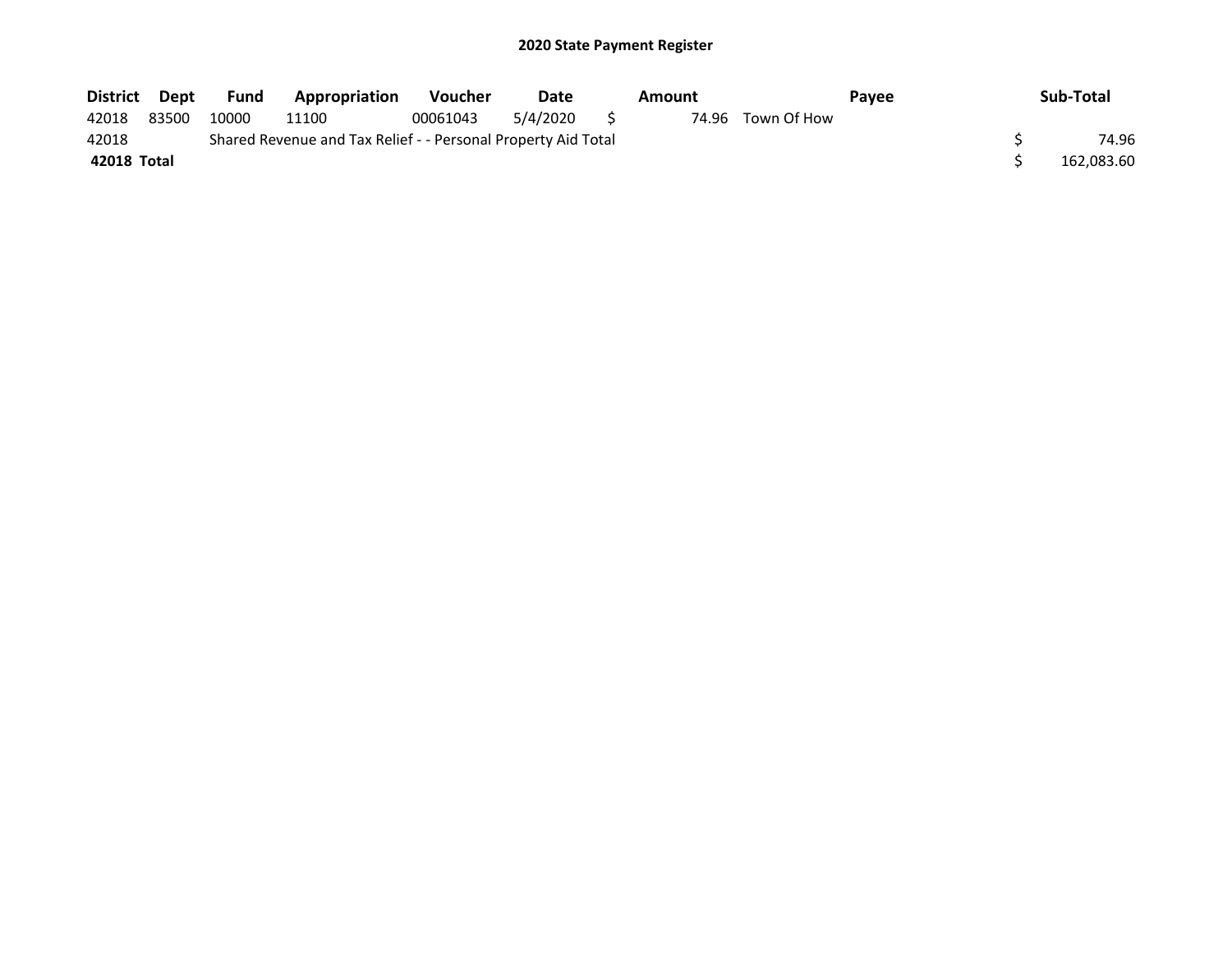| District Dept |       | Fund  | Appropriation                                                 | Voucher  | Date        | Amount |                   | Payee | Sub-Total  |
|---------------|-------|-------|---------------------------------------------------------------|----------|-------------|--------|-------------------|-------|------------|
| 42018         | 83500 | 10000 | 11100                                                         | 00061043 | 5/4/2020 \$ |        | 74.96 Town Of How |       |            |
| 42018         |       |       | Shared Revenue and Tax Relief - - Personal Property Aid Total |          |             |        |                   |       | 74.96      |
| 42018 Total   |       |       |                                                               |          |             |        |                   |       | 162,083.60 |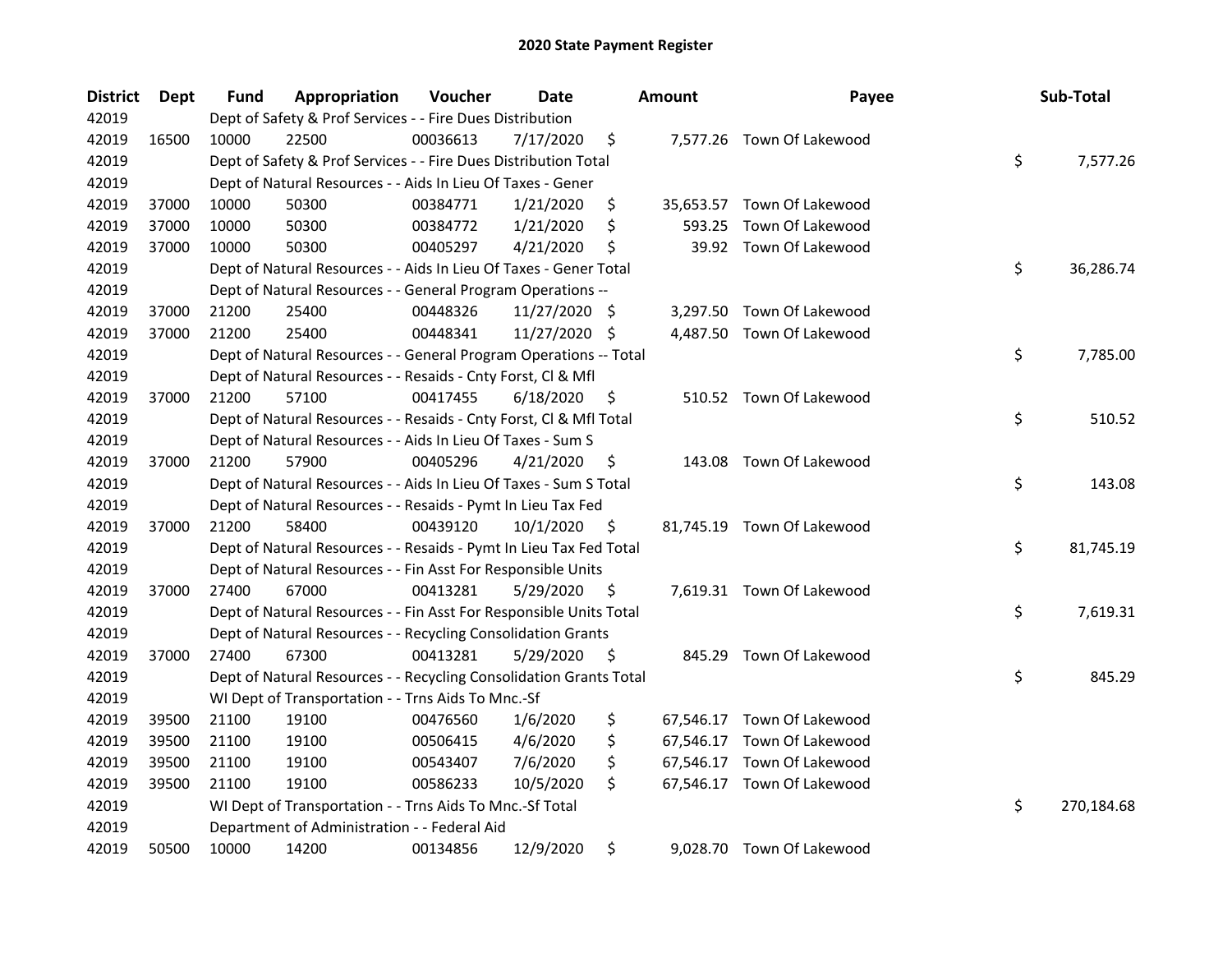| <b>District</b> | Dept  | <b>Fund</b> | Appropriation                                                      | Voucher  | <b>Date</b>   |     | <b>Amount</b> | Payee                      | Sub-Total        |
|-----------------|-------|-------------|--------------------------------------------------------------------|----------|---------------|-----|---------------|----------------------------|------------------|
| 42019           |       |             | Dept of Safety & Prof Services - - Fire Dues Distribution          |          |               |     |               |                            |                  |
| 42019           | 16500 | 10000       | 22500                                                              | 00036613 | 7/17/2020     | \$  |               | 7,577.26 Town Of Lakewood  |                  |
| 42019           |       |             | Dept of Safety & Prof Services - - Fire Dues Distribution Total    |          |               |     |               |                            | \$<br>7,577.26   |
| 42019           |       |             | Dept of Natural Resources - - Aids In Lieu Of Taxes - Gener        |          |               |     |               |                            |                  |
| 42019           | 37000 | 10000       | 50300                                                              | 00384771 | 1/21/2020     | \$  |               | 35,653.57 Town Of Lakewood |                  |
| 42019           | 37000 | 10000       | 50300                                                              | 00384772 | 1/21/2020     | \$  | 593.25        | Town Of Lakewood           |                  |
| 42019           | 37000 | 10000       | 50300                                                              | 00405297 | 4/21/2020     | \$  |               | 39.92 Town Of Lakewood     |                  |
| 42019           |       |             | Dept of Natural Resources - - Aids In Lieu Of Taxes - Gener Total  |          |               |     |               |                            | \$<br>36,286.74  |
| 42019           |       |             | Dept of Natural Resources - - General Program Operations --        |          |               |     |               |                            |                  |
| 42019           | 37000 | 21200       | 25400                                                              | 00448326 | 11/27/2020 \$ |     |               | 3,297.50 Town Of Lakewood  |                  |
| 42019           | 37000 | 21200       | 25400                                                              | 00448341 | 11/27/2020 \$ |     |               | 4,487.50 Town Of Lakewood  |                  |
| 42019           |       |             | Dept of Natural Resources - - General Program Operations -- Total  |          |               |     |               |                            | \$<br>7,785.00   |
| 42019           |       |             | Dept of Natural Resources - - Resaids - Cnty Forst, Cl & Mfl       |          |               |     |               |                            |                  |
| 42019           | 37000 | 21200       | 57100                                                              | 00417455 | 6/18/2020     | \$. |               | 510.52 Town Of Lakewood    |                  |
| 42019           |       |             | Dept of Natural Resources - - Resaids - Cnty Forst, CI & Mfl Total |          |               |     |               |                            | \$<br>510.52     |
| 42019           |       |             | Dept of Natural Resources - - Aids In Lieu Of Taxes - Sum S        |          |               |     |               |                            |                  |
| 42019           | 37000 | 21200       | 57900                                                              | 00405296 | 4/21/2020     | S   | 143.08        | Town Of Lakewood           |                  |
| 42019           |       |             | Dept of Natural Resources - - Aids In Lieu Of Taxes - Sum S Total  |          |               |     |               |                            | \$<br>143.08     |
| 42019           |       |             | Dept of Natural Resources - - Resaids - Pymt In Lieu Tax Fed       |          |               |     |               |                            |                  |
| 42019           | 37000 | 21200       | 58400                                                              | 00439120 | 10/1/2020     | \$  |               | 81,745.19 Town Of Lakewood |                  |
| 42019           |       |             | Dept of Natural Resources - - Resaids - Pymt In Lieu Tax Fed Total |          |               |     |               |                            | \$<br>81,745.19  |
| 42019           |       |             | Dept of Natural Resources - - Fin Asst For Responsible Units       |          |               |     |               |                            |                  |
| 42019           | 37000 | 27400       | 67000                                                              | 00413281 | 5/29/2020     | \$. |               | 7,619.31 Town Of Lakewood  |                  |
| 42019           |       |             | Dept of Natural Resources - - Fin Asst For Responsible Units Total |          |               |     |               |                            | \$<br>7,619.31   |
| 42019           |       |             | Dept of Natural Resources - - Recycling Consolidation Grants       |          |               |     |               |                            |                  |
| 42019           | 37000 | 27400       | 67300                                                              | 00413281 | 5/29/2020     | \$  |               | 845.29 Town Of Lakewood    |                  |
| 42019           |       |             | Dept of Natural Resources - - Recycling Consolidation Grants Total |          |               |     |               |                            | \$<br>845.29     |
| 42019           |       |             | WI Dept of Transportation - - Trns Aids To Mnc.-Sf                 |          |               |     |               |                            |                  |
| 42019           | 39500 | 21100       | 19100                                                              | 00476560 | 1/6/2020      | \$  |               | 67,546.17 Town Of Lakewood |                  |
| 42019           | 39500 | 21100       | 19100                                                              | 00506415 | 4/6/2020      | \$  |               | 67,546.17 Town Of Lakewood |                  |
| 42019           | 39500 | 21100       | 19100                                                              | 00543407 | 7/6/2020      | \$  |               | 67,546.17 Town Of Lakewood |                  |
| 42019           | 39500 | 21100       | 19100                                                              | 00586233 | 10/5/2020     | \$  |               | 67,546.17 Town Of Lakewood |                  |
| 42019           |       |             | WI Dept of Transportation - - Trns Aids To Mnc.-Sf Total           |          |               |     |               |                            | \$<br>270,184.68 |
| 42019           |       |             | Department of Administration - - Federal Aid                       |          |               |     |               |                            |                  |
| 42019           | 50500 | 10000       | 14200                                                              | 00134856 | 12/9/2020     | \$  |               | 9,028.70 Town Of Lakewood  |                  |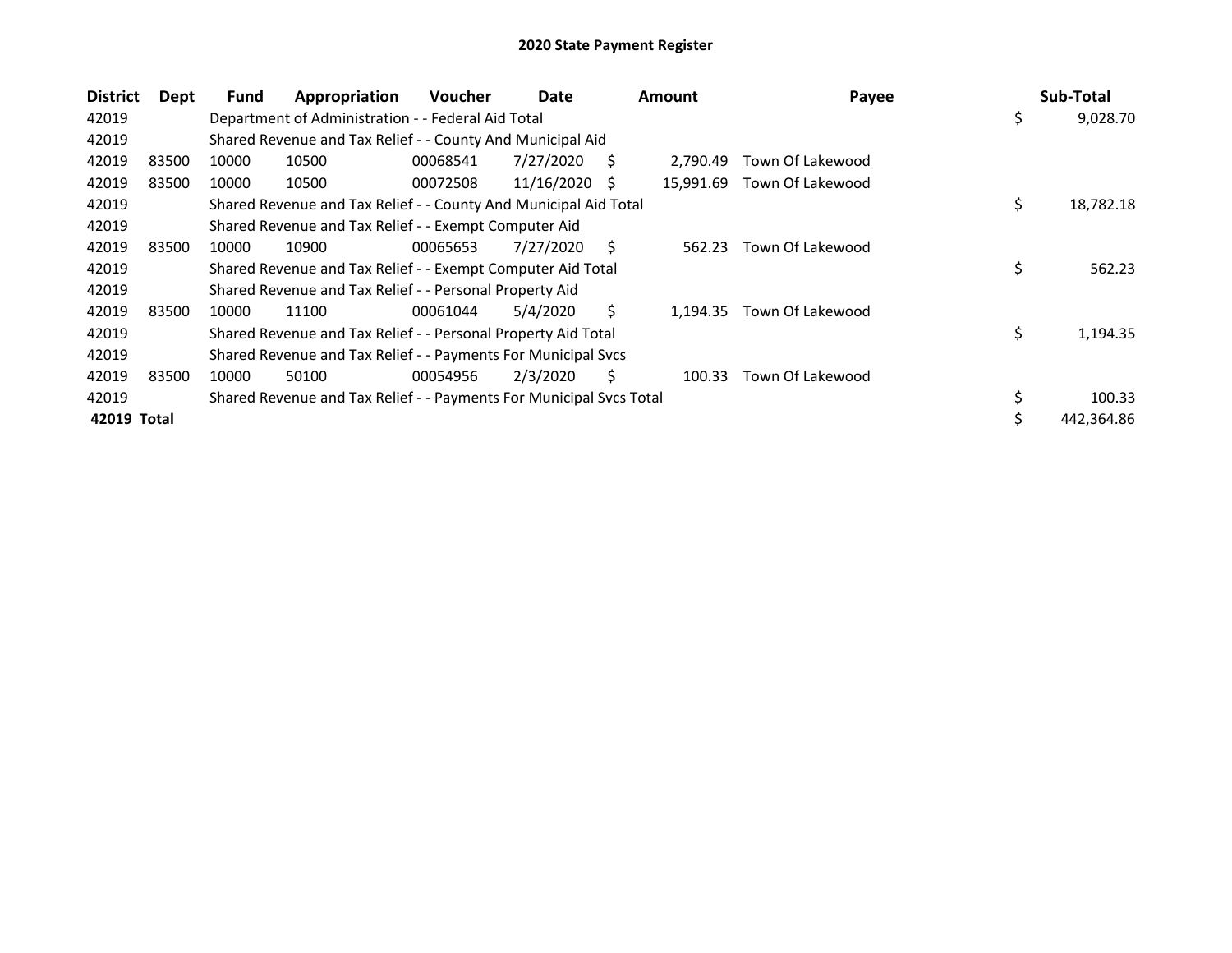| <b>District</b> | Dept  | Fund  | Appropriation                                                       | Voucher  | Date       |              | <b>Amount</b> | Payee            | Sub-Total       |
|-----------------|-------|-------|---------------------------------------------------------------------|----------|------------|--------------|---------------|------------------|-----------------|
| 42019           |       |       | Department of Administration - - Federal Aid Total                  |          |            |              |               |                  | \$<br>9,028.70  |
| 42019           |       |       | Shared Revenue and Tax Relief - - County And Municipal Aid          |          |            |              |               |                  |                 |
| 42019           | 83500 | 10000 | 10500                                                               | 00068541 | 7/27/2020  | S.           | 2.790.49      | Town Of Lakewood |                 |
| 42019           | 83500 | 10000 | 10500                                                               | 00072508 | 11/16/2020 | <sub>S</sub> | 15.991.69     | Town Of Lakewood |                 |
| 42019           |       |       | Shared Revenue and Tax Relief - - County And Municipal Aid Total    |          |            |              |               |                  | \$<br>18,782.18 |
| 42019           |       |       | Shared Revenue and Tax Relief - - Exempt Computer Aid               |          |            |              |               |                  |                 |
| 42019           | 83500 | 10000 | 10900                                                               | 00065653 | 7/27/2020  | Ś            | 562.23        | Town Of Lakewood |                 |
| 42019           |       |       | Shared Revenue and Tax Relief - - Exempt Computer Aid Total         |          |            |              |               |                  | \$<br>562.23    |
| 42019           |       |       | Shared Revenue and Tax Relief - - Personal Property Aid             |          |            |              |               |                  |                 |
| 42019           | 83500 | 10000 | 11100                                                               | 00061044 | 5/4/2020   | S.           | 1.194.35      | Town Of Lakewood |                 |
| 42019           |       |       | Shared Revenue and Tax Relief - - Personal Property Aid Total       |          |            |              |               |                  | \$<br>1,194.35  |
| 42019           |       |       | Shared Revenue and Tax Relief - - Payments For Municipal Svcs       |          |            |              |               |                  |                 |
| 42019           | 83500 | 10000 | 50100                                                               | 00054956 | 2/3/2020   | Ś            | 100.33        | Town Of Lakewood |                 |
| 42019           |       |       | Shared Revenue and Tax Relief - - Payments For Municipal Svcs Total |          |            |              |               |                  | 100.33          |
| 42019 Total     |       |       |                                                                     |          |            |              |               |                  | 442,364.86      |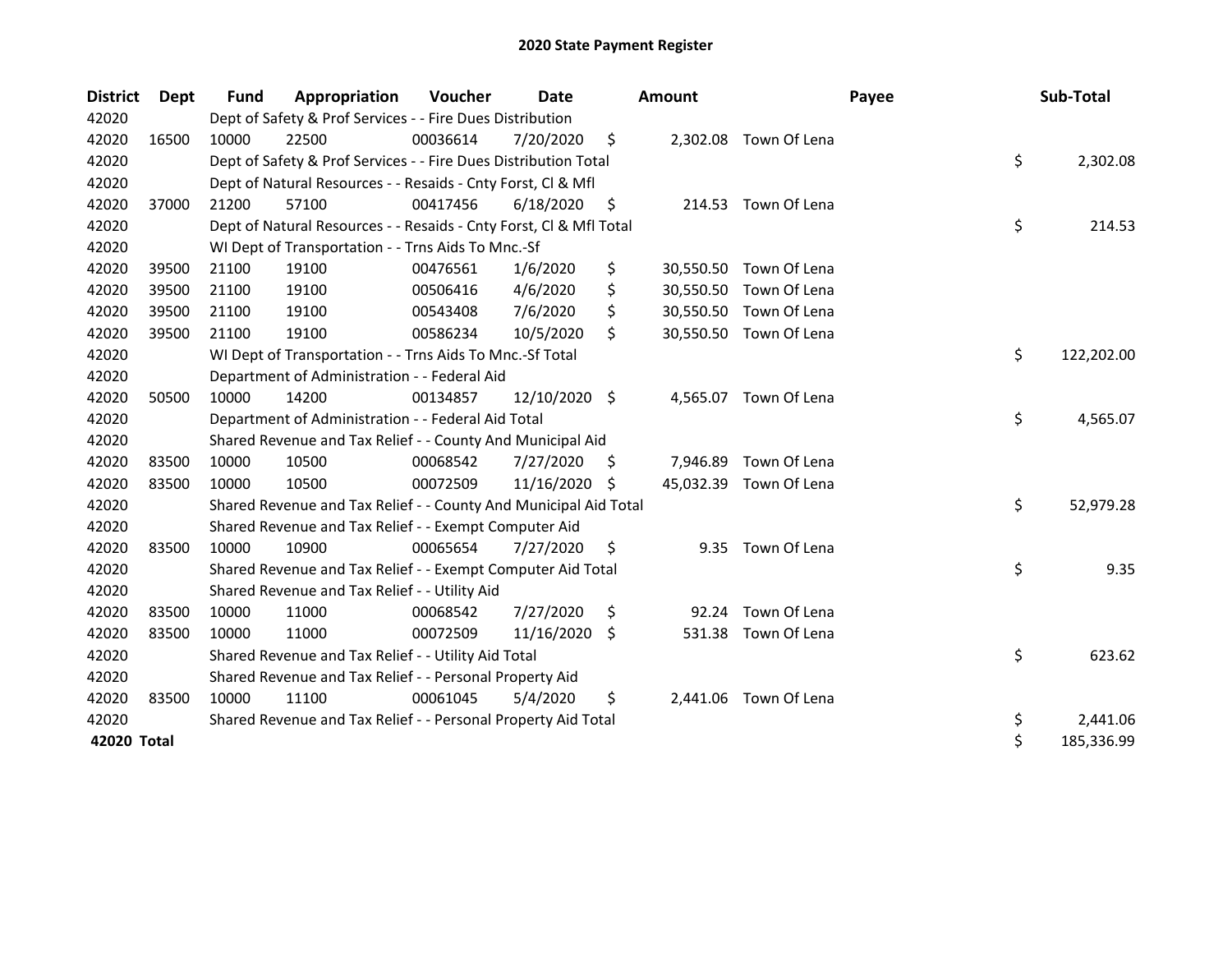| <b>District</b> | Dept  | <b>Fund</b> | Appropriation                                                      | Voucher  | Date          |    | <b>Amount</b> |                        | Payee | Sub-Total        |
|-----------------|-------|-------------|--------------------------------------------------------------------|----------|---------------|----|---------------|------------------------|-------|------------------|
| 42020           |       |             | Dept of Safety & Prof Services - - Fire Dues Distribution          |          |               |    |               |                        |       |                  |
| 42020           | 16500 | 10000       | 22500                                                              | 00036614 | 7/20/2020     | \$ |               | 2,302.08 Town Of Lena  |       |                  |
| 42020           |       |             | Dept of Safety & Prof Services - - Fire Dues Distribution Total    |          |               |    |               |                        |       | \$<br>2,302.08   |
| 42020           |       |             | Dept of Natural Resources - - Resaids - Cnty Forst, Cl & Mfl       |          |               |    |               |                        |       |                  |
| 42020           | 37000 | 21200       | 57100                                                              | 00417456 | 6/18/2020     | \$ |               | 214.53 Town Of Lena    |       |                  |
| 42020           |       |             | Dept of Natural Resources - - Resaids - Cnty Forst, Cl & Mfl Total |          |               |    |               |                        |       | \$<br>214.53     |
| 42020           |       |             | WI Dept of Transportation - - Trns Aids To Mnc.-Sf                 |          |               |    |               |                        |       |                  |
| 42020           | 39500 | 21100       | 19100                                                              | 00476561 | 1/6/2020      | \$ | 30,550.50     | Town Of Lena           |       |                  |
| 42020           | 39500 | 21100       | 19100                                                              | 00506416 | 4/6/2020      | \$ | 30,550.50     | Town Of Lena           |       |                  |
| 42020           | 39500 | 21100       | 19100                                                              | 00543408 | 7/6/2020      | \$ | 30,550.50     | Town Of Lena           |       |                  |
| 42020           | 39500 | 21100       | 19100                                                              | 00586234 | 10/5/2020     | \$ |               | 30,550.50 Town Of Lena |       |                  |
| 42020           |       |             | WI Dept of Transportation - - Trns Aids To Mnc.-Sf Total           |          |               |    |               |                        |       | \$<br>122,202.00 |
| 42020           |       |             | Department of Administration - - Federal Aid                       |          |               |    |               |                        |       |                  |
| 42020           | 50500 | 10000       | 14200                                                              | 00134857 | 12/10/2020 \$ |    |               | 4,565.07 Town Of Lena  |       |                  |
| 42020           |       |             | Department of Administration - - Federal Aid Total                 |          |               |    |               |                        |       | \$<br>4,565.07   |
| 42020           |       |             | Shared Revenue and Tax Relief - - County And Municipal Aid         |          |               |    |               |                        |       |                  |
| 42020           | 83500 | 10000       | 10500                                                              | 00068542 | 7/27/2020     | S  | 7,946.89      | Town Of Lena           |       |                  |
| 42020           | 83500 | 10000       | 10500                                                              | 00072509 | 11/16/2020    | S. | 45,032.39     | Town Of Lena           |       |                  |
| 42020           |       |             | Shared Revenue and Tax Relief - - County And Municipal Aid Total   |          |               |    |               |                        |       | \$<br>52,979.28  |
| 42020           |       |             | Shared Revenue and Tax Relief - - Exempt Computer Aid              |          |               |    |               |                        |       |                  |
| 42020           | 83500 | 10000       | 10900                                                              | 00065654 | 7/27/2020     | \$ | 9.35          | Town Of Lena           |       |                  |
| 42020           |       |             | Shared Revenue and Tax Relief - - Exempt Computer Aid Total        |          |               |    |               |                        |       | \$<br>9.35       |
| 42020           |       |             | Shared Revenue and Tax Relief - - Utility Aid                      |          |               |    |               |                        |       |                  |
| 42020           | 83500 | 10000       | 11000                                                              | 00068542 | 7/27/2020     | \$ | 92.24         | Town Of Lena           |       |                  |
| 42020           | 83500 | 10000       | 11000                                                              | 00072509 | 11/16/2020    | \$ | 531.38        | Town Of Lena           |       |                  |
| 42020           |       |             | Shared Revenue and Tax Relief - - Utility Aid Total                |          |               |    |               |                        |       | \$<br>623.62     |
| 42020           |       |             | Shared Revenue and Tax Relief - - Personal Property Aid            |          |               |    |               |                        |       |                  |
| 42020           | 83500 | 10000       | 11100                                                              | 00061045 | 5/4/2020      | \$ | 2,441.06      | Town Of Lena           |       |                  |
| 42020           |       |             | Shared Revenue and Tax Relief - - Personal Property Aid Total      |          |               |    |               |                        |       | \$<br>2,441.06   |
| 42020 Total     |       |             |                                                                    |          |               |    |               |                        |       | \$<br>185,336.99 |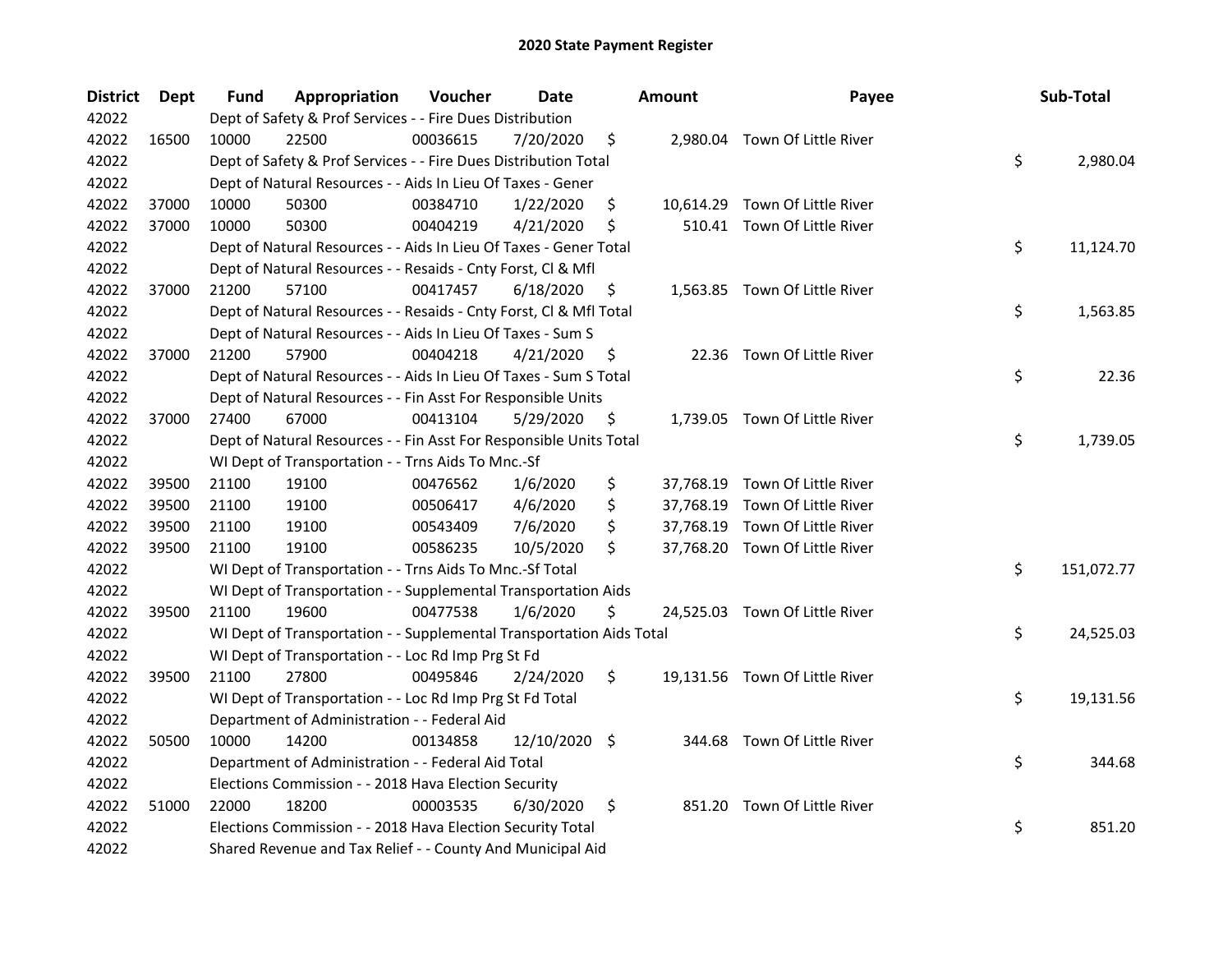| <b>District</b> | Dept  | Fund  | Appropriation                                                        | Voucher  | <b>Date</b>   | <b>Amount</b> | Payee                          | Sub-Total        |
|-----------------|-------|-------|----------------------------------------------------------------------|----------|---------------|---------------|--------------------------------|------------------|
| 42022           |       |       | Dept of Safety & Prof Services - - Fire Dues Distribution            |          |               |               |                                |                  |
| 42022           | 16500 | 10000 | 22500                                                                | 00036615 | 7/20/2020     | \$            | 2,980.04 Town Of Little River  |                  |
| 42022           |       |       | Dept of Safety & Prof Services - - Fire Dues Distribution Total      |          |               |               |                                | \$<br>2,980.04   |
| 42022           |       |       | Dept of Natural Resources - - Aids In Lieu Of Taxes - Gener          |          |               |               |                                |                  |
| 42022           | 37000 | 10000 | 50300                                                                | 00384710 | 1/22/2020     | \$            | 10,614.29 Town Of Little River |                  |
| 42022           | 37000 | 10000 | 50300                                                                | 00404219 | 4/21/2020     | \$            | 510.41 Town Of Little River    |                  |
| 42022           |       |       | Dept of Natural Resources - - Aids In Lieu Of Taxes - Gener Total    |          |               |               |                                | \$<br>11,124.70  |
| 42022           |       |       | Dept of Natural Resources - - Resaids - Cnty Forst, Cl & Mfl         |          |               |               |                                |                  |
| 42022           | 37000 | 21200 | 57100                                                                | 00417457 | 6/18/2020     | \$            | 1,563.85 Town Of Little River  |                  |
| 42022           |       |       | Dept of Natural Resources - - Resaids - Cnty Forst, Cl & Mfl Total   |          |               |               |                                | \$<br>1,563.85   |
| 42022           |       |       | Dept of Natural Resources - - Aids In Lieu Of Taxes - Sum S          |          |               |               |                                |                  |
| 42022           | 37000 | 21200 | 57900                                                                | 00404218 | 4/21/2020     | \$            | 22.36 Town Of Little River     |                  |
| 42022           |       |       | Dept of Natural Resources - - Aids In Lieu Of Taxes - Sum S Total    |          |               |               |                                | \$<br>22.36      |
| 42022           |       |       | Dept of Natural Resources - - Fin Asst For Responsible Units         |          |               |               |                                |                  |
| 42022           | 37000 | 27400 | 67000                                                                | 00413104 | 5/29/2020     | \$            | 1,739.05 Town Of Little River  |                  |
| 42022           |       |       | Dept of Natural Resources - - Fin Asst For Responsible Units Total   |          |               |               |                                | \$<br>1,739.05   |
| 42022           |       |       | WI Dept of Transportation - - Trns Aids To Mnc.-Sf                   |          |               |               |                                |                  |
| 42022           | 39500 | 21100 | 19100                                                                | 00476562 | 1/6/2020      | \$            | 37,768.19 Town Of Little River |                  |
| 42022           | 39500 | 21100 | 19100                                                                | 00506417 | 4/6/2020      | \$            | 37,768.19 Town Of Little River |                  |
| 42022           | 39500 | 21100 | 19100                                                                | 00543409 | 7/6/2020      | \$            | 37,768.19 Town Of Little River |                  |
| 42022           | 39500 | 21100 | 19100                                                                | 00586235 | 10/5/2020     | \$            | 37,768.20 Town Of Little River |                  |
| 42022           |       |       | WI Dept of Transportation - - Trns Aids To Mnc.-Sf Total             |          |               |               |                                | \$<br>151,072.77 |
| 42022           |       |       | WI Dept of Transportation - - Supplemental Transportation Aids       |          |               |               |                                |                  |
| 42022           | 39500 | 21100 | 19600                                                                | 00477538 | 1/6/2020      | \$            | 24,525.03 Town Of Little River |                  |
| 42022           |       |       | WI Dept of Transportation - - Supplemental Transportation Aids Total |          |               |               |                                | \$<br>24,525.03  |
| 42022           |       |       | WI Dept of Transportation - - Loc Rd Imp Prg St Fd                   |          |               |               |                                |                  |
| 42022           | 39500 | 21100 | 27800                                                                | 00495846 | 2/24/2020     | \$            | 19,131.56 Town Of Little River |                  |
| 42022           |       |       | WI Dept of Transportation - - Loc Rd Imp Prg St Fd Total             |          |               |               |                                | \$<br>19,131.56  |
| 42022           |       |       | Department of Administration - - Federal Aid                         |          |               |               |                                |                  |
| 42022           | 50500 | 10000 | 14200                                                                | 00134858 | 12/10/2020 \$ |               | 344.68 Town Of Little River    |                  |
| 42022           |       |       | Department of Administration - - Federal Aid Total                   |          |               |               |                                | \$<br>344.68     |
| 42022           |       |       | Elections Commission - - 2018 Hava Election Security                 |          |               |               |                                |                  |
| 42022           | 51000 | 22000 | 18200                                                                | 00003535 | 6/30/2020     | \$            | 851.20 Town Of Little River    |                  |
| 42022           |       |       | Elections Commission - - 2018 Hava Election Security Total           |          |               |               |                                | \$<br>851.20     |
| 42022           |       |       | Shared Revenue and Tax Relief - - County And Municipal Aid           |          |               |               |                                |                  |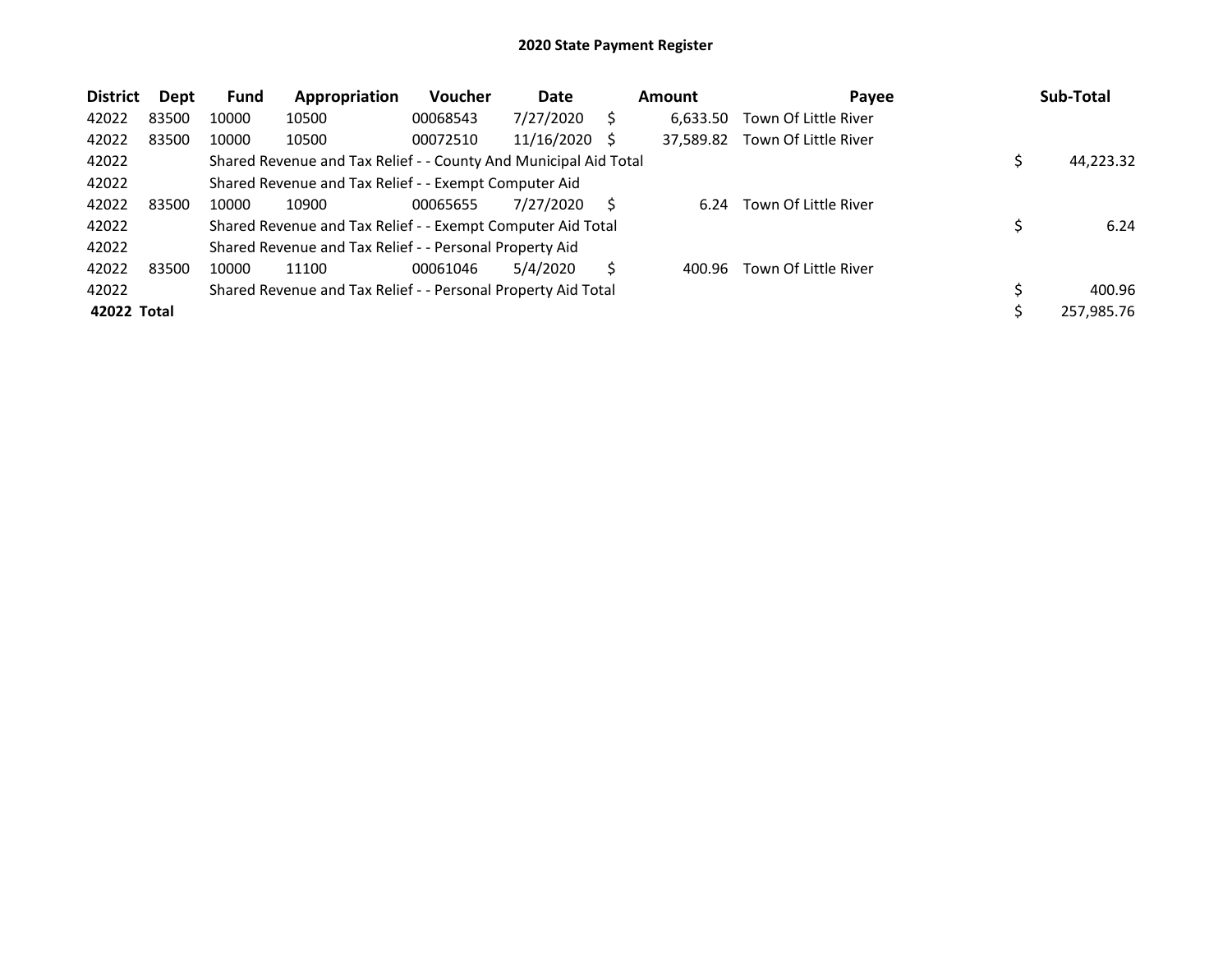| <b>District</b> | Dept  | <b>Fund</b> | Appropriation                                                    | Voucher  | Date       |     | <b>Amount</b> | Payee                |     | Sub-Total  |
|-----------------|-------|-------------|------------------------------------------------------------------|----------|------------|-----|---------------|----------------------|-----|------------|
| 42022           | 83500 | 10000       | 10500                                                            | 00068543 | 7/27/2020  | S   | 6.633.50      | Town Of Little River |     |            |
| 42022           | 83500 | 10000       | 10500                                                            | 00072510 | 11/16/2020 | - S | 37,589.82     | Town Of Little River |     |            |
| 42022           |       |             | Shared Revenue and Tax Relief - - County And Municipal Aid Total |          |            |     |               |                      |     | 44,223.32  |
| 42022           |       |             | Shared Revenue and Tax Relief - - Exempt Computer Aid            |          |            |     |               |                      |     |            |
| 42022           | 83500 | 10000       | 10900                                                            | 00065655 | 7/27/2020  | S   | 6.24          | Town Of Little River |     |            |
| 42022           |       |             | Shared Revenue and Tax Relief - - Exempt Computer Aid Total      |          |            |     |               |                      |     | 6.24       |
| 42022           |       |             | Shared Revenue and Tax Relief - - Personal Property Aid          |          |            |     |               |                      |     |            |
| 42022           | 83500 | 10000       | 11100                                                            | 00061046 | 5/4/2020   | S.  | 400.96        | Town Of Little River |     |            |
| 42022           |       |             | Shared Revenue and Tax Relief - - Personal Property Aid Total    |          |            |     |               |                      | \$, | 400.96     |
| 42022 Total     |       |             |                                                                  |          |            |     |               |                      |     | 257,985.76 |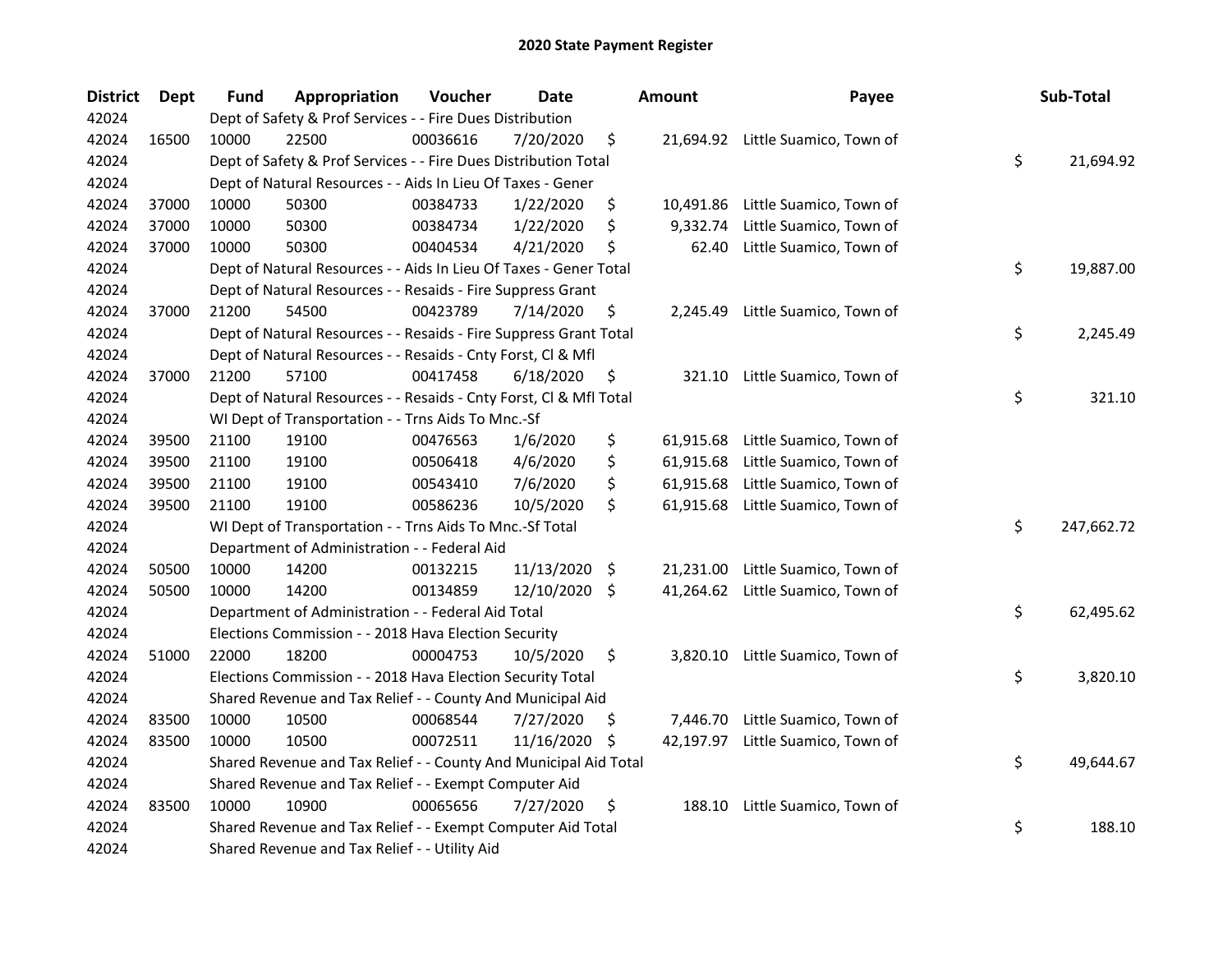| <b>District</b> | Dept  | Fund  | Appropriation                                                      | Voucher  | <b>Date</b> |      | <b>Amount</b> | Payee                             | Sub-Total        |
|-----------------|-------|-------|--------------------------------------------------------------------|----------|-------------|------|---------------|-----------------------------------|------------------|
| 42024           |       |       | Dept of Safety & Prof Services - - Fire Dues Distribution          |          |             |      |               |                                   |                  |
| 42024           | 16500 | 10000 | 22500                                                              | 00036616 | 7/20/2020   | \$   |               | 21,694.92 Little Suamico, Town of |                  |
| 42024           |       |       | Dept of Safety & Prof Services - - Fire Dues Distribution Total    |          |             |      |               |                                   | \$<br>21,694.92  |
| 42024           |       |       | Dept of Natural Resources - - Aids In Lieu Of Taxes - Gener        |          |             |      |               |                                   |                  |
| 42024           | 37000 | 10000 | 50300                                                              | 00384733 | 1/22/2020   | \$   | 10,491.86     | Little Suamico, Town of           |                  |
| 42024           | 37000 | 10000 | 50300                                                              | 00384734 | 1/22/2020   | \$   | 9,332.74      | Little Suamico, Town of           |                  |
| 42024           | 37000 | 10000 | 50300                                                              | 00404534 | 4/21/2020   | \$   | 62.40         | Little Suamico, Town of           |                  |
| 42024           |       |       | Dept of Natural Resources - - Aids In Lieu Of Taxes - Gener Total  |          |             |      |               |                                   | \$<br>19,887.00  |
| 42024           |       |       | Dept of Natural Resources - - Resaids - Fire Suppress Grant        |          |             |      |               |                                   |                  |
| 42024           | 37000 | 21200 | 54500                                                              | 00423789 | 7/14/2020   | \$   | 2,245.49      | Little Suamico, Town of           |                  |
| 42024           |       |       | Dept of Natural Resources - - Resaids - Fire Suppress Grant Total  |          |             |      |               |                                   | \$<br>2,245.49   |
| 42024           |       |       | Dept of Natural Resources - - Resaids - Cnty Forst, Cl & Mfl       |          |             |      |               |                                   |                  |
| 42024           | 37000 | 21200 | 57100                                                              | 00417458 | 6/18/2020   | \$   | 321.10        | Little Suamico, Town of           |                  |
| 42024           |       |       | Dept of Natural Resources - - Resaids - Cnty Forst, Cl & Mfl Total |          |             |      |               |                                   | \$<br>321.10     |
| 42024           |       |       | WI Dept of Transportation - - Trns Aids To Mnc.-Sf                 |          |             |      |               |                                   |                  |
| 42024           | 39500 | 21100 | 19100                                                              | 00476563 | 1/6/2020    | \$   | 61,915.68     | Little Suamico, Town of           |                  |
| 42024           | 39500 | 21100 | 19100                                                              | 00506418 | 4/6/2020    | \$   | 61,915.68     | Little Suamico, Town of           |                  |
| 42024           | 39500 | 21100 | 19100                                                              | 00543410 | 7/6/2020    | \$   | 61,915.68     | Little Suamico, Town of           |                  |
| 42024           | 39500 | 21100 | 19100                                                              | 00586236 | 10/5/2020   | \$   | 61,915.68     | Little Suamico, Town of           |                  |
| 42024           |       |       | WI Dept of Transportation - - Trns Aids To Mnc.-Sf Total           |          |             |      |               |                                   | \$<br>247,662.72 |
| 42024           |       |       | Department of Administration - - Federal Aid                       |          |             |      |               |                                   |                  |
| 42024           | 50500 | 10000 | 14200                                                              | 00132215 | 11/13/2020  | - \$ | 21,231.00     | Little Suamico, Town of           |                  |
| 42024           | 50500 | 10000 | 14200                                                              | 00134859 | 12/10/2020  | \$   | 41,264.62     | Little Suamico, Town of           |                  |
| 42024           |       |       | Department of Administration - - Federal Aid Total                 |          |             |      |               |                                   | \$<br>62,495.62  |
| 42024           |       |       | Elections Commission - - 2018 Hava Election Security               |          |             |      |               |                                   |                  |
| 42024           | 51000 | 22000 | 18200                                                              | 00004753 | 10/5/2020   | \$   |               | 3,820.10 Little Suamico, Town of  |                  |
| 42024           |       |       | Elections Commission - - 2018 Hava Election Security Total         |          |             |      |               |                                   | \$<br>3,820.10   |
| 42024           |       |       | Shared Revenue and Tax Relief - - County And Municipal Aid         |          |             |      |               |                                   |                  |
| 42024           | 83500 | 10000 | 10500                                                              | 00068544 | 7/27/2020   | S    | 7,446.70      | Little Suamico, Town of           |                  |
| 42024           | 83500 | 10000 | 10500                                                              | 00072511 | 11/16/2020  | \$.  | 42,197.97     | Little Suamico, Town of           |                  |
| 42024           |       |       | Shared Revenue and Tax Relief - - County And Municipal Aid Total   |          |             |      |               |                                   | \$<br>49,644.67  |
| 42024           |       |       | Shared Revenue and Tax Relief - - Exempt Computer Aid              |          |             |      |               |                                   |                  |
| 42024           | 83500 | 10000 | 10900                                                              | 00065656 | 7/27/2020   | \$   | 188.10        | Little Suamico, Town of           |                  |
| 42024           |       |       | Shared Revenue and Tax Relief - - Exempt Computer Aid Total        |          |             |      |               |                                   | \$<br>188.10     |
| 42024           |       |       | Shared Revenue and Tax Relief - - Utility Aid                      |          |             |      |               |                                   |                  |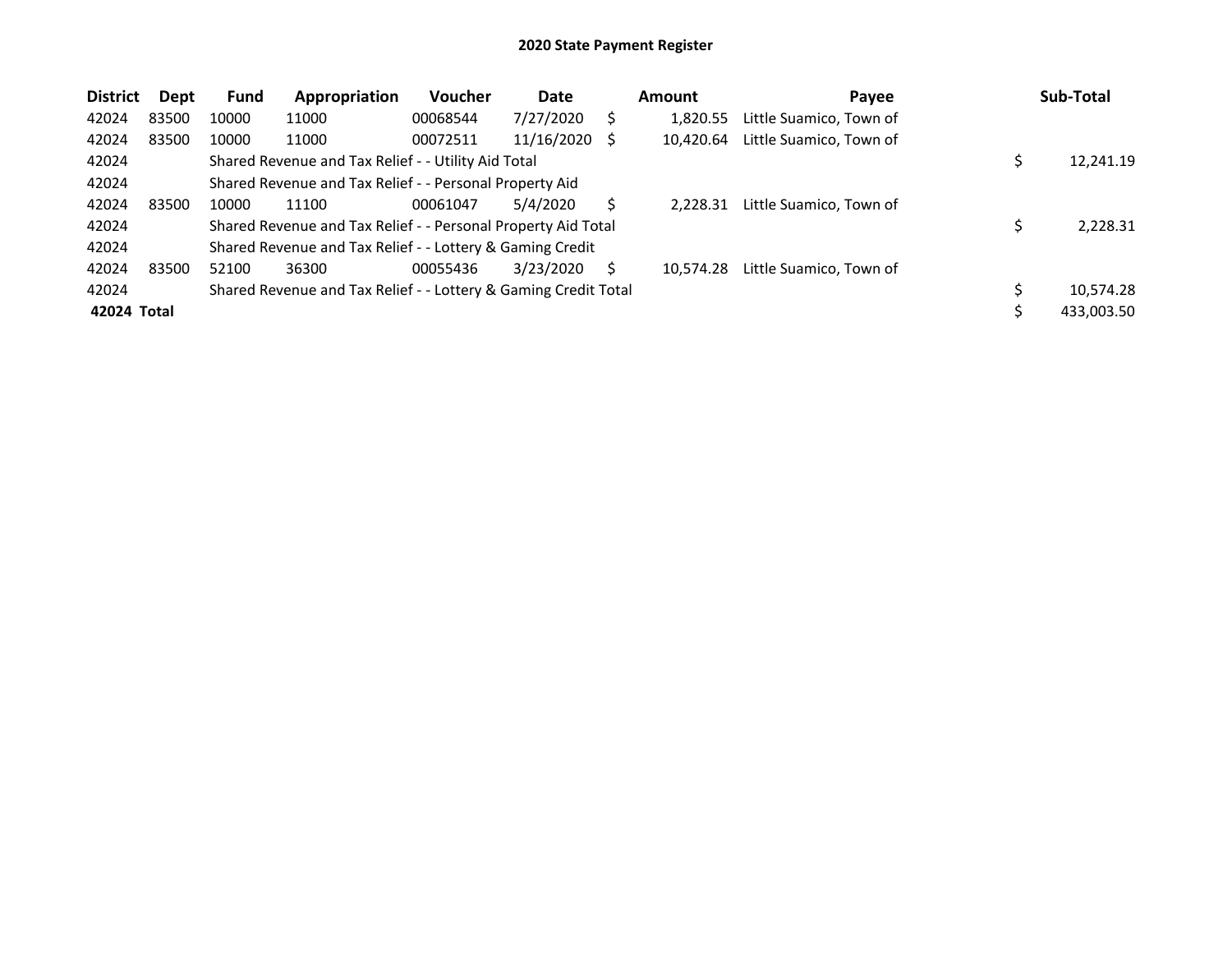| <b>District</b> | <b>Dept</b> | <b>Fund</b> | Appropriation                                                   | <b>Voucher</b> | Date       |    | Amount    | Payee                   | Sub-Total  |
|-----------------|-------------|-------------|-----------------------------------------------------------------|----------------|------------|----|-----------|-------------------------|------------|
| 42024           | 83500       | 10000       | 11000                                                           | 00068544       | 7/27/2020  | S  | 1.820.55  | Little Suamico, Town of |            |
| 42024           | 83500       | 10000       | 11000                                                           | 00072511       | 11/16/2020 | -S | 10.420.64 | Little Suamico, Town of |            |
| 42024           |             |             | Shared Revenue and Tax Relief - - Utility Aid Total             |                |            |    |           |                         | 12,241.19  |
| 42024           |             |             | Shared Revenue and Tax Relief - - Personal Property Aid         |                |            |    |           |                         |            |
| 42024           | 83500       | 10000       | 11100                                                           | 00061047       | 5/4/2020   |    | 2.228.31  | Little Suamico, Town of |            |
| 42024           |             |             | Shared Revenue and Tax Relief - - Personal Property Aid Total   |                |            |    |           |                         | 2,228.31   |
| 42024           |             |             | Shared Revenue and Tax Relief - - Lottery & Gaming Credit       |                |            |    |           |                         |            |
| 42024           | 83500       | 52100       | 36300                                                           | 00055436       | 3/23/2020  | S  | 10.574.28 | Little Suamico, Town of |            |
| 42024           |             |             | Shared Revenue and Tax Relief - - Lottery & Gaming Credit Total |                |            |    |           |                         | 10,574.28  |
| 42024 Total     |             |             |                                                                 |                |            |    |           |                         | 433,003.50 |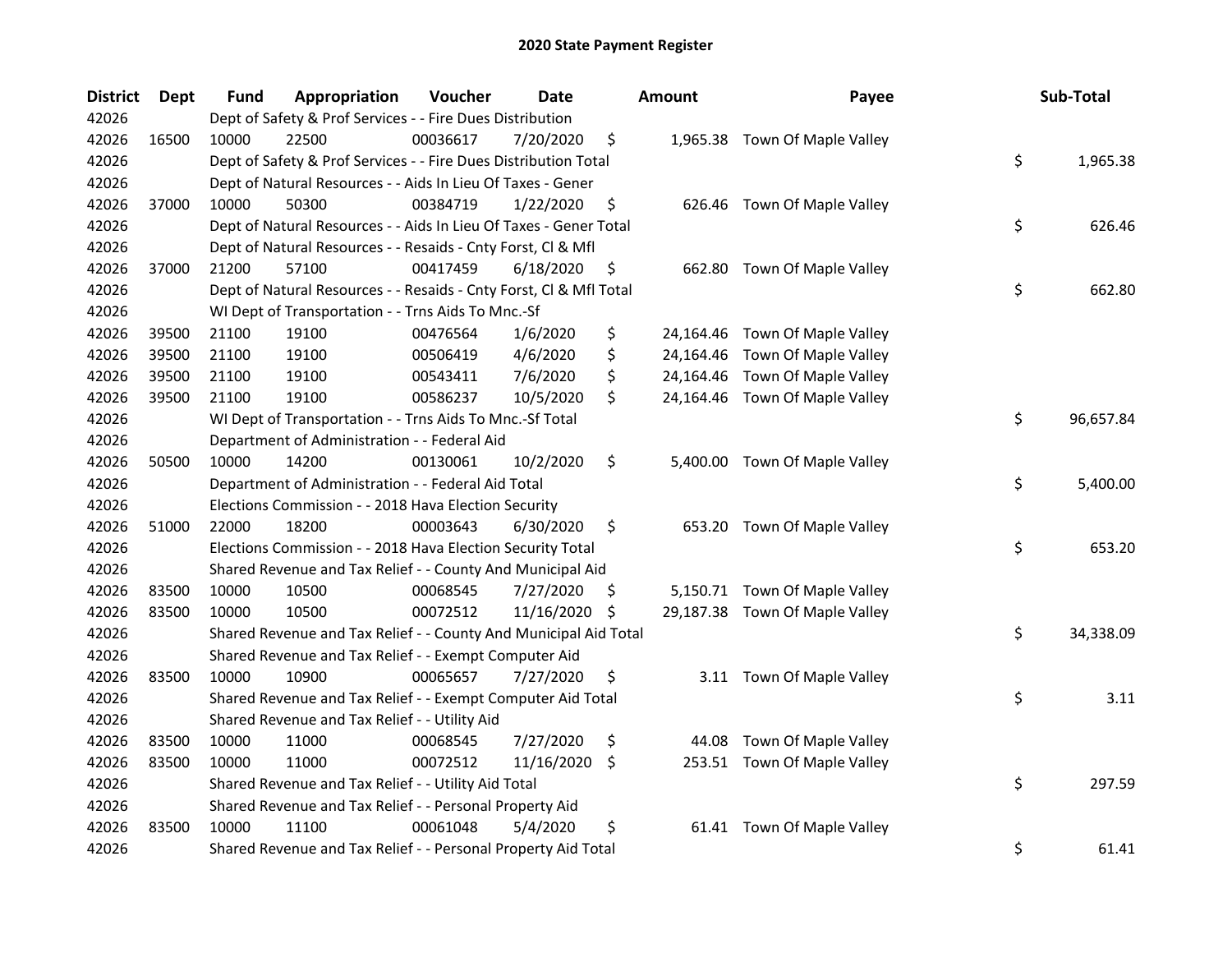| <b>District</b> | <b>Dept</b> | <b>Fund</b> | Appropriation                                                      | Voucher  | <b>Date</b> |     | <b>Amount</b> | Payee                          | Sub-Total       |
|-----------------|-------------|-------------|--------------------------------------------------------------------|----------|-------------|-----|---------------|--------------------------------|-----------------|
| 42026           |             |             | Dept of Safety & Prof Services - - Fire Dues Distribution          |          |             |     |               |                                |                 |
| 42026           | 16500       | 10000       | 22500                                                              | 00036617 | 7/20/2020   | \$  |               | 1,965.38 Town Of Maple Valley  |                 |
| 42026           |             |             | Dept of Safety & Prof Services - - Fire Dues Distribution Total    |          |             |     |               |                                | \$<br>1,965.38  |
| 42026           |             |             | Dept of Natural Resources - - Aids In Lieu Of Taxes - Gener        |          |             |     |               |                                |                 |
| 42026           | 37000       | 10000       | 50300                                                              | 00384719 | 1/22/2020   | \$  |               | 626.46 Town Of Maple Valley    |                 |
| 42026           |             |             | Dept of Natural Resources - - Aids In Lieu Of Taxes - Gener Total  |          |             |     |               |                                | \$<br>626.46    |
| 42026           |             |             | Dept of Natural Resources - - Resaids - Cnty Forst, Cl & Mfl       |          |             |     |               |                                |                 |
| 42026           | 37000       | 21200       | 57100                                                              | 00417459 | 6/18/2020   | \$  |               | 662.80 Town Of Maple Valley    |                 |
| 42026           |             |             | Dept of Natural Resources - - Resaids - Cnty Forst, CI & Mfl Total |          |             |     |               |                                | \$<br>662.80    |
| 42026           |             |             | WI Dept of Transportation - - Trns Aids To Mnc.-Sf                 |          |             |     |               |                                |                 |
| 42026           | 39500       | 21100       | 19100                                                              | 00476564 | 1/6/2020    | \$  |               | 24,164.46 Town Of Maple Valley |                 |
| 42026           | 39500       | 21100       | 19100                                                              | 00506419 | 4/6/2020    | \$  | 24,164.46     | Town Of Maple Valley           |                 |
| 42026           | 39500       | 21100       | 19100                                                              | 00543411 | 7/6/2020    | \$  | 24,164.46     | Town Of Maple Valley           |                 |
| 42026           | 39500       | 21100       | 19100                                                              | 00586237 | 10/5/2020   | \$  |               | 24,164.46 Town Of Maple Valley |                 |
| 42026           |             |             | WI Dept of Transportation - - Trns Aids To Mnc.-Sf Total           |          |             |     |               |                                | \$<br>96,657.84 |
| 42026           |             |             | Department of Administration - - Federal Aid                       |          |             |     |               |                                |                 |
| 42026           | 50500       | 10000       | 14200                                                              | 00130061 | 10/2/2020   | \$  | 5,400.00      | Town Of Maple Valley           |                 |
| 42026           |             |             | Department of Administration - - Federal Aid Total                 |          |             |     |               |                                | \$<br>5,400.00  |
| 42026           |             |             | Elections Commission - - 2018 Hava Election Security               |          |             |     |               |                                |                 |
| 42026           | 51000       | 22000       | 18200                                                              | 00003643 | 6/30/2020   | \$  |               | 653.20 Town Of Maple Valley    |                 |
| 42026           |             |             | Elections Commission - - 2018 Hava Election Security Total         |          |             |     |               |                                | \$<br>653.20    |
| 42026           |             |             | Shared Revenue and Tax Relief - - County And Municipal Aid         |          |             |     |               |                                |                 |
| 42026           | 83500       | 10000       | 10500                                                              | 00068545 | 7/27/2020   | \$. |               | 5,150.71 Town Of Maple Valley  |                 |
| 42026           | 83500       | 10000       | 10500                                                              | 00072512 | 11/16/2020  | \$  |               | 29,187.38 Town Of Maple Valley |                 |
| 42026           |             |             | Shared Revenue and Tax Relief - - County And Municipal Aid Total   |          |             |     |               |                                | \$<br>34,338.09 |
| 42026           |             |             | Shared Revenue and Tax Relief - - Exempt Computer Aid              |          |             |     |               |                                |                 |
| 42026           | 83500       | 10000       | 10900                                                              | 00065657 | 7/27/2020   | \$  |               | 3.11 Town Of Maple Valley      |                 |
| 42026           |             |             | Shared Revenue and Tax Relief - - Exempt Computer Aid Total        |          |             |     |               |                                | \$<br>3.11      |
| 42026           |             |             | Shared Revenue and Tax Relief - - Utility Aid                      |          |             |     |               |                                |                 |
| 42026           | 83500       | 10000       | 11000                                                              | 00068545 | 7/27/2020   | \$  | 44.08         | Town Of Maple Valley           |                 |
| 42026           | 83500       | 10000       | 11000                                                              | 00072512 | 11/16/2020  | \$  |               | 253.51 Town Of Maple Valley    |                 |
| 42026           |             |             | Shared Revenue and Tax Relief - - Utility Aid Total                |          |             |     |               |                                | \$<br>297.59    |
| 42026           |             |             | Shared Revenue and Tax Relief - - Personal Property Aid            |          |             |     |               |                                |                 |
| 42026           | 83500       | 10000       | 11100                                                              | 00061048 | 5/4/2020    | \$  |               | 61.41 Town Of Maple Valley     |                 |
| 42026           |             |             | Shared Revenue and Tax Relief - - Personal Property Aid Total      |          |             |     |               |                                | \$<br>61.41     |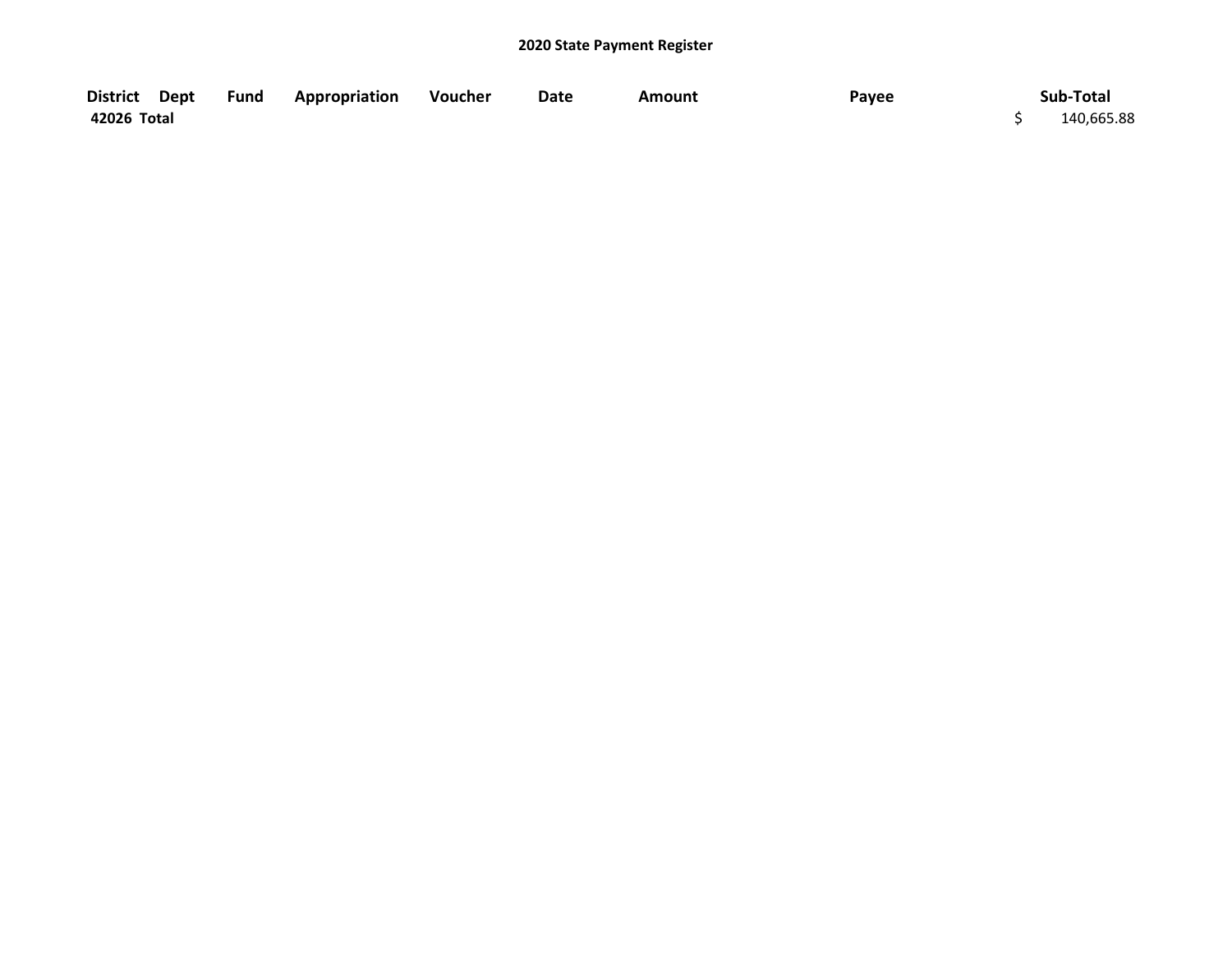| District Dept | <b>Fund Appropriation</b> | Voucher | Date | Amount | Payee | Sub-Total  |
|---------------|---------------------------|---------|------|--------|-------|------------|
| 42026 Total   |                           |         |      |        |       | 140,665.88 |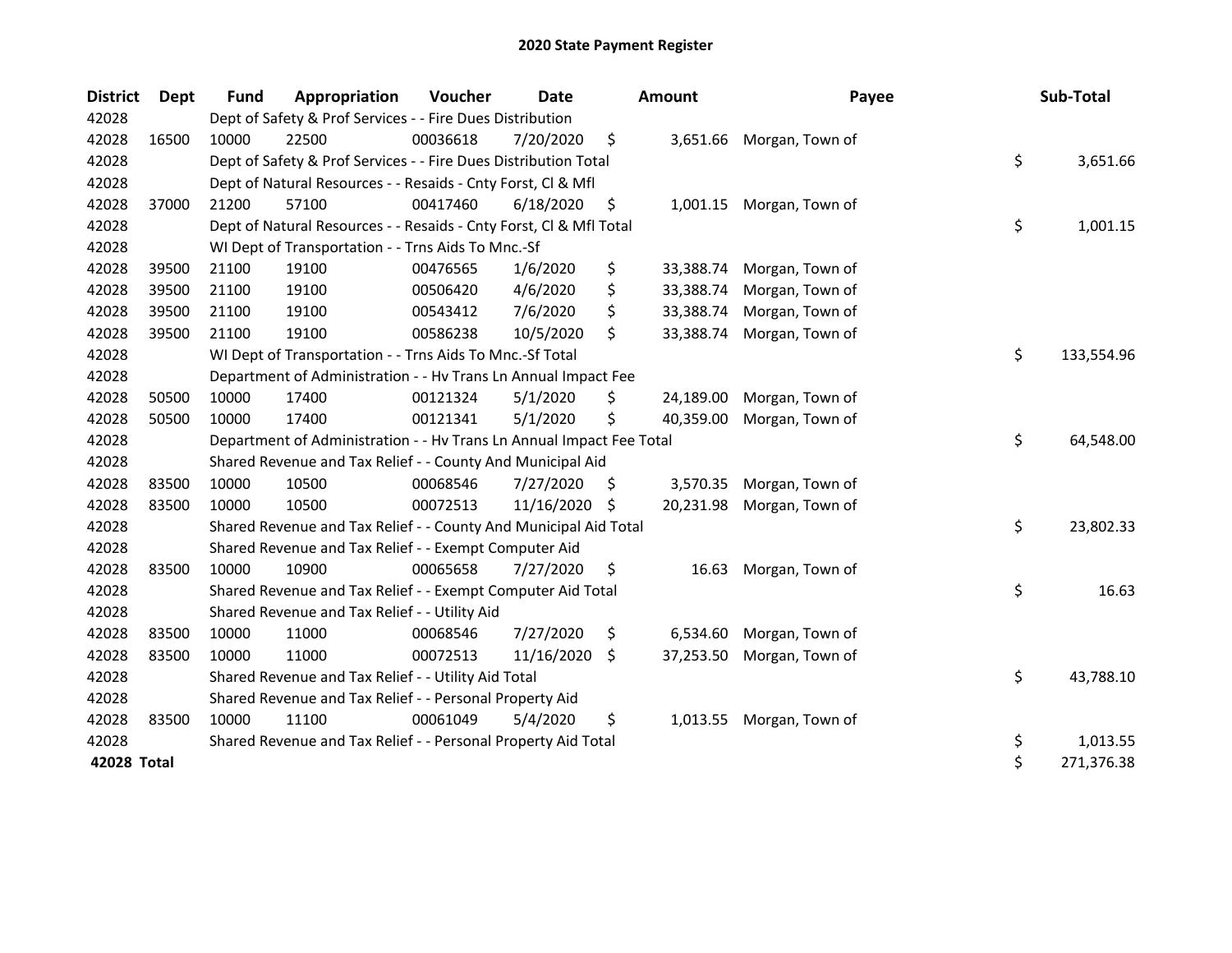| <b>District</b> | Dept  | <b>Fund</b> | Appropriation                                                        | Voucher  | <b>Date</b>   |                    | <b>Amount</b> | Payee                    | Sub-Total        |
|-----------------|-------|-------------|----------------------------------------------------------------------|----------|---------------|--------------------|---------------|--------------------------|------------------|
| 42028           |       |             | Dept of Safety & Prof Services - - Fire Dues Distribution            |          |               |                    |               |                          |                  |
| 42028           | 16500 | 10000       | 22500                                                                | 00036618 | 7/20/2020     | \$                 |               | 3,651.66 Morgan, Town of |                  |
| 42028           |       |             | Dept of Safety & Prof Services - - Fire Dues Distribution Total      |          |               |                    |               |                          | \$<br>3,651.66   |
| 42028           |       |             | Dept of Natural Resources - - Resaids - Cnty Forst, Cl & Mfl         |          |               |                    |               |                          |                  |
| 42028           | 37000 | 21200       | 57100                                                                | 00417460 | 6/18/2020     | \$                 | 1,001.15      | Morgan, Town of          |                  |
| 42028           |       |             | Dept of Natural Resources - - Resaids - Cnty Forst, Cl & Mfl Total   |          |               |                    |               |                          | \$<br>1,001.15   |
| 42028           |       |             | WI Dept of Transportation - - Trns Aids To Mnc.-Sf                   |          |               |                    |               |                          |                  |
| 42028           | 39500 | 21100       | 19100                                                                | 00476565 | 1/6/2020      | \$                 | 33,388.74     | Morgan, Town of          |                  |
| 42028           | 39500 | 21100       | 19100                                                                | 00506420 | 4/6/2020      | \$                 | 33,388.74     | Morgan, Town of          |                  |
| 42028           | 39500 | 21100       | 19100                                                                | 00543412 | 7/6/2020      | \$                 | 33,388.74     | Morgan, Town of          |                  |
| 42028           | 39500 | 21100       | 19100                                                                | 00586238 | 10/5/2020     | \$                 | 33,388.74     | Morgan, Town of          |                  |
| 42028           |       |             | WI Dept of Transportation - - Trns Aids To Mnc.-Sf Total             |          |               |                    |               |                          | \$<br>133,554.96 |
| 42028           |       |             | Department of Administration - - Hv Trans Ln Annual Impact Fee       |          |               |                    |               |                          |                  |
| 42028           | 50500 | 10000       | 17400                                                                | 00121324 | 5/1/2020      | \$                 | 24,189.00     | Morgan, Town of          |                  |
| 42028           | 50500 | 10000       | 17400                                                                | 00121341 | 5/1/2020      | \$                 | 40,359.00     | Morgan, Town of          |                  |
| 42028           |       |             | Department of Administration - - Hv Trans Ln Annual Impact Fee Total |          |               |                    |               |                          | \$<br>64,548.00  |
| 42028           |       |             | Shared Revenue and Tax Relief - - County And Municipal Aid           |          |               |                    |               |                          |                  |
| 42028           | 83500 | 10000       | 10500                                                                | 00068546 | 7/27/2020     | S.                 | 3,570.35      | Morgan, Town of          |                  |
| 42028           | 83500 | 10000       | 10500                                                                | 00072513 | 11/16/2020 \$ |                    | 20,231.98     | Morgan, Town of          |                  |
| 42028           |       |             | Shared Revenue and Tax Relief - - County And Municipal Aid Total     |          |               |                    |               |                          | \$<br>23,802.33  |
| 42028           |       |             | Shared Revenue and Tax Relief - - Exempt Computer Aid                |          |               |                    |               |                          |                  |
| 42028           | 83500 | 10000       | 10900                                                                | 00065658 | 7/27/2020     | \$                 | 16.63         | Morgan, Town of          |                  |
| 42028           |       |             | Shared Revenue and Tax Relief - - Exempt Computer Aid Total          |          |               |                    |               |                          | \$<br>16.63      |
| 42028           |       |             | Shared Revenue and Tax Relief - - Utility Aid                        |          |               |                    |               |                          |                  |
| 42028           | 83500 | 10000       | 11000                                                                | 00068546 | 7/27/2020     | \$                 | 6,534.60      | Morgan, Town of          |                  |
| 42028           | 83500 | 10000       | 11000                                                                | 00072513 | 11/16/2020    | $\ddot{\varsigma}$ | 37,253.50     | Morgan, Town of          |                  |
| 42028           |       |             | Shared Revenue and Tax Relief - - Utility Aid Total                  |          |               |                    |               |                          | \$<br>43,788.10  |
| 42028           |       |             | Shared Revenue and Tax Relief - - Personal Property Aid              |          |               |                    |               |                          |                  |
| 42028           | 83500 | 10000       | 11100                                                                | 00061049 | 5/4/2020      | \$                 | 1,013.55      | Morgan, Town of          |                  |
| 42028           |       |             | Shared Revenue and Tax Relief - - Personal Property Aid Total        |          |               |                    |               |                          | \$<br>1,013.55   |
| 42028 Total     |       |             |                                                                      |          |               |                    |               |                          | \$<br>271,376.38 |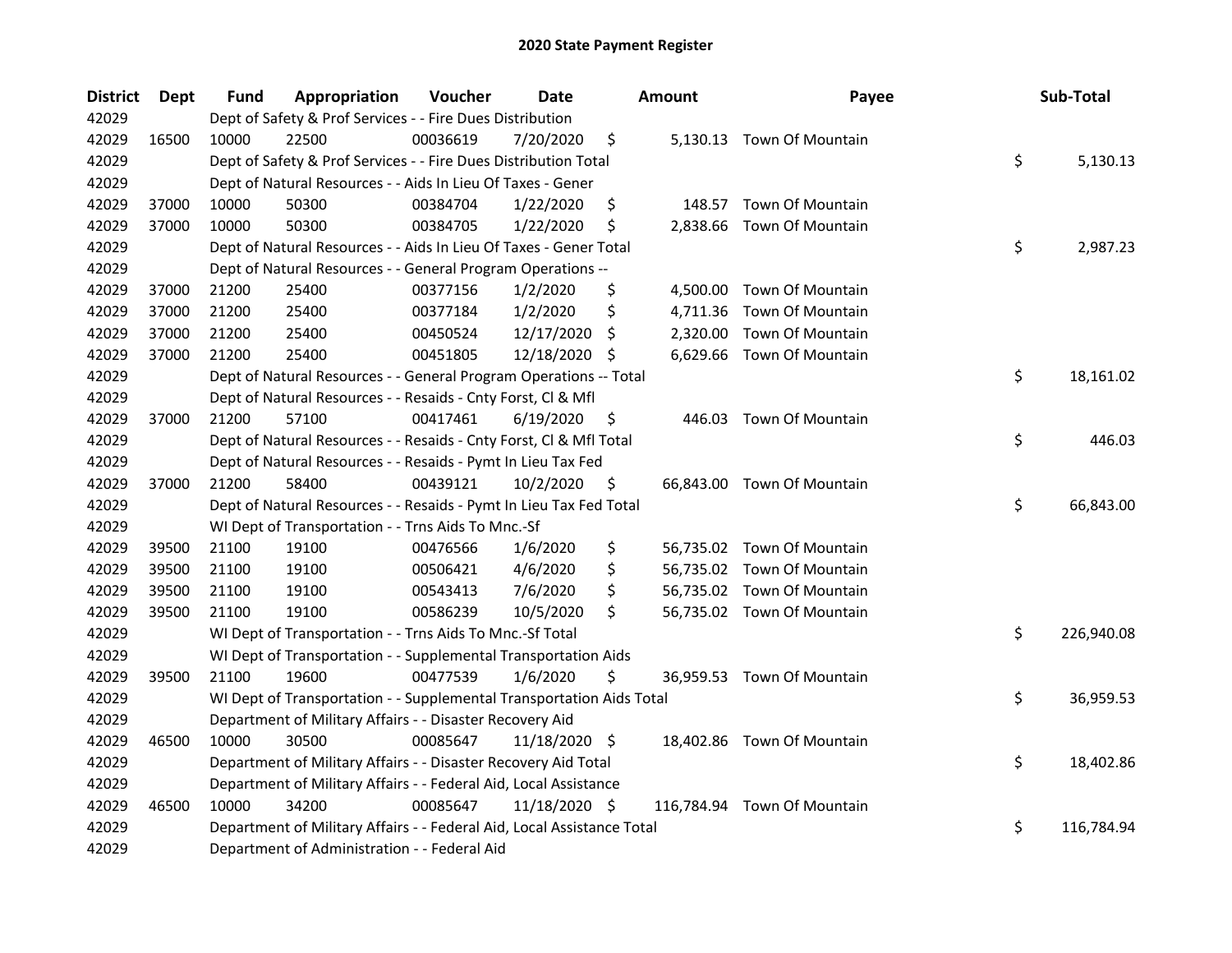| <b>District</b> | Dept  | Fund  | Appropriation                                                          | Voucher  | <b>Date</b>   |    | <b>Amount</b> | Payee                       | Sub-Total        |
|-----------------|-------|-------|------------------------------------------------------------------------|----------|---------------|----|---------------|-----------------------------|------------------|
| 42029           |       |       | Dept of Safety & Prof Services - - Fire Dues Distribution              |          |               |    |               |                             |                  |
| 42029           | 16500 | 10000 | 22500                                                                  | 00036619 | 7/20/2020     | \$ |               | 5,130.13 Town Of Mountain   |                  |
| 42029           |       |       | Dept of Safety & Prof Services - - Fire Dues Distribution Total        |          |               |    |               |                             | \$<br>5,130.13   |
| 42029           |       |       | Dept of Natural Resources - - Aids In Lieu Of Taxes - Gener            |          |               |    |               |                             |                  |
| 42029           | 37000 | 10000 | 50300                                                                  | 00384704 | 1/22/2020     | \$ | 148.57        | Town Of Mountain            |                  |
| 42029           | 37000 | 10000 | 50300                                                                  | 00384705 | 1/22/2020     | \$ | 2,838.66      | <b>Town Of Mountain</b>     |                  |
| 42029           |       |       | Dept of Natural Resources - - Aids In Lieu Of Taxes - Gener Total      |          |               |    |               |                             | \$<br>2,987.23   |
| 42029           |       |       | Dept of Natural Resources - - General Program Operations --            |          |               |    |               |                             |                  |
| 42029           | 37000 | 21200 | 25400                                                                  | 00377156 | 1/2/2020      | \$ |               | 4,500.00 Town Of Mountain   |                  |
| 42029           | 37000 | 21200 | 25400                                                                  | 00377184 | 1/2/2020      | \$ |               | 4,711.36 Town Of Mountain   |                  |
| 42029           | 37000 | 21200 | 25400                                                                  | 00450524 | 12/17/2020    | \$ | 2,320.00      | Town Of Mountain            |                  |
| 42029           | 37000 | 21200 | 25400                                                                  | 00451805 | 12/18/2020    | S  |               | 6,629.66 Town Of Mountain   |                  |
| 42029           |       |       | Dept of Natural Resources - - General Program Operations -- Total      |          |               |    |               |                             | \$<br>18,161.02  |
| 42029           |       |       | Dept of Natural Resources - - Resaids - Cnty Forst, Cl & Mfl           |          |               |    |               |                             |                  |
| 42029           | 37000 | 21200 | 57100                                                                  | 00417461 | 6/19/2020     | \$ | 446.03        | <b>Town Of Mountain</b>     |                  |
| 42029           |       |       | Dept of Natural Resources - - Resaids - Cnty Forst, Cl & Mfl Total     |          |               |    |               |                             | \$<br>446.03     |
| 42029           |       |       | Dept of Natural Resources - - Resaids - Pymt In Lieu Tax Fed           |          |               |    |               |                             |                  |
| 42029           | 37000 | 21200 | 58400                                                                  | 00439121 | 10/2/2020     | \$ |               | 66,843.00 Town Of Mountain  |                  |
| 42029           |       |       | Dept of Natural Resources - - Resaids - Pymt In Lieu Tax Fed Total     |          |               |    |               |                             | \$<br>66,843.00  |
| 42029           |       |       | WI Dept of Transportation - - Trns Aids To Mnc.-Sf                     |          |               |    |               |                             |                  |
| 42029           | 39500 | 21100 | 19100                                                                  | 00476566 | 1/6/2020      | \$ |               | 56,735.02 Town Of Mountain  |                  |
| 42029           | 39500 | 21100 | 19100                                                                  | 00506421 | 4/6/2020      | \$ |               | 56,735.02 Town Of Mountain  |                  |
| 42029           | 39500 | 21100 | 19100                                                                  | 00543413 | 7/6/2020      | \$ |               | 56,735.02 Town Of Mountain  |                  |
| 42029           | 39500 | 21100 | 19100                                                                  | 00586239 | 10/5/2020     | \$ |               | 56,735.02 Town Of Mountain  |                  |
| 42029           |       |       | WI Dept of Transportation - - Trns Aids To Mnc.-Sf Total               |          |               |    |               |                             | \$<br>226,940.08 |
| 42029           |       |       | WI Dept of Transportation - - Supplemental Transportation Aids         |          |               |    |               |                             |                  |
| 42029           | 39500 | 21100 | 19600                                                                  | 00477539 | 1/6/2020      | \$ |               | 36,959.53 Town Of Mountain  |                  |
| 42029           |       |       | WI Dept of Transportation - - Supplemental Transportation Aids Total   |          |               |    |               |                             | \$<br>36,959.53  |
| 42029           |       |       | Department of Military Affairs - - Disaster Recovery Aid               |          |               |    |               |                             |                  |
| 42029           | 46500 | 10000 | 30500                                                                  | 00085647 | 11/18/2020 \$ |    |               | 18,402.86 Town Of Mountain  |                  |
| 42029           |       |       | Department of Military Affairs - - Disaster Recovery Aid Total         |          |               |    |               |                             | \$<br>18,402.86  |
| 42029           |       |       | Department of Military Affairs - - Federal Aid, Local Assistance       |          |               |    |               |                             |                  |
| 42029           | 46500 | 10000 | 34200                                                                  | 00085647 | 11/18/2020 \$ |    |               | 116,784.94 Town Of Mountain |                  |
| 42029           |       |       | Department of Military Affairs - - Federal Aid, Local Assistance Total |          |               |    |               |                             | \$<br>116,784.94 |
| 42029           |       |       | Department of Administration - - Federal Aid                           |          |               |    |               |                             |                  |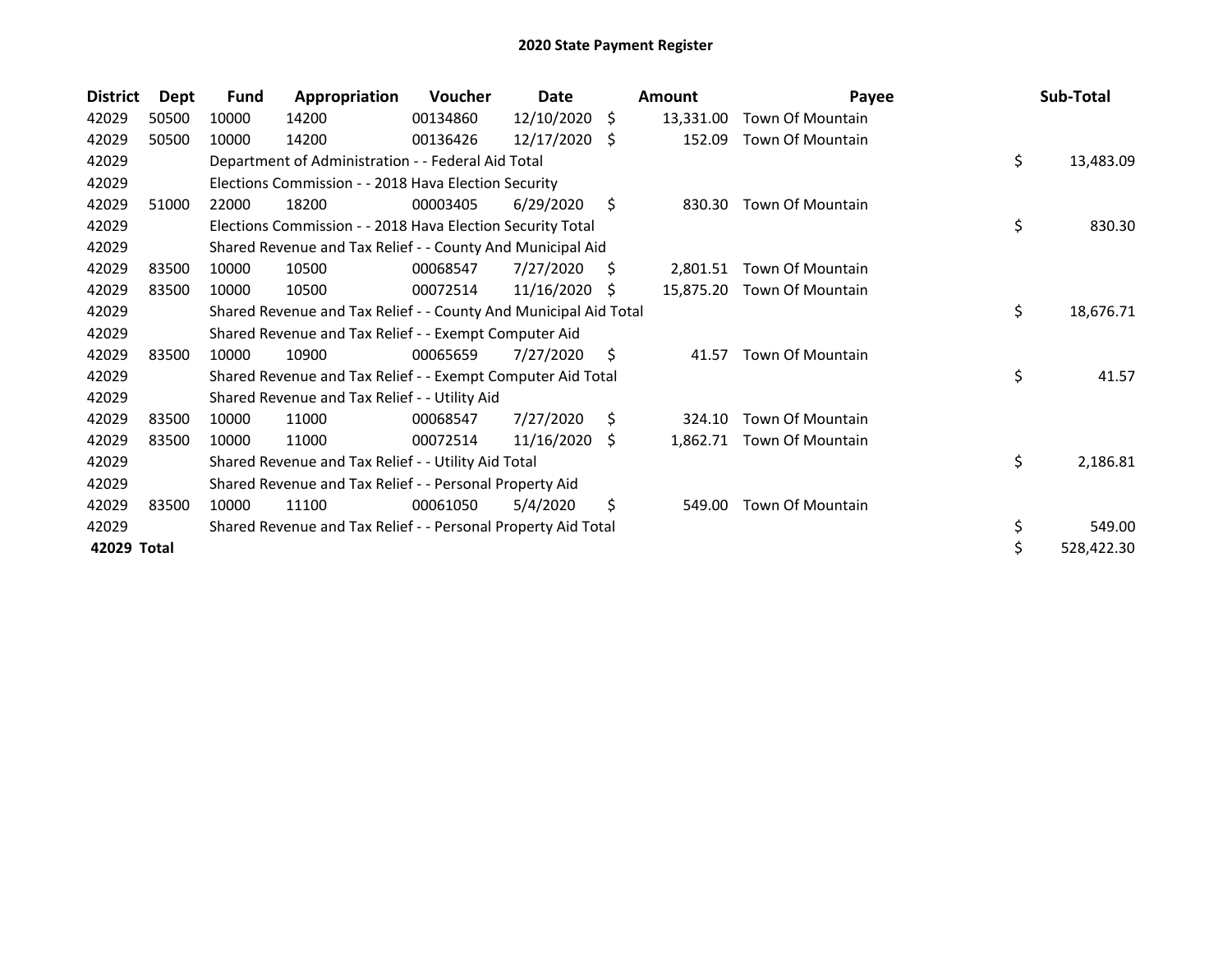| <b>District</b> | Dept  | <b>Fund</b> | Appropriation                                                    | <b>Voucher</b> | Date       |    | <b>Amount</b> | Payee                   | Sub-Total        |
|-----------------|-------|-------------|------------------------------------------------------------------|----------------|------------|----|---------------|-------------------------|------------------|
| 42029           | 50500 | 10000       | 14200                                                            | 00134860       | 12/10/2020 | \$ | 13,331.00     | Town Of Mountain        |                  |
| 42029           | 50500 | 10000       | 14200                                                            | 00136426       | 12/17/2020 | S. | 152.09        | <b>Town Of Mountain</b> |                  |
| 42029           |       |             | Department of Administration - - Federal Aid Total               |                |            |    |               |                         | \$<br>13,483.09  |
| 42029           |       |             | Elections Commission - - 2018 Hava Election Security             |                |            |    |               |                         |                  |
| 42029           | 51000 | 22000       | 18200                                                            | 00003405       | 6/29/2020  | \$ | 830.30        | Town Of Mountain        |                  |
| 42029           |       |             | Elections Commission - - 2018 Hava Election Security Total       |                |            |    |               |                         | \$<br>830.30     |
| 42029           |       |             | Shared Revenue and Tax Relief - - County And Municipal Aid       |                |            |    |               |                         |                  |
| 42029           | 83500 | 10000       | 10500                                                            | 00068547       | 7/27/2020  | S  | 2.801.51      | Town Of Mountain        |                  |
| 42029           | 83500 | 10000       | 10500                                                            | 00072514       | 11/16/2020 | .S | 15,875.20     | Town Of Mountain        |                  |
| 42029           |       |             | Shared Revenue and Tax Relief - - County And Municipal Aid Total |                |            |    |               |                         | \$<br>18,676.71  |
| 42029           |       |             | Shared Revenue and Tax Relief - - Exempt Computer Aid            |                |            |    |               |                         |                  |
| 42029           | 83500 | 10000       | 10900                                                            | 00065659       | 7/27/2020  | \$ | 41.57         | Town Of Mountain        |                  |
| 42029           |       |             | Shared Revenue and Tax Relief - - Exempt Computer Aid Total      |                |            |    |               |                         | \$<br>41.57      |
| 42029           |       |             | Shared Revenue and Tax Relief - - Utility Aid                    |                |            |    |               |                         |                  |
| 42029           | 83500 | 10000       | 11000                                                            | 00068547       | 7/27/2020  | \$ | 324.10        | <b>Town Of Mountain</b> |                  |
| 42029           | 83500 | 10000       | 11000                                                            | 00072514       | 11/16/2020 | -S | 1,862.71      | Town Of Mountain        |                  |
| 42029           |       |             | Shared Revenue and Tax Relief - - Utility Aid Total              |                |            |    |               |                         | \$<br>2,186.81   |
| 42029           |       |             | Shared Revenue and Tax Relief - - Personal Property Aid          |                |            |    |               |                         |                  |
| 42029           | 83500 | 10000       | 11100                                                            | 00061050       | 5/4/2020   | \$ | 549.00        | <b>Town Of Mountain</b> |                  |
| 42029           |       |             | Shared Revenue and Tax Relief - - Personal Property Aid Total    |                |            |    |               |                         | \$<br>549.00     |
| 42029 Total     |       |             |                                                                  |                |            |    |               |                         | \$<br>528,422.30 |
|                 |       |             |                                                                  |                |            |    |               |                         |                  |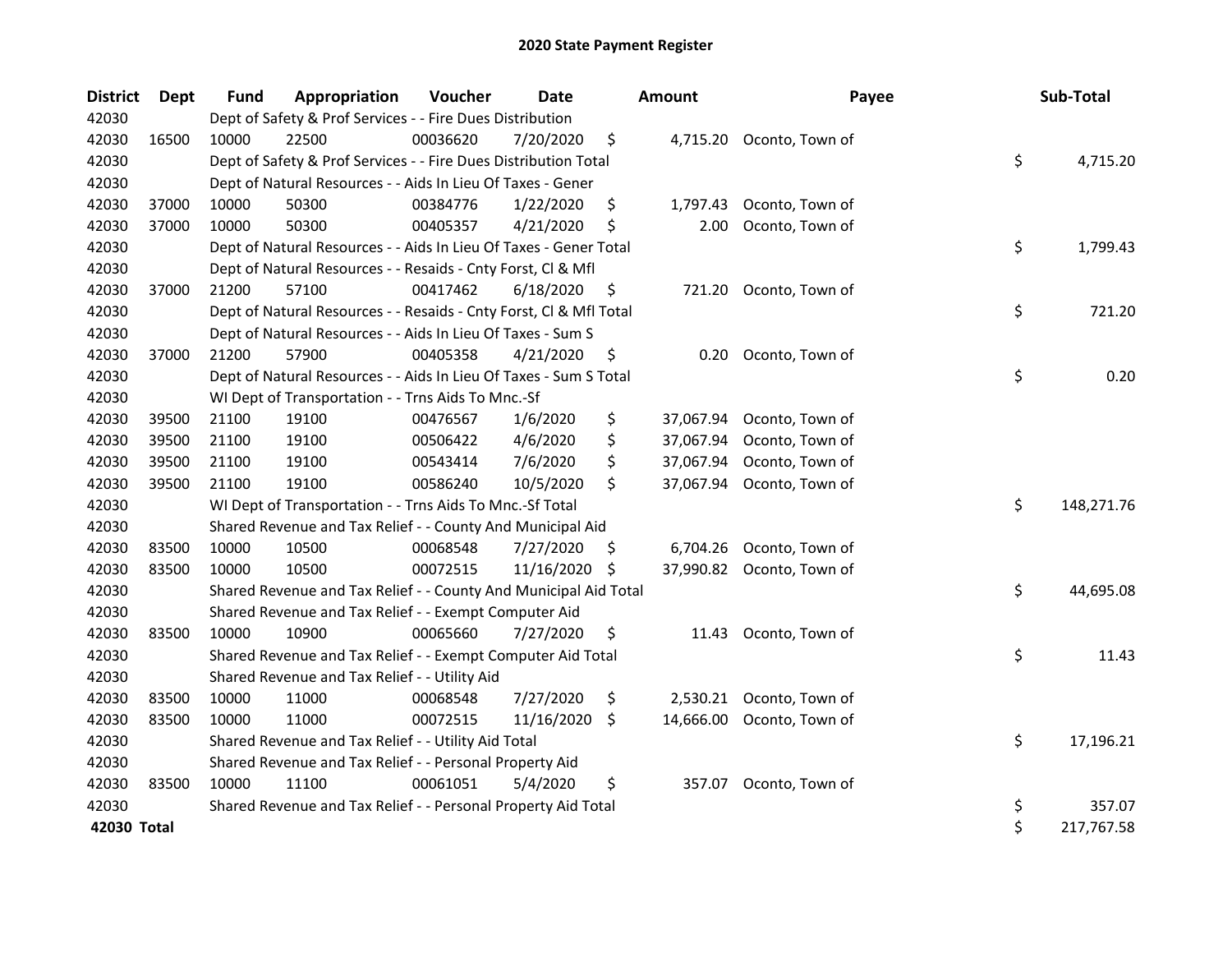| <b>District</b> | Dept  | Fund  | Appropriation                                                      | Voucher  | <b>Date</b> |     | <b>Amount</b> | Payee                    | Sub-Total        |
|-----------------|-------|-------|--------------------------------------------------------------------|----------|-------------|-----|---------------|--------------------------|------------------|
| 42030           |       |       | Dept of Safety & Prof Services - - Fire Dues Distribution          |          |             |     |               |                          |                  |
| 42030           | 16500 | 10000 | 22500                                                              | 00036620 | 7/20/2020   | \$. |               | 4,715.20 Oconto, Town of |                  |
| 42030           |       |       | Dept of Safety & Prof Services - - Fire Dues Distribution Total    |          |             |     |               |                          | \$<br>4,715.20   |
| 42030           |       |       | Dept of Natural Resources - - Aids In Lieu Of Taxes - Gener        |          |             |     |               |                          |                  |
| 42030           | 37000 | 10000 | 50300                                                              | 00384776 | 1/22/2020   | \$  | 1,797.43      | Oconto, Town of          |                  |
| 42030           | 37000 | 10000 | 50300                                                              | 00405357 | 4/21/2020   | \$  | 2.00          | Oconto, Town of          |                  |
| 42030           |       |       | Dept of Natural Resources - - Aids In Lieu Of Taxes - Gener Total  |          |             |     |               |                          | \$<br>1,799.43   |
| 42030           |       |       | Dept of Natural Resources - - Resaids - Cnty Forst, Cl & Mfl       |          |             |     |               |                          |                  |
| 42030           | 37000 | 21200 | 57100                                                              | 00417462 | 6/18/2020   | \$  | 721.20        | Oconto, Town of          |                  |
| 42030           |       |       | Dept of Natural Resources - - Resaids - Cnty Forst, Cl & Mfl Total |          |             |     |               |                          | \$<br>721.20     |
| 42030           |       |       | Dept of Natural Resources - - Aids In Lieu Of Taxes - Sum S        |          |             |     |               |                          |                  |
| 42030           | 37000 | 21200 | 57900                                                              | 00405358 | 4/21/2020   | \$  | 0.20          | Oconto, Town of          |                  |
| 42030           |       |       | Dept of Natural Resources - - Aids In Lieu Of Taxes - Sum S Total  |          |             |     |               |                          | \$<br>0.20       |
| 42030           |       |       | WI Dept of Transportation - - Trns Aids To Mnc.-Sf                 |          |             |     |               |                          |                  |
| 42030           | 39500 | 21100 | 19100                                                              | 00476567 | 1/6/2020    | \$  | 37,067.94     | Oconto, Town of          |                  |
| 42030           | 39500 | 21100 | 19100                                                              | 00506422 | 4/6/2020    | \$  | 37,067.94     | Oconto, Town of          |                  |
| 42030           | 39500 | 21100 | 19100                                                              | 00543414 | 7/6/2020    | \$  | 37,067.94     | Oconto, Town of          |                  |
| 42030           | 39500 | 21100 | 19100                                                              | 00586240 | 10/5/2020   | \$  | 37,067.94     | Oconto, Town of          |                  |
| 42030           |       |       | WI Dept of Transportation - - Trns Aids To Mnc.-Sf Total           |          |             |     |               |                          | \$<br>148,271.76 |
| 42030           |       |       | Shared Revenue and Tax Relief - - County And Municipal Aid         |          |             |     |               |                          |                  |
| 42030           | 83500 | 10000 | 10500                                                              | 00068548 | 7/27/2020   | \$. | 6,704.26      | Oconto, Town of          |                  |
| 42030           | 83500 | 10000 | 10500                                                              | 00072515 | 11/16/2020  | -S  | 37,990.82     | Oconto, Town of          |                  |
| 42030           |       |       | Shared Revenue and Tax Relief - - County And Municipal Aid Total   |          |             |     |               |                          | \$<br>44,695.08  |
| 42030           |       |       | Shared Revenue and Tax Relief - - Exempt Computer Aid              |          |             |     |               |                          |                  |
| 42030           | 83500 | 10000 | 10900                                                              | 00065660 | 7/27/2020   | \$  | 11.43         | Oconto, Town of          |                  |
| 42030           |       |       | Shared Revenue and Tax Relief - - Exempt Computer Aid Total        |          |             |     |               |                          | \$<br>11.43      |
| 42030           |       |       | Shared Revenue and Tax Relief - - Utility Aid                      |          |             |     |               |                          |                  |
| 42030           | 83500 | 10000 | 11000                                                              | 00068548 | 7/27/2020   | \$  | 2,530.21      | Oconto, Town of          |                  |
| 42030           | 83500 | 10000 | 11000                                                              | 00072515 | 11/16/2020  | \$  | 14,666.00     | Oconto, Town of          |                  |
| 42030           |       |       | Shared Revenue and Tax Relief - - Utility Aid Total                |          |             |     |               |                          | \$<br>17,196.21  |
| 42030           |       |       | Shared Revenue and Tax Relief - - Personal Property Aid            |          |             |     |               |                          |                  |
| 42030           | 83500 | 10000 | 11100                                                              | 00061051 | 5/4/2020    | \$  | 357.07        | Oconto, Town of          |                  |
| 42030           |       |       | Shared Revenue and Tax Relief - - Personal Property Aid Total      |          |             |     |               |                          | \$<br>357.07     |
| 42030 Total     |       |       |                                                                    |          |             |     |               |                          | \$<br>217,767.58 |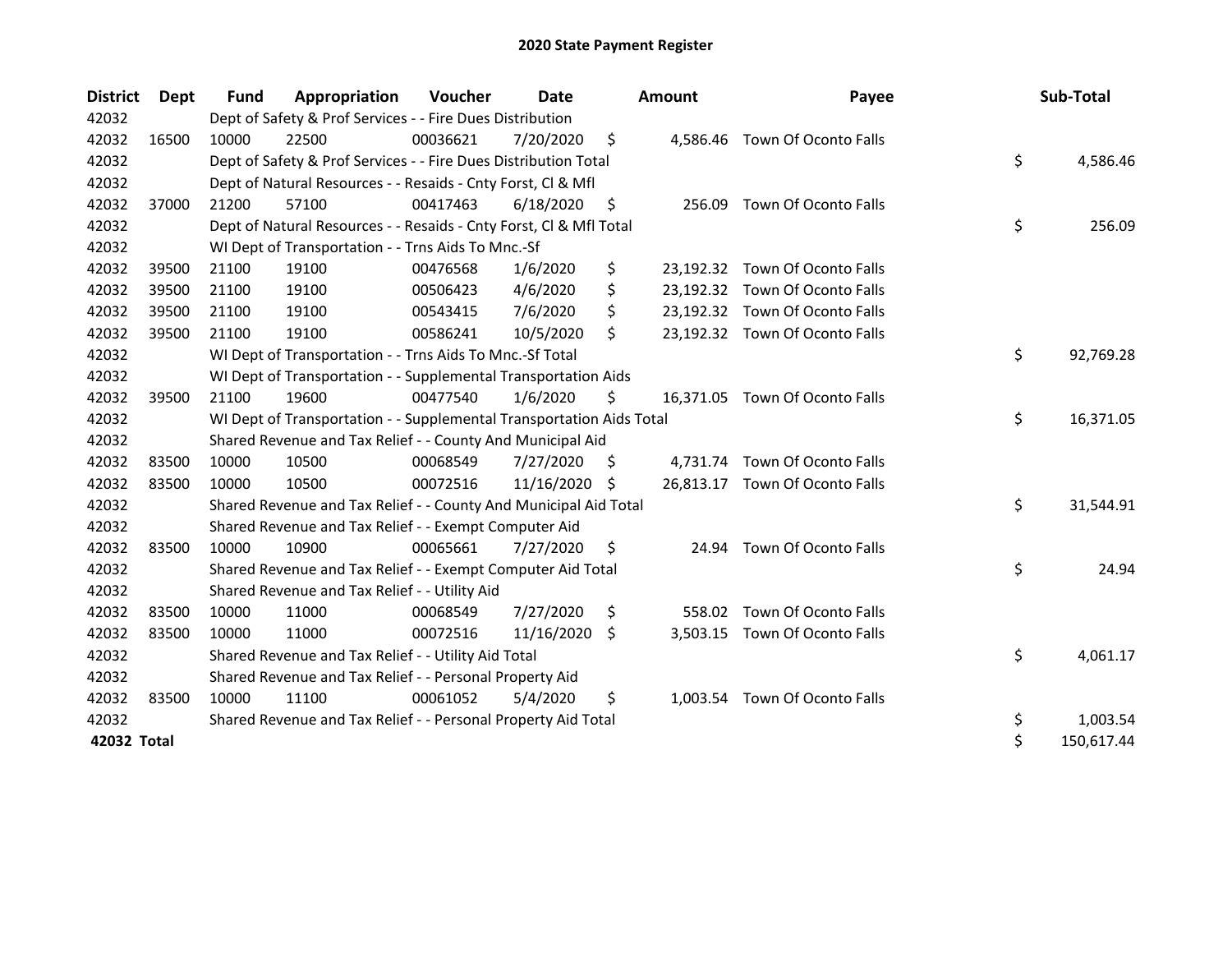| <b>District</b> | Dept  | <b>Fund</b> | Appropriation                                                        | Voucher  | Date       |     | Amount   | Payee                          | Sub-Total        |
|-----------------|-------|-------------|----------------------------------------------------------------------|----------|------------|-----|----------|--------------------------------|------------------|
| 42032           |       |             | Dept of Safety & Prof Services - - Fire Dues Distribution            |          |            |     |          |                                |                  |
| 42032           | 16500 | 10000       | 22500                                                                | 00036621 | 7/20/2020  | \$  |          | 4,586.46 Town Of Oconto Falls  |                  |
| 42032           |       |             | Dept of Safety & Prof Services - - Fire Dues Distribution Total      |          |            |     |          |                                | \$<br>4,586.46   |
| 42032           |       |             | Dept of Natural Resources - - Resaids - Cnty Forst, CI & Mfl         |          |            |     |          |                                |                  |
| 42032           | 37000 | 21200       | 57100                                                                | 00417463 | 6/18/2020  | \$  | 256.09   | Town Of Oconto Falls           |                  |
| 42032           |       |             | Dept of Natural Resources - - Resaids - Cnty Forst, Cl & Mfl Total   |          |            |     |          |                                | \$<br>256.09     |
| 42032           |       |             | WI Dept of Transportation - - Trns Aids To Mnc.-Sf                   |          |            |     |          |                                |                  |
| 42032           | 39500 | 21100       | 19100                                                                | 00476568 | 1/6/2020   | \$  |          | 23,192.32 Town Of Oconto Falls |                  |
| 42032           | 39500 | 21100       | 19100                                                                | 00506423 | 4/6/2020   | \$  |          | 23,192.32 Town Of Oconto Falls |                  |
| 42032           | 39500 | 21100       | 19100                                                                | 00543415 | 7/6/2020   | \$  |          | 23,192.32 Town Of Oconto Falls |                  |
| 42032           | 39500 | 21100       | 19100                                                                | 00586241 | 10/5/2020  | \$  |          | 23,192.32 Town Of Oconto Falls |                  |
| 42032           |       |             | WI Dept of Transportation - - Trns Aids To Mnc.-Sf Total             |          |            |     |          |                                | \$<br>92,769.28  |
| 42032           |       |             | WI Dept of Transportation - - Supplemental Transportation Aids       |          |            |     |          |                                |                  |
| 42032           | 39500 | 21100       | 19600                                                                | 00477540 | 1/6/2020   | \$  |          | 16,371.05 Town Of Oconto Falls |                  |
| 42032           |       |             | WI Dept of Transportation - - Supplemental Transportation Aids Total |          |            |     |          |                                | \$<br>16,371.05  |
| 42032           |       |             | Shared Revenue and Tax Relief - - County And Municipal Aid           |          |            |     |          |                                |                  |
| 42032           | 83500 | 10000       | 10500                                                                | 00068549 | 7/27/2020  | S.  | 4,731.74 | Town Of Oconto Falls           |                  |
| 42032           | 83500 | 10000       | 10500                                                                | 00072516 | 11/16/2020 | S   |          | 26,813.17 Town Of Oconto Falls |                  |
| 42032           |       |             | Shared Revenue and Tax Relief - - County And Municipal Aid Total     |          |            |     |          |                                | \$<br>31,544.91  |
| 42032           |       |             | Shared Revenue and Tax Relief - - Exempt Computer Aid                |          |            |     |          |                                |                  |
| 42032           | 83500 | 10000       | 10900                                                                | 00065661 | 7/27/2020  | \$  |          | 24.94 Town Of Oconto Falls     |                  |
| 42032           |       |             | Shared Revenue and Tax Relief - - Exempt Computer Aid Total          |          |            |     |          |                                | \$<br>24.94      |
| 42032           |       |             | Shared Revenue and Tax Relief - - Utility Aid                        |          |            |     |          |                                |                  |
| 42032           | 83500 | 10000       | 11000                                                                | 00068549 | 7/27/2020  | \$  | 558.02   | Town Of Oconto Falls           |                  |
| 42032           | 83500 | 10000       | 11000                                                                | 00072516 | 11/16/2020 | \$, |          | 3,503.15 Town Of Oconto Falls  |                  |
| 42032           |       |             | Shared Revenue and Tax Relief - - Utility Aid Total                  |          |            |     |          |                                | \$<br>4,061.17   |
| 42032           |       |             | Shared Revenue and Tax Relief - - Personal Property Aid              |          |            |     |          |                                |                  |
| 42032           | 83500 | 10000       | 11100                                                                | 00061052 | 5/4/2020   | \$  |          | 1,003.54 Town Of Oconto Falls  |                  |
| 42032           |       |             | Shared Revenue and Tax Relief - - Personal Property Aid Total        |          |            |     |          |                                | \$<br>1,003.54   |
| 42032 Total     |       |             |                                                                      |          |            |     |          |                                | \$<br>150,617.44 |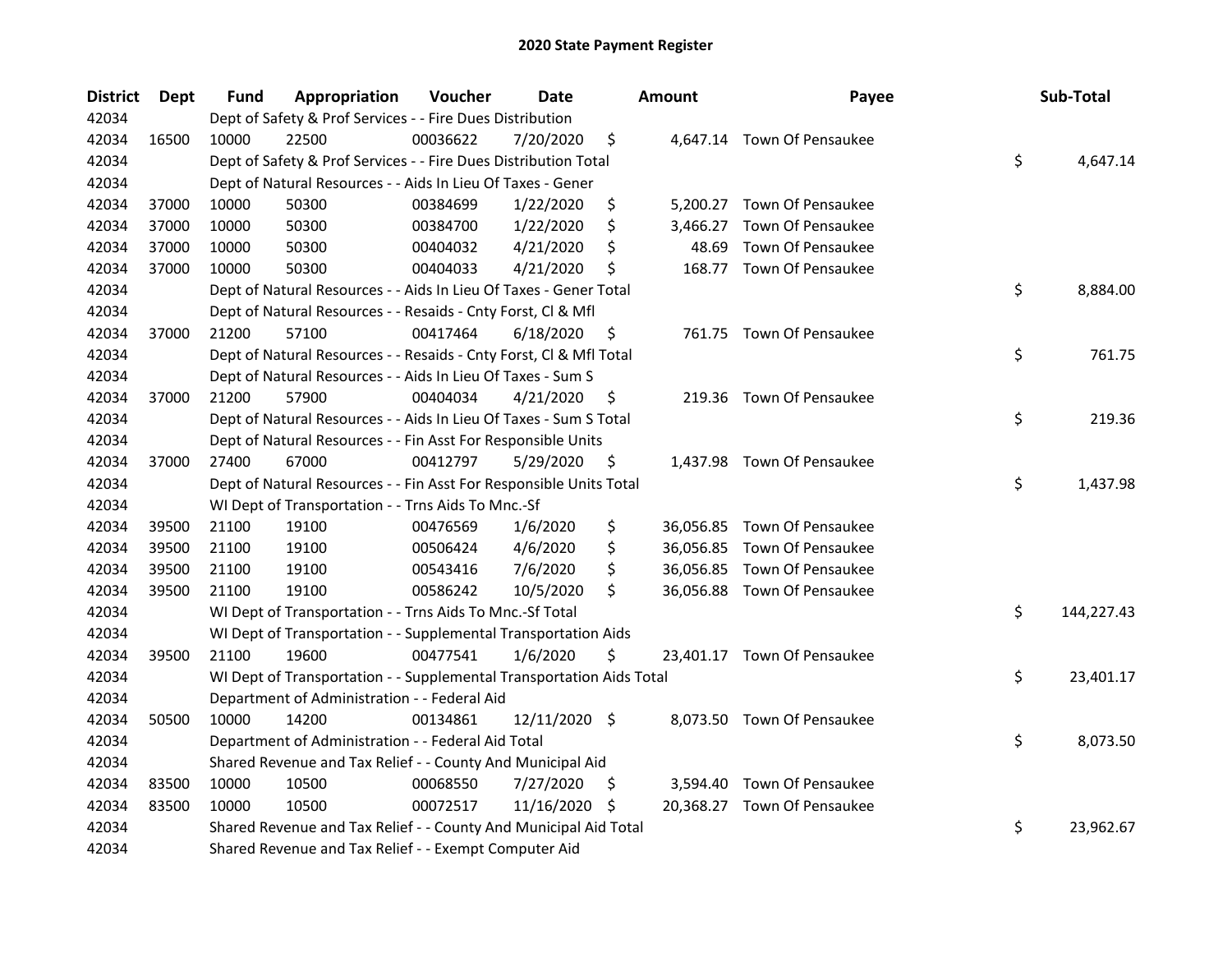| <b>District</b> | <b>Dept</b> | Fund  | Appropriation                                                        | Voucher  | <b>Date</b>   |    | <b>Amount</b> | Payee                       | Sub-Total        |
|-----------------|-------------|-------|----------------------------------------------------------------------|----------|---------------|----|---------------|-----------------------------|------------------|
| 42034           |             |       | Dept of Safety & Prof Services - - Fire Dues Distribution            |          |               |    |               |                             |                  |
| 42034           | 16500       | 10000 | 22500                                                                | 00036622 | 7/20/2020     | \$ |               | 4,647.14 Town Of Pensaukee  |                  |
| 42034           |             |       | Dept of Safety & Prof Services - - Fire Dues Distribution Total      |          |               |    |               |                             | \$<br>4,647.14   |
| 42034           |             |       | Dept of Natural Resources - - Aids In Lieu Of Taxes - Gener          |          |               |    |               |                             |                  |
| 42034           | 37000       | 10000 | 50300                                                                | 00384699 | 1/22/2020     | \$ |               | 5,200.27 Town Of Pensaukee  |                  |
| 42034           | 37000       | 10000 | 50300                                                                | 00384700 | 1/22/2020     | \$ | 3,466.27      | Town Of Pensaukee           |                  |
| 42034           | 37000       | 10000 | 50300                                                                | 00404032 | 4/21/2020     | \$ | 48.69         | Town Of Pensaukee           |                  |
| 42034           | 37000       | 10000 | 50300                                                                | 00404033 | 4/21/2020     | \$ |               | 168.77 Town Of Pensaukee    |                  |
| 42034           |             |       | Dept of Natural Resources - - Aids In Lieu Of Taxes - Gener Total    |          |               |    |               |                             | \$<br>8,884.00   |
| 42034           |             |       | Dept of Natural Resources - - Resaids - Cnty Forst, Cl & Mfl         |          |               |    |               |                             |                  |
| 42034           | 37000       | 21200 | 57100                                                                | 00417464 | 6/18/2020     | \$ |               | 761.75 Town Of Pensaukee    |                  |
| 42034           |             |       | Dept of Natural Resources - - Resaids - Cnty Forst, Cl & Mfl Total   |          |               |    |               |                             | \$<br>761.75     |
| 42034           |             |       | Dept of Natural Resources - - Aids In Lieu Of Taxes - Sum S          |          |               |    |               |                             |                  |
| 42034           | 37000       | 21200 | 57900                                                                | 00404034 | 4/21/2020     | \$ |               | 219.36 Town Of Pensaukee    |                  |
| 42034           |             |       | Dept of Natural Resources - - Aids In Lieu Of Taxes - Sum S Total    |          |               |    |               |                             | \$<br>219.36     |
| 42034           |             |       | Dept of Natural Resources - - Fin Asst For Responsible Units         |          |               |    |               |                             |                  |
| 42034           | 37000       | 27400 | 67000                                                                | 00412797 | 5/29/2020     | \$ |               | 1,437.98 Town Of Pensaukee  |                  |
| 42034           |             |       | Dept of Natural Resources - - Fin Asst For Responsible Units Total   |          |               |    |               |                             | \$<br>1,437.98   |
| 42034           |             |       | WI Dept of Transportation - - Trns Aids To Mnc.-Sf                   |          |               |    |               |                             |                  |
| 42034           | 39500       | 21100 | 19100                                                                | 00476569 | 1/6/2020      | \$ |               | 36,056.85 Town Of Pensaukee |                  |
| 42034           | 39500       | 21100 | 19100                                                                | 00506424 | 4/6/2020      | \$ |               | 36,056.85 Town Of Pensaukee |                  |
| 42034           | 39500       | 21100 | 19100                                                                | 00543416 | 7/6/2020      | \$ |               | 36,056.85 Town Of Pensaukee |                  |
| 42034           | 39500       | 21100 | 19100                                                                | 00586242 | 10/5/2020     | \$ |               | 36,056.88 Town Of Pensaukee |                  |
| 42034           |             |       | WI Dept of Transportation - - Trns Aids To Mnc.-Sf Total             |          |               |    |               |                             | \$<br>144,227.43 |
| 42034           |             |       | WI Dept of Transportation - - Supplemental Transportation Aids       |          |               |    |               |                             |                  |
| 42034           | 39500       | 21100 | 19600                                                                | 00477541 | 1/6/2020      | \$ |               | 23,401.17 Town Of Pensaukee |                  |
| 42034           |             |       | WI Dept of Transportation - - Supplemental Transportation Aids Total |          |               |    |               |                             | \$<br>23,401.17  |
| 42034           |             |       | Department of Administration - - Federal Aid                         |          |               |    |               |                             |                  |
| 42034           | 50500       | 10000 | 14200                                                                | 00134861 | 12/11/2020 \$ |    |               | 8,073.50 Town Of Pensaukee  |                  |
| 42034           |             |       | Department of Administration - - Federal Aid Total                   |          |               |    |               |                             | \$<br>8,073.50   |
| 42034           |             |       | Shared Revenue and Tax Relief - - County And Municipal Aid           |          |               |    |               |                             |                  |
| 42034           | 83500       | 10000 | 10500                                                                | 00068550 | 7/27/2020     | Ş  |               | 3,594.40 Town Of Pensaukee  |                  |
| 42034           | 83500       | 10000 | 10500                                                                | 00072517 | 11/16/2020    | \$ |               | 20,368.27 Town Of Pensaukee |                  |
| 42034           |             |       | Shared Revenue and Tax Relief - - County And Municipal Aid Total     |          |               |    |               |                             | \$<br>23,962.67  |
| 42034           |             |       | Shared Revenue and Tax Relief - - Exempt Computer Aid                |          |               |    |               |                             |                  |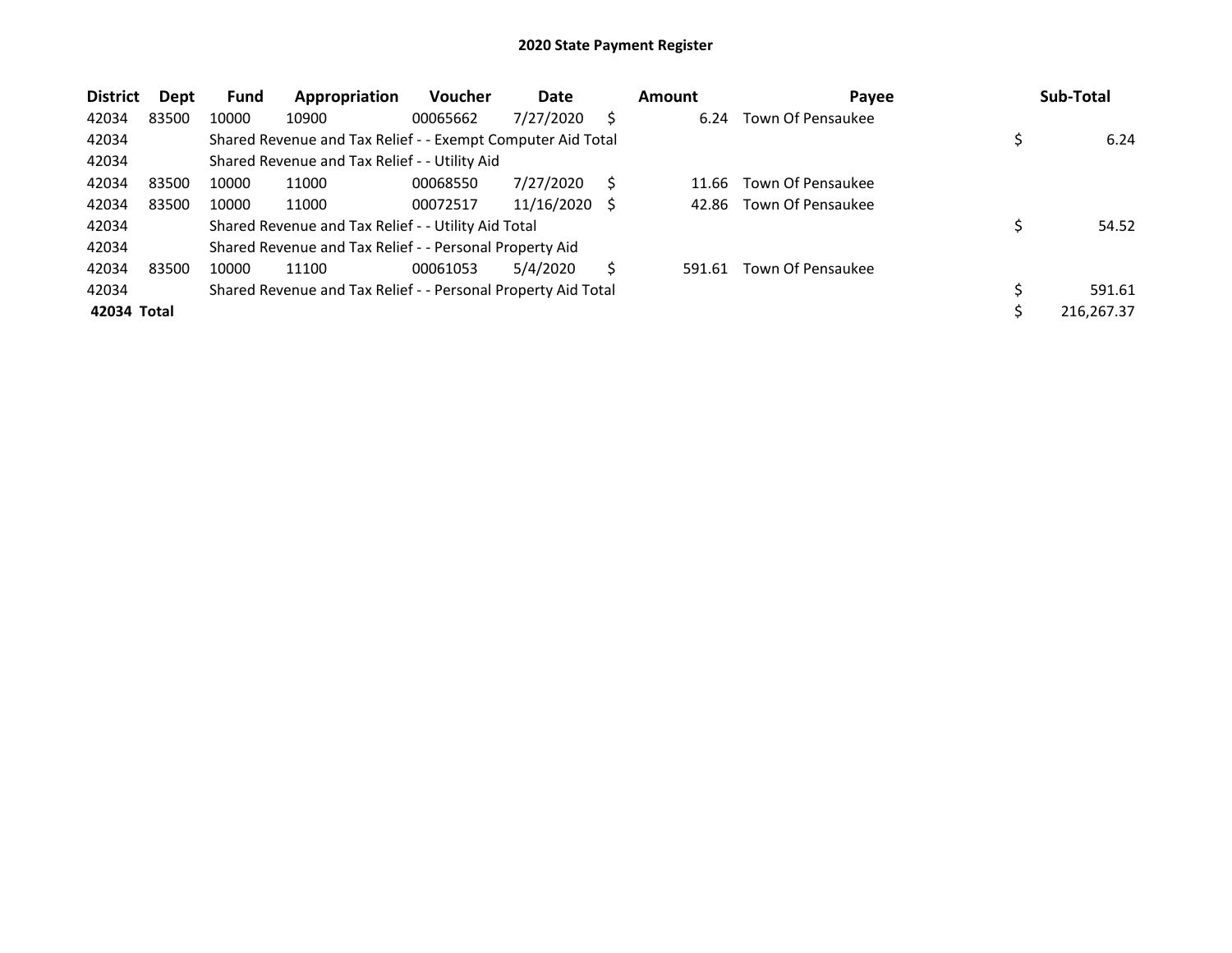| <b>District</b> | Dept  | Fund  | Appropriation                                                 | <b>Voucher</b> | Date       |   | <b>Amount</b> | Payee             | Sub-Total  |
|-----------------|-------|-------|---------------------------------------------------------------|----------------|------------|---|---------------|-------------------|------------|
| 42034           | 83500 | 10000 | 10900                                                         | 00065662       | 7/27/2020  |   | 6.24          | Town Of Pensaukee |            |
| 42034           |       |       | Shared Revenue and Tax Relief - - Exempt Computer Aid Total   |                |            |   |               |                   | 6.24       |
| 42034           |       |       | Shared Revenue and Tax Relief - - Utility Aid                 |                |            |   |               |                   |            |
| 42034           | 83500 | 10000 | 11000                                                         | 00068550       | 7/27/2020  |   | 11.66         | Town Of Pensaukee |            |
| 42034           | 83500 | 10000 | 11000                                                         | 00072517       | 11/16/2020 | S | 42.86         | Town Of Pensaukee |            |
| 42034           |       |       | Shared Revenue and Tax Relief - - Utility Aid Total           |                |            |   |               |                   | 54.52      |
| 42034           |       |       | Shared Revenue and Tax Relief - - Personal Property Aid       |                |            |   |               |                   |            |
| 42034           | 83500 | 10000 | 11100                                                         | 00061053       | 5/4/2020   |   | 591.61        | Town Of Pensaukee |            |
| 42034           |       |       | Shared Revenue and Tax Relief - - Personal Property Aid Total |                |            |   |               |                   | 591.61     |
| 42034 Total     |       |       |                                                               |                |            |   |               |                   | 216,267.37 |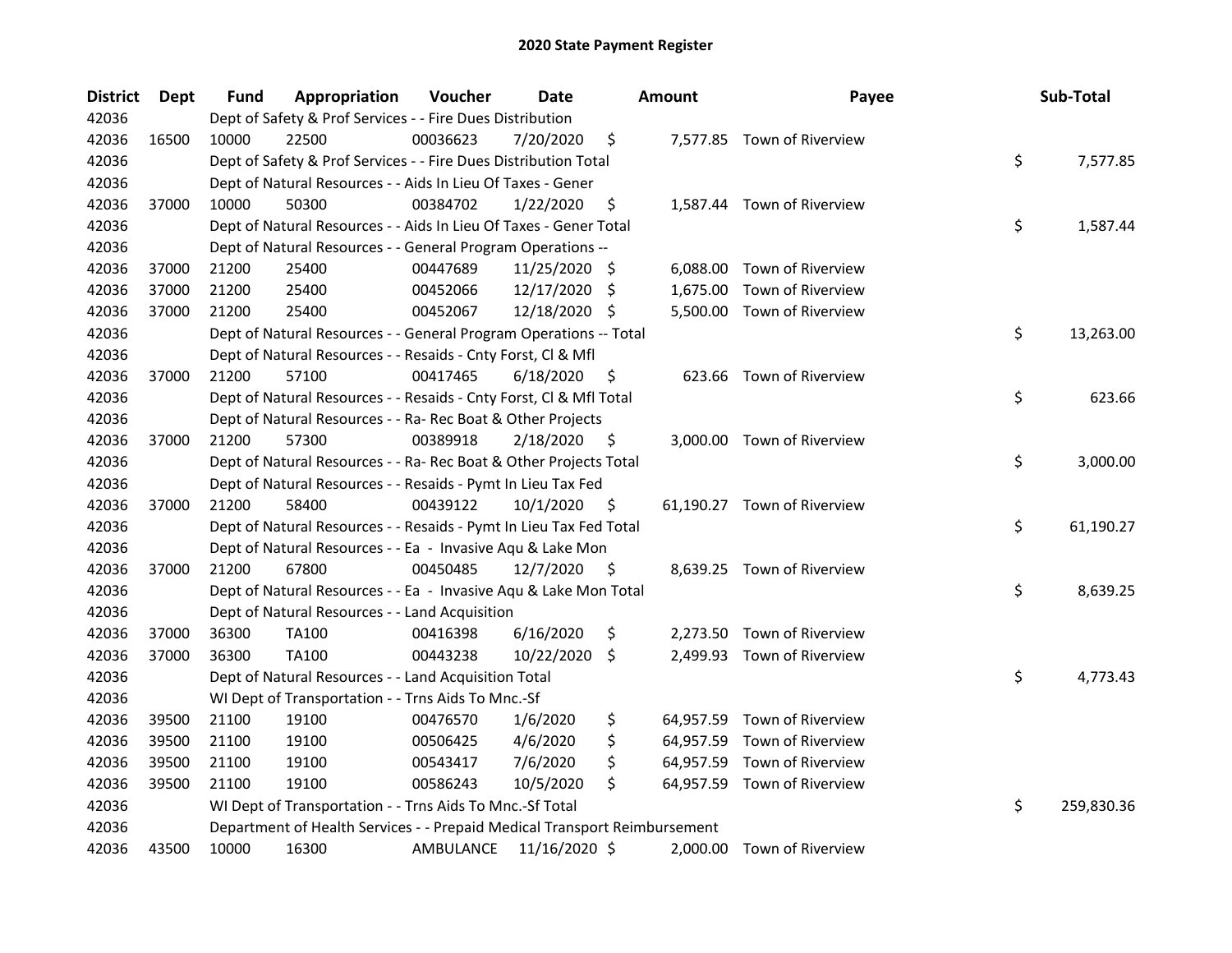| <b>District</b> | Dept  | <b>Fund</b> | Appropriation                                                             | Voucher   | Date          |     | <b>Amount</b> | Payee                       | Sub-Total        |
|-----------------|-------|-------------|---------------------------------------------------------------------------|-----------|---------------|-----|---------------|-----------------------------|------------------|
| 42036           |       |             | Dept of Safety & Prof Services - - Fire Dues Distribution                 |           |               |     |               |                             |                  |
| 42036           | 16500 | 10000       | 22500                                                                     | 00036623  | 7/20/2020     | \$  |               | 7,577.85 Town of Riverview  |                  |
| 42036           |       |             | Dept of Safety & Prof Services - - Fire Dues Distribution Total           |           |               |     |               |                             | \$<br>7,577.85   |
| 42036           |       |             | Dept of Natural Resources - - Aids In Lieu Of Taxes - Gener               |           |               |     |               |                             |                  |
| 42036           | 37000 | 10000       | 50300                                                                     | 00384702  | 1/22/2020     | \$  |               | 1,587.44 Town of Riverview  |                  |
| 42036           |       |             | Dept of Natural Resources - - Aids In Lieu Of Taxes - Gener Total         |           |               |     |               |                             | \$<br>1,587.44   |
| 42036           |       |             | Dept of Natural Resources - - General Program Operations --               |           |               |     |               |                             |                  |
| 42036           | 37000 | 21200       | 25400                                                                     | 00447689  | 11/25/2020 \$ |     |               | 6,088.00 Town of Riverview  |                  |
| 42036           | 37000 | 21200       | 25400                                                                     | 00452066  | 12/17/2020    | \$  | 1,675.00      | Town of Riverview           |                  |
| 42036           | 37000 | 21200       | 25400                                                                     | 00452067  | 12/18/2020    | -\$ |               | 5,500.00 Town of Riverview  |                  |
| 42036           |       |             | Dept of Natural Resources - - General Program Operations -- Total         |           |               |     |               |                             | \$<br>13,263.00  |
| 42036           |       |             | Dept of Natural Resources - - Resaids - Cnty Forst, Cl & Mfl              |           |               |     |               |                             |                  |
| 42036           | 37000 | 21200       | 57100                                                                     | 00417465  | 6/18/2020     | \$  |               | 623.66 Town of Riverview    |                  |
| 42036           |       |             | Dept of Natural Resources - - Resaids - Cnty Forst, Cl & Mfl Total        |           |               |     |               |                             | \$<br>623.66     |
| 42036           |       |             | Dept of Natural Resources - - Ra- Rec Boat & Other Projects               |           |               |     |               |                             |                  |
| 42036           | 37000 | 21200       | 57300                                                                     | 00389918  | 2/18/2020     | \$  |               | 3,000.00 Town of Riverview  |                  |
| 42036           |       |             | Dept of Natural Resources - - Ra- Rec Boat & Other Projects Total         |           |               |     |               |                             | \$<br>3,000.00   |
| 42036           |       |             | Dept of Natural Resources - - Resaids - Pymt In Lieu Tax Fed              |           |               |     |               |                             |                  |
| 42036           | 37000 | 21200       | 58400                                                                     | 00439122  | 10/1/2020     | \$  |               | 61,190.27 Town of Riverview |                  |
| 42036           |       |             | Dept of Natural Resources - - Resaids - Pymt In Lieu Tax Fed Total        |           |               |     |               |                             | \$<br>61,190.27  |
| 42036           |       |             | Dept of Natural Resources - - Ea - Invasive Aqu & Lake Mon                |           |               |     |               |                             |                  |
| 42036           | 37000 | 21200       | 67800                                                                     | 00450485  | 12/7/2020     | \$  |               | 8,639.25 Town of Riverview  |                  |
| 42036           |       |             | Dept of Natural Resources - - Ea - Invasive Aqu & Lake Mon Total          |           |               |     |               |                             | \$<br>8,639.25   |
| 42036           |       |             | Dept of Natural Resources - - Land Acquisition                            |           |               |     |               |                             |                  |
| 42036           | 37000 | 36300       | <b>TA100</b>                                                              | 00416398  | 6/16/2020     | \$  | 2,273.50      | Town of Riverview           |                  |
| 42036           | 37000 | 36300       | <b>TA100</b>                                                              | 00443238  | 10/22/2020    | \$  |               | 2,499.93 Town of Riverview  |                  |
| 42036           |       |             | Dept of Natural Resources - - Land Acquisition Total                      |           |               |     |               |                             | \$<br>4,773.43   |
| 42036           |       |             | WI Dept of Transportation - - Trns Aids To Mnc.-Sf                        |           |               |     |               |                             |                  |
| 42036           | 39500 | 21100       | 19100                                                                     | 00476570  | 1/6/2020      | \$  |               | 64,957.59 Town of Riverview |                  |
| 42036           | 39500 | 21100       | 19100                                                                     | 00506425  | 4/6/2020      | \$  |               | 64,957.59 Town of Riverview |                  |
| 42036           | 39500 | 21100       | 19100                                                                     | 00543417  | 7/6/2020      | \$  |               | 64,957.59 Town of Riverview |                  |
| 42036           | 39500 | 21100       | 19100                                                                     | 00586243  | 10/5/2020     | \$  |               | 64,957.59 Town of Riverview |                  |
| 42036           |       |             | WI Dept of Transportation - - Trns Aids To Mnc.-Sf Total                  |           |               |     |               |                             | \$<br>259,830.36 |
| 42036           |       |             | Department of Health Services - - Prepaid Medical Transport Reimbursement |           |               |     |               |                             |                  |
| 42036           | 43500 | 10000       | 16300                                                                     | AMBULANCE | 11/16/2020 \$ |     |               | 2,000.00 Town of Riverview  |                  |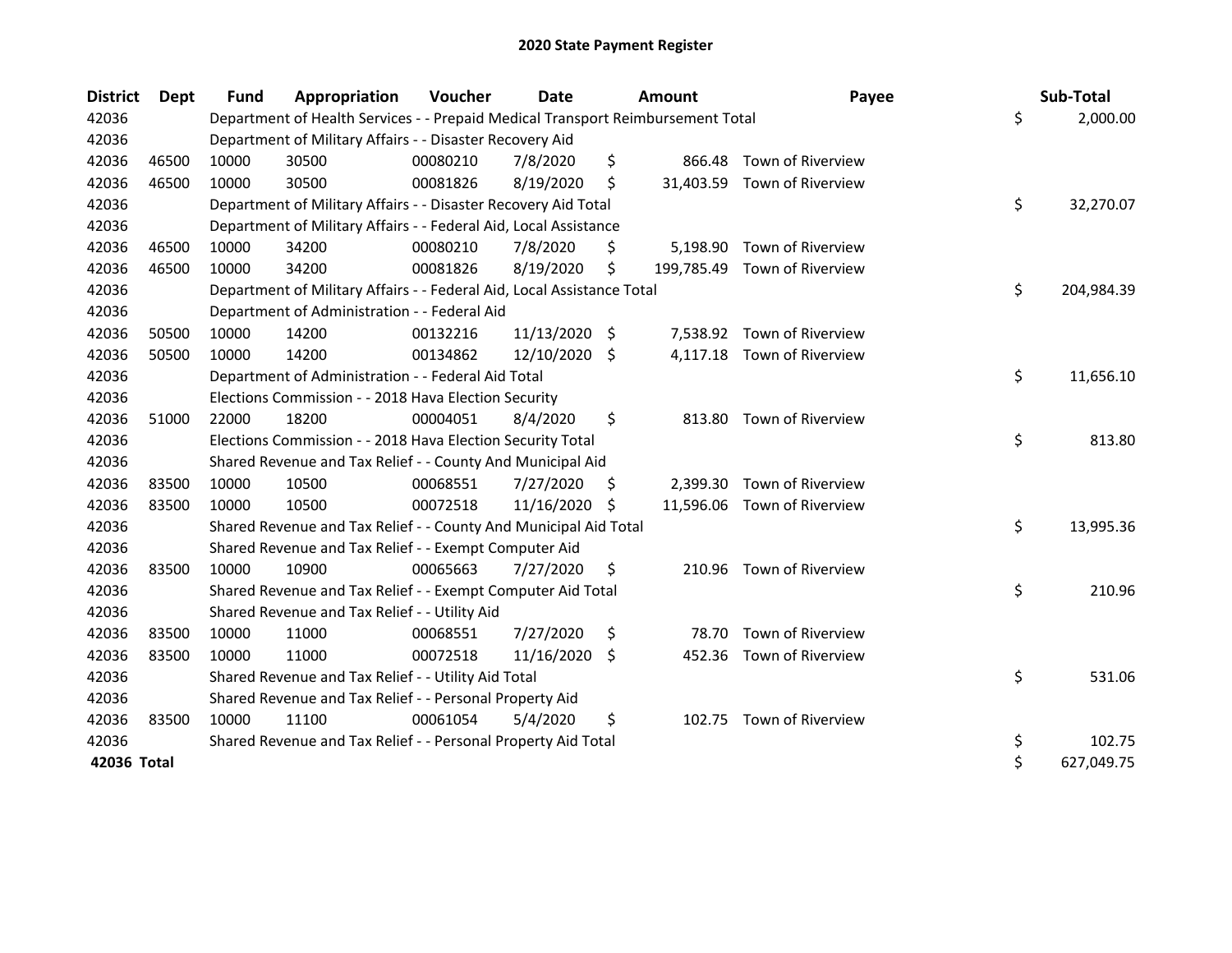| <b>District</b> | Dept  | <b>Fund</b> | Appropriation                                                                   | Voucher  | Date       |     | Amount   | Payee                        | Sub-Total        |
|-----------------|-------|-------------|---------------------------------------------------------------------------------|----------|------------|-----|----------|------------------------------|------------------|
| 42036           |       |             | Department of Health Services - - Prepaid Medical Transport Reimbursement Total |          |            |     |          |                              | \$<br>2,000.00   |
| 42036           |       |             | Department of Military Affairs - - Disaster Recovery Aid                        |          |            |     |          |                              |                  |
| 42036           | 46500 | 10000       | 30500                                                                           | 00080210 | 7/8/2020   | \$  | 866.48   | Town of Riverview            |                  |
| 42036           | 46500 | 10000       | 30500                                                                           | 00081826 | 8/19/2020  | \$  |          | 31,403.59 Town of Riverview  |                  |
| 42036           |       |             | Department of Military Affairs - - Disaster Recovery Aid Total                  |          |            |     |          |                              | \$<br>32,270.07  |
| 42036           |       |             | Department of Military Affairs - - Federal Aid, Local Assistance                |          |            |     |          |                              |                  |
| 42036           | 46500 | 10000       | 34200                                                                           | 00080210 | 7/8/2020   | \$  |          | 5,198.90 Town of Riverview   |                  |
| 42036           | 46500 | 10000       | 34200                                                                           | 00081826 | 8/19/2020  | \$  |          | 199,785.49 Town of Riverview |                  |
| 42036           |       |             | Department of Military Affairs - - Federal Aid, Local Assistance Total          |          |            |     |          |                              | \$<br>204,984.39 |
| 42036           |       |             | Department of Administration - - Federal Aid                                    |          |            |     |          |                              |                  |
| 42036           | 50500 | 10000       | 14200                                                                           | 00132216 | 11/13/2020 | \$  |          | 7,538.92 Town of Riverview   |                  |
| 42036           | 50500 | 10000       | 14200                                                                           | 00134862 | 12/10/2020 | -\$ |          | 4,117.18 Town of Riverview   |                  |
| 42036           |       |             | Department of Administration - - Federal Aid Total                              |          |            |     |          |                              | \$<br>11,656.10  |
| 42036           |       |             | Elections Commission - - 2018 Hava Election Security                            |          |            |     |          |                              |                  |
| 42036           | 51000 | 22000       | 18200                                                                           | 00004051 | 8/4/2020   | \$  | 813.80   | Town of Riverview            |                  |
| 42036           |       |             | Elections Commission - - 2018 Hava Election Security Total                      |          |            |     |          |                              | \$<br>813.80     |
| 42036           |       |             | Shared Revenue and Tax Relief - - County And Municipal Aid                      |          |            |     |          |                              |                  |
| 42036           | 83500 | 10000       | 10500                                                                           | 00068551 | 7/27/2020  | \$. | 2,399.30 | Town of Riverview            |                  |
| 42036           | 83500 | 10000       | 10500                                                                           | 00072518 | 11/16/2020 | -\$ |          | 11,596.06 Town of Riverview  |                  |
| 42036           |       |             | Shared Revenue and Tax Relief - - County And Municipal Aid Total                |          |            |     |          |                              | \$<br>13,995.36  |
| 42036           |       |             | Shared Revenue and Tax Relief - - Exempt Computer Aid                           |          |            |     |          |                              |                  |
| 42036           | 83500 | 10000       | 10900                                                                           | 00065663 | 7/27/2020  | \$  | 210.96   | Town of Riverview            |                  |
| 42036           |       |             | Shared Revenue and Tax Relief - - Exempt Computer Aid Total                     |          |            |     |          |                              | \$<br>210.96     |
| 42036           |       |             | Shared Revenue and Tax Relief - - Utility Aid                                   |          |            |     |          |                              |                  |
| 42036           | 83500 | 10000       | 11000                                                                           | 00068551 | 7/27/2020  | \$  | 78.70    | Town of Riverview            |                  |
| 42036           | 83500 | 10000       | 11000                                                                           | 00072518 | 11/16/2020 | -S  | 452.36   | Town of Riverview            |                  |
| 42036           |       |             | Shared Revenue and Tax Relief - - Utility Aid Total                             |          |            |     |          |                              | \$<br>531.06     |
| 42036           |       |             | Shared Revenue and Tax Relief - - Personal Property Aid                         |          |            |     |          |                              |                  |
| 42036           | 83500 | 10000       | 11100                                                                           | 00061054 | 5/4/2020   | \$  |          | 102.75 Town of Riverview     |                  |
| 42036           |       |             | Shared Revenue and Tax Relief - - Personal Property Aid Total                   |          |            |     |          |                              | \$<br>102.75     |
| 42036 Total     |       |             |                                                                                 |          |            |     |          |                              | \$<br>627,049.75 |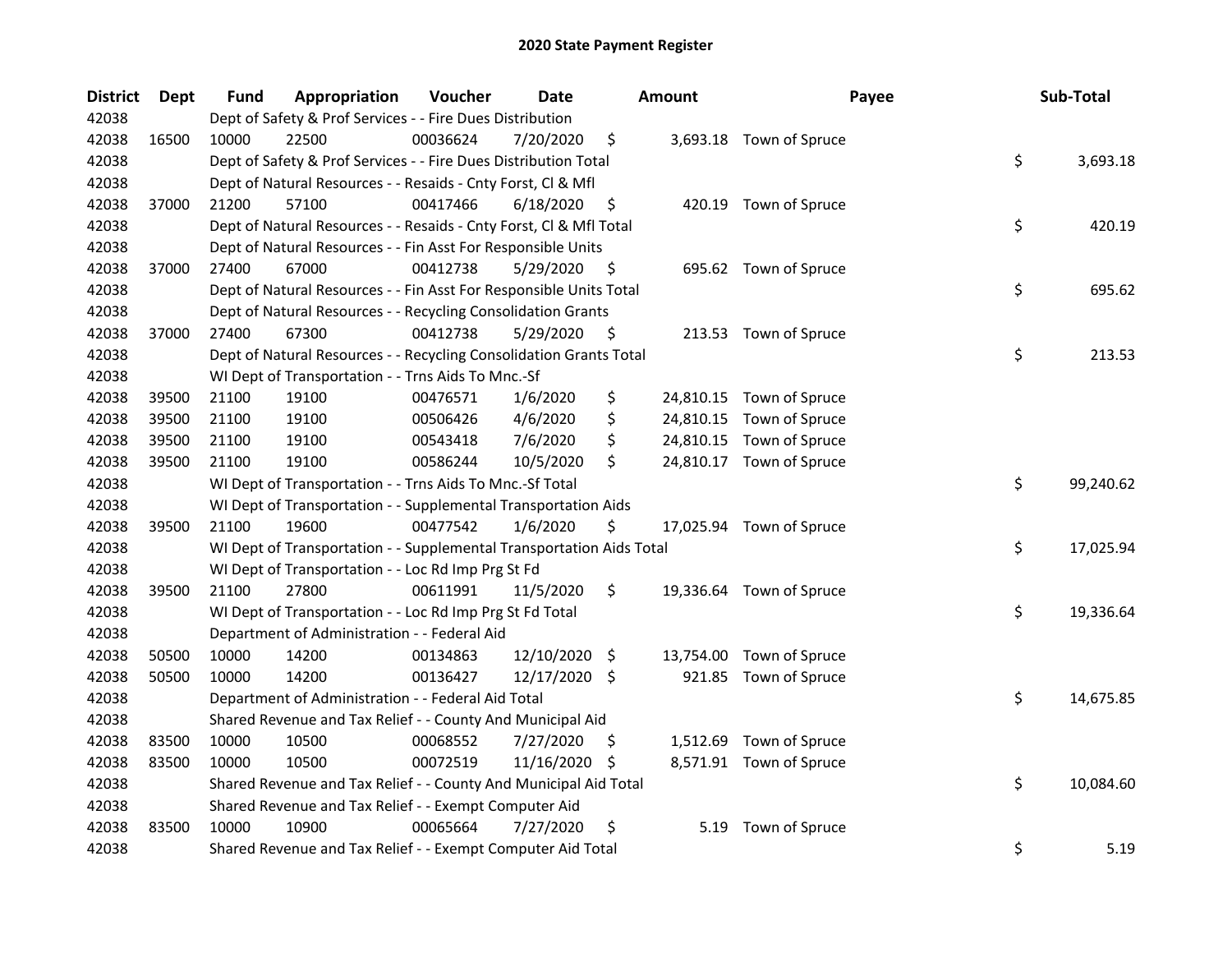| <b>District</b> | Dept  | Fund  | Appropriation                                                        | Voucher  | <b>Date</b>   |     | <b>Amount</b> | Payee                    | Sub-Total       |
|-----------------|-------|-------|----------------------------------------------------------------------|----------|---------------|-----|---------------|--------------------------|-----------------|
| 42038           |       |       | Dept of Safety & Prof Services - - Fire Dues Distribution            |          |               |     |               |                          |                 |
| 42038           | 16500 | 10000 | 22500                                                                | 00036624 | 7/20/2020     | \$  |               | 3,693.18 Town of Spruce  |                 |
| 42038           |       |       | Dept of Safety & Prof Services - - Fire Dues Distribution Total      |          |               |     |               |                          | \$<br>3,693.18  |
| 42038           |       |       | Dept of Natural Resources - - Resaids - Cnty Forst, Cl & Mfl         |          |               |     |               |                          |                 |
| 42038           | 37000 | 21200 | 57100                                                                | 00417466 | 6/18/2020     | \$  |               | 420.19 Town of Spruce    |                 |
| 42038           |       |       | Dept of Natural Resources - - Resaids - Cnty Forst, Cl & Mfl Total   |          |               |     |               |                          | \$<br>420.19    |
| 42038           |       |       | Dept of Natural Resources - - Fin Asst For Responsible Units         |          |               |     |               |                          |                 |
| 42038           | 37000 | 27400 | 67000                                                                | 00412738 | 5/29/2020     | \$  |               | 695.62 Town of Spruce    |                 |
| 42038           |       |       | Dept of Natural Resources - - Fin Asst For Responsible Units Total   |          |               |     |               |                          | \$<br>695.62    |
| 42038           |       |       | Dept of Natural Resources - - Recycling Consolidation Grants         |          |               |     |               |                          |                 |
| 42038           | 37000 | 27400 | 67300                                                                | 00412738 | 5/29/2020     | \$  |               | 213.53 Town of Spruce    |                 |
| 42038           |       |       | Dept of Natural Resources - - Recycling Consolidation Grants Total   |          |               |     |               |                          | \$<br>213.53    |
| 42038           |       |       | WI Dept of Transportation - - Trns Aids To Mnc.-Sf                   |          |               |     |               |                          |                 |
| 42038           | 39500 | 21100 | 19100                                                                | 00476571 | 1/6/2020      | \$  |               | 24,810.15 Town of Spruce |                 |
| 42038           | 39500 | 21100 | 19100                                                                | 00506426 | 4/6/2020      | \$  |               | 24,810.15 Town of Spruce |                 |
| 42038           | 39500 | 21100 | 19100                                                                | 00543418 | 7/6/2020      | \$  |               | 24,810.15 Town of Spruce |                 |
| 42038           | 39500 | 21100 | 19100                                                                | 00586244 | 10/5/2020     | \$  |               | 24,810.17 Town of Spruce |                 |
| 42038           |       |       | WI Dept of Transportation - - Trns Aids To Mnc.-Sf Total             |          |               |     |               |                          | \$<br>99,240.62 |
| 42038           |       |       | WI Dept of Transportation - - Supplemental Transportation Aids       |          |               |     |               |                          |                 |
| 42038           | 39500 | 21100 | 19600                                                                | 00477542 | 1/6/2020      | \$  |               | 17,025.94 Town of Spruce |                 |
| 42038           |       |       | WI Dept of Transportation - - Supplemental Transportation Aids Total |          |               |     |               |                          | \$<br>17,025.94 |
| 42038           |       |       | WI Dept of Transportation - - Loc Rd Imp Prg St Fd                   |          |               |     |               |                          |                 |
| 42038           | 39500 | 21100 | 27800                                                                | 00611991 | 11/5/2020     | \$  |               | 19,336.64 Town of Spruce |                 |
| 42038           |       |       | WI Dept of Transportation - - Loc Rd Imp Prg St Fd Total             |          |               |     |               |                          | \$<br>19,336.64 |
| 42038           |       |       | Department of Administration - - Federal Aid                         |          |               |     |               |                          |                 |
| 42038           | 50500 | 10000 | 14200                                                                | 00134863 | 12/10/2020    | -\$ |               | 13,754.00 Town of Spruce |                 |
| 42038           | 50500 | 10000 | 14200                                                                | 00136427 | 12/17/2020 \$ |     |               | 921.85 Town of Spruce    |                 |
| 42038           |       |       | Department of Administration - - Federal Aid Total                   |          |               |     |               |                          | \$<br>14,675.85 |
| 42038           |       |       | Shared Revenue and Tax Relief - - County And Municipal Aid           |          |               |     |               |                          |                 |
| 42038           | 83500 | 10000 | 10500                                                                | 00068552 | 7/27/2020     | \$. |               | 1,512.69 Town of Spruce  |                 |
| 42038           | 83500 | 10000 | 10500                                                                | 00072519 | 11/16/2020    | \$. |               | 8,571.91 Town of Spruce  |                 |
| 42038           |       |       | Shared Revenue and Tax Relief - - County And Municipal Aid Total     |          |               |     |               |                          | \$<br>10,084.60 |
| 42038           |       |       | Shared Revenue and Tax Relief - - Exempt Computer Aid                |          |               |     |               |                          |                 |
| 42038           | 83500 | 10000 | 10900                                                                | 00065664 | 7/27/2020     | \$  | 5.19          | Town of Spruce           |                 |
| 42038           |       |       | Shared Revenue and Tax Relief - - Exempt Computer Aid Total          |          |               |     |               |                          | \$<br>5.19      |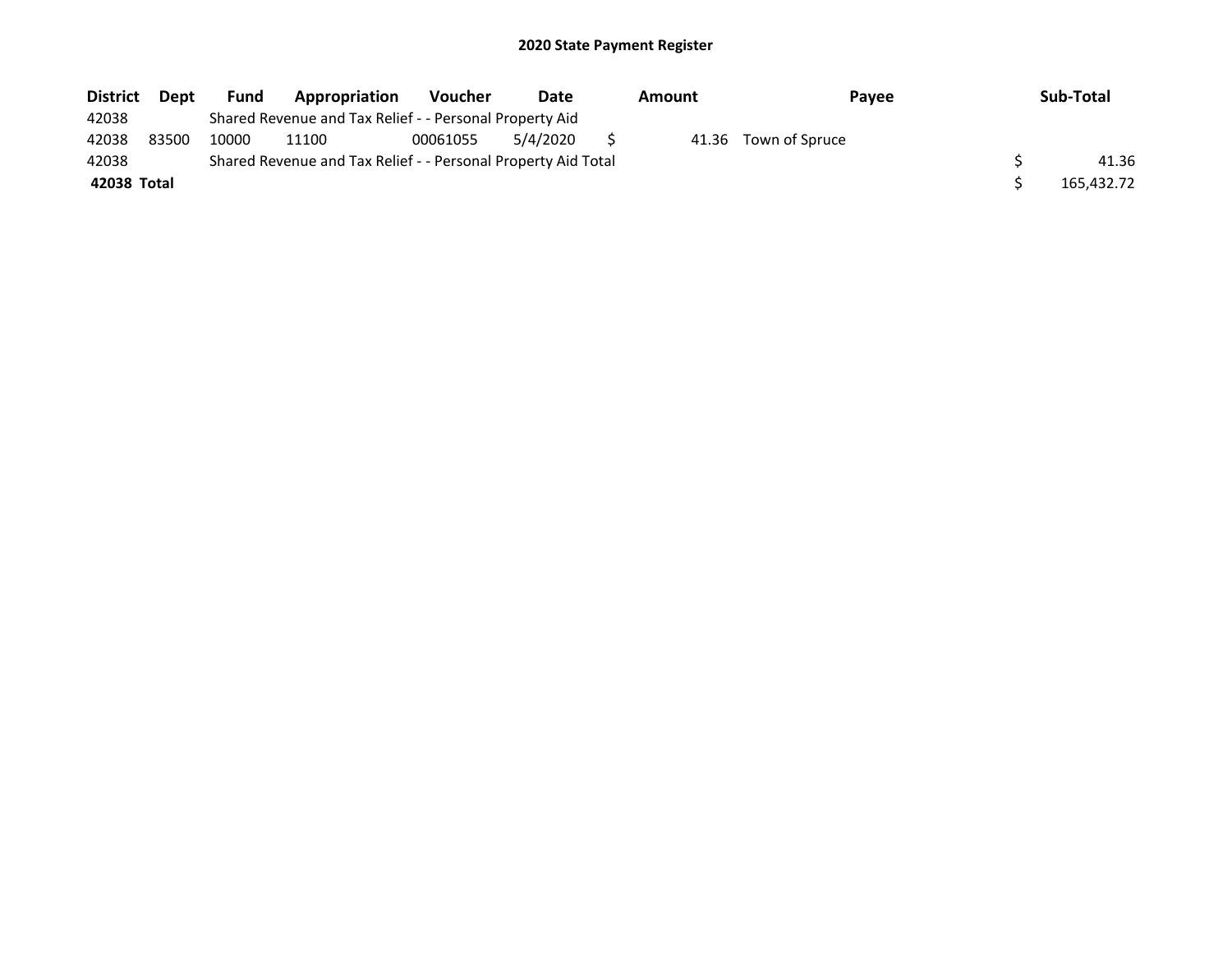| <b>District</b> | <b>Dept</b> | <b>Fund</b> | Appropriation                                                 | <b>Voucher</b> | Date     | Amount | <b>Pavee</b>         | Sub-Total  |
|-----------------|-------------|-------------|---------------------------------------------------------------|----------------|----------|--------|----------------------|------------|
| 42038           |             |             | Shared Revenue and Tax Relief - - Personal Property Aid       |                |          |        |                      |            |
| 42038           | 83500       | 10000       | 11100                                                         | 00061055       | 5/4/2020 |        | 41.36 Town of Spruce |            |
| 42038           |             |             | Shared Revenue and Tax Relief - - Personal Property Aid Total |                |          |        |                      | 41.36      |
| 42038 Total     |             |             |                                                               |                |          |        |                      | 165,432.72 |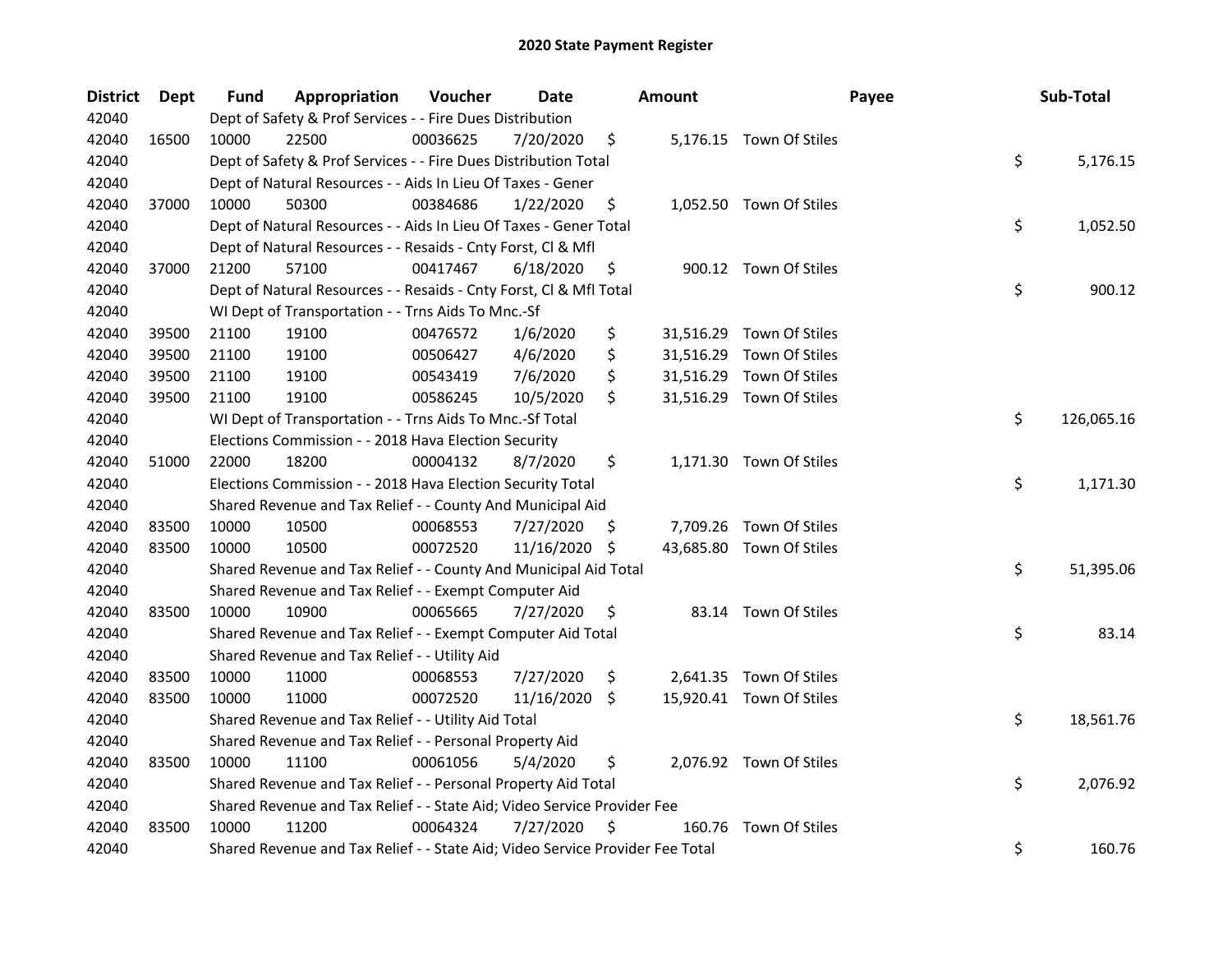| <b>District</b> | Dept  | Fund  | Appropriation                                                                 | Voucher  | Date       |     | <b>Amount</b> |                          | Payee | Sub-Total  |
|-----------------|-------|-------|-------------------------------------------------------------------------------|----------|------------|-----|---------------|--------------------------|-------|------------|
| 42040           |       |       | Dept of Safety & Prof Services - - Fire Dues Distribution                     |          |            |     |               |                          |       |            |
| 42040           | 16500 | 10000 | 22500                                                                         | 00036625 | 7/20/2020  | \$  |               | 5,176.15 Town Of Stiles  |       |            |
| 42040           |       |       | Dept of Safety & Prof Services - - Fire Dues Distribution Total               |          |            |     |               |                          | \$    | 5,176.15   |
| 42040           |       |       | Dept of Natural Resources - - Aids In Lieu Of Taxes - Gener                   |          |            |     |               |                          |       |            |
| 42040           | 37000 | 10000 | 50300                                                                         | 00384686 | 1/22/2020  | \$  |               | 1,052.50 Town Of Stiles  |       |            |
| 42040           |       |       | Dept of Natural Resources - - Aids In Lieu Of Taxes - Gener Total             |          |            |     |               |                          | \$    | 1,052.50   |
| 42040           |       |       | Dept of Natural Resources - - Resaids - Cnty Forst, Cl & Mfl                  |          |            |     |               |                          |       |            |
| 42040           | 37000 | 21200 | 57100                                                                         | 00417467 | 6/18/2020  | \$  |               | 900.12 Town Of Stiles    |       |            |
| 42040           |       |       | Dept of Natural Resources - - Resaids - Cnty Forst, Cl & Mfl Total            |          |            |     |               |                          | \$    | 900.12     |
| 42040           |       |       | WI Dept of Transportation - - Trns Aids To Mnc.-Sf                            |          |            |     |               |                          |       |            |
| 42040           | 39500 | 21100 | 19100                                                                         | 00476572 | 1/6/2020   | \$  |               | 31,516.29 Town Of Stiles |       |            |
| 42040           | 39500 | 21100 | 19100                                                                         | 00506427 | 4/6/2020   | \$  |               | 31,516.29 Town Of Stiles |       |            |
| 42040           | 39500 | 21100 | 19100                                                                         | 00543419 | 7/6/2020   | \$  |               | 31,516.29 Town Of Stiles |       |            |
| 42040           | 39500 | 21100 | 19100                                                                         | 00586245 | 10/5/2020  | \$  |               | 31,516.29 Town Of Stiles |       |            |
| 42040           |       |       | WI Dept of Transportation - - Trns Aids To Mnc.-Sf Total                      |          |            |     |               |                          | \$    | 126,065.16 |
| 42040           |       |       | Elections Commission - - 2018 Hava Election Security                          |          |            |     |               |                          |       |            |
| 42040           | 51000 | 22000 | 18200                                                                         | 00004132 | 8/7/2020   | \$  |               | 1,171.30 Town Of Stiles  |       |            |
| 42040           |       |       | Elections Commission - - 2018 Hava Election Security Total                    |          |            |     |               |                          | \$    | 1,171.30   |
| 42040           |       |       | Shared Revenue and Tax Relief - - County And Municipal Aid                    |          |            |     |               |                          |       |            |
| 42040           | 83500 | 10000 | 10500                                                                         | 00068553 | 7/27/2020  | \$, |               | 7,709.26 Town Of Stiles  |       |            |
| 42040           | 83500 | 10000 | 10500                                                                         | 00072520 | 11/16/2020 | \$  |               | 43,685.80 Town Of Stiles |       |            |
| 42040           |       |       | Shared Revenue and Tax Relief - - County And Municipal Aid Total              |          |            |     |               |                          | \$    | 51,395.06  |
| 42040           |       |       | Shared Revenue and Tax Relief - - Exempt Computer Aid                         |          |            |     |               |                          |       |            |
| 42040           | 83500 | 10000 | 10900                                                                         | 00065665 | 7/27/2020  | \$  |               | 83.14 Town Of Stiles     |       |            |
| 42040           |       |       | Shared Revenue and Tax Relief - - Exempt Computer Aid Total                   |          |            |     |               |                          | \$    | 83.14      |
| 42040           |       |       | Shared Revenue and Tax Relief - - Utility Aid                                 |          |            |     |               |                          |       |            |
| 42040           | 83500 | 10000 | 11000                                                                         | 00068553 | 7/27/2020  | \$, |               | 2,641.35 Town Of Stiles  |       |            |
| 42040           | 83500 | 10000 | 11000                                                                         | 00072520 | 11/16/2020 | S.  |               | 15,920.41 Town Of Stiles |       |            |
| 42040           |       |       | Shared Revenue and Tax Relief - - Utility Aid Total                           |          |            |     |               |                          | \$    | 18,561.76  |
| 42040           |       |       | Shared Revenue and Tax Relief - - Personal Property Aid                       |          |            |     |               |                          |       |            |
| 42040           | 83500 | 10000 | 11100                                                                         | 00061056 | 5/4/2020   | \$  |               | 2,076.92 Town Of Stiles  |       |            |
| 42040           |       |       | Shared Revenue and Tax Relief - - Personal Property Aid Total                 |          |            |     |               |                          | \$    | 2,076.92   |
| 42040           |       |       | Shared Revenue and Tax Relief - - State Aid; Video Service Provider Fee       |          |            |     |               |                          |       |            |
| 42040           | 83500 | 10000 | 11200                                                                         | 00064324 | 7/27/2020  | \$  |               | 160.76 Town Of Stiles    |       |            |
| 42040           |       |       | Shared Revenue and Tax Relief - - State Aid; Video Service Provider Fee Total |          |            |     |               |                          | \$    | 160.76     |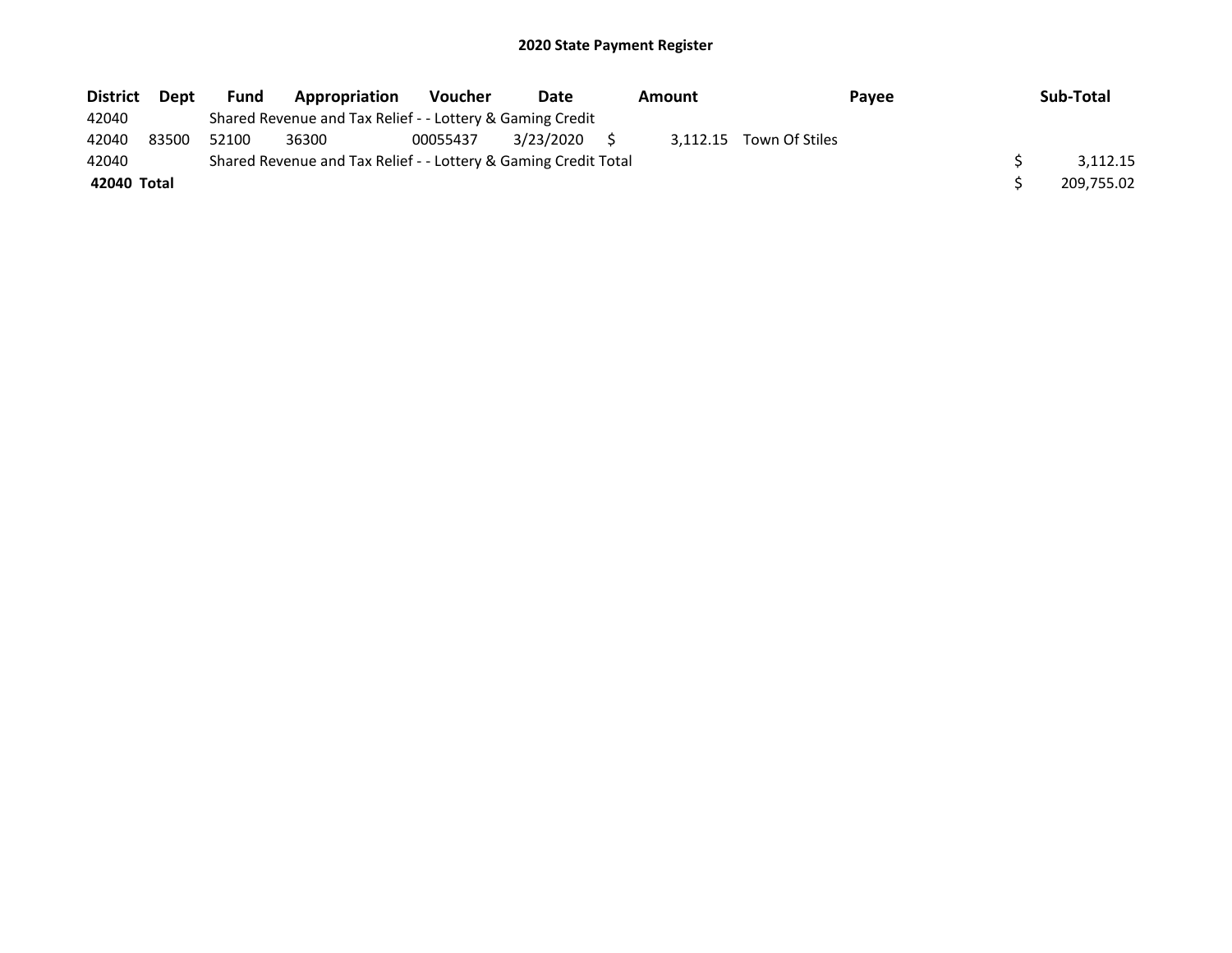| <b>District</b> | Dept  | Fund  | Appropriation                                                   | <b>Voucher</b> | Date      | <b>Amount</b> |                         | Pavee | Sub-Total  |
|-----------------|-------|-------|-----------------------------------------------------------------|----------------|-----------|---------------|-------------------------|-------|------------|
| 42040           |       |       | Shared Revenue and Tax Relief - - Lottery & Gaming Credit       |                |           |               |                         |       |            |
| 42040           | 83500 | 52100 | 36300                                                           | 00055437       | 3/23/2020 |               | 3.112.15 Town Of Stiles |       |            |
| 42040           |       |       | Shared Revenue and Tax Relief - - Lottery & Gaming Credit Total |                |           |               |                         |       | 3.112.15   |
| 42040 Total     |       |       |                                                                 |                |           |               |                         |       | 209,755.02 |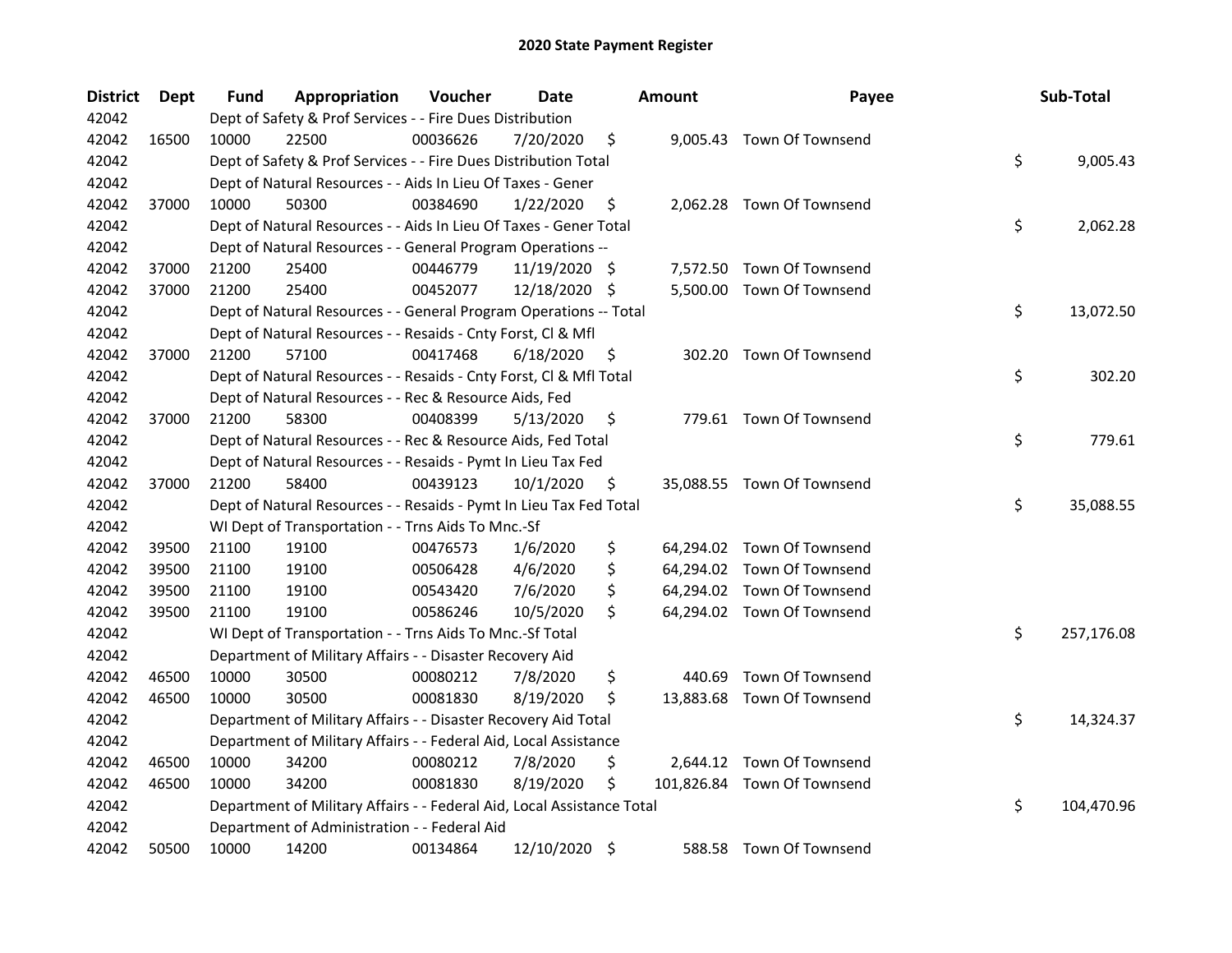| <b>District</b> | Dept  | Fund  | Appropriation                                                          | Voucher  | <b>Date</b>   |    | <b>Amount</b> | Payee                       | Sub-Total        |
|-----------------|-------|-------|------------------------------------------------------------------------|----------|---------------|----|---------------|-----------------------------|------------------|
| 42042           |       |       | Dept of Safety & Prof Services - - Fire Dues Distribution              |          |               |    |               |                             |                  |
| 42042           | 16500 | 10000 | 22500                                                                  | 00036626 | 7/20/2020     | \$ |               | 9,005.43 Town Of Townsend   |                  |
| 42042           |       |       | Dept of Safety & Prof Services - - Fire Dues Distribution Total        |          |               |    |               |                             | \$<br>9,005.43   |
| 42042           |       |       | Dept of Natural Resources - - Aids In Lieu Of Taxes - Gener            |          |               |    |               |                             |                  |
| 42042           | 37000 | 10000 | 50300                                                                  | 00384690 | 1/22/2020     | \$ |               | 2,062.28 Town Of Townsend   |                  |
| 42042           |       |       | Dept of Natural Resources - - Aids In Lieu Of Taxes - Gener Total      |          |               |    |               |                             | \$<br>2,062.28   |
| 42042           |       |       | Dept of Natural Resources - - General Program Operations --            |          |               |    |               |                             |                  |
| 42042           | 37000 | 21200 | 25400                                                                  | 00446779 | 11/19/2020 \$ |    |               | 7,572.50 Town Of Townsend   |                  |
| 42042           | 37000 | 21200 | 25400                                                                  | 00452077 | 12/18/2020    | -S |               | 5,500.00 Town Of Townsend   |                  |
| 42042           |       |       | Dept of Natural Resources - - General Program Operations -- Total      |          |               |    |               |                             | \$<br>13,072.50  |
| 42042           |       |       | Dept of Natural Resources - - Resaids - Cnty Forst, Cl & Mfl           |          |               |    |               |                             |                  |
| 42042           | 37000 | 21200 | 57100                                                                  | 00417468 | 6/18/2020     | \$ |               | 302.20 Town Of Townsend     |                  |
| 42042           |       |       | Dept of Natural Resources - - Resaids - Cnty Forst, Cl & Mfl Total     |          |               |    |               |                             | \$<br>302.20     |
| 42042           |       |       | Dept of Natural Resources - - Rec & Resource Aids, Fed                 |          |               |    |               |                             |                  |
| 42042           | 37000 | 21200 | 58300                                                                  | 00408399 | 5/13/2020     | \$ |               | 779.61 Town Of Townsend     |                  |
| 42042           |       |       | Dept of Natural Resources - - Rec & Resource Aids, Fed Total           |          |               |    |               |                             | \$<br>779.61     |
| 42042           |       |       | Dept of Natural Resources - - Resaids - Pymt In Lieu Tax Fed           |          |               |    |               |                             |                  |
| 42042           | 37000 | 21200 | 58400                                                                  | 00439123 | 10/1/2020     | \$ |               | 35,088.55 Town Of Townsend  |                  |
| 42042           |       |       | Dept of Natural Resources - - Resaids - Pymt In Lieu Tax Fed Total     |          |               |    |               |                             | \$<br>35,088.55  |
| 42042           |       |       | WI Dept of Transportation - - Trns Aids To Mnc.-Sf                     |          |               |    |               |                             |                  |
| 42042           | 39500 | 21100 | 19100                                                                  | 00476573 | 1/6/2020      | \$ |               | 64,294.02 Town Of Townsend  |                  |
| 42042           | 39500 | 21100 | 19100                                                                  | 00506428 | 4/6/2020      | \$ |               | 64,294.02 Town Of Townsend  |                  |
| 42042           | 39500 | 21100 | 19100                                                                  | 00543420 | 7/6/2020      | \$ |               | 64,294.02 Town Of Townsend  |                  |
| 42042           | 39500 | 21100 | 19100                                                                  | 00586246 | 10/5/2020     | \$ |               | 64,294.02 Town Of Townsend  |                  |
| 42042           |       |       | WI Dept of Transportation - - Trns Aids To Mnc.-Sf Total               |          |               |    |               |                             | \$<br>257,176.08 |
| 42042           |       |       | Department of Military Affairs - - Disaster Recovery Aid               |          |               |    |               |                             |                  |
| 42042           | 46500 | 10000 | 30500                                                                  | 00080212 | 7/8/2020      | \$ | 440.69        | Town Of Townsend            |                  |
| 42042           | 46500 | 10000 | 30500                                                                  | 00081830 | 8/19/2020     | \$ |               | 13,883.68 Town Of Townsend  |                  |
| 42042           |       |       | Department of Military Affairs - - Disaster Recovery Aid Total         |          |               |    |               |                             | \$<br>14,324.37  |
| 42042           |       |       | Department of Military Affairs - - Federal Aid, Local Assistance       |          |               |    |               |                             |                  |
| 42042           | 46500 | 10000 | 34200                                                                  | 00080212 | 7/8/2020      | \$ |               | 2,644.12 Town Of Townsend   |                  |
| 42042           | 46500 | 10000 | 34200                                                                  | 00081830 | 8/19/2020     | \$ |               | 101,826.84 Town Of Townsend |                  |
| 42042           |       |       | Department of Military Affairs - - Federal Aid, Local Assistance Total |          |               |    |               |                             | \$<br>104,470.96 |
| 42042           |       |       | Department of Administration - - Federal Aid                           |          |               |    |               |                             |                  |
| 42042           | 50500 | 10000 | 14200                                                                  | 00134864 | 12/10/2020    | \$ |               | 588.58 Town Of Townsend     |                  |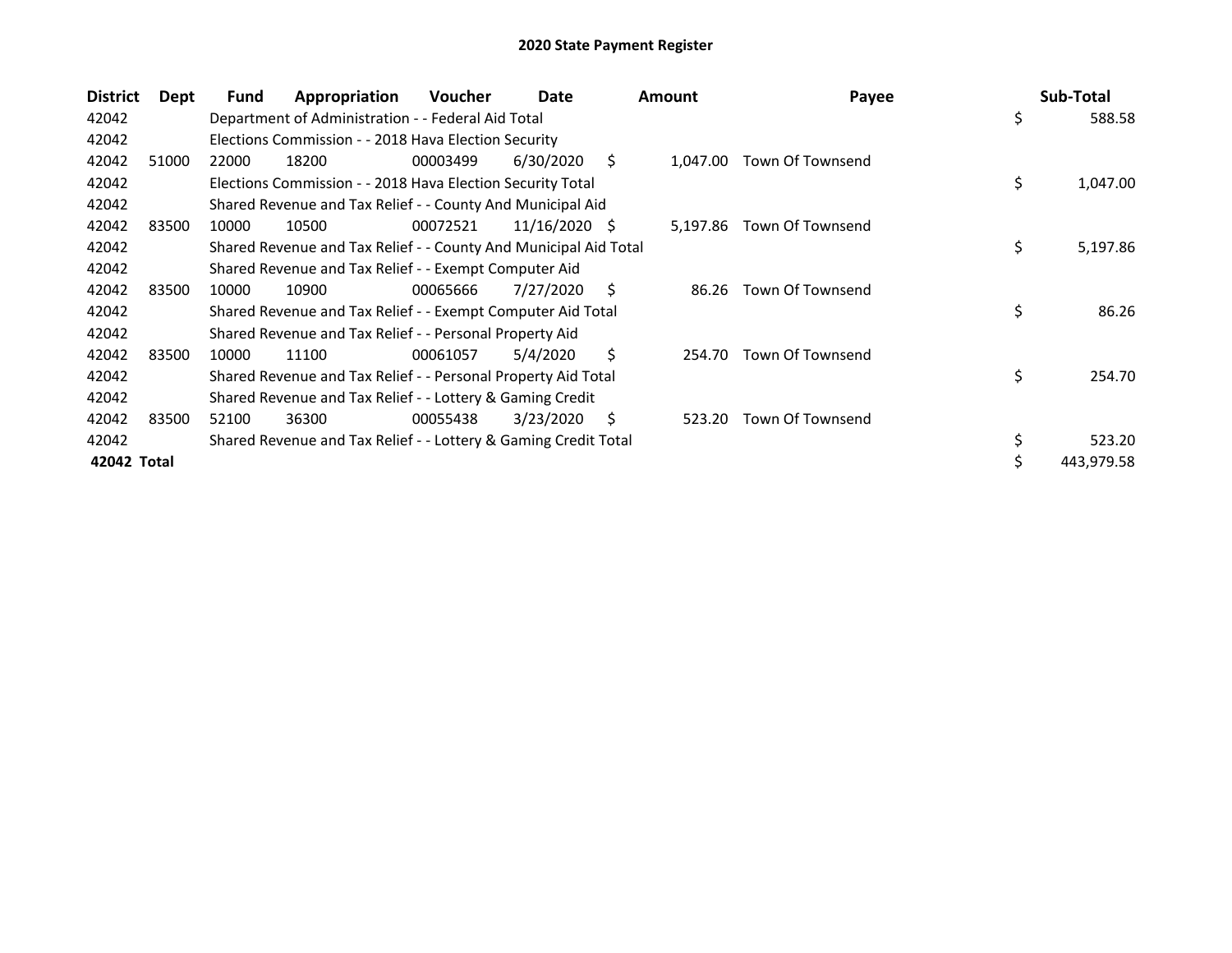| <b>District</b> | Dept  | Fund  | Appropriation                                                    | <b>Voucher</b> | Date            |    | <b>Amount</b> | Payee            |    | Sub-Total  |
|-----------------|-------|-------|------------------------------------------------------------------|----------------|-----------------|----|---------------|------------------|----|------------|
| 42042           |       |       | Department of Administration - - Federal Aid Total               |                |                 |    |               |                  | \$ | 588.58     |
| 42042           |       |       | Elections Commission - - 2018 Hava Election Security             |                |                 |    |               |                  |    |            |
| 42042           | 51000 | 22000 | 18200                                                            | 00003499       | 6/30/2020       | S. | 1,047.00      | Town Of Townsend |    |            |
| 42042           |       |       | Elections Commission - - 2018 Hava Election Security Total       |                |                 |    |               |                  | \$ | 1,047.00   |
| 42042           |       |       | Shared Revenue and Tax Relief - - County And Municipal Aid       |                |                 |    |               |                  |    |            |
| 42042           | 83500 | 10000 | 10500                                                            | 00072521       | $11/16/2020$ \$ |    | 5,197.86      | Town Of Townsend |    |            |
| 42042           |       |       | Shared Revenue and Tax Relief - - County And Municipal Aid Total |                |                 |    |               |                  | \$ | 5,197.86   |
| 42042           |       |       | Shared Revenue and Tax Relief - - Exempt Computer Aid            |                |                 |    |               |                  |    |            |
| 42042           | 83500 | 10000 | 10900                                                            | 00065666       | 7/27/2020       | S  | 86.26         | Town Of Townsend |    |            |
| 42042           |       |       | Shared Revenue and Tax Relief - - Exempt Computer Aid Total      |                |                 |    |               |                  | \$ | 86.26      |
| 42042           |       |       | Shared Revenue and Tax Relief - - Personal Property Aid          |                |                 |    |               |                  |    |            |
| 42042           | 83500 | 10000 | 11100                                                            | 00061057       | 5/4/2020        | Ŝ. | 254.70        | Town Of Townsend |    |            |
| 42042           |       |       | Shared Revenue and Tax Relief - - Personal Property Aid Total    |                |                 |    |               |                  | \$ | 254.70     |
| 42042           |       |       | Shared Revenue and Tax Relief - - Lottery & Gaming Credit        |                |                 |    |               |                  |    |            |
| 42042           | 83500 | 52100 | 36300                                                            | 00055438       | 3/23/2020       | S  | 523.20        | Town Of Townsend |    |            |
| 42042           |       |       | Shared Revenue and Tax Relief - - Lottery & Gaming Credit Total  |                |                 |    |               |                  | \$ | 523.20     |
| 42042 Total     |       |       |                                                                  |                |                 |    |               |                  | Ś  | 443,979.58 |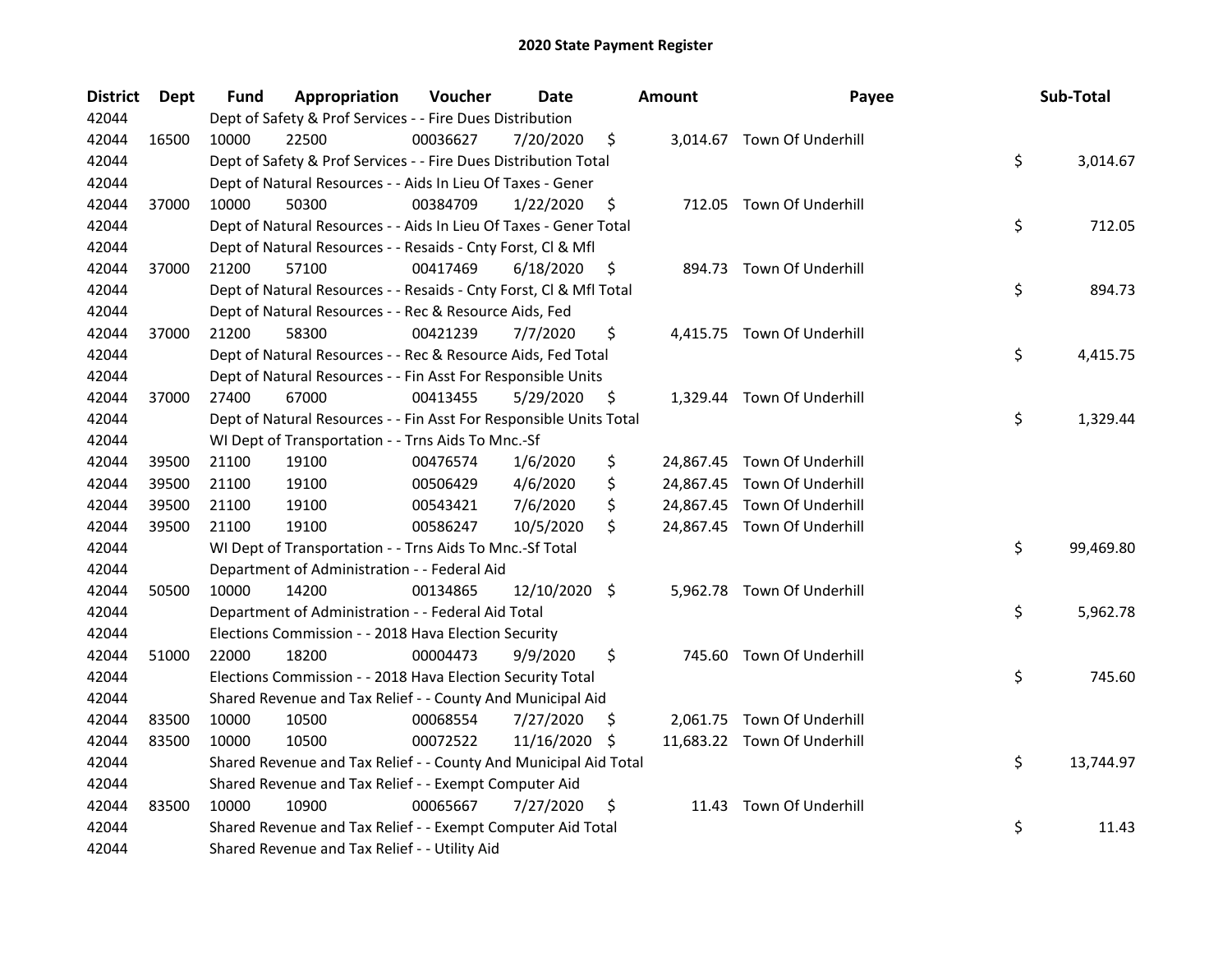| <b>District</b> | <b>Dept</b> | Fund  | Appropriation                                                      | Voucher  | <b>Date</b>   |     | <b>Amount</b> | Payee                       | Sub-Total       |
|-----------------|-------------|-------|--------------------------------------------------------------------|----------|---------------|-----|---------------|-----------------------------|-----------------|
| 42044           |             |       | Dept of Safety & Prof Services - - Fire Dues Distribution          |          |               |     |               |                             |                 |
| 42044           | 16500       | 10000 | 22500                                                              | 00036627 | 7/20/2020     | \$  |               | 3,014.67 Town Of Underhill  |                 |
| 42044           |             |       | Dept of Safety & Prof Services - - Fire Dues Distribution Total    |          |               |     |               |                             | \$<br>3,014.67  |
| 42044           |             |       | Dept of Natural Resources - - Aids In Lieu Of Taxes - Gener        |          |               |     |               |                             |                 |
| 42044           | 37000       | 10000 | 50300                                                              | 00384709 | 1/22/2020     | \$  |               | 712.05 Town Of Underhill    |                 |
| 42044           |             |       | Dept of Natural Resources - - Aids In Lieu Of Taxes - Gener Total  |          |               |     |               |                             | \$<br>712.05    |
| 42044           |             |       | Dept of Natural Resources - - Resaids - Cnty Forst, Cl & Mfl       |          |               |     |               |                             |                 |
| 42044           | 37000       | 21200 | 57100                                                              | 00417469 | 6/18/2020     | \$  |               | 894.73 Town Of Underhill    |                 |
| 42044           |             |       | Dept of Natural Resources - - Resaids - Cnty Forst, Cl & Mfl Total |          |               |     |               |                             | \$<br>894.73    |
| 42044           |             |       | Dept of Natural Resources - - Rec & Resource Aids, Fed             |          |               |     |               |                             |                 |
| 42044           | 37000       | 21200 | 58300                                                              | 00421239 | 7/7/2020      | \$  |               | 4,415.75 Town Of Underhill  |                 |
| 42044           |             |       | Dept of Natural Resources - - Rec & Resource Aids, Fed Total       |          |               |     |               |                             | \$<br>4,415.75  |
| 42044           |             |       | Dept of Natural Resources - - Fin Asst For Responsible Units       |          |               |     |               |                             |                 |
| 42044           | 37000       | 27400 | 67000                                                              | 00413455 | 5/29/2020     | \$, |               | 1,329.44 Town Of Underhill  |                 |
| 42044           |             |       | Dept of Natural Resources - - Fin Asst For Responsible Units Total |          |               |     |               |                             | \$<br>1,329.44  |
| 42044           |             |       | WI Dept of Transportation - - Trns Aids To Mnc.-Sf                 |          |               |     |               |                             |                 |
| 42044           | 39500       | 21100 | 19100                                                              | 00476574 | 1/6/2020      | \$  |               | 24,867.45 Town Of Underhill |                 |
| 42044           | 39500       | 21100 | 19100                                                              | 00506429 | 4/6/2020      | \$  |               | 24,867.45 Town Of Underhill |                 |
| 42044           | 39500       | 21100 | 19100                                                              | 00543421 | 7/6/2020      | \$  |               | 24,867.45 Town Of Underhill |                 |
| 42044           | 39500       | 21100 | 19100                                                              | 00586247 | 10/5/2020     | \$  |               | 24,867.45 Town Of Underhill |                 |
| 42044           |             |       | WI Dept of Transportation - - Trns Aids To Mnc.-Sf Total           |          |               |     |               |                             | \$<br>99,469.80 |
| 42044           |             |       | Department of Administration - - Federal Aid                       |          |               |     |               |                             |                 |
| 42044           | 50500       | 10000 | 14200                                                              | 00134865 | 12/10/2020 \$ |     |               | 5,962.78 Town Of Underhill  |                 |
| 42044           |             |       | Department of Administration - - Federal Aid Total                 |          |               |     |               |                             | \$<br>5,962.78  |
| 42044           |             |       | Elections Commission - - 2018 Hava Election Security               |          |               |     |               |                             |                 |
| 42044           | 51000       | 22000 | 18200                                                              | 00004473 | 9/9/2020      | \$  |               | 745.60 Town Of Underhill    |                 |
| 42044           |             |       | Elections Commission - - 2018 Hava Election Security Total         |          |               |     |               |                             | \$<br>745.60    |
| 42044           |             |       | Shared Revenue and Tax Relief - - County And Municipal Aid         |          |               |     |               |                             |                 |
| 42044           | 83500       | 10000 | 10500                                                              | 00068554 | 7/27/2020     | S   |               | 2,061.75 Town Of Underhill  |                 |
| 42044           | 83500       | 10000 | 10500                                                              | 00072522 | 11/16/2020    | \$. |               | 11,683.22 Town Of Underhill |                 |
| 42044           |             |       | Shared Revenue and Tax Relief - - County And Municipal Aid Total   |          |               |     |               |                             | \$<br>13,744.97 |
| 42044           |             |       | Shared Revenue and Tax Relief - - Exempt Computer Aid              |          |               |     |               |                             |                 |
| 42044           | 83500       | 10000 | 10900                                                              | 00065667 | 7/27/2020     | \$  | 11.43         | Town Of Underhill           |                 |
| 42044           |             |       | Shared Revenue and Tax Relief - - Exempt Computer Aid Total        |          |               |     |               |                             | \$<br>11.43     |
| 42044           |             |       | Shared Revenue and Tax Relief - - Utility Aid                      |          |               |     |               |                             |                 |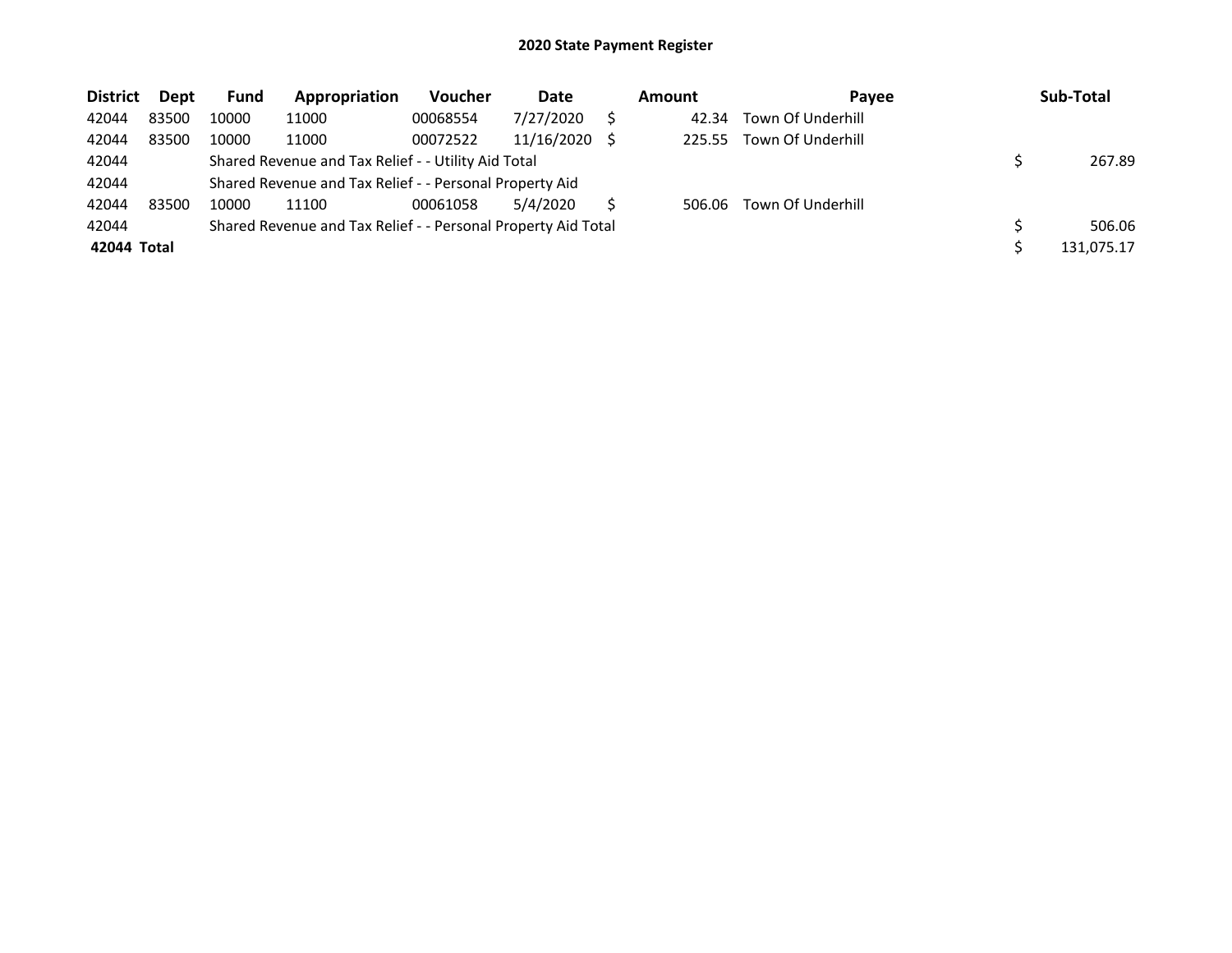| <b>District</b> | Dept  | Fund  | Appropriation                                                 | Voucher  | Date       | <b>Amount</b> | Pavee             | Sub-Total  |
|-----------------|-------|-------|---------------------------------------------------------------|----------|------------|---------------|-------------------|------------|
| 42044           | 83500 | 10000 | 11000                                                         | 00068554 | 7/27/2020  | 42.34         | Town Of Underhill |            |
| 42044           | 83500 | 10000 | 11000                                                         | 00072522 | 11/16/2020 | 225.55        | Town Of Underhill |            |
| 42044           |       |       | Shared Revenue and Tax Relief - - Utility Aid Total           |          |            |               |                   | 267.89     |
| 42044           |       |       | Shared Revenue and Tax Relief - - Personal Property Aid       |          |            |               |                   |            |
| 42044           | 83500 | 10000 | 11100                                                         | 00061058 | 5/4/2020   | 506.06        | Town Of Underhill |            |
| 42044           |       |       | Shared Revenue and Tax Relief - - Personal Property Aid Total |          |            |               |                   | 506.06     |
| 42044 Total     |       |       |                                                               |          |            |               |                   | 131.075.17 |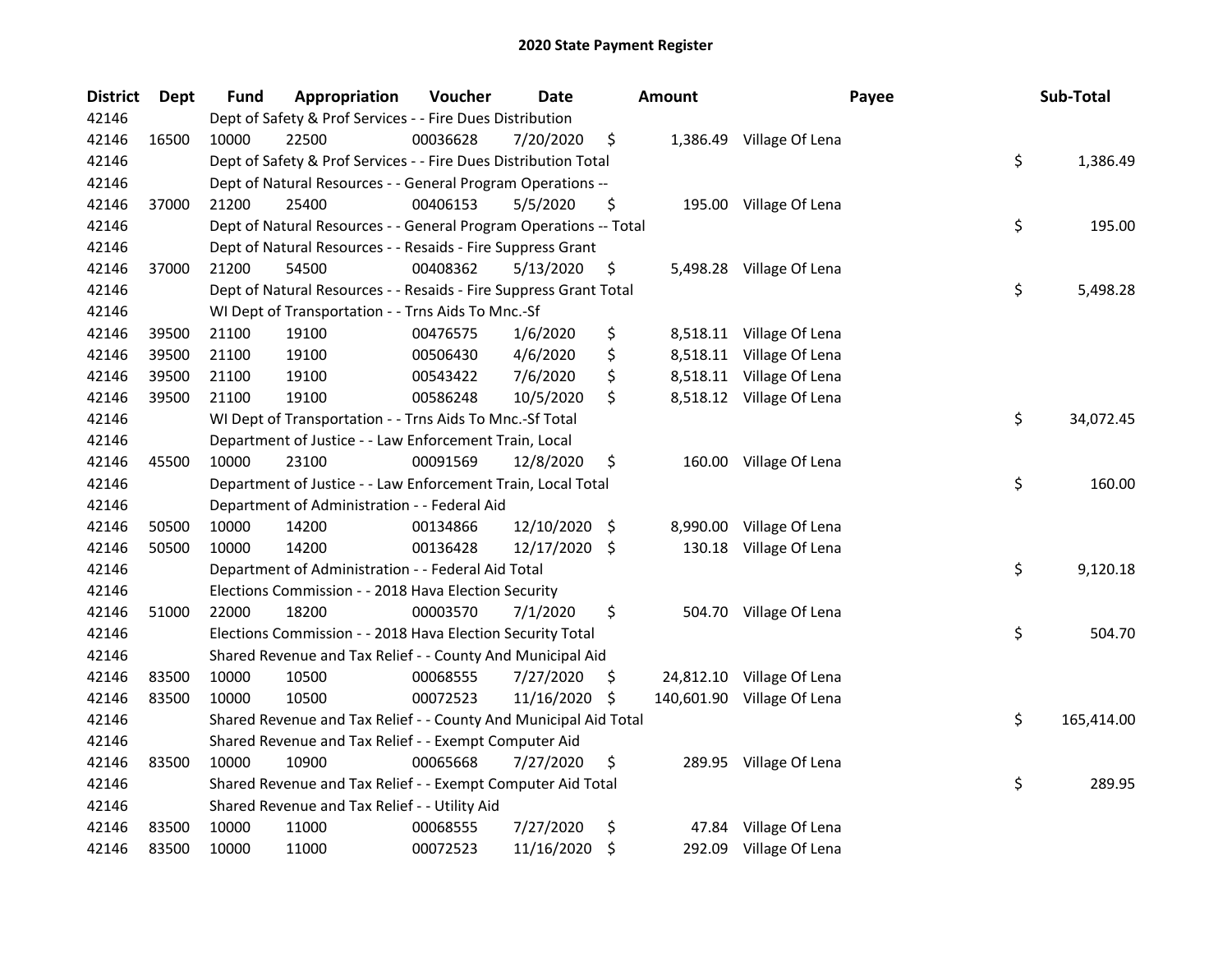| <b>District</b> | <b>Dept</b> | <b>Fund</b> | Appropriation                                                     | Voucher  | <b>Date</b> |     | Amount   | Payee                      | Sub-Total        |
|-----------------|-------------|-------------|-------------------------------------------------------------------|----------|-------------|-----|----------|----------------------------|------------------|
| 42146           |             |             | Dept of Safety & Prof Services - - Fire Dues Distribution         |          |             |     |          |                            |                  |
| 42146           | 16500       | 10000       | 22500                                                             | 00036628 | 7/20/2020   | \$  |          | 1,386.49 Village Of Lena   |                  |
| 42146           |             |             | Dept of Safety & Prof Services - - Fire Dues Distribution Total   |          |             |     |          |                            | \$<br>1,386.49   |
| 42146           |             |             | Dept of Natural Resources - - General Program Operations --       |          |             |     |          |                            |                  |
| 42146           | 37000       | 21200       | 25400                                                             | 00406153 | 5/5/2020    | \$  |          | 195.00 Village Of Lena     |                  |
| 42146           |             |             | Dept of Natural Resources - - General Program Operations -- Total |          |             |     |          |                            | \$<br>195.00     |
| 42146           |             |             | Dept of Natural Resources - - Resaids - Fire Suppress Grant       |          |             |     |          |                            |                  |
| 42146           | 37000       | 21200       | 54500                                                             | 00408362 | 5/13/2020   | \$  |          | 5,498.28 Village Of Lena   |                  |
| 42146           |             |             | Dept of Natural Resources - - Resaids - Fire Suppress Grant Total |          |             |     |          |                            | \$<br>5,498.28   |
| 42146           |             |             | WI Dept of Transportation - - Trns Aids To Mnc.-Sf                |          |             |     |          |                            |                  |
| 42146           | 39500       | 21100       | 19100                                                             | 00476575 | 1/6/2020    | \$  |          | 8,518.11 Village Of Lena   |                  |
| 42146           | 39500       | 21100       | 19100                                                             | 00506430 | 4/6/2020    | \$  |          | 8,518.11 Village Of Lena   |                  |
| 42146           | 39500       | 21100       | 19100                                                             | 00543422 | 7/6/2020    | \$  |          | 8,518.11 Village Of Lena   |                  |
| 42146           | 39500       | 21100       | 19100                                                             | 00586248 | 10/5/2020   | \$  |          | 8,518.12 Village Of Lena   |                  |
| 42146           |             |             | WI Dept of Transportation - - Trns Aids To Mnc.-Sf Total          |          |             |     |          |                            | \$<br>34,072.45  |
| 42146           |             |             | Department of Justice - - Law Enforcement Train, Local            |          |             |     |          |                            |                  |
| 42146           | 45500       | 10000       | 23100                                                             | 00091569 | 12/8/2020   | \$  |          | 160.00 Village Of Lena     |                  |
| 42146           |             |             | Department of Justice - - Law Enforcement Train, Local Total      |          |             |     |          |                            | \$<br>160.00     |
| 42146           |             |             | Department of Administration - - Federal Aid                      |          |             |     |          |                            |                  |
| 42146           | 50500       | 10000       | 14200                                                             | 00134866 | 12/10/2020  | -\$ | 8,990.00 | Village Of Lena            |                  |
| 42146           | 50500       | 10000       | 14200                                                             | 00136428 | 12/17/2020  | \$  |          | 130.18 Village Of Lena     |                  |
| 42146           |             |             | Department of Administration - - Federal Aid Total                |          |             |     |          |                            | \$<br>9,120.18   |
| 42146           |             |             | Elections Commission - - 2018 Hava Election Security              |          |             |     |          |                            |                  |
| 42146           | 51000       | 22000       | 18200                                                             | 00003570 | 7/1/2020    | \$  |          | 504.70 Village Of Lena     |                  |
| 42146           |             |             | Elections Commission - - 2018 Hava Election Security Total        |          |             |     |          |                            | \$<br>504.70     |
| 42146           |             |             | Shared Revenue and Tax Relief - - County And Municipal Aid        |          |             |     |          |                            |                  |
| 42146           | 83500       | 10000       | 10500                                                             | 00068555 | 7/27/2020   | \$, |          | 24,812.10 Village Of Lena  |                  |
| 42146           | 83500       | 10000       | 10500                                                             | 00072523 | 11/16/2020  | \$  |          | 140,601.90 Village Of Lena |                  |
| 42146           |             |             | Shared Revenue and Tax Relief - - County And Municipal Aid Total  |          |             |     |          |                            | \$<br>165,414.00 |
| 42146           |             |             | Shared Revenue and Tax Relief - - Exempt Computer Aid             |          |             |     |          |                            |                  |
| 42146           | 83500       | 10000       | 10900                                                             | 00065668 | 7/27/2020   | \$  |          | 289.95 Village Of Lena     |                  |
| 42146           |             |             | Shared Revenue and Tax Relief - - Exempt Computer Aid Total       |          |             |     |          |                            | \$<br>289.95     |
| 42146           |             |             | Shared Revenue and Tax Relief - - Utility Aid                     |          |             |     |          |                            |                  |
| 42146           | 83500       | 10000       | 11000                                                             | 00068555 | 7/27/2020   | \$  | 47.84    | Village Of Lena            |                  |
| 42146           | 83500       | 10000       | 11000                                                             | 00072523 | 11/16/2020  | \$  | 292.09   | Village Of Lena            |                  |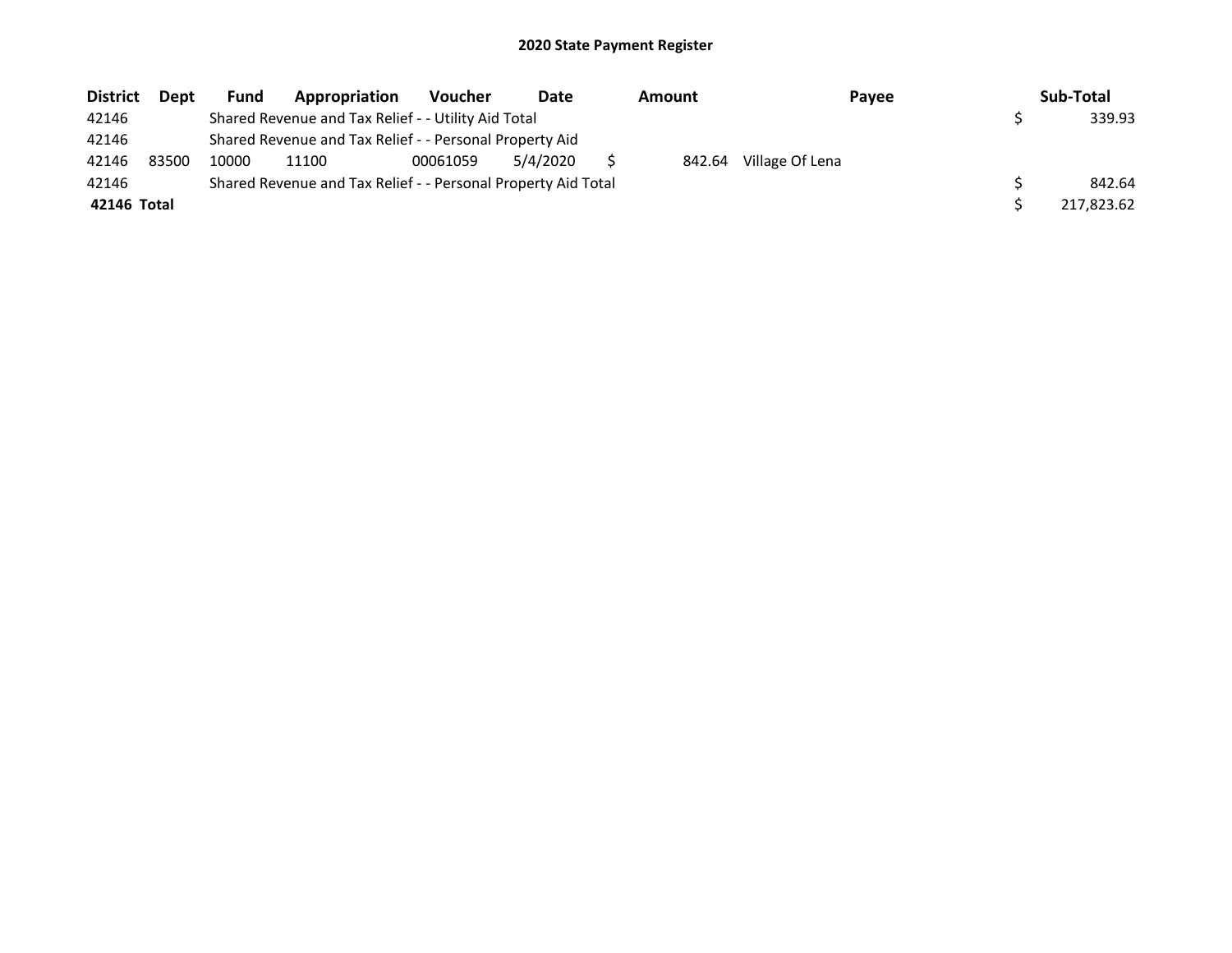| <b>District</b> | Dept  | <b>Fund</b> | Appropriation                                                 | <b>Voucher</b> | Date     | <b>Amount</b> | Payee           | Sub-Total  |
|-----------------|-------|-------------|---------------------------------------------------------------|----------------|----------|---------------|-----------------|------------|
| 42146           |       |             | Shared Revenue and Tax Relief - - Utility Aid Total           |                |          |               |                 | 339.93     |
| 42146           |       |             | Shared Revenue and Tax Relief - - Personal Property Aid       |                |          |               |                 |            |
| 42146           | 83500 | 10000       | 11100                                                         | 00061059       | 5/4/2020 | 842.64        | Village Of Lena |            |
| 42146           |       |             | Shared Revenue and Tax Relief - - Personal Property Aid Total |                |          |               |                 | 842.64     |
| 42146 Total     |       |             |                                                               |                |          |               |                 | 217,823.62 |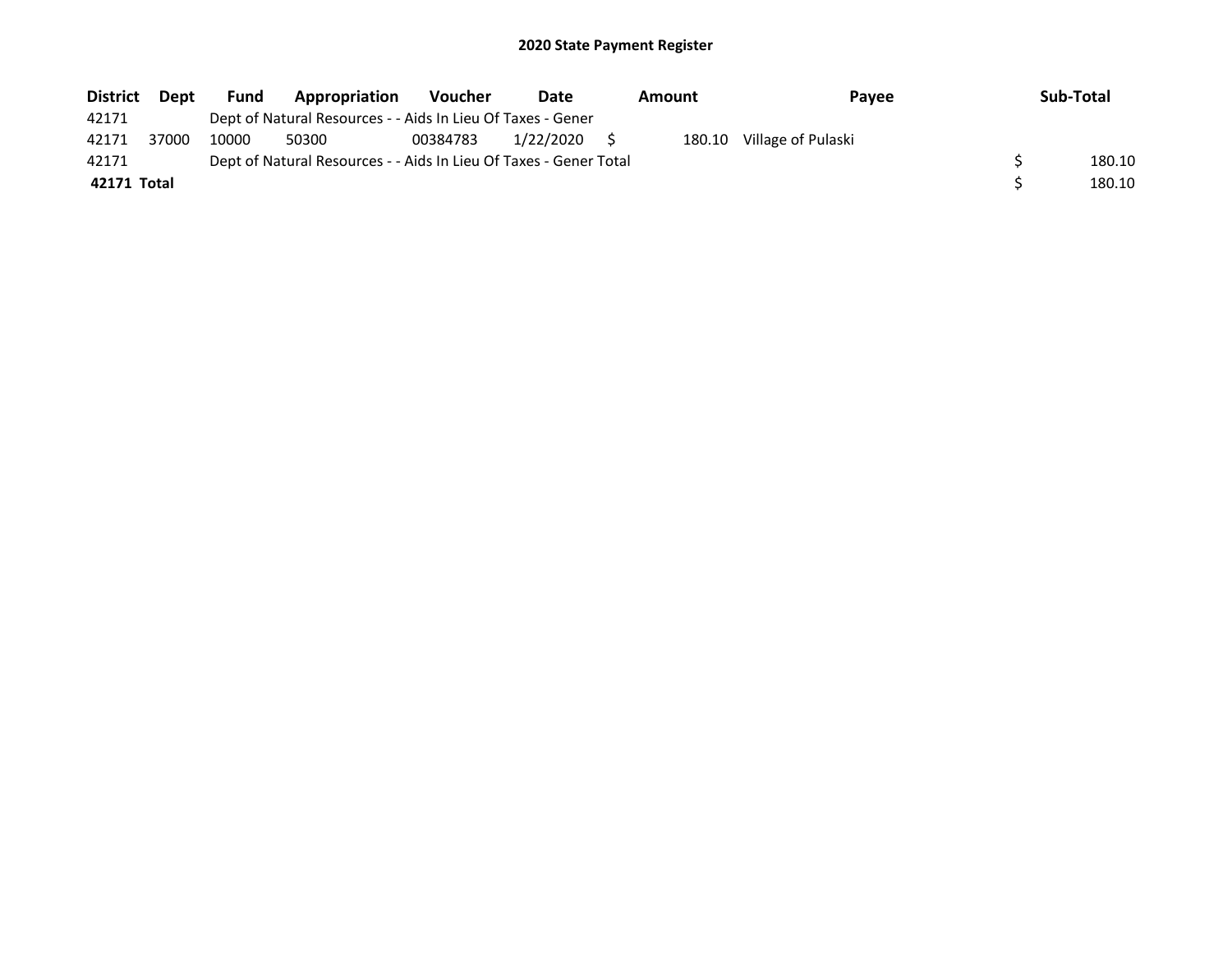| <b>District</b> | Dept  | <b>Fund</b> | Appropriation                                                     | Voucher  | Date      | Amount | Pavee              | Sub-Total |
|-----------------|-------|-------------|-------------------------------------------------------------------|----------|-----------|--------|--------------------|-----------|
| 42171           |       |             | Dept of Natural Resources - - Aids In Lieu Of Taxes - Gener       |          |           |        |                    |           |
| 42171           | 37000 | 10000       | 50300                                                             | 00384783 | 1/22/2020 | 180.10 | Village of Pulaski |           |
| 42171           |       |             | Dept of Natural Resources - - Aids In Lieu Of Taxes - Gener Total |          |           |        |                    | 180.10    |
| 42171 Total     |       |             |                                                                   |          |           |        |                    | 180.10    |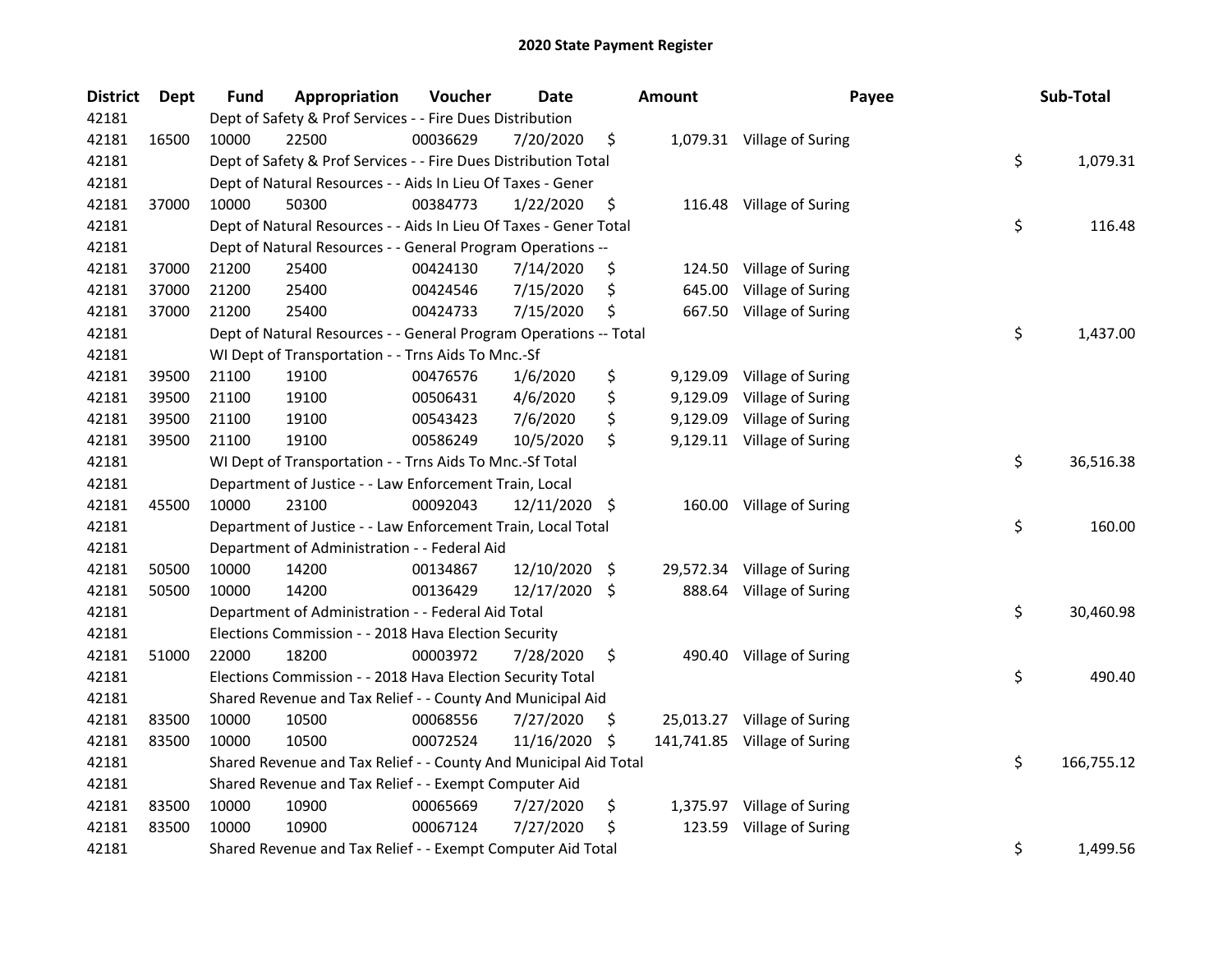| <b>District</b> | Dept  | Fund  | Appropriation                                                     | Voucher  | <b>Date</b>   |     | Amount   | Payee                        | Sub-Total        |
|-----------------|-------|-------|-------------------------------------------------------------------|----------|---------------|-----|----------|------------------------------|------------------|
| 42181           |       |       | Dept of Safety & Prof Services - - Fire Dues Distribution         |          |               |     |          |                              |                  |
| 42181           | 16500 | 10000 | 22500                                                             | 00036629 | 7/20/2020     | \$  |          | 1,079.31 Village of Suring   |                  |
| 42181           |       |       | Dept of Safety & Prof Services - - Fire Dues Distribution Total   |          |               |     |          |                              | \$<br>1,079.31   |
| 42181           |       |       | Dept of Natural Resources - - Aids In Lieu Of Taxes - Gener       |          |               |     |          |                              |                  |
| 42181           | 37000 | 10000 | 50300                                                             | 00384773 | 1/22/2020     | \$  |          | 116.48 Village of Suring     |                  |
| 42181           |       |       | Dept of Natural Resources - - Aids In Lieu Of Taxes - Gener Total |          |               |     |          |                              | \$<br>116.48     |
| 42181           |       |       | Dept of Natural Resources - - General Program Operations --       |          |               |     |          |                              |                  |
| 42181           | 37000 | 21200 | 25400                                                             | 00424130 | 7/14/2020     | \$  |          | 124.50 Village of Suring     |                  |
| 42181           | 37000 | 21200 | 25400                                                             | 00424546 | 7/15/2020     | \$  | 645.00   | Village of Suring            |                  |
| 42181           | 37000 | 21200 | 25400                                                             | 00424733 | 7/15/2020     | \$  | 667.50   | Village of Suring            |                  |
| 42181           |       |       | Dept of Natural Resources - - General Program Operations -- Total |          |               |     |          |                              | \$<br>1,437.00   |
| 42181           |       |       | WI Dept of Transportation - - Trns Aids To Mnc.-Sf                |          |               |     |          |                              |                  |
| 42181           | 39500 | 21100 | 19100                                                             | 00476576 | 1/6/2020      | \$  | 9,129.09 | Village of Suring            |                  |
| 42181           | 39500 | 21100 | 19100                                                             | 00506431 | 4/6/2020      | \$  | 9,129.09 | Village of Suring            |                  |
| 42181           | 39500 | 21100 | 19100                                                             | 00543423 | 7/6/2020      | \$  | 9,129.09 | Village of Suring            |                  |
| 42181           | 39500 | 21100 | 19100                                                             | 00586249 | 10/5/2020     | \$  |          | 9,129.11 Village of Suring   |                  |
| 42181           |       |       | WI Dept of Transportation - - Trns Aids To Mnc.-Sf Total          |          |               |     |          |                              | \$<br>36,516.38  |
| 42181           |       |       | Department of Justice - - Law Enforcement Train, Local            |          |               |     |          |                              |                  |
| 42181           | 45500 | 10000 | 23100                                                             | 00092043 | 12/11/2020    | -\$ | 160.00   | Village of Suring            |                  |
| 42181           |       |       | Department of Justice - - Law Enforcement Train, Local Total      |          |               |     |          |                              | \$<br>160.00     |
| 42181           |       |       | Department of Administration - - Federal Aid                      |          |               |     |          |                              |                  |
| 42181           | 50500 | 10000 | 14200                                                             | 00134867 | 12/10/2020    | -\$ |          | 29,572.34 Village of Suring  |                  |
| 42181           | 50500 | 10000 | 14200                                                             | 00136429 | 12/17/2020 \$ |     |          | 888.64 Village of Suring     |                  |
| 42181           |       |       | Department of Administration - - Federal Aid Total                |          |               |     |          |                              | \$<br>30,460.98  |
| 42181           |       |       | Elections Commission - - 2018 Hava Election Security              |          |               |     |          |                              |                  |
| 42181           | 51000 | 22000 | 18200                                                             | 00003972 | 7/28/2020     | \$  |          | 490.40 Village of Suring     |                  |
| 42181           |       |       | Elections Commission - - 2018 Hava Election Security Total        |          |               |     |          |                              | \$<br>490.40     |
| 42181           |       |       | Shared Revenue and Tax Relief - - County And Municipal Aid        |          |               |     |          |                              |                  |
| 42181           | 83500 | 10000 | 10500                                                             | 00068556 | 7/27/2020     | S   |          | 25,013.27 Village of Suring  |                  |
| 42181           | 83500 | 10000 | 10500                                                             | 00072524 | 11/16/2020    | \$  |          | 141,741.85 Village of Suring |                  |
| 42181           |       |       | Shared Revenue and Tax Relief - - County And Municipal Aid Total  |          |               |     |          |                              | \$<br>166,755.12 |
| 42181           |       |       | Shared Revenue and Tax Relief - - Exempt Computer Aid             |          |               |     |          |                              |                  |
| 42181           | 83500 | 10000 | 10900                                                             | 00065669 | 7/27/2020     | \$  | 1,375.97 | Village of Suring            |                  |
| 42181           | 83500 | 10000 | 10900                                                             | 00067124 | 7/27/2020     | \$  | 123.59   | Village of Suring            |                  |
| 42181           |       |       | Shared Revenue and Tax Relief - - Exempt Computer Aid Total       |          |               |     |          |                              | \$<br>1,499.56   |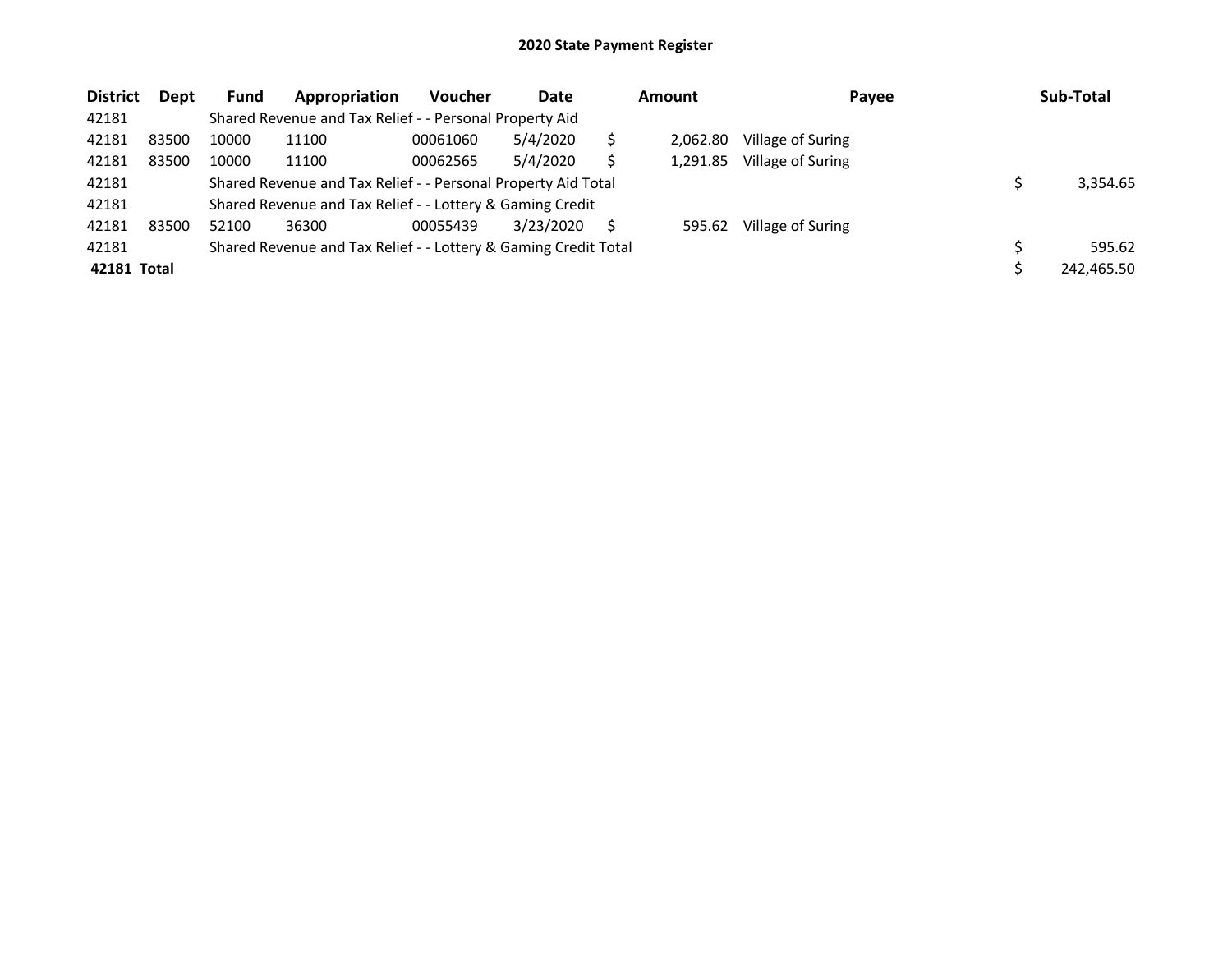| <b>District</b> | Dept  | <b>Fund</b> | Appropriation                                                   | <b>Voucher</b> | Date      |   | Amount   | Payee             | Sub-Total  |
|-----------------|-------|-------------|-----------------------------------------------------------------|----------------|-----------|---|----------|-------------------|------------|
| 42181           |       |             | Shared Revenue and Tax Relief - - Personal Property Aid         |                |           |   |          |                   |            |
| 42181           | 83500 | 10000       | 11100                                                           | 00061060       | 5/4/2020  |   | 2.062.80 | Village of Suring |            |
| 42181           | 83500 | 10000       | 11100                                                           | 00062565       | 5/4/2020  |   | 1.291.85 | Village of Suring |            |
| 42181           |       |             | Shared Revenue and Tax Relief - - Personal Property Aid Total   |                |           |   |          |                   | 3.354.65   |
| 42181           |       |             | Shared Revenue and Tax Relief - - Lottery & Gaming Credit       |                |           |   |          |                   |            |
| 42181           | 83500 | 52100       | 36300                                                           | 00055439       | 3/23/2020 | S | 595.62   | Village of Suring |            |
| 42181           |       |             | Shared Revenue and Tax Relief - - Lottery & Gaming Credit Total |                |           |   |          |                   | 595.62     |
| 42181 Total     |       |             |                                                                 |                |           |   |          |                   | 242,465.50 |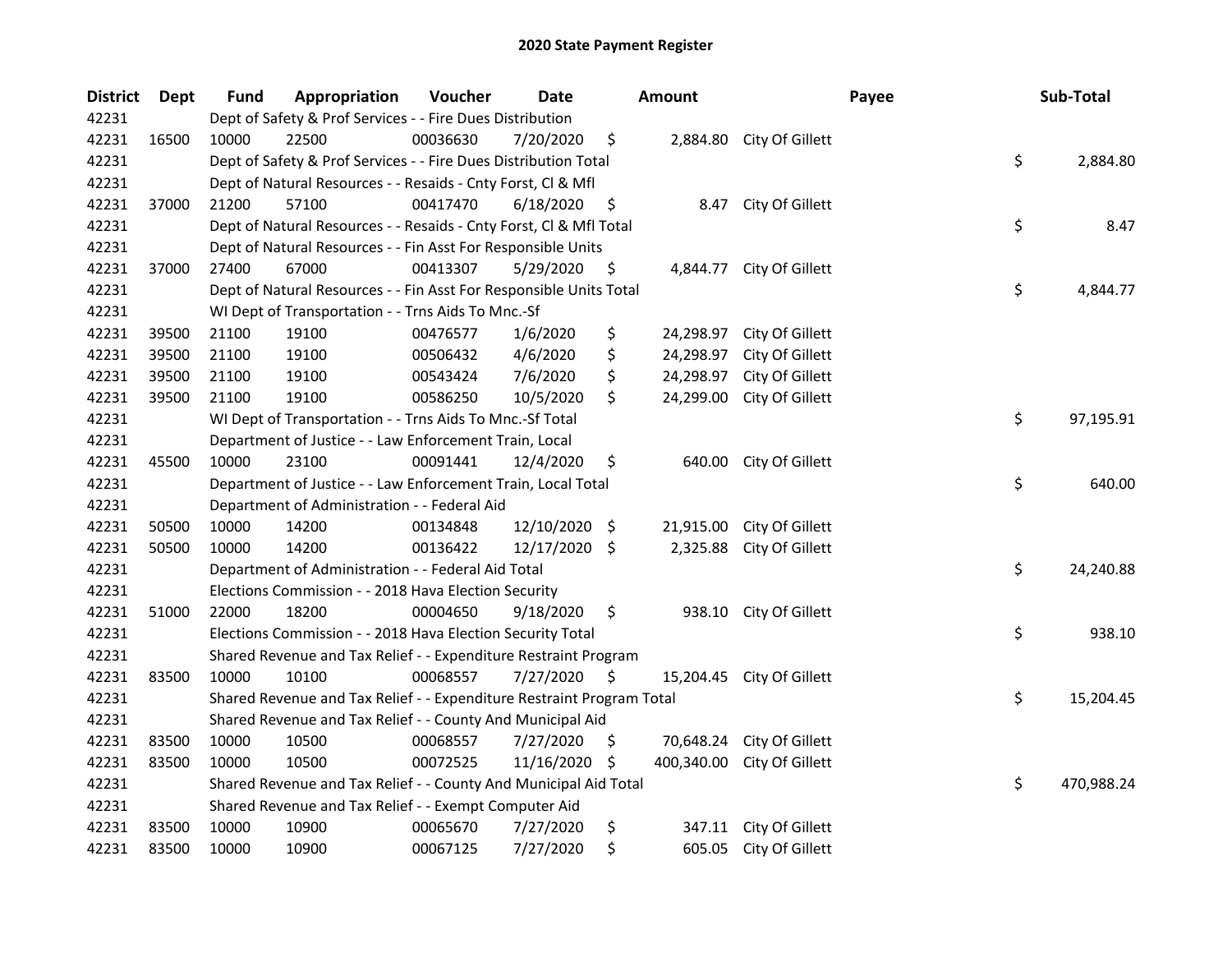| <b>District</b> | Dept  | <b>Fund</b> | Appropriation                                                         | Voucher  | Date          |      | <b>Amount</b> |                           | Payee | Sub-Total        |
|-----------------|-------|-------------|-----------------------------------------------------------------------|----------|---------------|------|---------------|---------------------------|-------|------------------|
| 42231           |       |             | Dept of Safety & Prof Services - - Fire Dues Distribution             |          |               |      |               |                           |       |                  |
| 42231           | 16500 | 10000       | 22500                                                                 | 00036630 | 7/20/2020     | \$   |               | 2,884.80 City Of Gillett  |       |                  |
| 42231           |       |             | Dept of Safety & Prof Services - - Fire Dues Distribution Total       |          |               |      |               |                           |       | \$<br>2,884.80   |
| 42231           |       |             | Dept of Natural Resources - - Resaids - Cnty Forst, Cl & Mfl          |          |               |      |               |                           |       |                  |
| 42231           | 37000 | 21200       | 57100                                                                 | 00417470 | 6/18/2020     | \$   |               | 8.47 City Of Gillett      |       |                  |
| 42231           |       |             | Dept of Natural Resources - - Resaids - Cnty Forst, Cl & Mfl Total    |          |               |      |               |                           |       | \$<br>8.47       |
| 42231           |       |             | Dept of Natural Resources - - Fin Asst For Responsible Units          |          |               |      |               |                           |       |                  |
| 42231           | 37000 | 27400       | 67000                                                                 | 00413307 | 5/29/2020     | \$   |               | 4,844.77 City Of Gillett  |       |                  |
| 42231           |       |             | Dept of Natural Resources - - Fin Asst For Responsible Units Total    |          |               |      |               |                           |       | \$<br>4,844.77   |
| 42231           |       |             | WI Dept of Transportation - - Trns Aids To Mnc.-Sf                    |          |               |      |               |                           |       |                  |
| 42231           | 39500 | 21100       | 19100                                                                 | 00476577 | 1/6/2020      | \$   | 24,298.97     | City Of Gillett           |       |                  |
| 42231           | 39500 | 21100       | 19100                                                                 | 00506432 | 4/6/2020      | \$   | 24,298.97     | City Of Gillett           |       |                  |
| 42231           | 39500 | 21100       | 19100                                                                 | 00543424 | 7/6/2020      | \$   | 24,298.97     | City Of Gillett           |       |                  |
| 42231           | 39500 | 21100       | 19100                                                                 | 00586250 | 10/5/2020     | \$   | 24,299.00     | City Of Gillett           |       |                  |
| 42231           |       |             | WI Dept of Transportation - - Trns Aids To Mnc.-Sf Total              |          |               |      |               |                           |       | \$<br>97,195.91  |
| 42231           |       |             | Department of Justice - - Law Enforcement Train, Local                |          |               |      |               |                           |       |                  |
| 42231           | 45500 | 10000       | 23100                                                                 | 00091441 | 12/4/2020     | \$   | 640.00        | City Of Gillett           |       |                  |
| 42231           |       |             | Department of Justice - - Law Enforcement Train, Local Total          |          |               |      |               |                           |       | \$<br>640.00     |
| 42231           |       |             | Department of Administration - - Federal Aid                          |          |               |      |               |                           |       |                  |
| 42231           | 50500 | 10000       | 14200                                                                 | 00134848 | 12/10/2020    | - \$ | 21,915.00     | City Of Gillett           |       |                  |
| 42231           | 50500 | 10000       | 14200                                                                 | 00136422 | 12/17/2020 \$ |      | 2,325.88      | City Of Gillett           |       |                  |
| 42231           |       |             | Department of Administration - - Federal Aid Total                    |          |               |      |               |                           |       | \$<br>24,240.88  |
| 42231           |       |             | Elections Commission - - 2018 Hava Election Security                  |          |               |      |               |                           |       |                  |
| 42231           | 51000 | 22000       | 18200                                                                 | 00004650 | 9/18/2020     | \$   |               | 938.10 City Of Gillett    |       |                  |
| 42231           |       |             | Elections Commission - - 2018 Hava Election Security Total            |          |               |      |               |                           |       | \$<br>938.10     |
| 42231           |       |             | Shared Revenue and Tax Relief - - Expenditure Restraint Program       |          |               |      |               |                           |       |                  |
| 42231           | 83500 | 10000       | 10100                                                                 | 00068557 | 7/27/2020     | \$   |               | 15,204.45 City Of Gillett |       |                  |
| 42231           |       |             | Shared Revenue and Tax Relief - - Expenditure Restraint Program Total |          |               |      |               |                           |       | \$<br>15,204.45  |
| 42231           |       |             | Shared Revenue and Tax Relief - - County And Municipal Aid            |          |               |      |               |                           |       |                  |
| 42231           | 83500 | 10000       | 10500                                                                 | 00068557 | 7/27/2020     | \$.  | 70,648.24     | City Of Gillett           |       |                  |
| 42231           | 83500 | 10000       | 10500                                                                 | 00072525 | 11/16/2020    | -\$  | 400,340.00    | City Of Gillett           |       |                  |
| 42231           |       |             | Shared Revenue and Tax Relief - - County And Municipal Aid Total      |          |               |      |               |                           |       | \$<br>470,988.24 |
| 42231           |       |             | Shared Revenue and Tax Relief - - Exempt Computer Aid                 |          |               |      |               |                           |       |                  |
| 42231           | 83500 | 10000       | 10900                                                                 | 00065670 | 7/27/2020     | \$   | 347.11        | City Of Gillett           |       |                  |
| 42231           | 83500 | 10000       | 10900                                                                 | 00067125 | 7/27/2020     | \$   |               | 605.05 City Of Gillett    |       |                  |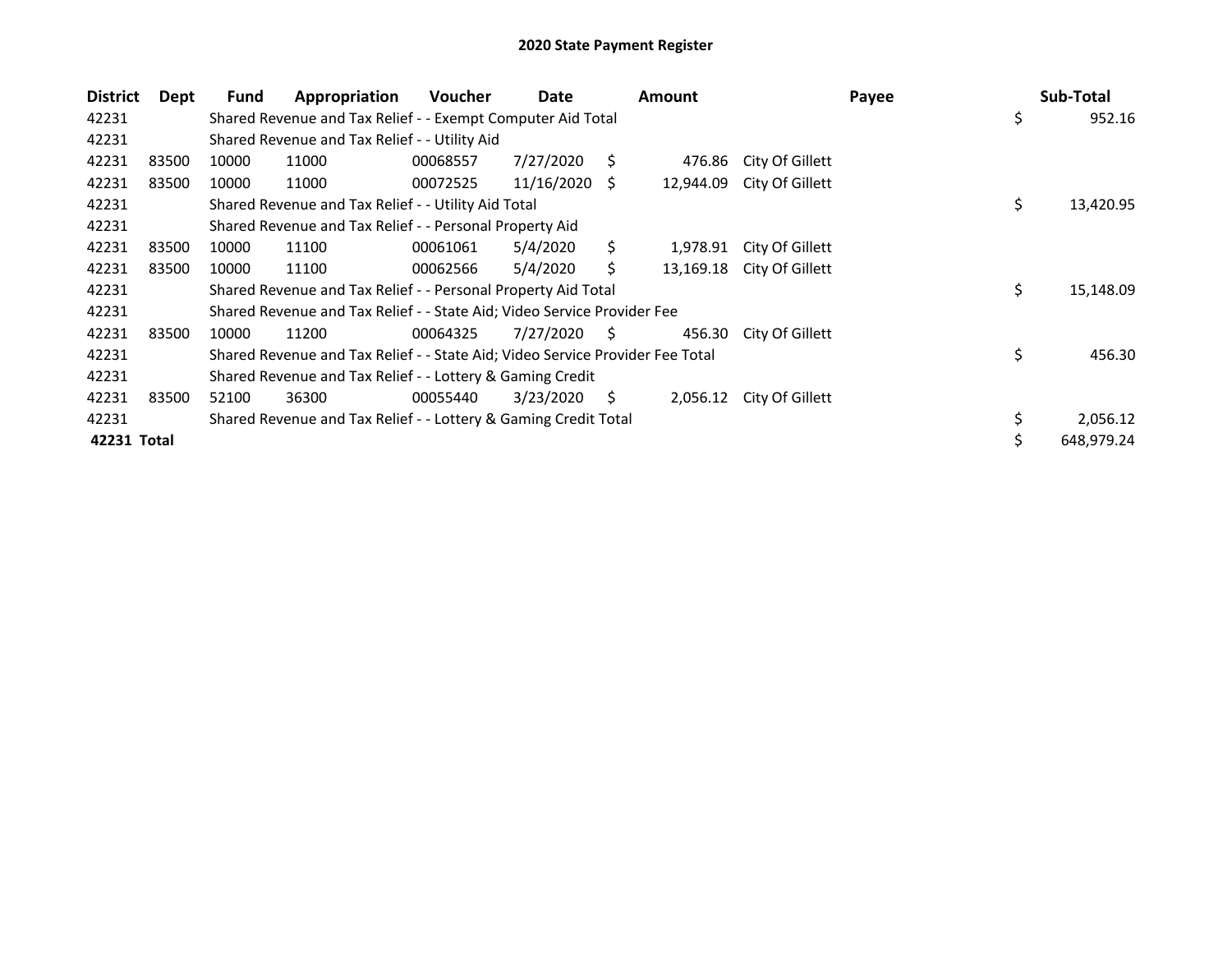| <b>District</b> | Dept  | Fund  | Appropriation                                                                 | <b>Voucher</b> | Date            |    | <b>Amount</b> |                 | Payee | Sub-Total       |
|-----------------|-------|-------|-------------------------------------------------------------------------------|----------------|-----------------|----|---------------|-----------------|-------|-----------------|
| 42231           |       |       | Shared Revenue and Tax Relief - - Exempt Computer Aid Total                   |                |                 |    |               |                 |       | \$<br>952.16    |
| 42231           |       |       | Shared Revenue and Tax Relief - - Utility Aid                                 |                |                 |    |               |                 |       |                 |
| 42231           | 83500 | 10000 | 11000                                                                         | 00068557       | 7/27/2020       | S. | 476.86        | City Of Gillett |       |                 |
| 42231           | 83500 | 10000 | 11000                                                                         | 00072525       | $11/16/2020$ \$ |    | 12,944.09     | City Of Gillett |       |                 |
| 42231           |       |       | Shared Revenue and Tax Relief - - Utility Aid Total                           |                |                 |    |               |                 |       | \$<br>13,420.95 |
| 42231           |       |       | Shared Revenue and Tax Relief - - Personal Property Aid                       |                |                 |    |               |                 |       |                 |
| 42231           | 83500 | 10000 | 11100                                                                         | 00061061       | 5/4/2020        | Ś. | 1,978.91      | City Of Gillett |       |                 |
| 42231           | 83500 | 10000 | 11100                                                                         | 00062566       | 5/4/2020        |    | 13,169.18     | City Of Gillett |       |                 |
| 42231           |       |       | Shared Revenue and Tax Relief - - Personal Property Aid Total                 |                |                 |    |               |                 |       | \$<br>15,148.09 |
| 42231           |       |       | Shared Revenue and Tax Relief - - State Aid; Video Service Provider Fee       |                |                 |    |               |                 |       |                 |
| 42231           | 83500 | 10000 | 11200                                                                         | 00064325       | 7/27/2020       | S  | 456.30        | City Of Gillett |       |                 |
| 42231           |       |       | Shared Revenue and Tax Relief - - State Aid; Video Service Provider Fee Total |                |                 |    |               |                 |       | \$<br>456.30    |
| 42231           |       |       | Shared Revenue and Tax Relief - - Lottery & Gaming Credit                     |                |                 |    |               |                 |       |                 |
| 42231           | 83500 | 52100 | 36300                                                                         | 00055440       | 3/23/2020       | S. | 2,056.12      | City Of Gillett |       |                 |
| 42231           |       |       | Shared Revenue and Tax Relief - - Lottery & Gaming Credit Total               |                |                 |    |               |                 |       | 2,056.12        |
| 42231 Total     |       |       |                                                                               |                |                 |    |               |                 |       | 648,979.24      |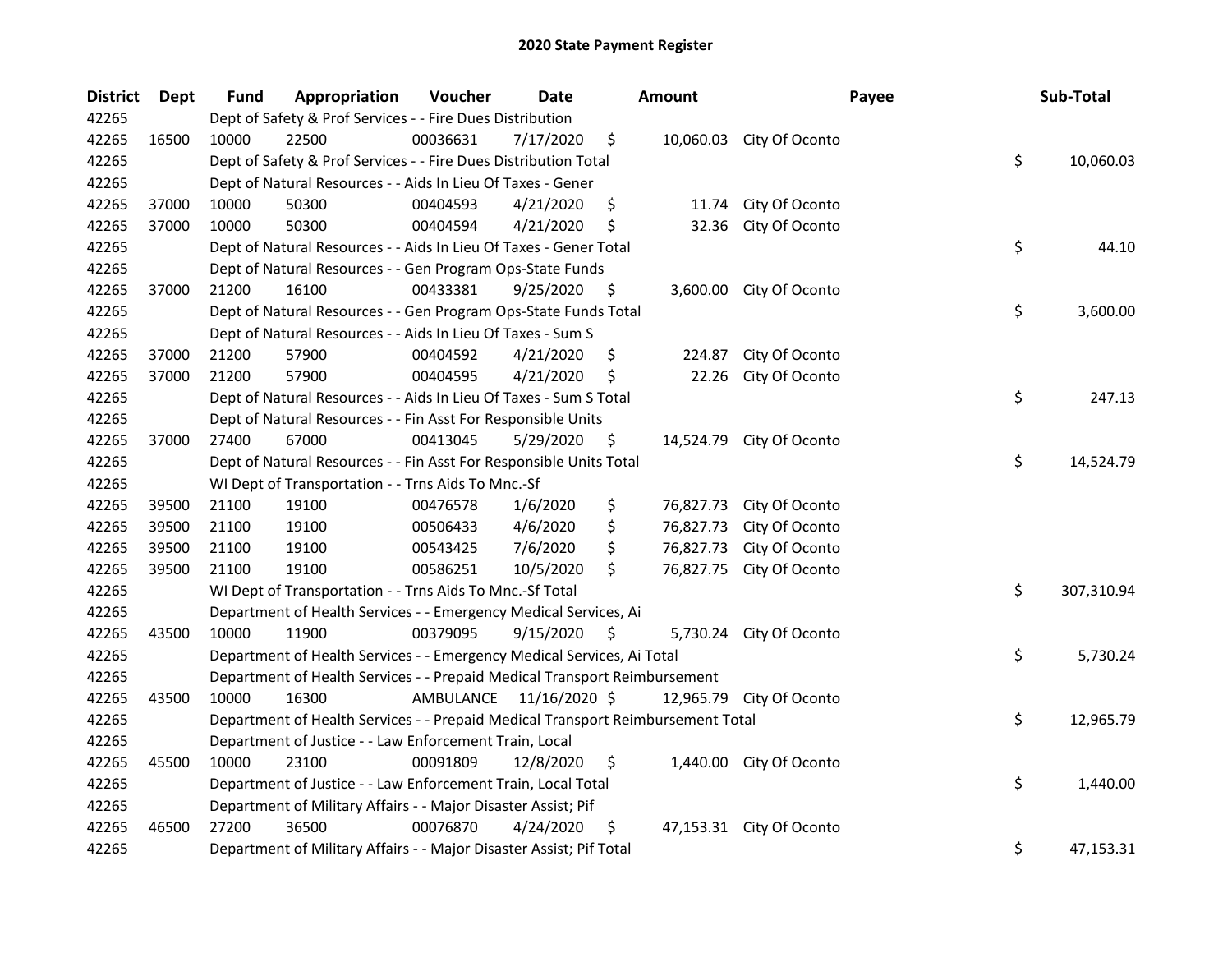| <b>District</b> | Dept  | Fund                                                                                  | Appropriation                                                             | Voucher   | <b>Date</b>   |     | <b>Amount</b> |                          | Payee |            | Sub-Total |
|-----------------|-------|---------------------------------------------------------------------------------------|---------------------------------------------------------------------------|-----------|---------------|-----|---------------|--------------------------|-------|------------|-----------|
| 42265           |       | Dept of Safety & Prof Services - - Fire Dues Distribution                             |                                                                           |           |               |     |               |                          |       |            |           |
| 42265           | 16500 | 10000                                                                                 | 22500                                                                     | 00036631  | 7/17/2020     | \$  |               | 10,060.03 City Of Oconto |       |            |           |
| 42265           |       |                                                                                       | \$<br>Dept of Safety & Prof Services - - Fire Dues Distribution Total     |           |               |     |               |                          |       |            | 10,060.03 |
| 42265           |       | Dept of Natural Resources - - Aids In Lieu Of Taxes - Gener                           |                                                                           |           |               |     |               |                          |       |            |           |
| 42265           | 37000 | 10000                                                                                 | 50300                                                                     | 00404593  | 4/21/2020     | \$  | 11.74         | City Of Oconto           |       |            |           |
| 42265           | 37000 | 10000                                                                                 | 50300                                                                     | 00404594  | 4/21/2020     | \$  | 32.36         | City Of Oconto           |       |            |           |
| 42265           |       |                                                                                       | Dept of Natural Resources - - Aids In Lieu Of Taxes - Gener Total         |           |               |     |               |                          |       | \$         | 44.10     |
| 42265           |       |                                                                                       | Dept of Natural Resources - - Gen Program Ops-State Funds                 |           |               |     |               |                          |       |            |           |
| 42265           | 37000 | 21200                                                                                 | 16100                                                                     | 00433381  | 9/25/2020     | \$  |               | 3,600.00 City Of Oconto  |       |            |           |
| 42265           |       |                                                                                       | Dept of Natural Resources - - Gen Program Ops-State Funds Total           |           |               |     |               |                          |       | \$         | 3,600.00  |
| 42265           |       |                                                                                       | Dept of Natural Resources - - Aids In Lieu Of Taxes - Sum S               |           |               |     |               |                          |       |            |           |
| 42265           | 37000 | 21200                                                                                 | 57900                                                                     | 00404592  | 4/21/2020     | \$, | 224.87        | City Of Oconto           |       |            |           |
| 42265           | 37000 | 21200                                                                                 | 57900                                                                     | 00404595  | 4/21/2020     | \$  | 22.26         | City Of Oconto           |       |            |           |
| 42265           |       |                                                                                       | Dept of Natural Resources - - Aids In Lieu Of Taxes - Sum S Total         |           |               |     |               |                          |       | \$         | 247.13    |
| 42265           |       |                                                                                       | Dept of Natural Resources - - Fin Asst For Responsible Units              |           |               |     |               |                          |       |            |           |
| 42265           | 37000 | 27400                                                                                 | 67000                                                                     | 00413045  | 5/29/2020     | \$  |               | 14,524.79 City Of Oconto |       |            |           |
| 42265           |       |                                                                                       | Dept of Natural Resources - - Fin Asst For Responsible Units Total        |           |               |     |               |                          |       | \$         | 14,524.79 |
| 42265           |       |                                                                                       | WI Dept of Transportation - - Trns Aids To Mnc.-Sf                        |           |               |     |               |                          |       |            |           |
| 42265           | 39500 | 21100                                                                                 | 19100                                                                     | 00476578  | 1/6/2020      | \$  | 76,827.73     | City Of Oconto           |       |            |           |
| 42265           | 39500 | 21100                                                                                 | 19100                                                                     | 00506433  | 4/6/2020      | \$  | 76,827.73     | City Of Oconto           |       |            |           |
| 42265           | 39500 | 21100                                                                                 | 19100                                                                     | 00543425  | 7/6/2020      | \$  | 76,827.73     | City Of Oconto           |       |            |           |
| 42265           | 39500 | 21100                                                                                 | 19100                                                                     | 00586251  | 10/5/2020     | \$  | 76,827.75     | City Of Oconto           |       |            |           |
| 42265           |       | \$<br>WI Dept of Transportation - - Trns Aids To Mnc.-Sf Total                        |                                                                           |           |               |     |               |                          |       | 307,310.94 |           |
| 42265           |       |                                                                                       | Department of Health Services - - Emergency Medical Services, Ai          |           |               |     |               |                          |       |            |           |
| 42265           | 43500 | 10000                                                                                 | 11900                                                                     | 00379095  | 9/15/2020     | \$  |               | 5,730.24 City Of Oconto  |       |            |           |
| 42265           |       |                                                                                       | Department of Health Services - - Emergency Medical Services, Ai Total    |           |               |     |               |                          |       | \$         | 5,730.24  |
| 42265           |       |                                                                                       | Department of Health Services - - Prepaid Medical Transport Reimbursement |           |               |     |               |                          |       |            |           |
| 42265           | 43500 | 10000                                                                                 | 16300                                                                     | AMBULANCE | 11/16/2020 \$ |     |               | 12,965.79 City Of Oconto |       |            |           |
| 42265           |       | \$<br>Department of Health Services - - Prepaid Medical Transport Reimbursement Total |                                                                           |           |               |     |               |                          |       | 12,965.79  |           |
| 42265           |       |                                                                                       | Department of Justice - - Law Enforcement Train, Local                    |           |               |     |               |                          |       |            |           |
| 42265           | 45500 | 10000                                                                                 | 23100                                                                     | 00091809  | 12/8/2020     | \$  |               | 1,440.00 City Of Oconto  |       |            |           |
| 42265           |       |                                                                                       | Department of Justice - - Law Enforcement Train, Local Total              |           |               |     |               |                          |       | \$         | 1,440.00  |
| 42265           |       | Department of Military Affairs - - Major Disaster Assist; Pif                         |                                                                           |           |               |     |               |                          |       |            |           |
| 42265           | 46500 | 27200                                                                                 | 36500                                                                     | 00076870  | 4/24/2020     | \$  |               | 47,153.31 City Of Oconto |       |            |           |
| 42265           |       |                                                                                       | Department of Military Affairs - - Major Disaster Assist; Pif Total       |           |               |     |               |                          |       | \$         | 47,153.31 |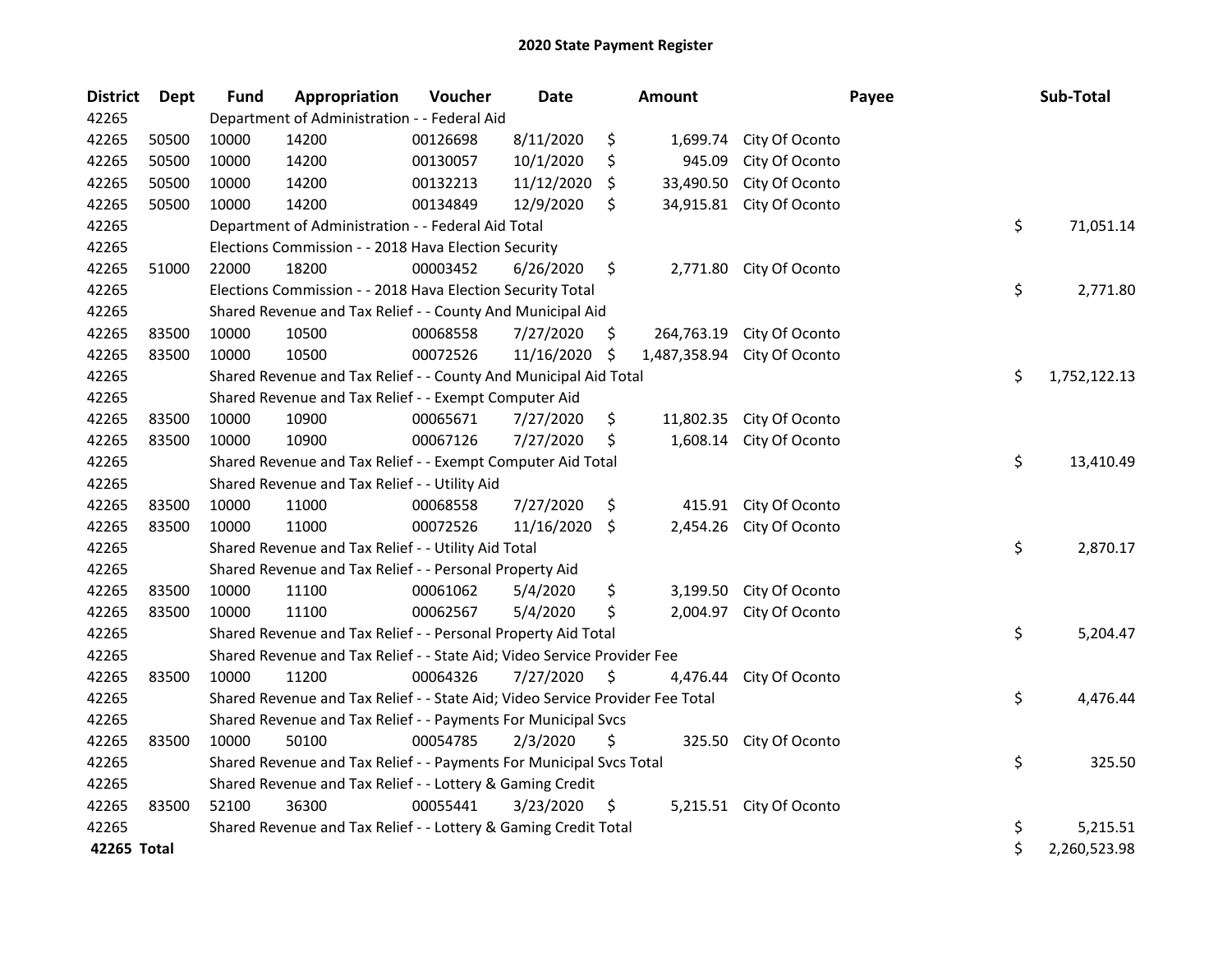| <b>District</b> | <b>Dept</b> | <b>Fund</b>                                                 | Appropriation                                                                 | Voucher  | <b>Date</b> |     | <b>Amount</b> |                         | Payee | Sub-Total    |
|-----------------|-------------|-------------------------------------------------------------|-------------------------------------------------------------------------------|----------|-------------|-----|---------------|-------------------------|-------|--------------|
| 42265           |             | Department of Administration - - Federal Aid                |                                                                               |          |             |     |               |                         |       |              |
| 42265           | 50500       | 10000                                                       | 14200                                                                         | 00126698 | 8/11/2020   | \$  | 1,699.74      | City Of Oconto          |       |              |
| 42265           | 50500       | 10000                                                       | 14200                                                                         | 00130057 | 10/1/2020   | \$  | 945.09        | City Of Oconto          |       |              |
| 42265           | 50500       | 10000                                                       | 14200                                                                         | 00132213 | 11/12/2020  | \$  | 33,490.50     | City Of Oconto          |       |              |
| 42265           | 50500       | 10000                                                       | 14200                                                                         | 00134849 | 12/9/2020   | \$  | 34,915.81     | City Of Oconto          |       |              |
| 42265           |             |                                                             | Department of Administration - - Federal Aid Total                            |          |             |     |               |                         | \$    | 71,051.14    |
| 42265           |             |                                                             | Elections Commission - - 2018 Hava Election Security                          |          |             |     |               |                         |       |              |
| 42265           | 51000       | 22000                                                       | 18200                                                                         | 00003452 | 6/26/2020   | \$  | 2,771.80      | City Of Oconto          |       |              |
| 42265           |             |                                                             | Elections Commission - - 2018 Hava Election Security Total                    |          |             |     |               |                         | \$    | 2,771.80     |
| 42265           |             |                                                             | Shared Revenue and Tax Relief - - County And Municipal Aid                    |          |             |     |               |                         |       |              |
| 42265           | 83500       | 10000                                                       | 10500                                                                         | 00068558 | 7/27/2020   | \$. | 264,763.19    | City Of Oconto          |       |              |
| 42265           | 83500       | 10000                                                       | 10500                                                                         | 00072526 | 11/16/2020  | \$  | 1,487,358.94  | City Of Oconto          |       |              |
| 42265           |             |                                                             | Shared Revenue and Tax Relief - - County And Municipal Aid Total              |          |             |     |               |                         | \$    | 1,752,122.13 |
| 42265           |             |                                                             | Shared Revenue and Tax Relief - - Exempt Computer Aid                         |          |             |     |               |                         |       |              |
| 42265           | 83500       | 10000                                                       | 10900                                                                         | 00065671 | 7/27/2020   | \$  | 11,802.35     | City Of Oconto          |       |              |
| 42265           | 83500       | 10000                                                       | 10900                                                                         | 00067126 | 7/27/2020   | \$  | 1,608.14      | City Of Oconto          |       |              |
| 42265           |             | Shared Revenue and Tax Relief - - Exempt Computer Aid Total |                                                                               |          |             |     |               |                         |       | 13,410.49    |
| 42265           |             | Shared Revenue and Tax Relief - - Utility Aid               |                                                                               |          |             |     |               |                         |       |              |
| 42265           | 83500       | 10000                                                       | 11000                                                                         | 00068558 | 7/27/2020   | \$  | 415.91        | City Of Oconto          |       |              |
| 42265           | 83500       | 10000                                                       | 11000                                                                         | 00072526 | 11/16/2020  | -\$ | 2,454.26      | City Of Oconto          |       |              |
| 42265           |             |                                                             | Shared Revenue and Tax Relief - - Utility Aid Total                           |          |             |     |               |                         | \$    | 2,870.17     |
| 42265           |             |                                                             | Shared Revenue and Tax Relief - - Personal Property Aid                       |          |             |     |               |                         |       |              |
| 42265           | 83500       | 10000                                                       | 11100                                                                         | 00061062 | 5/4/2020    | \$  | 3,199.50      | City Of Oconto          |       |              |
| 42265           | 83500       | 10000                                                       | 11100                                                                         | 00062567 | 5/4/2020    | \$  | 2,004.97      | City Of Oconto          |       |              |
| 42265           |             |                                                             | Shared Revenue and Tax Relief - - Personal Property Aid Total                 |          |             |     |               |                         | \$    | 5,204.47     |
| 42265           |             |                                                             | Shared Revenue and Tax Relief - - State Aid; Video Service Provider Fee       |          |             |     |               |                         |       |              |
| 42265           | 83500       | 10000                                                       | 11200                                                                         | 00064326 | 7/27/2020   | \$  | 4,476.44      | City Of Oconto          |       |              |
| 42265           |             |                                                             | Shared Revenue and Tax Relief - - State Aid; Video Service Provider Fee Total |          |             |     |               |                         | \$    | 4,476.44     |
| 42265           |             |                                                             | Shared Revenue and Tax Relief - - Payments For Municipal Svcs                 |          |             |     |               |                         |       |              |
| 42265           | 83500       | 10000                                                       | 50100                                                                         | 00054785 | 2/3/2020    | \$  | 325.50        | City Of Oconto          |       |              |
| 42265           |             |                                                             | Shared Revenue and Tax Relief - - Payments For Municipal Svcs Total           |          |             |     |               |                         | \$    | 325.50       |
| 42265           |             | Shared Revenue and Tax Relief - - Lottery & Gaming Credit   |                                                                               |          |             |     |               |                         |       |              |
| 42265           | 83500       | 52100                                                       | 36300                                                                         | 00055441 | 3/23/2020   | \$  |               | 5,215.51 City Of Oconto |       |              |
| 42265           |             |                                                             | Shared Revenue and Tax Relief - - Lottery & Gaming Credit Total               |          |             |     |               |                         | \$    | 5,215.51     |
| 42265 Total     |             |                                                             |                                                                               |          |             |     |               |                         | \$    | 2,260,523.98 |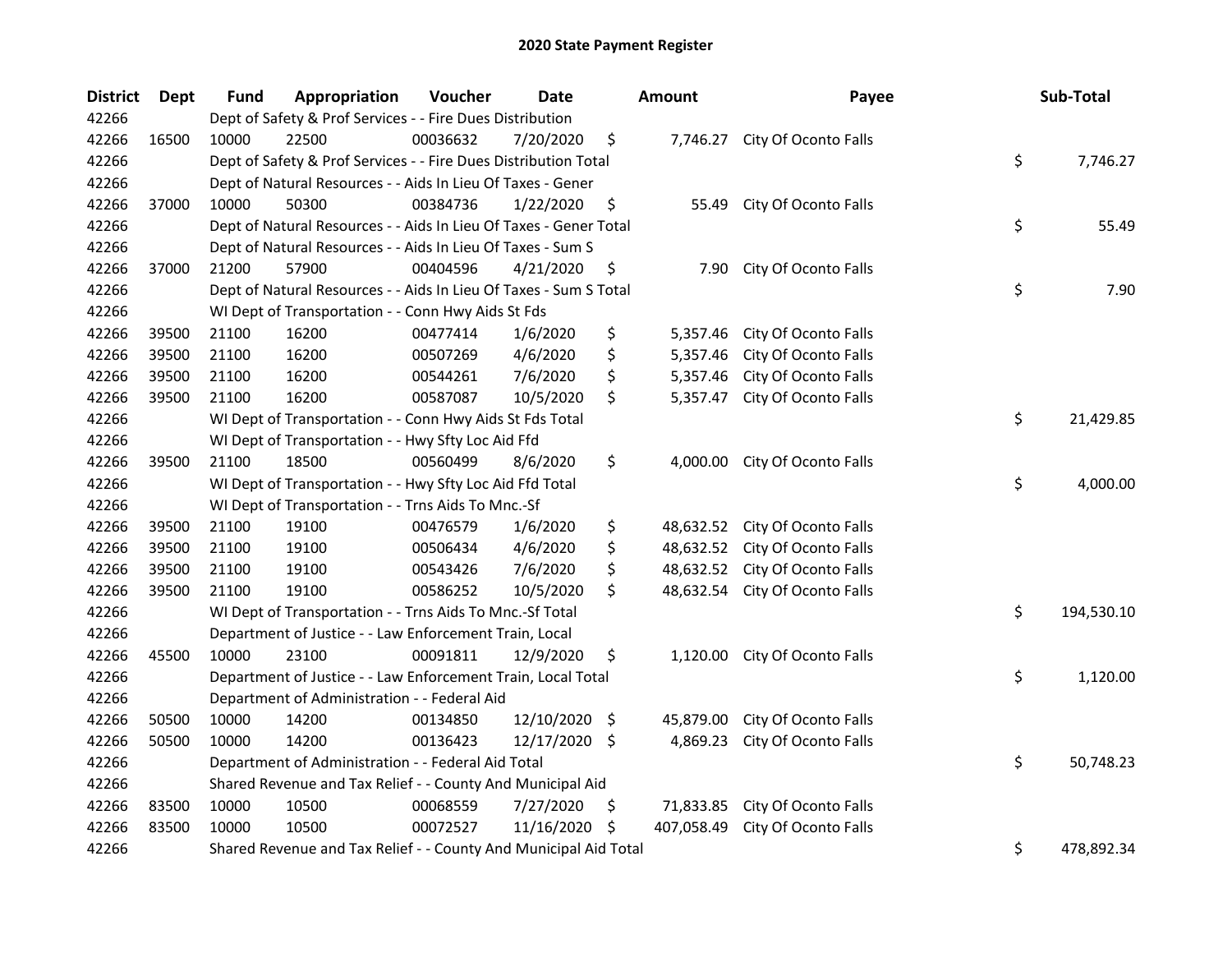| <b>District</b> | <b>Dept</b> | Fund                                                            | Appropriation                                                     | Voucher  | <b>Date</b> |     | <b>Amount</b> | Payee                         |    | Sub-Total  |
|-----------------|-------------|-----------------------------------------------------------------|-------------------------------------------------------------------|----------|-------------|-----|---------------|-------------------------------|----|------------|
| 42266           |             | Dept of Safety & Prof Services - - Fire Dues Distribution       |                                                                   |          |             |     |               |                               |    |            |
| 42266           | 16500       | 10000                                                           | 22500                                                             | 00036632 | 7/20/2020   | \$  |               | 7,746.27 City Of Oconto Falls |    |            |
| 42266           |             | Dept of Safety & Prof Services - - Fire Dues Distribution Total |                                                                   |          |             |     |               |                               |    | 7,746.27   |
| 42266           |             | Dept of Natural Resources - - Aids In Lieu Of Taxes - Gener     |                                                                   |          |             |     |               |                               |    |            |
| 42266           | 37000       | 10000                                                           | 50300                                                             | 00384736 | 1/22/2020   | \$  | 55.49         | City Of Oconto Falls          |    |            |
| 42266           |             |                                                                 | Dept of Natural Resources - - Aids In Lieu Of Taxes - Gener Total |          |             |     |               |                               | \$ | 55.49      |
| 42266           |             |                                                                 | Dept of Natural Resources - - Aids In Lieu Of Taxes - Sum S       |          |             |     |               |                               |    |            |
| 42266           | 37000       | 21200                                                           | 57900                                                             | 00404596 | 4/21/2020   | \$  | 7.90          | City Of Oconto Falls          |    |            |
| 42266           |             |                                                                 | Dept of Natural Resources - - Aids In Lieu Of Taxes - Sum S Total |          |             |     |               |                               | \$ | 7.90       |
| 42266           |             |                                                                 | WI Dept of Transportation - - Conn Hwy Aids St Fds                |          |             |     |               |                               |    |            |
| 42266           | 39500       | 21100                                                           | 16200                                                             | 00477414 | 1/6/2020    | \$  | 5,357.46      | City Of Oconto Falls          |    |            |
| 42266           | 39500       | 21100                                                           | 16200                                                             | 00507269 | 4/6/2020    | \$  | 5,357.46      | City Of Oconto Falls          |    |            |
| 42266           | 39500       | 21100                                                           | 16200                                                             | 00544261 | 7/6/2020    | \$  | 5,357.46      | City Of Oconto Falls          |    |            |
| 42266           | 39500       | 21100                                                           | 16200                                                             | 00587087 | 10/5/2020   | \$  | 5,357.47      | City Of Oconto Falls          |    |            |
| 42266           |             | WI Dept of Transportation - - Conn Hwy Aids St Fds Total        |                                                                   |          |             |     |               |                               | \$ | 21,429.85  |
| 42266           |             | WI Dept of Transportation - - Hwy Sfty Loc Aid Ffd              |                                                                   |          |             |     |               |                               |    |            |
| 42266           | 39500       | 21100                                                           | 18500                                                             | 00560499 | 8/6/2020    | \$  | 4,000.00      | City Of Oconto Falls          |    |            |
| 42266           |             |                                                                 | WI Dept of Transportation - - Hwy Sfty Loc Aid Ffd Total          |          |             |     |               |                               | \$ | 4,000.00   |
| 42266           |             | WI Dept of Transportation - - Trns Aids To Mnc.-Sf              |                                                                   |          |             |     |               |                               |    |            |
| 42266           | 39500       | 21100                                                           | 19100                                                             | 00476579 | 1/6/2020    | \$  | 48,632.52     | City Of Oconto Falls          |    |            |
| 42266           | 39500       | 21100                                                           | 19100                                                             | 00506434 | 4/6/2020    | \$  | 48,632.52     | City Of Oconto Falls          |    |            |
| 42266           | 39500       | 21100                                                           | 19100                                                             | 00543426 | 7/6/2020    | \$  | 48,632.52     | City Of Oconto Falls          |    |            |
| 42266           | 39500       | 21100                                                           | 19100                                                             | 00586252 | 10/5/2020   | \$  | 48,632.54     | City Of Oconto Falls          |    |            |
| 42266           |             | WI Dept of Transportation - - Trns Aids To Mnc.-Sf Total        |                                                                   |          |             |     |               |                               |    | 194,530.10 |
| 42266           |             | Department of Justice - - Law Enforcement Train, Local          |                                                                   |          |             |     |               |                               |    |            |
| 42266           | 45500       | 10000                                                           | 23100                                                             | 00091811 | 12/9/2020   | \$  | 1,120.00      | City Of Oconto Falls          |    |            |
| 42266           |             |                                                                 | Department of Justice - - Law Enforcement Train, Local Total      |          |             |     |               |                               | \$ | 1,120.00   |
| 42266           |             | Department of Administration - - Federal Aid                    |                                                                   |          |             |     |               |                               |    |            |
| 42266           | 50500       | 10000                                                           | 14200                                                             | 00134850 | 12/10/2020  | -\$ | 45,879.00     | City Of Oconto Falls          |    |            |
| 42266           | 50500       | 10000                                                           | 14200                                                             | 00136423 | 12/17/2020  | -\$ | 4,869.23      | City Of Oconto Falls          |    |            |
| 42266           |             |                                                                 | Department of Administration - - Federal Aid Total                |          |             |     |               |                               | \$ | 50,748.23  |
| 42266           |             | Shared Revenue and Tax Relief - - County And Municipal Aid      |                                                                   |          |             |     |               |                               |    |            |
| 42266           | 83500       | 10000                                                           | 10500                                                             | 00068559 | 7/27/2020   | \$  | 71,833.85     | City Of Oconto Falls          |    |            |
| 42266           | 83500       | 10000                                                           | 10500                                                             | 00072527 | 11/16/2020  | \$  | 407,058.49    | City Of Oconto Falls          |    |            |
| 42266           |             |                                                                 | Shared Revenue and Tax Relief - - County And Municipal Aid Total  |          |             |     |               |                               | \$ | 478,892.34 |